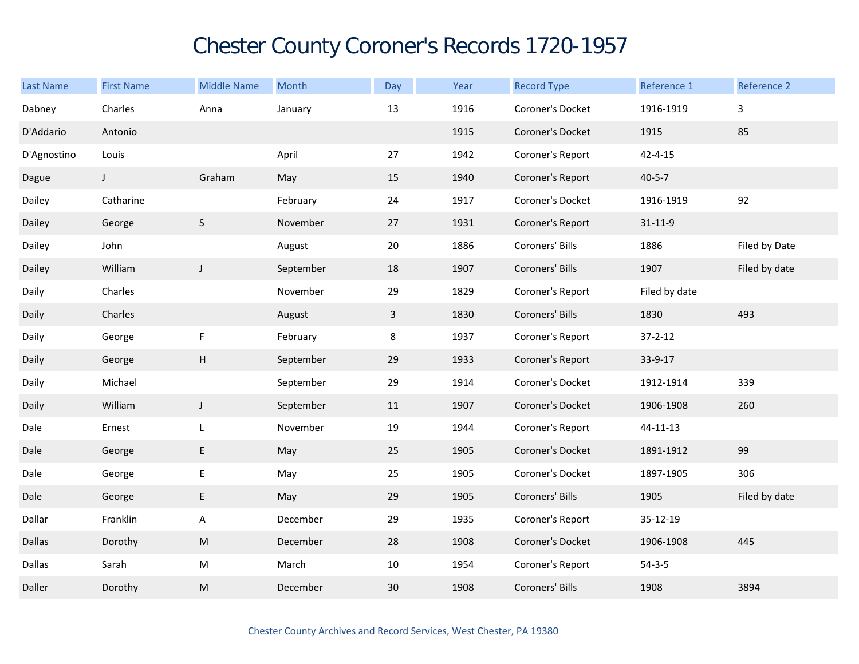## Chester County Coroner's Records 1720-1957

| Last Name     | <b>First Name</b> | <b>Middle Name</b>                                                                                         | Month     | Day          | Year | <b>Record Type</b> | Reference 1   | Reference 2   |
|---------------|-------------------|------------------------------------------------------------------------------------------------------------|-----------|--------------|------|--------------------|---------------|---------------|
| Dabney        | Charles           | Anna                                                                                                       | January   | $13\,$       | 1916 | Coroner's Docket   | 1916-1919     | $\mathbf{3}$  |
| D'Addario     | Antonio           |                                                                                                            |           |              | 1915 | Coroner's Docket   | 1915          | 85            |
| D'Agnostino   | Louis             |                                                                                                            | April     | 27           | 1942 | Coroner's Report   | $42 - 4 - 15$ |               |
| Dague         | $\mathsf J$       | Graham                                                                                                     | May       | 15           | 1940 | Coroner's Report   | $40 - 5 - 7$  |               |
| Dailey        | Catharine         |                                                                                                            | February  | 24           | 1917 | Coroner's Docket   | 1916-1919     | 92            |
| Dailey        | George            | $\mathsf S$                                                                                                | November  | 27           | 1931 | Coroner's Report   | $31 - 11 - 9$ |               |
| Dailey        | John              |                                                                                                            | August    | $20\,$       | 1886 | Coroners' Bills    | 1886          | Filed by Date |
| Dailey        | William           | J                                                                                                          | September | 18           | 1907 | Coroners' Bills    | 1907          | Filed by date |
| Daily         | Charles           |                                                                                                            | November  | 29           | 1829 | Coroner's Report   | Filed by date |               |
| Daily         | Charles           |                                                                                                            | August    | $\mathbf{3}$ | 1830 | Coroners' Bills    | 1830          | 493           |
| Daily         | George            | $\mathsf F$                                                                                                | February  | 8            | 1937 | Coroner's Report   | $37 - 2 - 12$ |               |
| Daily         | George            | $\sf H$                                                                                                    | September | 29           | 1933 | Coroner's Report   | 33-9-17       |               |
| Daily         | Michael           |                                                                                                            | September | 29           | 1914 | Coroner's Docket   | 1912-1914     | 339           |
| Daily         | William           | $\mathsf J$                                                                                                | September | 11           | 1907 | Coroner's Docket   | 1906-1908     | 260           |
| Dale          | Ernest            | L                                                                                                          | November  | 19           | 1944 | Coroner's Report   | 44-11-13      |               |
| Dale          | George            | $\mathsf E$                                                                                                | May       | 25           | 1905 | Coroner's Docket   | 1891-1912     | 99            |
| Dale          | George            | $\mathsf E$                                                                                                | May       | 25           | 1905 | Coroner's Docket   | 1897-1905     | 306           |
| Dale          | George            | E                                                                                                          | May       | 29           | 1905 | Coroners' Bills    | 1905          | Filed by date |
| Dallar        | Franklin          | A                                                                                                          | December  | 29           | 1935 | Coroner's Report   | 35-12-19      |               |
| <b>Dallas</b> | Dorothy           | $\mathsf{M}% _{T}=\mathsf{M}_{T}\!\left( a,b\right) ,\ \mathsf{M}_{T}=\mathsf{M}_{T}\!\left( a,b\right) ,$ | December  | 28           | 1908 | Coroner's Docket   | 1906-1908     | 445           |
| Dallas        | Sarah             | ${\sf M}$                                                                                                  | March     | $10\,$       | 1954 | Coroner's Report   | $54 - 3 - 5$  |               |
| Daller        | Dorothy           | ${\sf M}$                                                                                                  | December  | 30           | 1908 | Coroners' Bills    | 1908          | 3894          |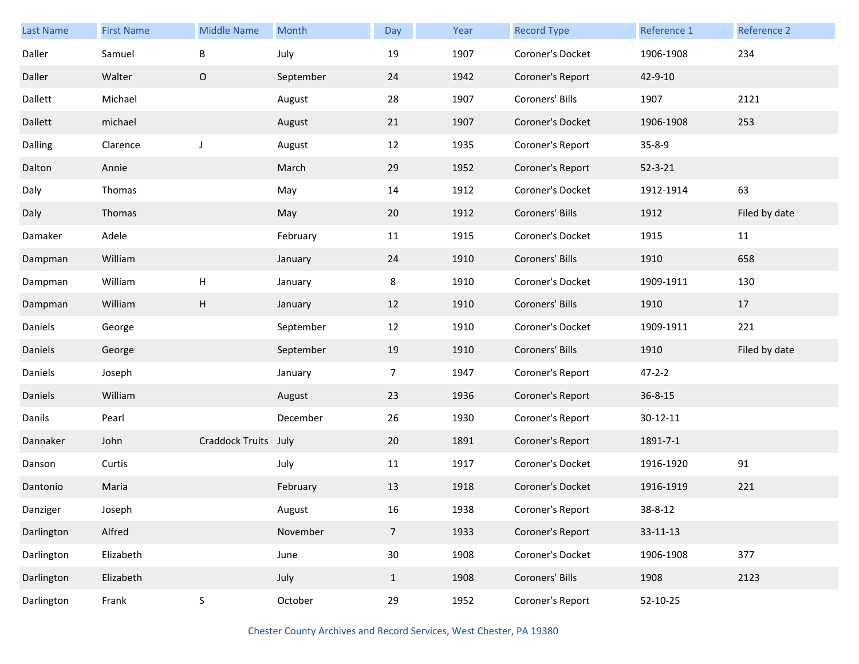| <b>Last Name</b> | <b>First Name</b> | <b>Middle Name</b> | Month     | Day             | Year | <b>Record Type</b> | Reference 1    | Reference 2   |
|------------------|-------------------|--------------------|-----------|-----------------|------|--------------------|----------------|---------------|
| Daller           | Samuel            | $\sf B$            | July      | 19              | 1907 | Coroner's Docket   | 1906-1908      | 234           |
| Daller           | Walter            | $\mathsf O$        | September | 24              | 1942 | Coroner's Report   | 42-9-10        |               |
| Dallett          | Michael           |                    | August    | 28              | 1907 | Coroners' Bills    | 1907           | 2121          |
| Dallett          | michael           |                    | August    | 21              | 1907 | Coroner's Docket   | 1906-1908      | 253           |
| Dalling          | Clarence          | J                  | August    | 12              | 1935 | Coroner's Report   | $35 - 8 - 9$   |               |
| Dalton           | Annie             |                    | March     | 29              | 1952 | Coroner's Report   | $52 - 3 - 21$  |               |
| Daly             | Thomas            |                    | May       | 14              | 1912 | Coroner's Docket   | 1912-1914      | 63            |
| Daly             | Thomas            |                    | May       | 20              | 1912 | Coroners' Bills    | 1912           | Filed by date |
| Damaker          | Adele             |                    | February  | 11              | 1915 | Coroner's Docket   | 1915           | 11            |
| Dampman          | William           |                    | January   | 24              | 1910 | Coroners' Bills    | 1910           | 658           |
| Dampman          | William           | $\mathsf{H}%$      | January   | 8               | 1910 | Coroner's Docket   | 1909-1911      | 130           |
| Dampman          | William           | H                  | January   | 12              | 1910 | Coroners' Bills    | 1910           | 17            |
| Daniels          | George            |                    | September | 12              | 1910 | Coroner's Docket   | 1909-1911      | 221           |
| Daniels          | George            |                    | September | 19              | 1910 | Coroners' Bills    | 1910           | Filed by date |
| Daniels          | Joseph            |                    | January   | $\overline{7}$  | 1947 | Coroner's Report   | $47 - 2 - 2$   |               |
| Daniels          | William           |                    | August    | 23              | 1936 | Coroner's Report   | $36 - 8 - 15$  |               |
| Danils           | Pearl             |                    | December  | 26              | 1930 | Coroner's Report   | $30 - 12 - 11$ |               |
| Dannaker         | John              | Craddock Truits    | July      | 20              | 1891 | Coroner's Report   | 1891-7-1       |               |
| Danson           | Curtis            |                    | July      | 11              | 1917 | Coroner's Docket   | 1916-1920      | 91            |
| Dantonio         | Maria             |                    | February  | 13              | 1918 | Coroner's Docket   | 1916-1919      | 221           |
| Danziger         | Joseph            |                    | August    | 16              | 1938 | Coroner's Report   | 38-8-12        |               |
| Darlington       | Alfred            |                    | November  | $\overline{7}$  | 1933 | Coroner's Report   | $33 - 11 - 13$ |               |
| Darlington       | Elizabeth         |                    | June      | 30 <sup>°</sup> | 1908 | Coroner's Docket   | 1906-1908      | 377           |
| Darlington       | Elizabeth         |                    | July      | $\mathbf{1}$    | 1908 | Coroners' Bills    | 1908           | 2123          |
| Darlington       | Frank             | $\mathsf S$        | October   | 29              | 1952 | Coroner's Report   | 52-10-25       |               |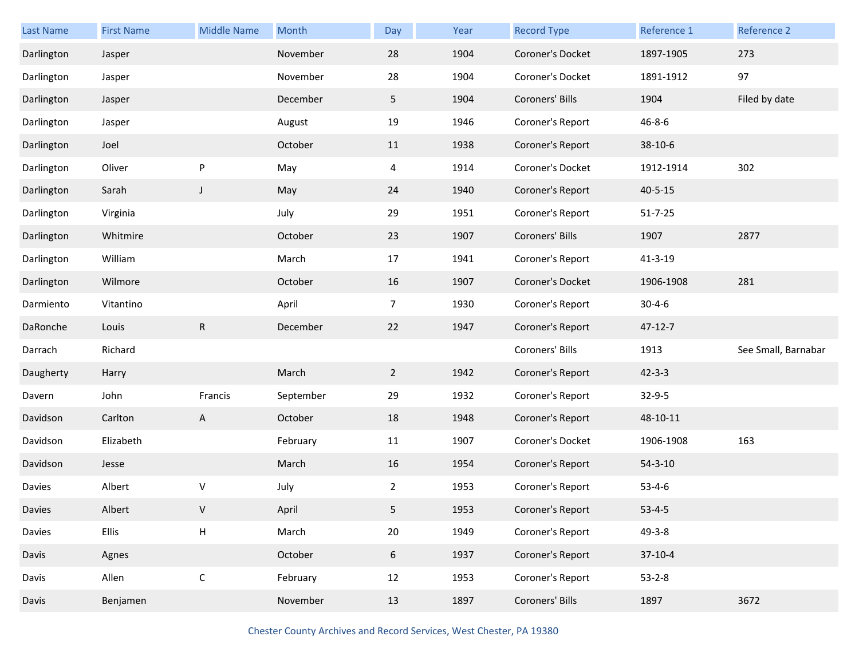| Last Name  | <b>First Name</b> | <b>Middle Name</b> | Month     | Day            | Year | <b>Record Type</b> | Reference 1   | Reference 2         |
|------------|-------------------|--------------------|-----------|----------------|------|--------------------|---------------|---------------------|
| Darlington | Jasper            |                    | November  | 28             | 1904 | Coroner's Docket   | 1897-1905     | 273                 |
| Darlington | Jasper            |                    | November  | 28             | 1904 | Coroner's Docket   | 1891-1912     | 97                  |
| Darlington | Jasper            |                    | December  | 5              | 1904 | Coroners' Bills    | 1904          | Filed by date       |
| Darlington | Jasper            |                    | August    | 19             | 1946 | Coroner's Report   | $46 - 8 - 6$  |                     |
| Darlington | Joel              |                    | October   | 11             | 1938 | Coroner's Report   | 38-10-6       |                     |
| Darlington | Oliver            | P                  | May       | 4              | 1914 | Coroner's Docket   | 1912-1914     | 302                 |
| Darlington | Sarah             | $\mathsf J$        | May       | 24             | 1940 | Coroner's Report   | $40 - 5 - 15$ |                     |
| Darlington | Virginia          |                    | July      | 29             | 1951 | Coroner's Report   | $51 - 7 - 25$ |                     |
| Darlington | Whitmire          |                    | October   | 23             | 1907 | Coroners' Bills    | 1907          | 2877                |
| Darlington | William           |                    | March     | 17             | 1941 | Coroner's Report   | 41-3-19       |                     |
| Darlington | Wilmore           |                    | October   | 16             | 1907 | Coroner's Docket   | 1906-1908     | 281                 |
| Darmiento  | Vitantino         |                    | April     | $\overline{7}$ | 1930 | Coroner's Report   | $30 - 4 - 6$  |                     |
| DaRonche   | Louis             | ${\sf R}$          | December  | 22             | 1947 | Coroner's Report   | $47 - 12 - 7$ |                     |
| Darrach    | Richard           |                    |           |                |      | Coroners' Bills    | 1913          | See Small, Barnabar |
| Daugherty  |                   |                    |           |                |      |                    |               |                     |
|            | Harry             |                    | March     | $\overline{2}$ | 1942 | Coroner's Report   | $42 - 3 - 3$  |                     |
| Davern     | John              | Francis            | September | 29             | 1932 | Coroner's Report   | $32 - 9 - 5$  |                     |
| Davidson   | Carlton           | A                  | October   | 18             | 1948 | Coroner's Report   | 48-10-11      |                     |
| Davidson   | Elizabeth         |                    | February  | 11             | 1907 | Coroner's Docket   | 1906-1908     | 163                 |
| Davidson   | Jesse             |                    | March     | 16             | 1954 | Coroner's Report   | $54 - 3 - 10$ |                     |
| Davies     | Albert            | ٧                  | July      | $\overline{2}$ | 1953 | Coroner's Report   | $53 - 4 - 6$  |                     |
| Davies     | Albert            | V                  | April     | 5              | 1953 | Coroner's Report   | $53 - 4 - 5$  |                     |
| Davies     | Ellis             | H                  | March     | 20             | 1949 | Coroner's Report   | $49 - 3 - 8$  |                     |
| Davis      | Agnes             |                    | October   | 6              | 1937 | Coroner's Report   | $37-10-4$     |                     |
| Davis      | Allen             | $\mathsf C$        | February  | 12             | 1953 | Coroner's Report   | $53 - 2 - 8$  |                     |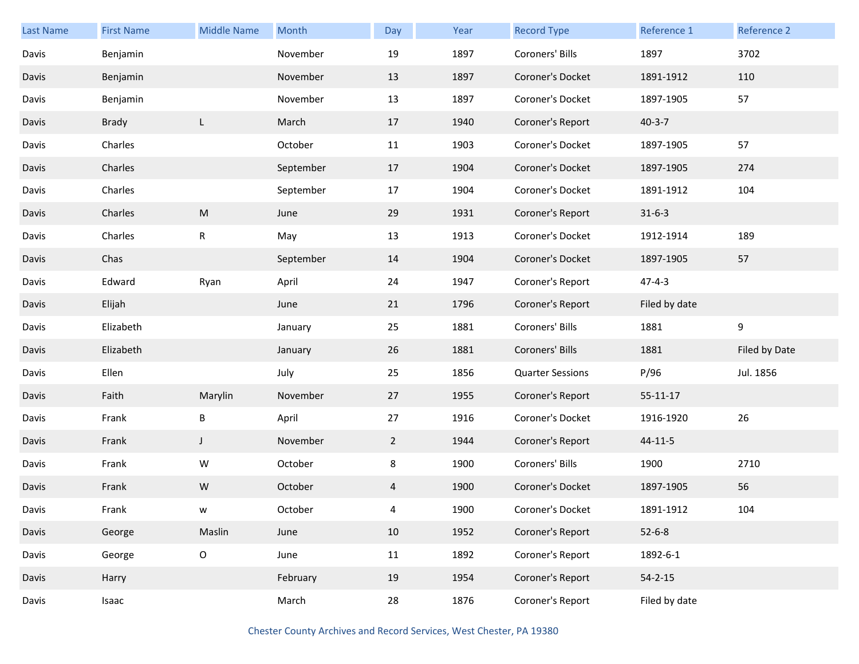| <b>Last Name</b> | <b>First Name</b> | <b>Middle Name</b> | Month     | Day         | Year | <b>Record Type</b>      | Reference 1    | Reference 2   |
|------------------|-------------------|--------------------|-----------|-------------|------|-------------------------|----------------|---------------|
| Davis            | Benjamin          |                    | November  | 19          | 1897 | Coroners' Bills         | 1897           | 3702          |
| Davis            | Benjamin          |                    | November  | 13          | 1897 | Coroner's Docket        | 1891-1912      | 110           |
| Davis            | Benjamin          |                    | November  | 13          | 1897 | Coroner's Docket        | 1897-1905      | 57            |
| Davis            | Brady             | L                  | March     | 17          | 1940 | Coroner's Report        | $40 - 3 - 7$   |               |
| Davis            | Charles           |                    | October   | 11          | 1903 | Coroner's Docket        | 1897-1905      | 57            |
| Davis            | Charles           |                    | September | 17          | 1904 | Coroner's Docket        | 1897-1905      | 274           |
| Davis            | Charles           |                    | September | 17          | 1904 | Coroner's Docket        | 1891-1912      | 104           |
| Davis            | Charles           | M                  | June      | 29          | 1931 | Coroner's Report        | $31 - 6 - 3$   |               |
| Davis            | Charles           | ${\sf R}$          | May       | 13          | 1913 | Coroner's Docket        | 1912-1914      | 189           |
| Davis            | Chas              |                    | September | 14          | 1904 | Coroner's Docket        | 1897-1905      | 57            |
| Davis            | Edward            | Ryan               | April     | 24          | 1947 | Coroner's Report        | $47 - 4 - 3$   |               |
| Davis            | Elijah            |                    | June      | 21          | 1796 | Coroner's Report        | Filed by date  |               |
| Davis            | Elizabeth         |                    | January   | 25          | 1881 | Coroners' Bills         | 1881           | 9             |
| Davis            | Elizabeth         |                    | January   | 26          | 1881 | Coroners' Bills         | 1881           | Filed by Date |
| Davis            | Ellen             |                    | July      | 25          | 1856 | <b>Quarter Sessions</b> | P/96           | Jul. 1856     |
| Davis            | Faith             | Marylin            | November  | 27          | 1955 | Coroner's Report        | $55 - 11 - 17$ |               |
| Davis            | Frank             | Β                  | April     | 27          | 1916 | Coroner's Docket        | 1916-1920      | 26            |
| Davis            | Frank             | J                  | November  | $2^{\circ}$ | 1944 | Coroner's Report        | 44-11-5        |               |
| Davis            | Frank             | W                  | October   | 8           | 1900 | Coroners' Bills         | 1900           | 2710          |
| Davis            | Frank             | W                  | October   | 4           | 1900 | Coroner's Docket        | 1897-1905      | 56            |
| Davis            | Frank             | w                  | October   | 4           | 1900 | Coroner's Docket        | 1891-1912      | 104           |
| Davis            | George            | Maslin             | June      | 10          | 1952 | Coroner's Report        | $52 - 6 - 8$   |               |
| Davis            | George            | $\mathsf O$        | June      | 11          | 1892 | Coroner's Report        | 1892-6-1       |               |
| Davis            | Harry             |                    | February  | 19          | 1954 | Coroner's Report        | $54 - 2 - 15$  |               |
| Davis            | Isaac             |                    | March     | 28          | 1876 | Coroner's Report        | Filed by date  |               |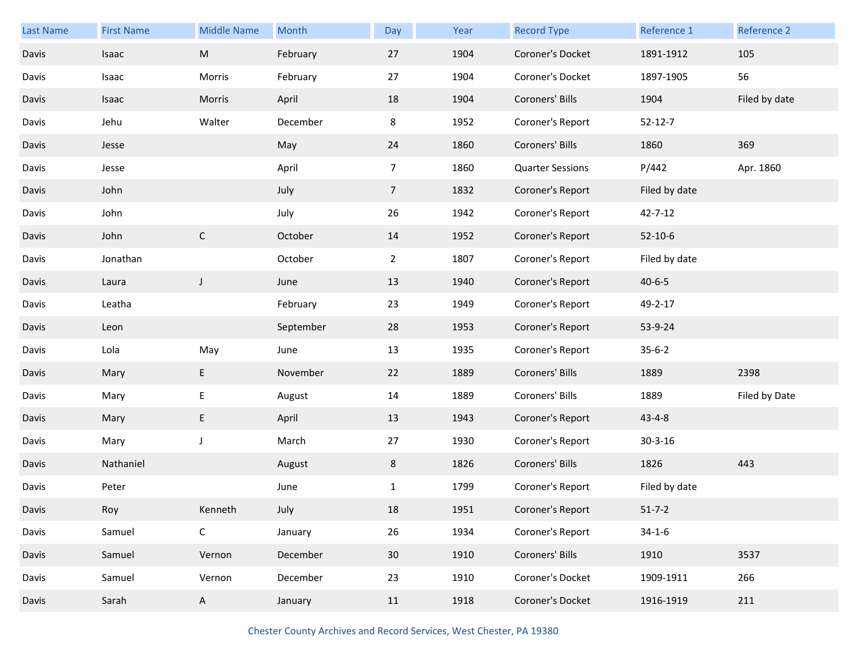| <b>Last Name</b> | <b>First Name</b> | <b>Middle Name</b> | Month     | Day             | Year | <b>Record Type</b>      | Reference 1   | Reference 2   |
|------------------|-------------------|--------------------|-----------|-----------------|------|-------------------------|---------------|---------------|
| Davis            | Isaac             | ${\sf M}$          | February  | 27              | 1904 | Coroner's Docket        | 1891-1912     | 105           |
| Davis            | Isaac             | Morris             | February  | 27              | 1904 | Coroner's Docket        | 1897-1905     | 56            |
| Davis            | Isaac             | Morris             | April     | 18              | 1904 | Coroners' Bills         | 1904          | Filed by date |
| Davis            | Jehu              | Walter             | December  | 8               | 1952 | Coroner's Report        | $52 - 12 - 7$ |               |
| Davis            | Jesse             |                    | May       | 24              | 1860 | Coroners' Bills         | 1860          | 369           |
| Davis            | Jesse             |                    | April     | $\overline{7}$  | 1860 | <b>Quarter Sessions</b> | P/442         | Apr. 1860     |
| Davis            | John              |                    | July      | $7\overline{ }$ | 1832 | Coroner's Report        | Filed by date |               |
| Davis            | John              |                    | July      | 26              | 1942 | Coroner's Report        | $42 - 7 - 12$ |               |
| Davis            | John              | $\mathsf C$        | October   | 14              | 1952 | Coroner's Report        | $52 - 10 - 6$ |               |
| Davis            | Jonathan          |                    | October   | $\overline{2}$  | 1807 | Coroner's Report        | Filed by date |               |
| Davis            | Laura             | $\mathsf J$        | June      | 13              | 1940 | Coroner's Report        | $40 - 6 - 5$  |               |
| Davis            | Leatha            |                    | February  | 23              | 1949 | Coroner's Report        | 49-2-17       |               |
| Davis            | Leon              |                    | September | 28              | 1953 | Coroner's Report        | 53-9-24       |               |
| Davis            | Lola              | May                | June      | 13              | 1935 | Coroner's Report        | $35 - 6 - 2$  |               |
| Davis            | Mary              | E                  |           |                 |      |                         | 1889          |               |
|                  |                   |                    | November  | 22              | 1889 | Coroners' Bills         |               | 2398          |
| Davis            | Mary              | E                  | August    | 14              | 1889 | Coroners' Bills         | 1889          | Filed by Date |
| Davis            | Mary              | E                  | April     | 13              | 1943 | Coroner's Report        | $43 - 4 - 8$  |               |
| Davis            | Mary              | J                  | March     | 27              | 1930 | Coroner's Report        | $30 - 3 - 16$ |               |
| Davis            | Nathaniel         |                    | August    | 8               | 1826 | Coroners' Bills         | 1826          | 443           |
| Davis            | Peter             |                    | June      | $\mathbf{1}$    | 1799 | Coroner's Report        | Filed by date |               |
| Davis            | Roy               | Kenneth            | July      | 18              | 1951 | Coroner's Report        | $51 - 7 - 2$  |               |
| Davis            | Samuel            | $\mathsf C$        | January   | 26              | 1934 | Coroner's Report        | $34 - 1 - 6$  |               |
| Davis            | Samuel            | Vernon             | December  | 30 <sup>°</sup> | 1910 | Coroners' Bills         | 1910          | 3537          |
| Davis            | Samuel            | Vernon             | December  | 23              | 1910 | Coroner's Docket        | 1909-1911     | 266           |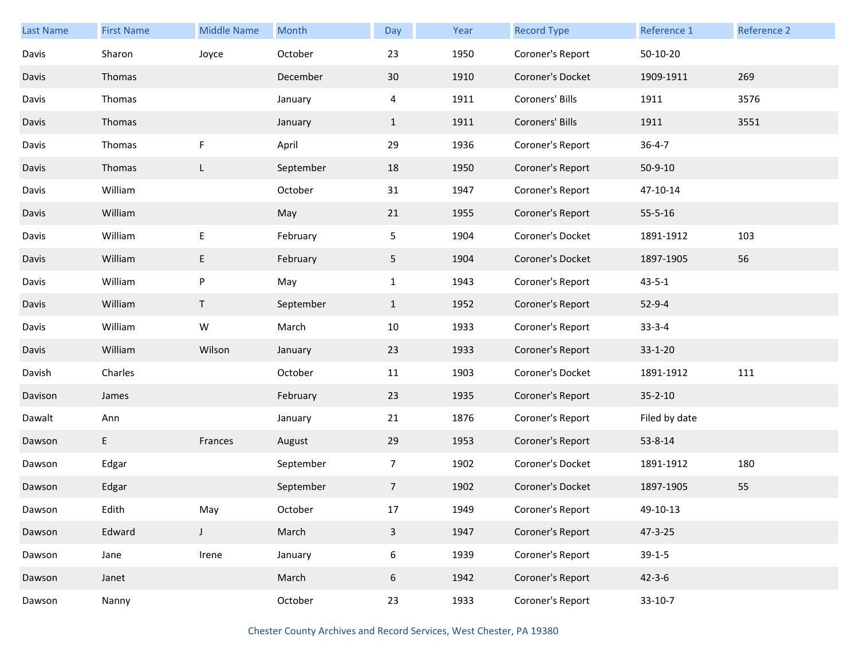| <b>Last Name</b> | <b>First Name</b> | <b>Middle Name</b> | Month     | Day                     | Year | <b>Record Type</b> | Reference 1   | Reference 2 |
|------------------|-------------------|--------------------|-----------|-------------------------|------|--------------------|---------------|-------------|
| Davis            | Sharon            | Joyce              | October   | 23                      | 1950 | Coroner's Report   | 50-10-20      |             |
| Davis            | Thomas            |                    | December  | 30                      | 1910 | Coroner's Docket   | 1909-1911     | 269         |
| Davis            | Thomas            |                    | January   | 4                       | 1911 | Coroners' Bills    | 1911          | 3576        |
| Davis            | Thomas            |                    | January   | $\mathbf{1}$            | 1911 | Coroners' Bills    | 1911          | 3551        |
| Davis            | Thomas            | F                  | April     | 29                      | 1936 | Coroner's Report   | $36 - 4 - 7$  |             |
| Davis            | Thomas            | L                  | September | 18                      | 1950 | Coroner's Report   | $50 - 9 - 10$ |             |
| Davis            | William           |                    | October   | 31                      | 1947 | Coroner's Report   | 47-10-14      |             |
| Davis            | William           |                    | May       | 21                      | 1955 | Coroner's Report   | $55 - 5 - 16$ |             |
| Davis            | William           | E                  | February  | 5                       | 1904 | Coroner's Docket   | 1891-1912     | 103         |
| Davis            | William           | E                  | February  | 5                       | 1904 | Coroner's Docket   | 1897-1905     | 56          |
| Davis            | William           | P                  | May       | $\mathbf{1}$            | 1943 | Coroner's Report   | $43 - 5 - 1$  |             |
| Davis            | William           | T                  | September | $\mathbf{1}$            | 1952 | Coroner's Report   | $52 - 9 - 4$  |             |
| Davis            | William           | ${\sf W}$          | March     | 10                      | 1933 | Coroner's Report   | $33 - 3 - 4$  |             |
| Davis            | William           | Wilson             | January   | 23                      | 1933 | Coroner's Report   | $33 - 1 - 20$ |             |
| Davish           | Charles           |                    | October   | 11                      | 1903 | Coroner's Docket   | 1891-1912     | 111         |
| Davison          | James             |                    | February  | 23                      | 1935 | Coroner's Report   | $35 - 2 - 10$ |             |
| Dawalt           | Ann               |                    | January   | 21                      | 1876 | Coroner's Report   | Filed by date |             |
| Dawson           | E                 | Frances            | August    | 29                      | 1953 | Coroner's Report   | 53-8-14       |             |
| Dawson           | Edgar             |                    | September | $\overline{7}$          | 1902 | Coroner's Docket   | 1891-1912     | 180         |
| Dawson           | Edgar             |                    | September | $\overline{7}$          | 1902 | Coroner's Docket   | 1897-1905     | 55          |
| Dawson           | Edith             | May                | October   | $17\,$                  | 1949 | Coroner's Report   | 49-10-13      |             |
| Dawson           | Edward            | $\mathsf J$        | March     | $\overline{\mathbf{3}}$ | 1947 | Coroner's Report   | 47-3-25       |             |
| Dawson           | Jane              | Irene              | January   | 6                       | 1939 | Coroner's Report   | $39-1-5$      |             |
| Dawson           | Janet             |                    | March     | 6                       | 1942 | Coroner's Report   | $42 - 3 - 6$  |             |
| Dawson           | Nanny             |                    | October   | 23                      | 1933 | Coroner's Report   | $33-10-7$     |             |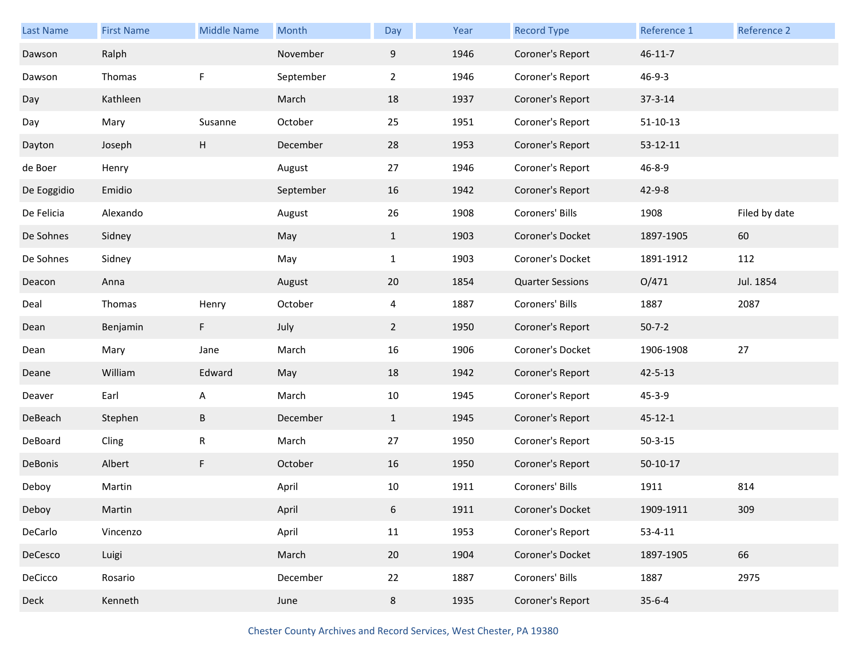| <b>Last Name</b> | <b>First Name</b> | <b>Middle Name</b> | Month     | Day            | Year | <b>Record Type</b>      | Reference 1    | Reference 2   |
|------------------|-------------------|--------------------|-----------|----------------|------|-------------------------|----------------|---------------|
| Dawson           | Ralph             |                    | November  | 9              | 1946 | Coroner's Report        | $46 - 11 - 7$  |               |
| Dawson           | Thomas            | F                  | September | $\overline{2}$ | 1946 | Coroner's Report        | $46 - 9 - 3$   |               |
| Day              | Kathleen          |                    | March     | 18             | 1937 | Coroner's Report        | $37 - 3 - 14$  |               |
| Day              | Mary              | Susanne            | October   | 25             | 1951 | Coroner's Report        | $51 - 10 - 13$ |               |
| Dayton           | Joseph            | $\sf H$            | December  | 28             | 1953 | Coroner's Report        | $53 - 12 - 11$ |               |
| de Boer          | Henry             |                    | August    | 27             | 1946 | Coroner's Report        | 46-8-9         |               |
| De Eoggidio      | Emidio            |                    | September | 16             | 1942 | Coroner's Report        | $42 - 9 - 8$   |               |
| De Felicia       | Alexando          |                    | August    | 26             | 1908 | Coroners' Bills         | 1908           | Filed by date |
| De Sohnes        | Sidney            |                    | May       | $\mathbf{1}$   | 1903 | Coroner's Docket        | 1897-1905      | 60            |
| De Sohnes        | Sidney            |                    | May       | $\mathbf{1}$   | 1903 | Coroner's Docket        | 1891-1912      | 112           |
| Deacon           | Anna              |                    | August    | 20             | 1854 | <b>Quarter Sessions</b> | O/471          | Jul. 1854     |
| Deal             | Thomas            | Henry              | October   | 4              | 1887 | Coroners' Bills         | 1887           | 2087          |
| Dean             | Benjamin          | F                  | July      | $\overline{2}$ | 1950 | Coroner's Report        | $50 - 7 - 2$   |               |
| Dean             | Mary              | Jane               | March     | 16             | 1906 | Coroner's Docket        | 1906-1908      | 27            |
| Deane            | William           | Edward             | May       | 18             | 1942 | Coroner's Report        | $42 - 5 - 13$  |               |
| Deaver           | Earl              | A                  | March     | 10             | 1945 | Coroner's Report        | $45 - 3 - 9$   |               |
| DeBeach          | Stephen           | $\sf B$            | December  | $\mathbf{1}$   | 1945 | Coroner's Report        | $45 - 12 - 1$  |               |
| DeBoard          | Cling             | R                  | March     | 27             | 1950 | Coroner's Report        | $50 - 3 - 15$  |               |
| DeBonis          | Albert            | F                  | October   | 16             | 1950 | Coroner's Report        | $50-10-17$     |               |
| Deboy            | Martin            |                    | April     | 10             | 1911 | Coroners' Bills         | 1911           | 814           |
| Deboy            | Martin            |                    | April     | 6              | 1911 | Coroner's Docket        | 1909-1911      | 309           |
| DeCarlo          | Vincenzo          |                    | April     | 11             | 1953 | Coroner's Report        | $53 - 4 - 11$  |               |
| DeCesco          | Luigi             |                    | March     | 20             | 1904 | Coroner's Docket        | 1897-1905      | 66            |
| DeCicco          | Rosario           |                    | December  | 22             | 1887 | Coroners' Bills         | 1887           | 2975          |
| Deck             | Kenneth           |                    | June      | 8              | 1935 | Coroner's Report        | $35 - 6 - 4$   |               |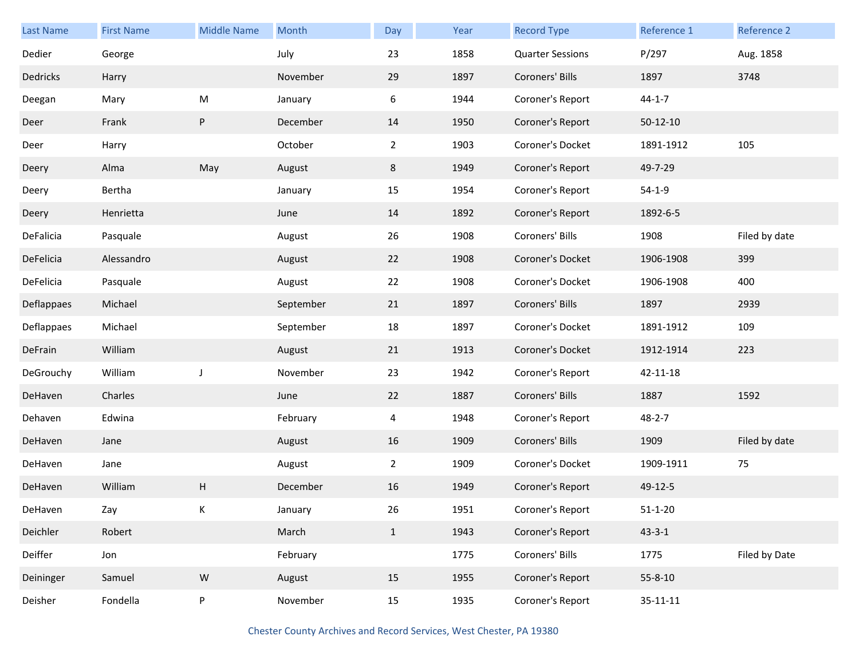| <b>Last Name</b> | <b>First Name</b> | <b>Middle Name</b> | Month     | Day            | Year | <b>Record Type</b>      | Reference 1    | Reference 2   |
|------------------|-------------------|--------------------|-----------|----------------|------|-------------------------|----------------|---------------|
| Dedier           | George            |                    | July      | 23             | 1858 | <b>Quarter Sessions</b> | P/297          | Aug. 1858     |
| Dedricks         | Harry             |                    | November  | 29             | 1897 | Coroners' Bills         | 1897           | 3748          |
| Deegan           | Mary              | ${\sf M}$          | January   | 6              | 1944 | Coroner's Report        | $44 - 1 - 7$   |               |
| Deer             | Frank             | P                  | December  | 14             | 1950 | Coroner's Report        | $50-12-10$     |               |
| Deer             | Harry             |                    | October   | $\overline{2}$ | 1903 | Coroner's Docket        | 1891-1912      | 105           |
| Deery            | Alma              | May                | August    | 8              | 1949 | Coroner's Report        | 49-7-29        |               |
| Deery            | Bertha            |                    | January   | 15             | 1954 | Coroner's Report        | $54-1-9$       |               |
| Deery            | Henrietta         |                    | June      | 14             | 1892 | Coroner's Report        | 1892-6-5       |               |
| DeFalicia        | Pasquale          |                    | August    | 26             | 1908 | Coroners' Bills         | 1908           | Filed by date |
| DeFelicia        | Alessandro        |                    | August    | 22             | 1908 | Coroner's Docket        | 1906-1908      | 399           |
| DeFelicia        | Pasquale          |                    | August    | 22             | 1908 | Coroner's Docket        | 1906-1908      | 400           |
| Deflappaes       | Michael           |                    | September | 21             | 1897 | Coroners' Bills         | 1897           | 2939          |
| Deflappaes       | Michael           |                    | September | 18             | 1897 | Coroner's Docket        | 1891-1912      | 109           |
| DeFrain          | William           |                    | August    | 21             | 1913 | Coroner's Docket        | 1912-1914      | 223           |
| DeGrouchy        | William           | J                  | November  | 23             | 1942 | Coroner's Report        | 42-11-18       |               |
| DeHaven          | Charles           |                    | June      | 22             | 1887 | Coroners' Bills         | 1887           | 1592          |
| Dehaven          | Edwina            |                    | February  | 4              | 1948 | Coroner's Report        | 48-2-7         |               |
| DeHaven          | Jane              |                    | August    | 16             | 1909 | Coroners' Bills         | 1909           | Filed by date |
| DeHaven          | Jane              |                    | August    | $\overline{2}$ | 1909 | Coroner's Docket        | 1909-1911      | 75            |
| DeHaven          | William           | Н                  | December  | 16             | 1949 | Coroner's Report        | 49-12-5        |               |
| DeHaven          | Zay               | Κ                  | January   | 26             | 1951 | Coroner's Report        | $51 - 1 - 20$  |               |
| Deichler         | Robert            |                    | March     | $\mathbf{1}$   | 1943 | Coroner's Report        | $43 - 3 - 1$   |               |
| Deiffer          | Jon               |                    | February  |                | 1775 | Coroners' Bills         | 1775           | Filed by Date |
| Deininger        | Samuel            | ${\sf W}$          | August    | 15             | 1955 | Coroner's Report        | $55 - 8 - 10$  |               |
| Deisher          | Fondella          | P                  | November  | 15             | 1935 | Coroner's Report        | $35 - 11 - 11$ |               |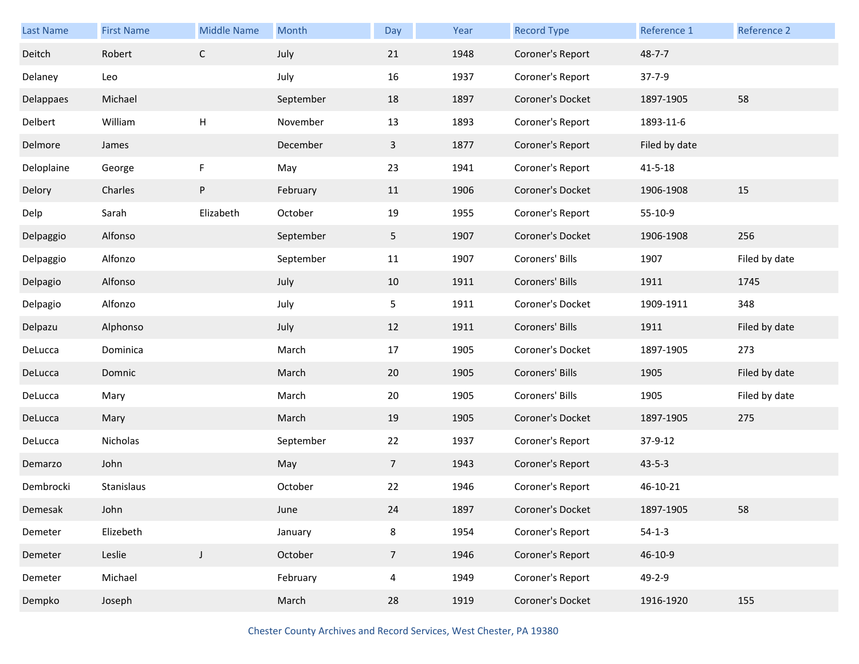| Last Name  | <b>First Name</b> | <b>Middle Name</b> | Month     | Day             | Year | <b>Record Type</b> | Reference 1   | Reference 2   |
|------------|-------------------|--------------------|-----------|-----------------|------|--------------------|---------------|---------------|
| Deitch     | Robert            | $\mathsf C$        | July      | 21              | 1948 | Coroner's Report   | $48 - 7 - 7$  |               |
| Delaney    | Leo               |                    | July      | 16              | 1937 | Coroner's Report   | $37 - 7 - 9$  |               |
| Delappaes  | Michael           |                    | September | 18              | 1897 | Coroner's Docket   | 1897-1905     | 58            |
| Delbert    | William           | H                  | November  | 13              | 1893 | Coroner's Report   | 1893-11-6     |               |
| Delmore    | James             |                    | December  | $\mathbf{3}$    | 1877 | Coroner's Report   | Filed by date |               |
| Deloplaine | George            | F                  | May       | 23              | 1941 | Coroner's Report   | $41 - 5 - 18$ |               |
| Delory     | Charles           | P                  | February  | 11              | 1906 | Coroner's Docket   | 1906-1908     | 15            |
| Delp       | Sarah             | Elizabeth          | October   | 19              | 1955 | Coroner's Report   | 55-10-9       |               |
| Delpaggio  | Alfonso           |                    | September | 5               | 1907 | Coroner's Docket   | 1906-1908     | 256           |
| Delpaggio  | Alfonzo           |                    | September | 11              | 1907 | Coroners' Bills    | 1907          | Filed by date |
| Delpagio   | Alfonso           |                    | July      | 10              | 1911 | Coroners' Bills    | 1911          | 1745          |
| Delpagio   | Alfonzo           |                    | July      | 5               | 1911 | Coroner's Docket   | 1909-1911     | 348           |
| Delpazu    | Alphonso          |                    | July      | 12              | 1911 | Coroners' Bills    | 1911          | Filed by date |
| DeLucca    | Dominica          |                    | March     | 17              | 1905 | Coroner's Docket   | 1897-1905     | 273           |
| DeLucca    | Domnic            |                    | March     | 20              | 1905 | Coroners' Bills    | 1905          | Filed by date |
| DeLucca    | Mary              |                    | March     | 20              | 1905 | Coroners' Bills    | 1905          | Filed by date |
| DeLucca    | Mary              |                    | March     | 19              | 1905 | Coroner's Docket   | 1897-1905     | 275           |
| DeLucca    | Nicholas          |                    | September | 22              | 1937 | Coroner's Report   | 37-9-12       |               |
| Demarzo    | John              |                    | May       | $7\overline{ }$ | 1943 | Coroner's Report   | $43 - 5 - 3$  |               |
| Dembrocki  | Stanislaus        |                    | October   | 22              | 1946 | Coroner's Report   | 46-10-21      |               |
| Demesak    | John              |                    | June      | 24              | 1897 | Coroner's Docket   | 1897-1905     | 58            |
| Demeter    | Elizebeth         |                    | January   | 8               | 1954 | Coroner's Report   | $54-1-3$      |               |
| Demeter    | Leslie            | $\mathsf J$        | October   | $7\overline{ }$ | 1946 | Coroner's Report   | 46-10-9       |               |
| Demeter    | Michael           |                    | February  | $\overline{4}$  | 1949 | Coroner's Report   | 49-2-9        |               |
| Dempko     | Joseph            |                    | March     | 28              | 1919 | Coroner's Docket   | 1916-1920     | 155           |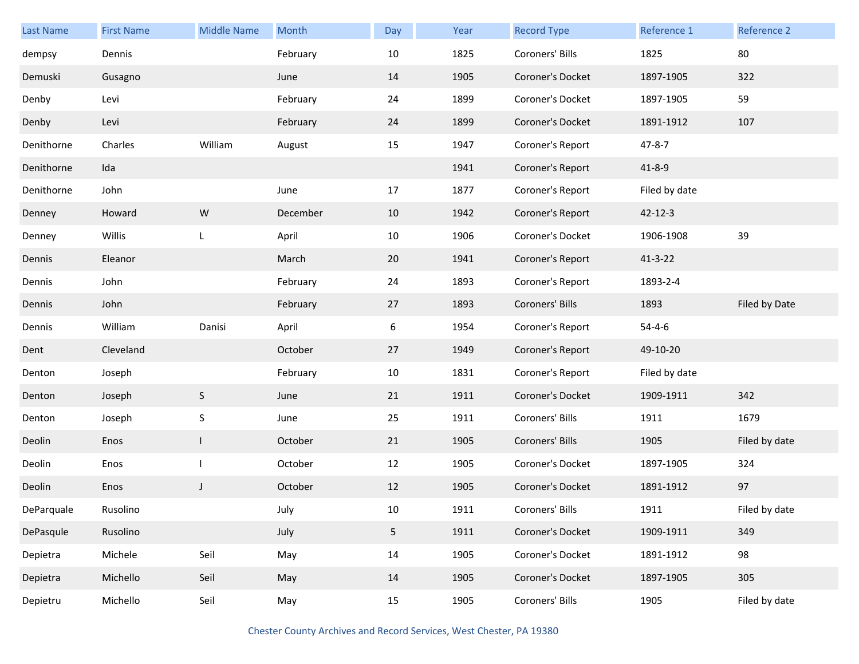| <b>Last Name</b> | <b>First Name</b> | <b>Middle Name</b> | Month    | Day            | Year | <b>Record Type</b> | Reference 1   | Reference 2   |
|------------------|-------------------|--------------------|----------|----------------|------|--------------------|---------------|---------------|
| dempsy           | Dennis            |                    | February | 10             | 1825 | Coroners' Bills    | 1825          | 80            |
| Demuski          | Gusagno           |                    | June     | 14             | 1905 | Coroner's Docket   | 1897-1905     | 322           |
| Denby            | Levi              |                    | February | 24             | 1899 | Coroner's Docket   | 1897-1905     | 59            |
| Denby            | Levi              |                    | February | 24             | 1899 | Coroner's Docket   | 1891-1912     | 107           |
| Denithorne       | Charles           | William            | August   | 15             | 1947 | Coroner's Report   | $47 - 8 - 7$  |               |
| Denithorne       | Ida               |                    |          |                | 1941 | Coroner's Report   | $41 - 8 - 9$  |               |
| Denithorne       | John              |                    | June     | 17             | 1877 | Coroner's Report   | Filed by date |               |
| Denney           | Howard            | W                  | December | 10             | 1942 | Coroner's Report   | $42 - 12 - 3$ |               |
| Denney           | Willis            | L                  | April    | 10             | 1906 | Coroner's Docket   | 1906-1908     | 39            |
| Dennis           | Eleanor           |                    | March    | 20             | 1941 | Coroner's Report   | $41 - 3 - 22$ |               |
| Dennis           | John              |                    | February | 24             | 1893 | Coroner's Report   | 1893-2-4      |               |
| Dennis           | John              |                    | February | 27             | 1893 | Coroners' Bills    | 1893          | Filed by Date |
| Dennis           | William           | Danisi             | April    | 6              | 1954 | Coroner's Report   | $54 - 4 - 6$  |               |
| Dent             | Cleveland         |                    | October  | 27             | 1949 | Coroner's Report   | 49-10-20      |               |
| Denton           | Joseph            |                    | February | 10             | 1831 | Coroner's Report   | Filed by date |               |
| Denton           | Joseph            | S                  | June     | 21             | 1911 | Coroner's Docket   | 1909-1911     | 342           |
| Denton           | Joseph            | $\mathsf S$        | June     | 25             | 1911 | Coroners' Bills    | 1911          | 1679          |
| Deolin           | Enos              | $\mathsf{L}$       | October  | 21             | 1905 | Coroners' Bills    | 1905          | Filed by date |
| Deolin           | Enos              | T                  | October  | 12             | 1905 | Coroner's Docket   | 1897-1905     | 324           |
| Deolin           | Enos              | J                  | October  | 12             | 1905 | Coroner's Docket   | 1891-1912     | 97            |
| DeParquale       | Rusolino          |                    | July     | 10             | 1911 | Coroners' Bills    | 1911          | Filed by date |
| DePasqule        | Rusolino          |                    | July     | 5 <sub>1</sub> | 1911 | Coroner's Docket   | 1909-1911     | 349           |
| Depietra         | Michele           | Seil               | May      | 14             | 1905 | Coroner's Docket   | 1891-1912     | 98            |
| Depietra         | Michello          | Seil               | May      | 14             | 1905 | Coroner's Docket   | 1897-1905     | 305           |
| Depietru         | Michello          | Seil               | May      | 15             | 1905 | Coroners' Bills    | 1905          | Filed by date |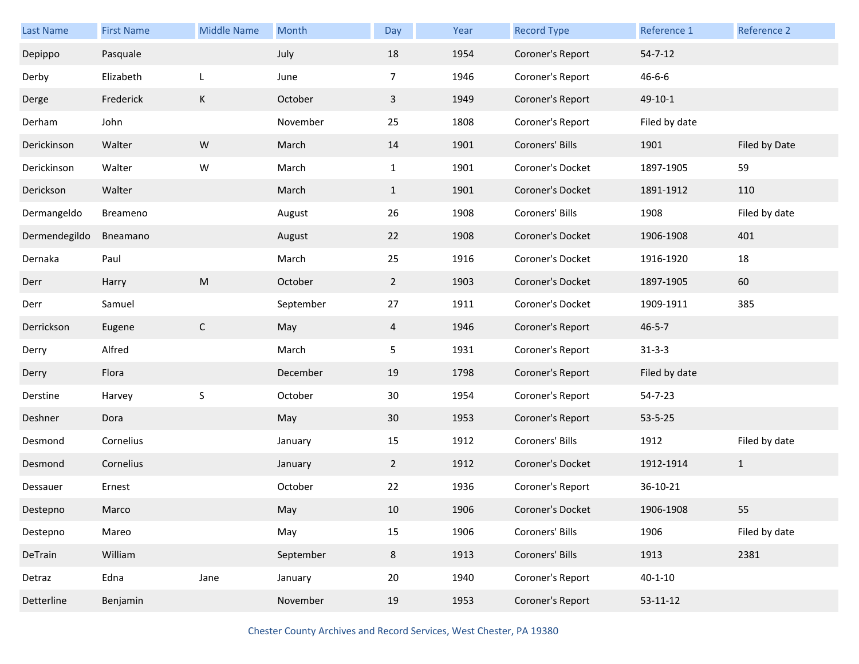| <b>Last Name</b> | <b>First Name</b> | <b>Middle Name</b> | Month     | Day            | Year | <b>Record Type</b> | Reference 1    | Reference 2   |
|------------------|-------------------|--------------------|-----------|----------------|------|--------------------|----------------|---------------|
| Depippo          | Pasquale          |                    | July      | 18             | 1954 | Coroner's Report   | $54 - 7 - 12$  |               |
| Derby            | Elizabeth         | L                  | June      | $\overline{7}$ | 1946 | Coroner's Report   | $46 - 6 - 6$   |               |
| Derge            | Frederick         | K                  | October   | $\mathbf{3}$   | 1949 | Coroner's Report   | 49-10-1        |               |
| Derham           | John              |                    | November  | 25             | 1808 | Coroner's Report   | Filed by date  |               |
| Derickinson      | Walter            | ${\sf W}$          | March     | 14             | 1901 | Coroners' Bills    | 1901           | Filed by Date |
| Derickinson      | Walter            | W                  | March     | $\mathbf{1}$   | 1901 | Coroner's Docket   | 1897-1905      | 59            |
| Derickson        | Walter            |                    | March     | $\mathbf{1}$   | 1901 | Coroner's Docket   | 1891-1912      | 110           |
| Dermangeldo      | Breameno          |                    | August    | 26             | 1908 | Coroners' Bills    | 1908           | Filed by date |
| Dermendegildo    | Bneamano          |                    | August    | 22             | 1908 | Coroner's Docket   | 1906-1908      | 401           |
| Dernaka          | Paul              |                    | March     | 25             | 1916 | Coroner's Docket   | 1916-1920      | 18            |
| Derr             | Harry             | ${\sf M}$          | October   | $\overline{2}$ | 1903 | Coroner's Docket   | 1897-1905      | 60            |
| Derr             | Samuel            |                    | September | 27             | 1911 | Coroner's Docket   | 1909-1911      | 385           |
| Derrickson       | Eugene            | $\mathsf C$        | May       | $\overline{4}$ | 1946 | Coroner's Report   | $46 - 5 - 7$   |               |
| Derry            | Alfred            |                    | March     | 5              | 1931 | Coroner's Report   | $31 - 3 - 3$   |               |
| Derry            | Flora             |                    | December  | 19             | 1798 | Coroner's Report   | Filed by date  |               |
| Derstine         | Harvey            | S                  | October   | 30             | 1954 | Coroner's Report   | 54-7-23        |               |
| Deshner          | Dora              |                    | May       | 30             | 1953 | Coroner's Report   | $53 - 5 - 25$  |               |
| Desmond          | Cornelius         |                    | January   | 15             | 1912 | Coroners' Bills    | 1912           | Filed by date |
| Desmond          | Cornelius         |                    | January   | $\overline{2}$ | 1912 | Coroner's Docket   | 1912-1914      | $\mathbf{1}$  |
| Dessauer         | Ernest            |                    | October   | 22             | 1936 | Coroner's Report   | 36-10-21       |               |
| Destepno         | Marco             |                    | May       | 10             | 1906 | Coroner's Docket   | 1906-1908      | 55            |
| Destepno         | Mareo             |                    | May       | 15             | 1906 | Coroners' Bills    | 1906           | Filed by date |
| DeTrain          | William           |                    | September | 8              | 1913 | Coroners' Bills    | 1913           | 2381          |
| Detraz           | Edna              | Jane               | January   | 20             | 1940 | Coroner's Report   | $40 - 1 - 10$  |               |
| Detterline       | Benjamin          |                    | November  | 19             | 1953 | Coroner's Report   | $53 - 11 - 12$ |               |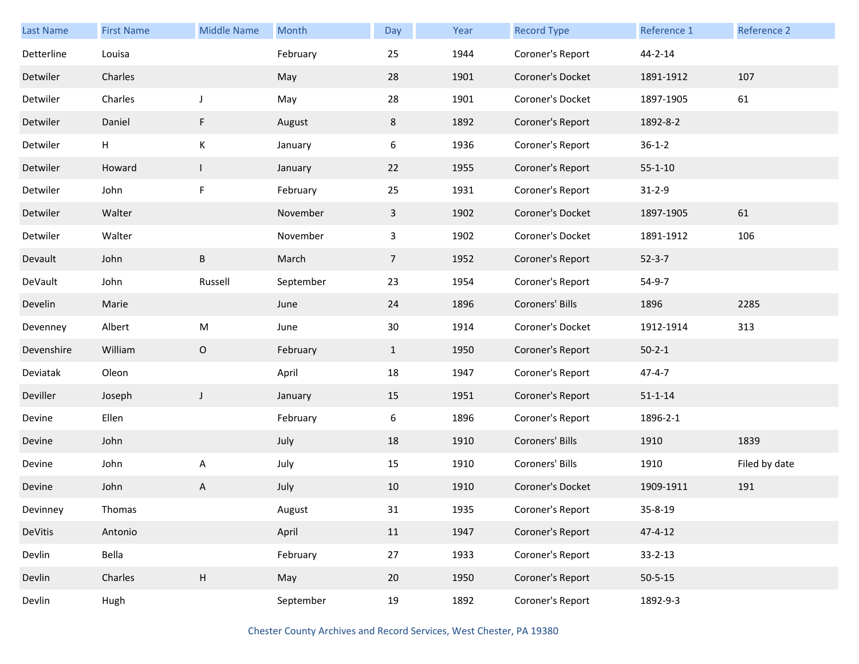| Last Name  | <b>First Name</b> | <b>Middle Name</b> | Month     | Day            | Year | <b>Record Type</b> | Reference 1   | Reference 2   |
|------------|-------------------|--------------------|-----------|----------------|------|--------------------|---------------|---------------|
| Detterline | Louisa            |                    | February  | 25             | 1944 | Coroner's Report   | 44-2-14       |               |
| Detwiler   | Charles           |                    | May       | 28             | 1901 | Coroner's Docket   | 1891-1912     | 107           |
| Detwiler   | Charles           | J                  | May       | 28             | 1901 | Coroner's Docket   | 1897-1905     | 61            |
| Detwiler   | Daniel            | F                  | August    | 8              | 1892 | Coroner's Report   | 1892-8-2      |               |
| Detwiler   | H                 | К                  | January   | 6              | 1936 | Coroner's Report   | $36 - 1 - 2$  |               |
| Detwiler   | Howard            | $\mathbf{I}$       | January   | 22             | 1955 | Coroner's Report   | $55 - 1 - 10$ |               |
| Detwiler   | John              | F                  | February  | 25             | 1931 | Coroner's Report   | $31 - 2 - 9$  |               |
| Detwiler   | Walter            |                    | November  | $\mathbf{3}$   | 1902 | Coroner's Docket   | 1897-1905     | 61            |
| Detwiler   | Walter            |                    | November  | $\mathbf{3}$   | 1902 | Coroner's Docket   | 1891-1912     | 106           |
| Devault    | John              | B                  | March     | $\overline{7}$ | 1952 | Coroner's Report   | $52 - 3 - 7$  |               |
| DeVault    | John              | Russell            | September | 23             | 1954 | Coroner's Report   | 54-9-7        |               |
| Develin    | Marie             |                    | June      | 24             | 1896 | Coroners' Bills    | 1896          | 2285          |
| Devenney   | Albert            | ${\sf M}$          | June      | 30             | 1914 | Coroner's Docket   | 1912-1914     | 313           |
| Devenshire | William           | $\mathsf O$        | February  | $\mathbf{1}$   | 1950 | Coroner's Report   | $50 - 2 - 1$  |               |
| Deviatak   | Oleon             |                    | April     | 18             | 1947 | Coroner's Report   | $47 - 4 - 7$  |               |
| Deviller   | Joseph            | J                  | January   | 15             | 1951 | Coroner's Report   | $51 - 1 - 14$ |               |
| Devine     | Ellen             |                    | February  | 6              | 1896 | Coroner's Report   | 1896-2-1      |               |
| Devine     | John              |                    | July      | 18             | 1910 | Coroners' Bills    | 1910          | 1839          |
| Devine     | John              | А                  | July      | 15             | 1910 | Coroners' Bills    | 1910          | Filed by date |
| Devine     | John              | A                  | July      | 10             | 1910 | Coroner's Docket   | 1909-1911     | 191           |
| Devinney   | Thomas            |                    | August    | 31             | 1935 | Coroner's Report   | 35-8-19       |               |
| DeVitis    | Antonio           |                    | April     | 11             | 1947 | Coroner's Report   | $47 - 4 - 12$ |               |
| Devlin     | Bella             |                    | February  | 27             | 1933 | Coroner's Report   | $33 - 2 - 13$ |               |
| Devlin     | Charles           | $\mathsf H$        | May       | 20             | 1950 | Coroner's Report   | $50 - 5 - 15$ |               |
| Devlin     | Hugh              |                    | September | 19             | 1892 | Coroner's Report   | 1892-9-3      |               |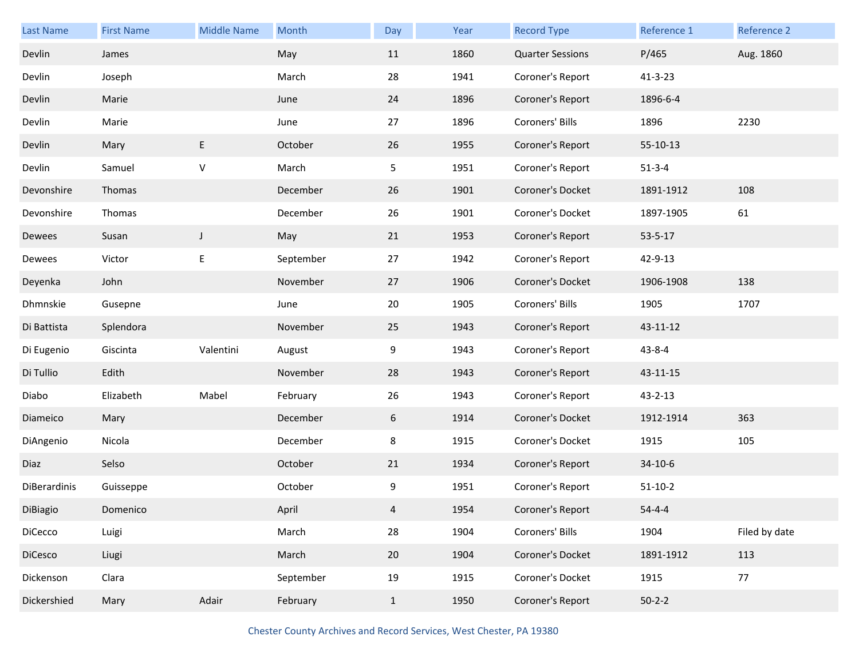| <b>Last Name</b> | <b>First Name</b> | <b>Middle Name</b> | Month     | Day          | Year | <b>Record Type</b>      | Reference 1   | Reference 2   |
|------------------|-------------------|--------------------|-----------|--------------|------|-------------------------|---------------|---------------|
| Devlin           | James             |                    | May       | 11           | 1860 | <b>Quarter Sessions</b> | P/465         | Aug. 1860     |
| Devlin           | Joseph            |                    | March     | 28           | 1941 | Coroner's Report        | $41 - 3 - 23$ |               |
| Devlin           | Marie             |                    | June      | 24           | 1896 | Coroner's Report        | 1896-6-4      |               |
| Devlin           | Marie             |                    | June      | 27           | 1896 | Coroners' Bills         | 1896          | 2230          |
| Devlin           | Mary              | E                  | October   | 26           | 1955 | Coroner's Report        | 55-10-13      |               |
| Devlin           | Samuel            | $\vee$             | March     | 5            | 1951 | Coroner's Report        | $51 - 3 - 4$  |               |
| Devonshire       | Thomas            |                    | December  | 26           | 1901 | Coroner's Docket        | 1891-1912     | 108           |
| Devonshire       | Thomas            |                    | December  | 26           | 1901 | Coroner's Docket        | 1897-1905     | 61            |
| Dewees           | Susan             | $\mathsf{I}$       | May       | 21           | 1953 | Coroner's Report        | $53 - 5 - 17$ |               |
| Dewees           | Victor            | E                  | September | 27           | 1942 | Coroner's Report        | 42-9-13       |               |
| Deyenka          | John              |                    | November  | 27           | 1906 | Coroner's Docket        | 1906-1908     | 138           |
| Dhmnskie         | Gusepne           |                    | June      | 20           | 1905 | Coroners' Bills         | 1905          | 1707          |
| Di Battista      | Splendora         |                    | November  | 25           | 1943 | Coroner's Report        | 43-11-12      |               |
| Di Eugenio       | Giscinta          | Valentini          | August    | 9            | 1943 | Coroner's Report        | $43 - 8 - 4$  |               |
| Di Tullio        | Edith             |                    | November  | 28           | 1943 | Coroner's Report        | 43-11-15      |               |
| Diabo            | Elizabeth         | Mabel              | February  | 26           | 1943 | Coroner's Report        | 43-2-13       |               |
| Diameico         | Mary              |                    | December  | 6            | 1914 | Coroner's Docket        | 1912-1914     | 363           |
| DiAngenio        | Nicola            |                    | December  | 8            | 1915 | Coroner's Docket        | 1915          | 105           |
| Diaz             | Selso             |                    | October   | 21           | 1934 | Coroner's Report        | 34-10-6       |               |
| DiBerardinis     | Guisseppe         |                    | October   | 9            | 1951 | Coroner's Report        | $51 - 10 - 2$ |               |
| DiBiagio         | Domenico          |                    | April     | 4            | 1954 | Coroner's Report        | $54 - 4 - 4$  |               |
| DiCecco          | Luigi             |                    | March     | 28           | 1904 | Coroners' Bills         | 1904          | Filed by date |
| DiCesco          | Liugi             |                    | March     | 20           | 1904 | Coroner's Docket        | 1891-1912     | 113           |
| Dickenson        | Clara             |                    | September | 19           | 1915 | Coroner's Docket        | 1915          | 77            |
| Dickershied      | Mary              | Adair              | February  | $\mathbf{1}$ | 1950 | Coroner's Report        | $50-2-2$      |               |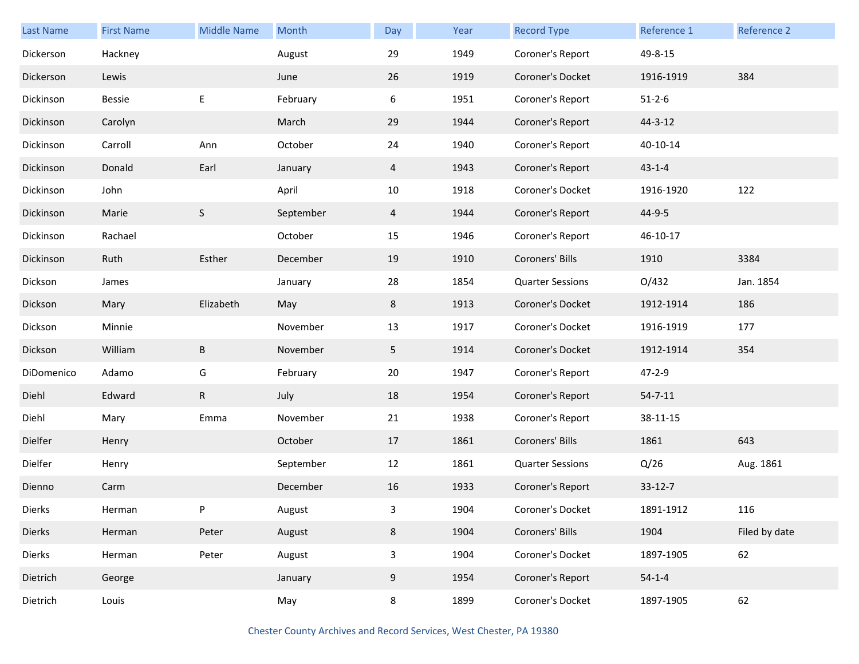| Last Name  | <b>First Name</b> | <b>Middle Name</b> | Month     | Day            | Year | <b>Record Type</b>      | Reference 1   | Reference 2   |
|------------|-------------------|--------------------|-----------|----------------|------|-------------------------|---------------|---------------|
| Dickerson  | Hackney           |                    | August    | 29             | 1949 | Coroner's Report        | 49-8-15       |               |
| Dickerson  | Lewis             |                    | June      | 26             | 1919 | Coroner's Docket        | 1916-1919     | 384           |
| Dickinson  | Bessie            | E                  | February  | 6              | 1951 | Coroner's Report        | $51 - 2 - 6$  |               |
| Dickinson  | Carolyn           |                    | March     | 29             | 1944 | Coroner's Report        | 44-3-12       |               |
| Dickinson  | Carroll           | Ann                | October   | 24             | 1940 | Coroner's Report        | 40-10-14      |               |
| Dickinson  | Donald            | Earl               | January   | 4              | 1943 | Coroner's Report        | $43 - 1 - 4$  |               |
| Dickinson  | John              |                    | April     | 10             | 1918 | Coroner's Docket        | 1916-1920     | 122           |
| Dickinson  | Marie             | S                  | September | 4              | 1944 | Coroner's Report        | 44-9-5        |               |
| Dickinson  | Rachael           |                    | October   | 15             | 1946 | Coroner's Report        | 46-10-17      |               |
| Dickinson  | Ruth              | Esther             | December  | 19             | 1910 | Coroners' Bills         | 1910          | 3384          |
| Dickson    | James             |                    | January   | 28             | 1854 | <b>Quarter Sessions</b> | O/432         | Jan. 1854     |
| Dickson    | Mary              | Elizabeth          | May       | 8              | 1913 | Coroner's Docket        | 1912-1914     | 186           |
| Dickson    | Minnie            |                    | November  | 13             | 1917 | Coroner's Docket        | 1916-1919     | 177           |
| Dickson    | William           | B                  | November  | 5 <sub>1</sub> | 1914 | Coroner's Docket        | 1912-1914     | 354           |
| DiDomenico | Adamo             | G                  | February  | 20             | 1947 | Coroner's Report        | 47-2-9        |               |
| Diehl      | Edward            | $\mathsf{R}$       | July      | 18             | 1954 | Coroner's Report        | $54 - 7 - 11$ |               |
| Diehl      | Mary              | Emma               | November  | 21             | 1938 | Coroner's Report        | 38-11-15      |               |
| Dielfer    | Henry             |                    | October   | 17             | 1861 | Coroners' Bills         | 1861          | 643           |
| Dielfer    | Henry             |                    | September | 12             | 1861 | <b>Quarter Sessions</b> | Q/26          | Aug. 1861     |
| Dienno     | Carm              |                    | December  | 16             | 1933 | Coroner's Report        | $33 - 12 - 7$ |               |
| Dierks     | Herman            |                    | August    | 3              | 1904 | Coroner's Docket        | 1891-1912     | 116           |
| Dierks     | Herman            | Peter              | August    | 8              | 1904 | Coroners' Bills         | 1904          | Filed by date |
| Dierks     | Herman            | Peter              | August    | $\mathbf{3}$   | 1904 | Coroner's Docket        | 1897-1905     | 62            |
| Dietrich   | George            |                    | January   | 9              | 1954 | Coroner's Report        | $54 - 1 - 4$  |               |
| Dietrich   | Louis             |                    | May       | 8              | 1899 | Coroner's Docket        | 1897-1905     | 62            |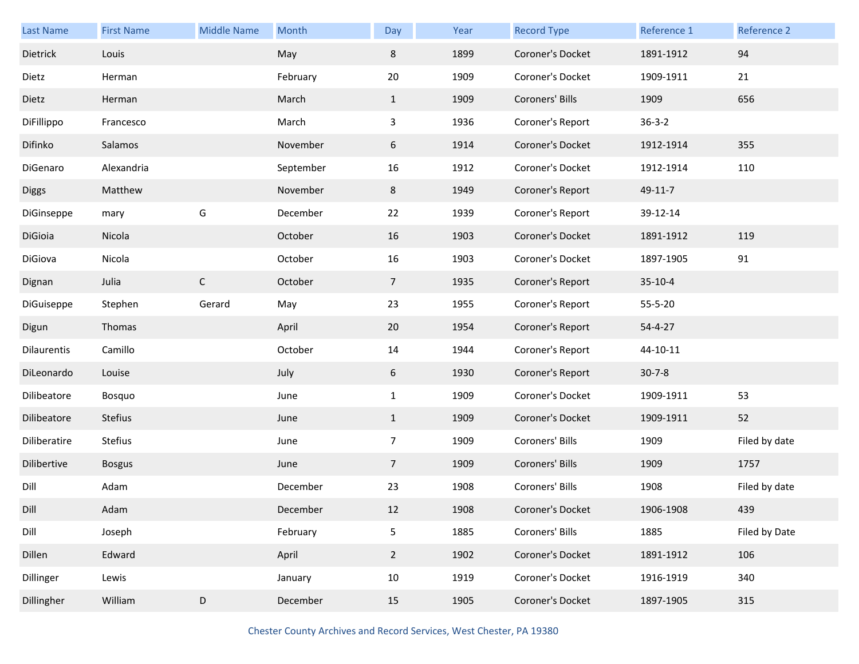| <b>Last Name</b> | <b>First Name</b> | <b>Middle Name</b> | Month     | Day            | Year | <b>Record Type</b> | Reference 1   | Reference 2   |
|------------------|-------------------|--------------------|-----------|----------------|------|--------------------|---------------|---------------|
| Dietrick         | Louis             |                    | May       | 8              | 1899 | Coroner's Docket   | 1891-1912     | 94            |
| Dietz            | Herman            |                    | February  | 20             | 1909 | Coroner's Docket   | 1909-1911     | 21            |
| Dietz            | Herman            |                    | March     | $\mathbf{1}$   | 1909 | Coroners' Bills    | 1909          | 656           |
| DiFillippo       | Francesco         |                    | March     | 3              | 1936 | Coroner's Report   | $36 - 3 - 2$  |               |
| Difinko          | Salamos           |                    | November  | 6              | 1914 | Coroner's Docket   | 1912-1914     | 355           |
| DiGenaro         | Alexandria        |                    | September | 16             | 1912 | Coroner's Docket   | 1912-1914     | 110           |
| <b>Diggs</b>     | Matthew           |                    | November  | 8              | 1949 | Coroner's Report   | 49-11-7       |               |
| DiGinseppe       | mary              | G                  | December  | 22             | 1939 | Coroner's Report   | 39-12-14      |               |
| DiGioia          | Nicola            |                    | October   | 16             | 1903 | Coroner's Docket   | 1891-1912     | 119           |
| DiGiova          | Nicola            |                    | October   | 16             | 1903 | Coroner's Docket   | 1897-1905     | 91            |
| Dignan           | Julia             | $\mathsf C$        | October   | 7 <sup>7</sup> | 1935 | Coroner's Report   | $35-10-4$     |               |
| DiGuiseppe       | Stephen           | Gerard             | May       | 23             | 1955 | Coroner's Report   | 55-5-20       |               |
| Digun            | Thomas            |                    | April     | 20             | 1954 | Coroner's Report   | $54 - 4 - 27$ |               |
| Dilaurentis      | Camillo           |                    | October   | 14             | 1944 | Coroner's Report   | 44-10-11      |               |
| DiLeonardo       | Louise            |                    | July      | 6              | 1930 | Coroner's Report   | $30 - 7 - 8$  |               |
| Dilibeatore      | Bosquo            |                    | June      | $\mathbf{1}$   | 1909 | Coroner's Docket   | 1909-1911     | 53            |
| Dilibeatore      | <b>Stefius</b>    |                    | June      | $\mathbf{1}$   | 1909 | Coroner's Docket   | 1909-1911     | 52            |
| Diliberatire     | Stefius           |                    | June      | $\overline{7}$ | 1909 | Coroners' Bills    | 1909          | Filed by date |
| Dilibertive      | <b>Bosgus</b>     |                    | June      | $\overline{7}$ | 1909 | Coroners' Bills    | 1909          | 1757          |
| Dill             | Adam              |                    | December  | 23             | 1908 | Coroners' Bills    | 1908          | Filed by date |
| Dill             | Adam              |                    | December  | 12             | 1908 | Coroner's Docket   | 1906-1908     | 439           |
| Dill             | Joseph            |                    | February  | 5              | 1885 | Coroners' Bills    | 1885          | Filed by Date |
| Dillen           | Edward            |                    | April     | $\overline{2}$ | 1902 | Coroner's Docket   | 1891-1912     | 106           |
| Dillinger        | Lewis             |                    | January   | 10             | 1919 | Coroner's Docket   | 1916-1919     | 340           |
| Dillingher       | William           | D                  | December  | 15             | 1905 | Coroner's Docket   | 1897-1905     | 315           |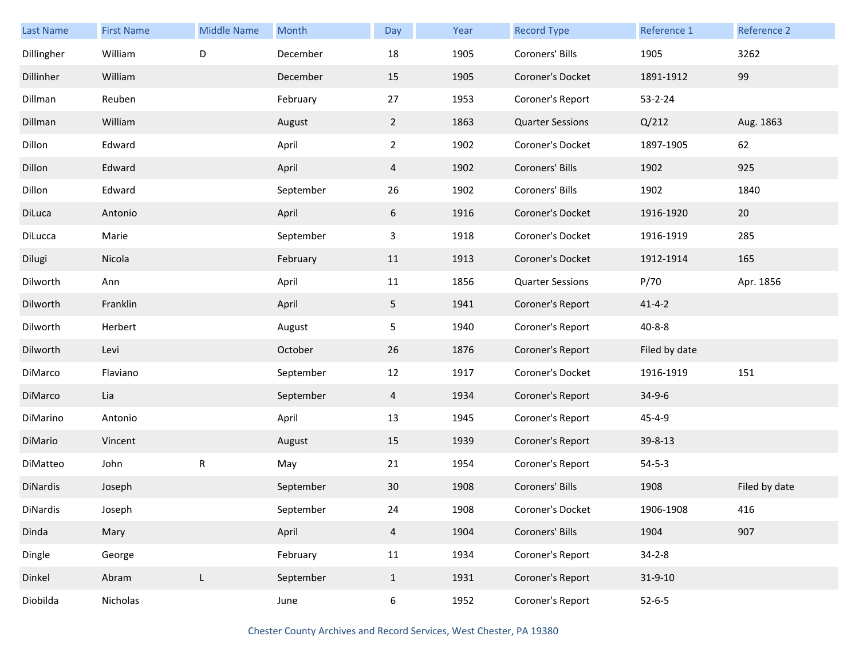| <b>Last Name</b> | <b>First Name</b> | <b>Middle Name</b> | Month     | Day            | Year | <b>Record Type</b>      | Reference 1   | <b>Reference 2</b> |
|------------------|-------------------|--------------------|-----------|----------------|------|-------------------------|---------------|--------------------|
| Dillingher       | William           | D                  | December  | 18             | 1905 | Coroners' Bills         | 1905          | 3262               |
| Dillinher        | William           |                    | December  | 15             | 1905 | Coroner's Docket        | 1891-1912     | 99                 |
| Dillman          | Reuben            |                    | February  | 27             | 1953 | Coroner's Report        | $53 - 2 - 24$ |                    |
| Dillman          | William           |                    | August    | $\overline{2}$ | 1863 | <b>Quarter Sessions</b> | Q/212         | Aug. 1863          |
| Dillon           | Edward            |                    | April     | $2^{\circ}$    | 1902 | Coroner's Docket        | 1897-1905     | 62                 |
| Dillon           | Edward            |                    | April     | 4              | 1902 | Coroners' Bills         | 1902          | 925                |
| Dillon           | Edward            |                    | September | 26             | 1902 | Coroners' Bills         | 1902          | 1840               |
| DiLuca           | Antonio           |                    | April     | 6              | 1916 | Coroner's Docket        | 1916-1920     | 20                 |
| DiLucca          | Marie             |                    | September | $\mathbf{3}$   | 1918 | Coroner's Docket        | 1916-1919     | 285                |
| Dilugi           | Nicola            |                    | February  | 11             | 1913 | Coroner's Docket        | 1912-1914     | 165                |
| Dilworth         | Ann               |                    | April     | 11             | 1856 | <b>Quarter Sessions</b> | P/70          | Apr. 1856          |
| Dilworth         | Franklin          |                    | April     | 5 <sub>1</sub> | 1941 | Coroner's Report        | $41 - 4 - 2$  |                    |
| Dilworth         | Herbert           |                    | August    | 5 <sub>1</sub> | 1940 | Coroner's Report        | $40 - 8 - 8$  |                    |
| Dilworth         | Levi              |                    | October   | 26             | 1876 | Coroner's Report        | Filed by date |                    |
| DiMarco          | Flaviano          |                    | September | 12             | 1917 | Coroner's Docket        | 1916-1919     | 151                |
| DiMarco          | Lia               |                    | September | 4              | 1934 | Coroner's Report        | $34 - 9 - 6$  |                    |
| DiMarino         | Antonio           |                    | April     | 13             | 1945 | Coroner's Report        | $45 - 4 - 9$  |                    |
| DiMario          | Vincent           |                    | August    | 15             | 1939 | Coroner's Report        | 39-8-13       |                    |
| DiMatteo         | John              | ${\sf R}$          | May       | 21             | 1954 | Coroner's Report        | $54 - 5 - 3$  |                    |
| DiNardis         | Joseph            |                    | September | 30             | 1908 | Coroners' Bills         | 1908          | Filed by date      |
| DiNardis         | Joseph            |                    | September | 24             | 1908 | Coroner's Docket        | 1906-1908     | 416                |
| Dinda            | Mary              |                    | April     | $\overline{4}$ | 1904 | Coroners' Bills         | 1904          | 907                |
| Dingle           | George            |                    | February  | 11             | 1934 | Coroner's Report        | $34 - 2 - 8$  |                    |
| Dinkel           | Abram             | L                  | September | $\mathbf{1}$   | 1931 | Coroner's Report        | $31 - 9 - 10$ |                    |
| Diobilda         | Nicholas          |                    | June      | $6\,$          | 1952 | Coroner's Report        | $52 - 6 - 5$  |                    |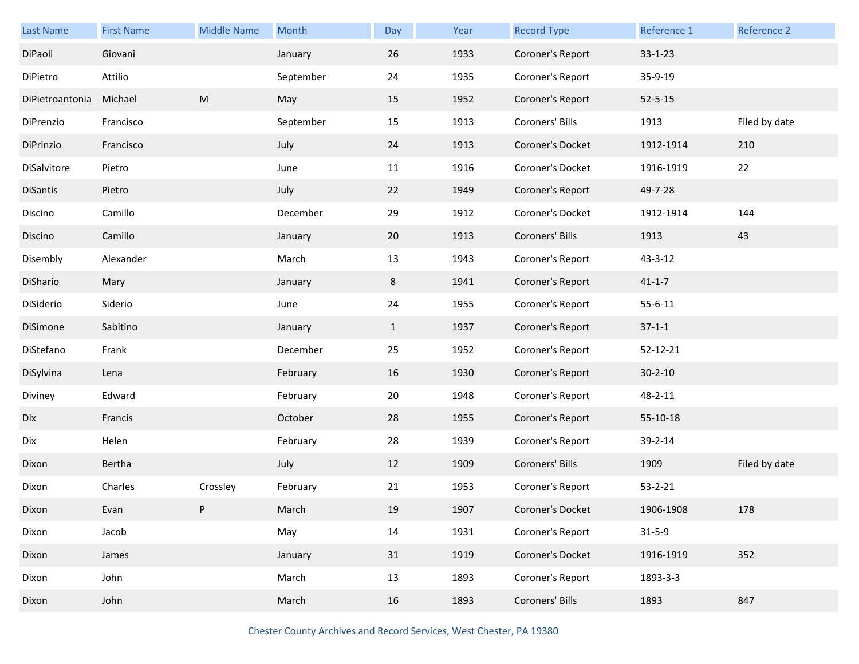| <b>Last Name</b> | <b>First Name</b> | Middle Name | Month     | Day          | Year | <b>Record Type</b> | Reference 1   | Reference 2   |
|------------------|-------------------|-------------|-----------|--------------|------|--------------------|---------------|---------------|
| DiPaoli          | Giovani           |             | January   | 26           | 1933 | Coroner's Report   | $33 - 1 - 23$ |               |
| DiPietro         | Attilio           |             | September | 24           | 1935 | Coroner's Report   | 35-9-19       |               |
| DiPietroantonia  | Michael           | ${\sf M}$   | May       | 15           | 1952 | Coroner's Report   | $52 - 5 - 15$ |               |
| DiPrenzio        | Francisco         |             | September | 15           | 1913 | Coroners' Bills    | 1913          | Filed by date |
| DiPrinzio        | Francisco         |             | July      | 24           | 1913 | Coroner's Docket   | 1912-1914     | 210           |
| DiSalvitore      | Pietro            |             | June      | 11           | 1916 | Coroner's Docket   | 1916-1919     | 22            |
| DiSantis         | Pietro            |             | July      | 22           | 1949 | Coroner's Report   | 49-7-28       |               |
| Discino          | Camillo           |             | December  | 29           | 1912 | Coroner's Docket   | 1912-1914     | 144           |
| Discino          | Camillo           |             | January   | 20           | 1913 | Coroners' Bills    | 1913          | 43            |
| Disembly         | Alexander         |             | March     | 13           | 1943 | Coroner's Report   | 43-3-12       |               |
| DiShario         | Mary              |             | January   | 8            | 1941 | Coroner's Report   | $41 - 1 - 7$  |               |
| DiSiderio        | Siderio           |             | June      | 24           | 1955 | Coroner's Report   | $55 - 6 - 11$ |               |
| DiSimone         | Sabitino          |             | January   | $\mathbf{1}$ | 1937 | Coroner's Report   | $37 - 1 - 1$  |               |
| DiStefano        | Frank             |             | December  | 25           | 1952 | Coroner's Report   | 52-12-21      |               |
| DiSylvina        | Lena              |             | February  | 16           | 1930 | Coroner's Report   | $30 - 2 - 10$ |               |
| Diviney          | Edward            |             | February  | 20           | 1948 | Coroner's Report   | 48-2-11       |               |
| Dix              | Francis           |             | October   | 28           | 1955 | Coroner's Report   | 55-10-18      |               |
| Dix              | Helen             |             | February  | 28           | 1939 | Coroner's Report   | 39-2-14       |               |
| Dixon            | Bertha            |             | July      | 12           | 1909 | Coroners' Bills    | 1909          | Filed by date |
| Dixon            | Charles           | Crossley    | February  | 21           | 1953 | Coroner's Report   | $53 - 2 - 21$ |               |
| Dixon            | Evan              |             | March     | 19           | 1907 | Coroner's Docket   | 1906-1908     | 178           |
| Dixon            | Jacob             |             | May       | 14           | 1931 | Coroner's Report   | $31 - 5 - 9$  |               |
| Dixon            | James             |             | January   | 31           | 1919 | Coroner's Docket   | 1916-1919     | 352           |
| Dixon            | John              |             | March     | 13           | 1893 | Coroner's Report   | 1893-3-3      |               |
| Dixon            | John              |             | March     | 16           | 1893 | Coroners' Bills    | 1893          | 847           |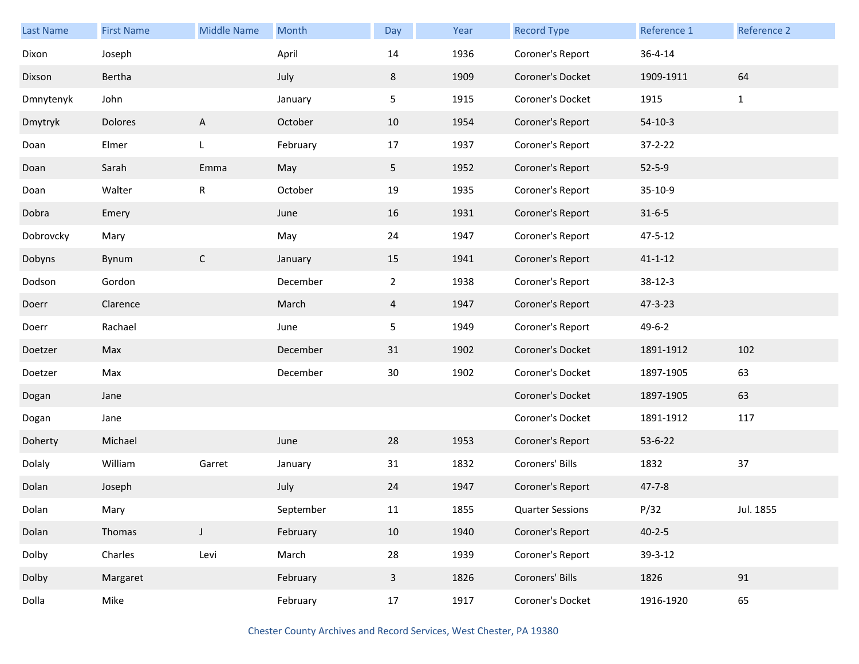| <b>Last Name</b> | <b>First Name</b> | <b>Middle Name</b> | Month     | Day            | Year | <b>Record Type</b>      | Reference 1   | Reference 2  |
|------------------|-------------------|--------------------|-----------|----------------|------|-------------------------|---------------|--------------|
| Dixon            | Joseph            |                    | April     | 14             | 1936 | Coroner's Report        | 36-4-14       |              |
| Dixson           | Bertha            |                    | July      | 8              | 1909 | Coroner's Docket        | 1909-1911     | 64           |
| Dmnytenyk        | John              |                    | January   | 5              | 1915 | Coroner's Docket        | 1915          | $\mathbf{1}$ |
| Dmytryk          | Dolores           | A                  | October   | 10             | 1954 | Coroner's Report        | $54-10-3$     |              |
| Doan             | Elmer             | L                  | February  | 17             | 1937 | Coroner's Report        | $37 - 2 - 22$ |              |
| Doan             | Sarah             | Emma               | May       | 5              | 1952 | Coroner's Report        | $52 - 5 - 9$  |              |
| Doan             | Walter            | R                  | October   | 19             | 1935 | Coroner's Report        | 35-10-9       |              |
| Dobra            | Emery             |                    | June      | 16             | 1931 | Coroner's Report        | $31 - 6 - 5$  |              |
| Dobrovcky        | Mary              |                    | May       | 24             | 1947 | Coroner's Report        | 47-5-12       |              |
| Dobyns           | Bynum             | $\mathsf{C}$       | January   | 15             | 1941 | Coroner's Report        | $41 - 1 - 12$ |              |
| Dodson           | Gordon            |                    | December  | $\overline{2}$ | 1938 | Coroner's Report        | $38 - 12 - 3$ |              |
| Doerr            | Clarence          |                    | March     | 4              | 1947 | Coroner's Report        | 47-3-23       |              |
| Doerr            | Rachael           |                    | June      | 5              | 1949 | Coroner's Report        | $49 - 6 - 2$  |              |
| Doetzer          | Max               |                    | December  | 31             | 1902 | Coroner's Docket        | 1891-1912     | 102          |
| Doetzer          | Max               |                    | December  | $30\,$         | 1902 | Coroner's Docket        | 1897-1905     | 63           |
| Dogan            | Jane              |                    |           |                |      | Coroner's Docket        | 1897-1905     | 63           |
| Dogan            | Jane              |                    |           |                |      | Coroner's Docket        | 1891-1912     | 117          |
| Doherty          | Michael           |                    | June      | 28             | 1953 | Coroner's Report        | $53 - 6 - 22$ |              |
| Dolaly           | William           | Garret             | January   | 31             | 1832 | Coroners' Bills         | 1832          | 37           |
| Dolan            | Joseph            |                    | July      | 24             | 1947 | Coroner's Report        | $47 - 7 - 8$  |              |
| Dolan            | Mary              |                    | September | $11\,$         | 1855 | <b>Quarter Sessions</b> | P/32          | Jul. 1855    |
| Dolan            | Thomas            | $\mathsf{J}$       | February  | 10             | 1940 | Coroner's Report        | $40 - 2 - 5$  |              |
| Dolby            | Charles           | Levi               | March     | 28             | 1939 | Coroner's Report        | 39-3-12       |              |
| Dolby            | Margaret          |                    | February  | $\mathbf{3}$   | 1826 | Coroners' Bills         | 1826          | 91           |
| Dolla            | Mike              |                    | February  | 17             | 1917 | Coroner's Docket        | 1916-1920     | 65           |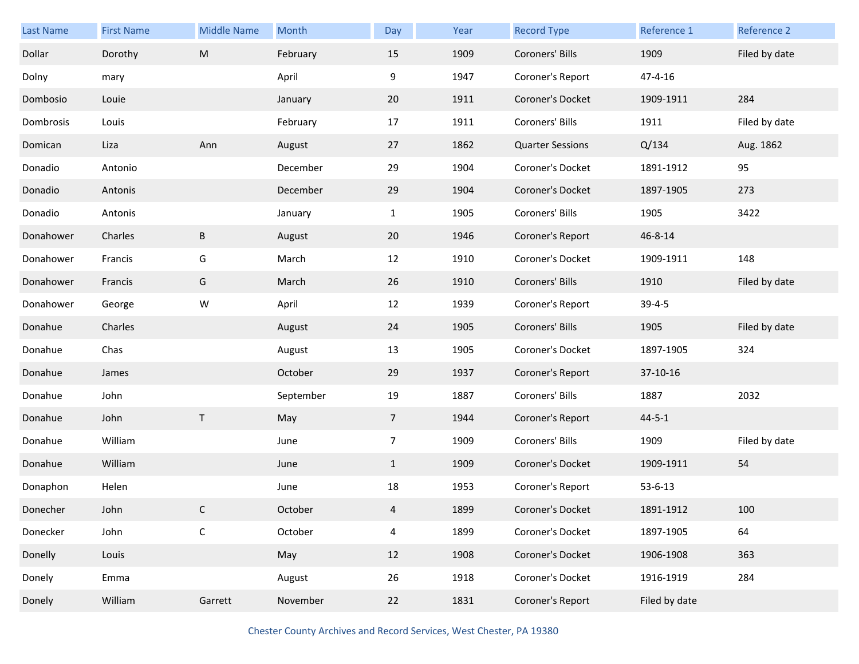| Last Name | <b>First Name</b> | <b>Middle Name</b> | Month     | Day             | Year | <b>Record Type</b>      | Reference 1   | Reference 2   |
|-----------|-------------------|--------------------|-----------|-----------------|------|-------------------------|---------------|---------------|
| Dollar    | Dorothy           | ${\sf M}$          | February  | 15              | 1909 | Coroners' Bills         | 1909          | Filed by date |
| Dolny     | mary              |                    | April     | 9               | 1947 | Coroner's Report        | $47 - 4 - 16$ |               |
| Dombosio  | Louie             |                    | January   | 20              | 1911 | Coroner's Docket        | 1909-1911     | 284           |
| Dombrosis | Louis             |                    | February  | 17              | 1911 | Coroners' Bills         | 1911          | Filed by date |
| Domican   | Liza              | Ann                | August    | 27              | 1862 | <b>Quarter Sessions</b> | Q/134         | Aug. 1862     |
| Donadio   | Antonio           |                    | December  | 29              | 1904 | Coroner's Docket        | 1891-1912     | 95            |
| Donadio   | Antonis           |                    | December  | 29              | 1904 | Coroner's Docket        | 1897-1905     | 273           |
| Donadio   | Antonis           |                    | January   | $\mathbf{1}$    | 1905 | Coroners' Bills         | 1905          | 3422          |
| Donahower | Charles           | B                  | August    | 20              | 1946 | Coroner's Report        | 46-8-14       |               |
| Donahower | Francis           | G                  | March     | 12              | 1910 | Coroner's Docket        | 1909-1911     | 148           |
| Donahower | Francis           | G                  | March     | 26              | 1910 | Coroners' Bills         | 1910          | Filed by date |
| Donahower | George            | W                  | April     | 12              | 1939 | Coroner's Report        | $39 - 4 - 5$  |               |
| Donahue   | Charles           |                    | August    | 24              | 1905 | Coroners' Bills         | 1905          | Filed by date |
| Donahue   | Chas              |                    | August    | 13              | 1905 | Coroner's Docket        | 1897-1905     | 324           |
|           |                   |                    |           |                 |      |                         |               |               |
| Donahue   | James             |                    | October   | 29              | 1937 | Coroner's Report        | 37-10-16      |               |
| Donahue   | John              |                    | September | 19              | 1887 | Coroners' Bills         | 1887          | 2032          |
| Donahue   | John              | $\mathsf{T}$       | May       | $7\overline{ }$ | 1944 | Coroner's Report        | $44 - 5 - 1$  |               |
| Donahue   | William           |                    | June      | $\overline{7}$  | 1909 | Coroners' Bills         | 1909          | Filed by date |
| Donahue   | William           |                    | June      | $\mathbf{1}$    | 1909 | Coroner's Docket        | 1909-1911     | 54            |
| Donaphon  | Helen             |                    | June      | 18              | 1953 | Coroner's Report        | $53 - 6 - 13$ |               |
| Donecher  | John              | C                  | October   | 4               | 1899 | Coroner's Docket        | 1891-1912     | 100           |
| Donecker  | John              | $\mathsf C$        | October   | $\overline{4}$  | 1899 | Coroner's Docket        | 1897-1905     | 64            |
| Donelly   | Louis             |                    | May       | 12              | 1908 | Coroner's Docket        | 1906-1908     | 363           |
| Donely    | Emma              |                    | August    | 26              | 1918 | Coroner's Docket        | 1916-1919     | 284           |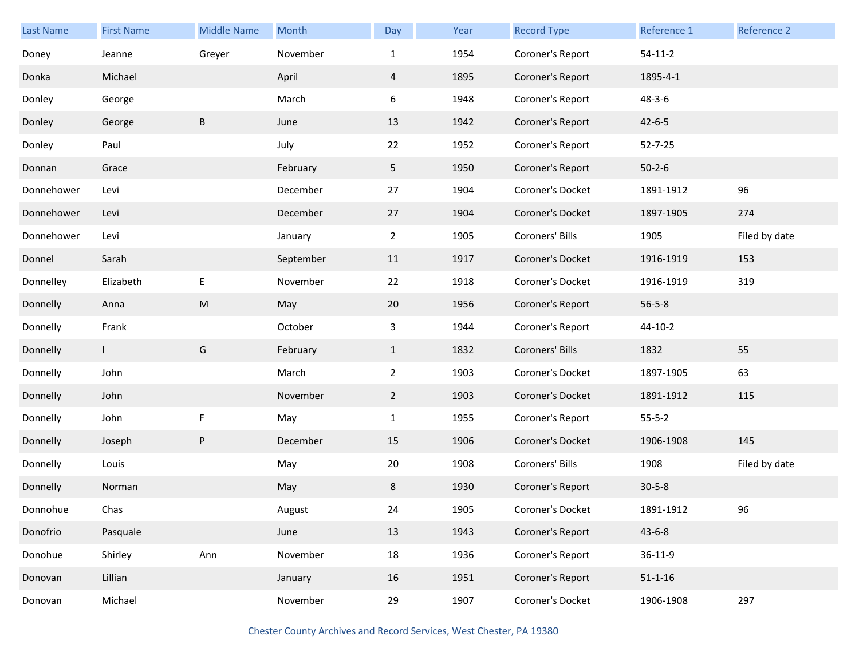| Last Name  | <b>First Name</b> | <b>Middle Name</b> | Month     | Day            | Year | <b>Record Type</b> | Reference 1   | <b>Reference 2</b> |
|------------|-------------------|--------------------|-----------|----------------|------|--------------------|---------------|--------------------|
| Doney      | Jeanne            | Greyer             | November  | $\mathbf{1}$   | 1954 | Coroner's Report   | $54-11-2$     |                    |
| Donka      | Michael           |                    | April     | 4              | 1895 | Coroner's Report   | 1895-4-1      |                    |
| Donley     | George            |                    | March     | 6              | 1948 | Coroner's Report   | $48 - 3 - 6$  |                    |
| Donley     | George            | B                  | June      | 13             | 1942 | Coroner's Report   | $42 - 6 - 5$  |                    |
| Donley     | Paul              |                    | July      | 22             | 1952 | Coroner's Report   | $52 - 7 - 25$ |                    |
| Donnan     | Grace             |                    | February  | 5              | 1950 | Coroner's Report   | $50 - 2 - 6$  |                    |
| Donnehower | Levi              |                    | December  | 27             | 1904 | Coroner's Docket   | 1891-1912     | 96                 |
| Donnehower | Levi              |                    | December  | 27             | 1904 | Coroner's Docket   | 1897-1905     | 274                |
| Donnehower | Levi              |                    | January   | $\overline{2}$ | 1905 | Coroners' Bills    | 1905          | Filed by date      |
| Donnel     | Sarah             |                    | September | 11             | 1917 | Coroner's Docket   | 1916-1919     | 153                |
| Donnelley  | Elizabeth         | E                  | November  | 22             | 1918 | Coroner's Docket   | 1916-1919     | 319                |
| Donnelly   | Anna              | ${\sf M}$          | May       | 20             | 1956 | Coroner's Report   | $56 - 5 - 8$  |                    |
| Donnelly   | Frank             |                    | October   | $\mathbf{3}$   | 1944 | Coroner's Report   | $44-10-2$     |                    |
| Donnelly   | $\mathbf{I}$      | G                  | February  | $\mathbf{1}$   | 1832 | Coroners' Bills    | 1832          | 55                 |
| Donnelly   | John              |                    | March     | $\overline{2}$ | 1903 | Coroner's Docket   | 1897-1905     | 63                 |
| Donnelly   | John              |                    | November  | $\mathbf{2}$   | 1903 | Coroner's Docket   | 1891-1912     | 115                |
| Donnelly   | John              | F                  | May       | $\mathbf{1}$   | 1955 | Coroner's Report   | $55 - 5 - 2$  |                    |
| Donnelly   | Joseph            | ${\sf P}$          | December  | 15             | 1906 | Coroner's Docket   | 1906-1908     | 145                |
| Donnelly   | Louis             |                    | May       | 20             | 1908 | Coroners' Bills    | 1908          | Filed by date      |
| Donnelly   | Norman            |                    | May       | 8              | 1930 | Coroner's Report   | $30 - 5 - 8$  |                    |
| Donnohue   | Chas              |                    | August    | 24             | 1905 | Coroner's Docket   | 1891-1912     | 96                 |
| Donofrio   | Pasquale          |                    | June      | 13             | 1943 | Coroner's Report   | $43 - 6 - 8$  |                    |
| Donohue    | Shirley           | Ann                | November  | 18             | 1936 | Coroner's Report   | $36 - 11 - 9$ |                    |
| Donovan    | Lillian           |                    | January   | 16             | 1951 | Coroner's Report   | $51 - 1 - 16$ |                    |
| Donovan    | Michael           |                    | November  | 29             | 1907 | Coroner's Docket   | 1906-1908     | 297                |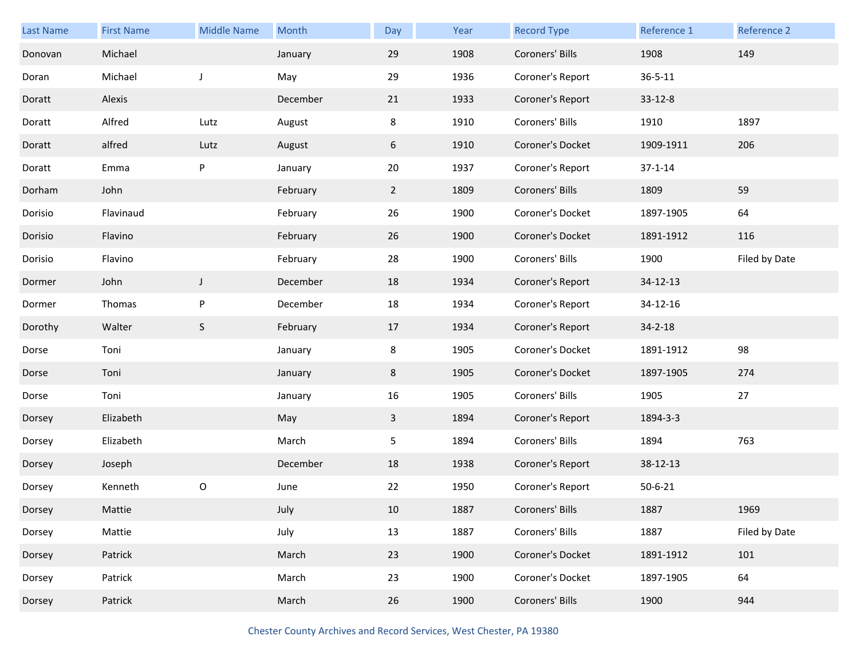| <b>Last Name</b> | <b>First Name</b> | <b>Middle Name</b> | Month    | Day            | Year | <b>Record Type</b> | Reference 1   | Reference 2   |
|------------------|-------------------|--------------------|----------|----------------|------|--------------------|---------------|---------------|
| Donovan          | Michael           |                    | January  | 29             | 1908 | Coroners' Bills    | 1908          | 149           |
| Doran            | Michael           | J                  | May      | 29             | 1936 | Coroner's Report   | $36 - 5 - 11$ |               |
| Doratt           | Alexis            |                    | December | 21             | 1933 | Coroner's Report   | 33-12-8       |               |
| Doratt           | Alfred            | Lutz               | August   | 8              | 1910 | Coroners' Bills    | 1910          | 1897          |
| Doratt           | alfred            | Lutz               | August   | 6              | 1910 | Coroner's Docket   | 1909-1911     | 206           |
| Doratt           | Emma              | P                  | January  | 20             | 1937 | Coroner's Report   | $37 - 1 - 14$ |               |
| Dorham           | John              |                    | February | $\overline{2}$ | 1809 | Coroners' Bills    | 1809          | 59            |
| Dorisio          | Flavinaud         |                    | February | 26             | 1900 | Coroner's Docket   | 1897-1905     | 64            |
| Dorisio          | Flavino           |                    | February | 26             | 1900 | Coroner's Docket   | 1891-1912     | 116           |
| Dorisio          | Flavino           |                    | February | 28             | 1900 | Coroners' Bills    | 1900          | Filed by Date |
| Dormer           | John              | $\mathsf J$        | December | 18             | 1934 | Coroner's Report   | 34-12-13      |               |
| Dormer           | Thomas            | $\sf P$            | December | 18             | 1934 | Coroner's Report   | 34-12-16      |               |
| Dorothy          | Walter            | $\mathsf S$        | February | 17             | 1934 | Coroner's Report   | $34 - 2 - 18$ |               |
| Dorse            | Toni              |                    | January  | 8              | 1905 | Coroner's Docket   | 1891-1912     | 98            |
| Dorse            | Toni              |                    | January  | 8              | 1905 | Coroner's Docket   | 1897-1905     | 274           |
| Dorse            | Toni              |                    | January  | 16             | 1905 | Coroners' Bills    | 1905          | 27            |
| Dorsey           | Elizabeth         |                    | May      | $\mathbf{3}$   | 1894 | Coroner's Report   | 1894-3-3      |               |
| Dorsey           | Elizabeth         |                    | March    | 5              | 1894 | Coroners' Bills    | 1894          | 763           |
| Dorsey           | Joseph            |                    | December | 18             | 1938 | Coroner's Report   | 38-12-13      |               |
| Dorsey           | Kenneth           | O                  | June     | 22             | 1950 | Coroner's Report   | $50 - 6 - 21$ |               |
| Dorsey           | Mattie            |                    | July     | 10             | 1887 | Coroners' Bills    | 1887          | 1969          |
| Dorsey           | Mattie            |                    | July     | 13             | 1887 | Coroners' Bills    | 1887          | Filed by Date |
| Dorsey           | Patrick           |                    | March    | 23             | 1900 | Coroner's Docket   | 1891-1912     | 101           |
| Dorsey           | Patrick           |                    | March    | 23             | 1900 | Coroner's Docket   | 1897-1905     | 64            |
| Dorsey           | Patrick           |                    | March    | 26             | 1900 | Coroners' Bills    | 1900          | 944           |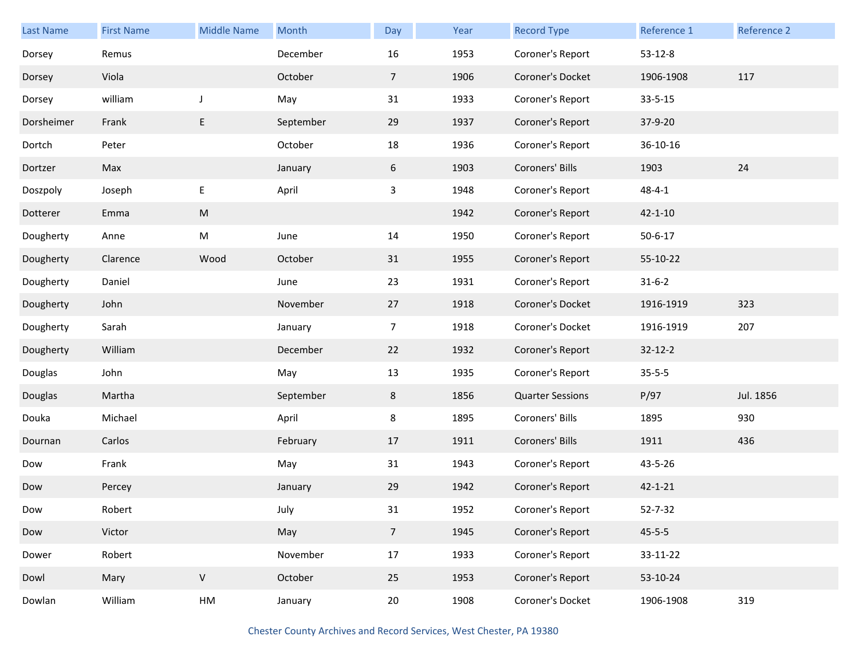| Last Name  | <b>First Name</b> | <b>Middle Name</b> | Month     | Day             | Year | <b>Record Type</b>      | Reference 1   | Reference 2 |
|------------|-------------------|--------------------|-----------|-----------------|------|-------------------------|---------------|-------------|
| Dorsey     | Remus             |                    | December  | 16              | 1953 | Coroner's Report        | $53 - 12 - 8$ |             |
| Dorsey     | Viola             |                    | October   | $\overline{7}$  | 1906 | Coroner's Docket        | 1906-1908     | 117         |
| Dorsey     | william           | J                  | May       | 31              | 1933 | Coroner's Report        | $33 - 5 - 15$ |             |
| Dorsheimer | Frank             | E                  | September | 29              | 1937 | Coroner's Report        | 37-9-20       |             |
| Dortch     | Peter             |                    | October   | 18              | 1936 | Coroner's Report        | 36-10-16      |             |
| Dortzer    | Max               |                    | January   | $6\phantom{.0}$ | 1903 | Coroners' Bills         | 1903          | 24          |
| Doszpoly   | Joseph            | E                  | April     | 3               | 1948 | Coroner's Report        | $48 - 4 - 1$  |             |
| Dotterer   | Emma              | ${\sf M}$          |           |                 | 1942 | Coroner's Report        | $42 - 1 - 10$ |             |
| Dougherty  | Anne              | M                  | June      | 14              | 1950 | Coroner's Report        | $50 - 6 - 17$ |             |
| Dougherty  | Clarence          | Wood               | October   | 31              | 1955 | Coroner's Report        | 55-10-22      |             |
| Dougherty  | Daniel            |                    | June      | 23              | 1931 | Coroner's Report        | $31 - 6 - 2$  |             |
| Dougherty  | John              |                    | November  | 27              | 1918 | Coroner's Docket        | 1916-1919     | 323         |
| Dougherty  | Sarah             |                    | January   | $\overline{7}$  | 1918 | Coroner's Docket        | 1916-1919     | 207         |
| Dougherty  | William           |                    | December  | 22              | 1932 | Coroner's Report        | $32 - 12 - 2$ |             |
| Douglas    | John              |                    | May       | 13              | 1935 | Coroner's Report        | $35 - 5 - 5$  |             |
| Douglas    | Martha            |                    | September | 8               | 1856 | <b>Quarter Sessions</b> | P/97          | Jul. 1856   |
| Douka      | Michael           |                    | April     | 8               | 1895 | Coroners' Bills         | 1895          | 930         |
| Dournan    | Carlos            |                    | February  | 17              | 1911 | Coroners' Bills         | 1911          | 436         |
| Dow        | Frank             |                    | May       | 31              | 1943 | Coroner's Report        | 43-5-26       |             |
| Dow        | Percey            |                    | January   | 29              | 1942 | Coroner's Report        | $42 - 1 - 21$ |             |
| Dow        | Robert            |                    | July      | 31              | 1952 | Coroner's Report        | 52-7-32       |             |
| Dow        | Victor            |                    | May       | $7\overline{ }$ | 1945 | Coroner's Report        | $45 - 5 - 5$  |             |
| Dower      | Robert            |                    | November  | $17\,$          | 1933 | Coroner's Report        | 33-11-22      |             |
| Dowl       | Mary              | V                  | October   | 25              | 1953 | Coroner's Report        | 53-10-24      |             |
| Dowlan     | William           | ${\sf HM}$         | January   | $20\,$          | 1908 | Coroner's Docket        | 1906-1908     | 319         |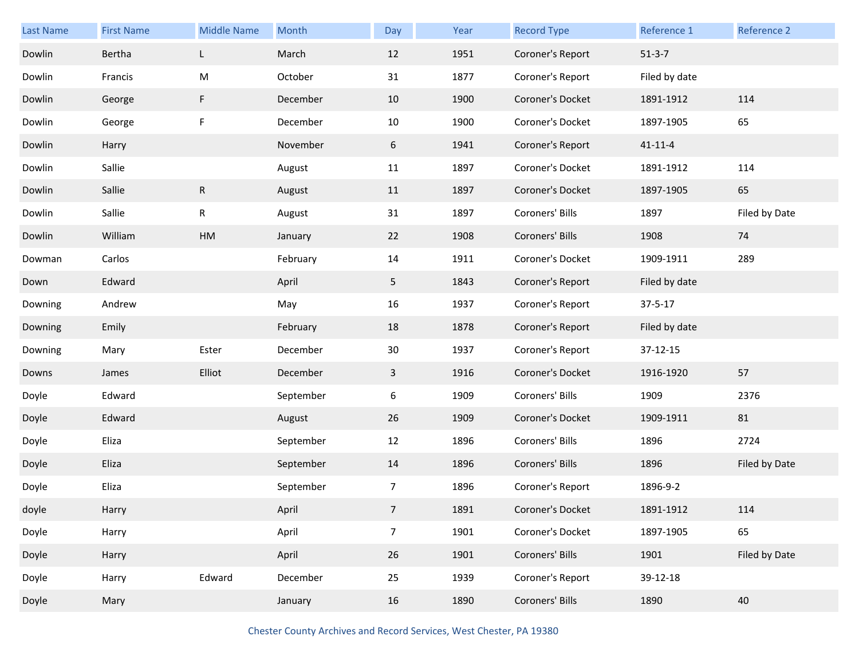| <b>Last Name</b> | <b>First Name</b> | <b>Middle Name</b> | Month     | Day            | Year | <b>Record Type</b> | Reference 1   | Reference 2   |
|------------------|-------------------|--------------------|-----------|----------------|------|--------------------|---------------|---------------|
| Dowlin           | Bertha            | L                  | March     | 12             | 1951 | Coroner's Report   | $51-3-7$      |               |
| Dowlin           | Francis           | M                  | October   | 31             | 1877 | Coroner's Report   | Filed by date |               |
| Dowlin           | George            | F                  | December  | 10             | 1900 | Coroner's Docket   | 1891-1912     | 114           |
| Dowlin           | George            | F                  | December  | 10             | 1900 | Coroner's Docket   | 1897-1905     | 65            |
| Dowlin           | Harry             |                    | November  | 6              | 1941 | Coroner's Report   | $41 - 11 - 4$ |               |
| Dowlin           | Sallie            |                    | August    | 11             | 1897 | Coroner's Docket   | 1891-1912     | 114           |
| Dowlin           | Sallie            | $\mathsf R$        | August    | 11             | 1897 | Coroner's Docket   | 1897-1905     | 65            |
| Dowlin           | Sallie            | $\mathsf R$        | August    | 31             | 1897 | Coroners' Bills    | 1897          | Filed by Date |
| Dowlin           | William           | HM                 | January   | 22             | 1908 | Coroners' Bills    | 1908          | 74            |
| Dowman           | Carlos            |                    | February  | 14             | 1911 | Coroner's Docket   | 1909-1911     | 289           |
| Down             | Edward            |                    | April     | 5 <sub>1</sub> | 1843 | Coroner's Report   | Filed by date |               |
| Downing          | Andrew            |                    | May       | 16             | 1937 | Coroner's Report   | $37 - 5 - 17$ |               |
| Downing          | Emily             |                    | February  | 18             | 1878 | Coroner's Report   | Filed by date |               |
| Downing          | Mary              | Ester              | December  | 30             | 1937 | Coroner's Report   | 37-12-15      |               |
| Downs            | James             | Elliot             | December  | $\mathbf{3}$   | 1916 | Coroner's Docket   | 1916-1920     | 57            |
| Doyle            | Edward            |                    | September | 6              | 1909 | Coroners' Bills    | 1909          | 2376          |
| Doyle            | Edward            |                    | August    | 26             | 1909 | Coroner's Docket   | 1909-1911     | 81            |
| Doyle            | Eliza             |                    | September | 12             | 1896 | Coroners' Bills    | 1896          | 2724          |
| Doyle            | Eliza             |                    | September | 14             | 1896 | Coroners' Bills    | 1896          | Filed by Date |
| Doyle            | Eliza             |                    | September | 7              | 1896 | Coroner's Report   | 1896-9-2      |               |
| doyle            | Harry             |                    | April     | 7              | 1891 | Coroner's Docket   | 1891-1912     | 114           |
| Doyle            | Harry             |                    | April     | $\overline{7}$ | 1901 | Coroner's Docket   | 1897-1905     | 65            |
| Doyle            | Harry             |                    | April     | 26             | 1901 | Coroners' Bills    | 1901          | Filed by Date |
| Doyle            | Harry             | Edward             | December  | 25             | 1939 | Coroner's Report   | 39-12-18      |               |
| Doyle            | Mary              |                    | January   | 16             | 1890 | Coroners' Bills    | 1890          | 40            |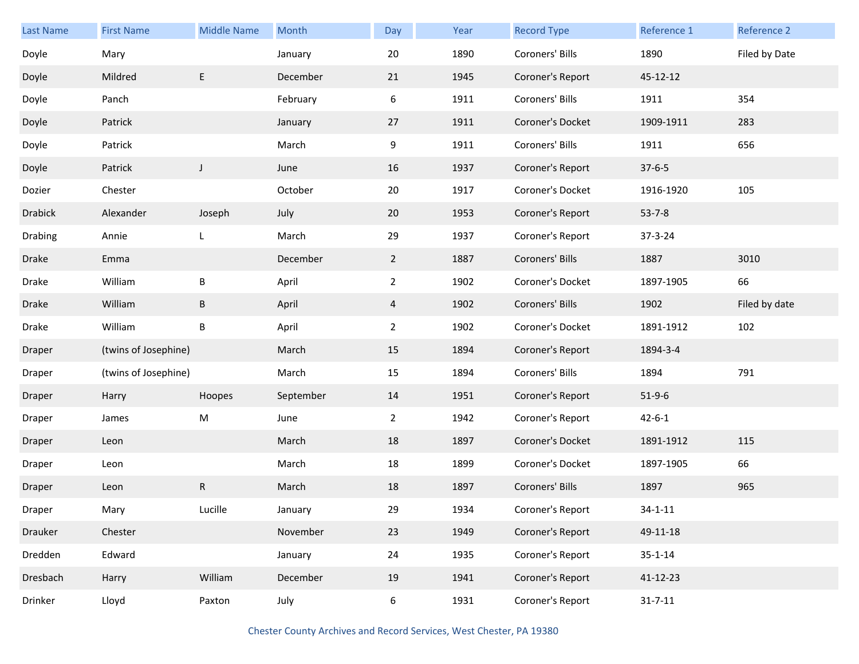| <b>Last Name</b> | <b>First Name</b>    | <b>Middle Name</b> | Month     | Day            | Year | <b>Record Type</b> | Reference 1   | Reference 2   |
|------------------|----------------------|--------------------|-----------|----------------|------|--------------------|---------------|---------------|
| Doyle            | Mary                 |                    | January   | 20             | 1890 | Coroners' Bills    | 1890          | Filed by Date |
| Doyle            | Mildred              | E                  | December  | 21             | 1945 | Coroner's Report   | 45-12-12      |               |
| Doyle            | Panch                |                    | February  | 6              | 1911 | Coroners' Bills    | 1911          | 354           |
| Doyle            | Patrick              |                    | January   | 27             | 1911 | Coroner's Docket   | 1909-1911     | 283           |
| Doyle            | Patrick              |                    | March     | 9              | 1911 | Coroners' Bills    | 1911          | 656           |
| Doyle            | Patrick              | $\mathsf J$        | June      | 16             | 1937 | Coroner's Report   | $37 - 6 - 5$  |               |
| Dozier           | Chester              |                    | October   | 20             | 1917 | Coroner's Docket   | 1916-1920     | 105           |
| <b>Drabick</b>   | Alexander            | Joseph             | July      | 20             | 1953 | Coroner's Report   | $53 - 7 - 8$  |               |
| Drabing          | Annie                | L                  | March     | 29             | 1937 | Coroner's Report   | 37-3-24       |               |
| Drake            | Emma                 |                    | December  | $\overline{2}$ | 1887 | Coroners' Bills    | 1887          | 3010          |
| Drake            | William              | B                  | April     | $\overline{2}$ | 1902 | Coroner's Docket   | 1897-1905     | 66            |
| Drake            | William              | B                  | April     | $\overline{4}$ | 1902 | Coroners' Bills    | 1902          | Filed by date |
| Drake            | William              | $\sf B$            | April     | $\overline{2}$ | 1902 | Coroner's Docket   | 1891-1912     | 102           |
| Draper           | (twins of Josephine) |                    | March     | 15             | 1894 | Coroner's Report   | 1894-3-4      |               |
| Draper           | (twins of Josephine) |                    | March     | 15             | 1894 | Coroners' Bills    | 1894          | 791           |
| Draper           | Harry                | Hoopes             | September | 14             | 1951 | Coroner's Report   | $51-9-6$      |               |
| Draper           | James                | M                  | June      | $\overline{2}$ | 1942 | Coroner's Report   | $42 - 6 - 1$  |               |
| Draper           | Leon                 |                    | March     | 18             | 1897 | Coroner's Docket   | 1891-1912     | 115           |
| Draper           | Leon                 |                    | March     | 18             | 1899 | Coroner's Docket   | 1897-1905     | 66            |
| Draper           | Leon                 | R                  | March     | 18             | 1897 | Coroners' Bills    | 1897          | 965           |
| Draper           | Mary                 | Lucille            | January   | 29             | 1934 | Coroner's Report   | $34 - 1 - 11$ |               |
| Drauker          | Chester              |                    | November  | 23             | 1949 | Coroner's Report   | 49-11-18      |               |
| Dredden          | Edward               |                    | January   | 24             | 1935 | Coroner's Report   | $35 - 1 - 14$ |               |
| Dresbach         | Harry                | William            | December  | 19             | 1941 | Coroner's Report   | 41-12-23      |               |
| Drinker          | Lloyd                | Paxton             | July      | 6              | 1931 | Coroner's Report   | $31 - 7 - 11$ |               |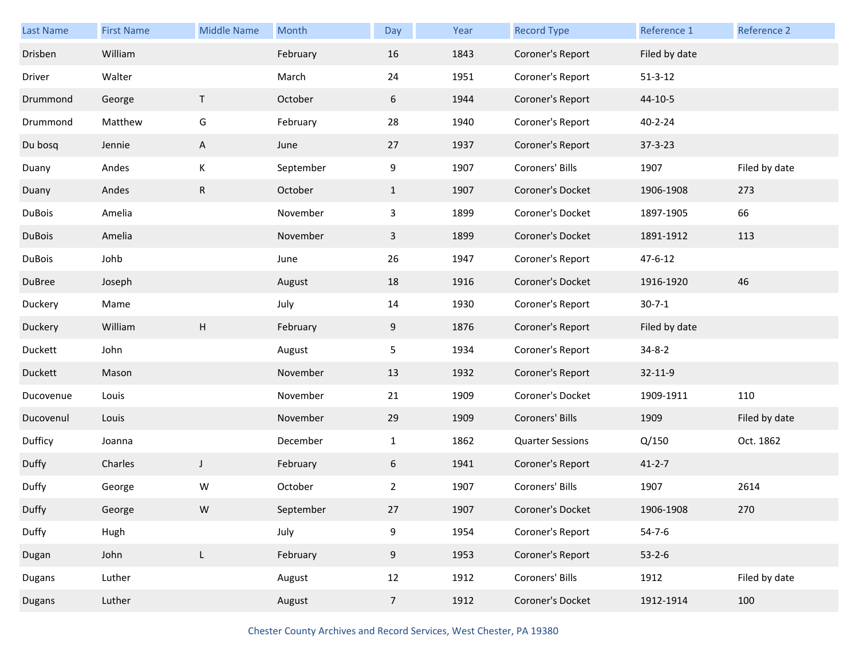| Last Name     | <b>First Name</b> | <b>Middle Name</b> | Month     | Day            | Year | <b>Record Type</b>      | Reference 1   | Reference 2   |
|---------------|-------------------|--------------------|-----------|----------------|------|-------------------------|---------------|---------------|
| Drisben       | William           |                    | February  | 16             | 1843 | Coroner's Report        | Filed by date |               |
| Driver        | Walter            |                    | March     | 24             | 1951 | Coroner's Report        | $51 - 3 - 12$ |               |
| Drummond      | George            | T                  | October   | 6              | 1944 | Coroner's Report        | 44-10-5       |               |
| Drummond      | Matthew           | G                  | February  | 28             | 1940 | Coroner's Report        | $40 - 2 - 24$ |               |
| Du bosq       | Jennie            | A                  | June      | 27             | 1937 | Coroner's Report        | $37 - 3 - 23$ |               |
| Duany         | Andes             | Κ                  | September | 9              | 1907 | Coroners' Bills         | 1907          | Filed by date |
| Duany         | Andes             | ${\sf R}$          | October   | $\mathbf{1}$   | 1907 | Coroner's Docket        | 1906-1908     | 273           |
| <b>DuBois</b> | Amelia            |                    | November  | $\mathbf{3}$   | 1899 | Coroner's Docket        | 1897-1905     | 66            |
| <b>DuBois</b> | Amelia            |                    | November  | $\mathbf{3}$   | 1899 | Coroner's Docket        | 1891-1912     | 113           |
| <b>DuBois</b> | Johb              |                    | June      | 26             | 1947 | Coroner's Report        | $47 - 6 - 12$ |               |
| DuBree        | Joseph            |                    | August    | 18             | 1916 | Coroner's Docket        | 1916-1920     | 46            |
| Duckery       | Mame              |                    | July      | 14             | 1930 | Coroner's Report        | $30 - 7 - 1$  |               |
| Duckery       | William           | H                  | February  | 9              | 1876 | Coroner's Report        | Filed by date |               |
| Duckett       | John              |                    | August    | 5              | 1934 | Coroner's Report        | $34 - 8 - 2$  |               |
| Duckett       | Mason             |                    | November  | 13             | 1932 | Coroner's Report        | 32-11-9       |               |
| Ducovenue     | Louis             |                    | November  | 21             | 1909 | Coroner's Docket        | 1909-1911     | 110           |
| Ducovenul     | Louis             |                    | November  | 29             | 1909 | Coroners' Bills         | 1909          | Filed by date |
| Dufficy       | Joanna            |                    | December  | $\mathbf{1}$   | 1862 | <b>Quarter Sessions</b> | Q/150         | Oct. 1862     |
| Duffy         | Charles           | $\mathsf J$        | February  | 6              | 1941 | Coroner's Report        | $41 - 2 - 7$  |               |
| Duffy         | George            | W                  | October   | $\overline{2}$ | 1907 | Coroners' Bills         | 1907          | 2614          |
| Duffy         | George            | W                  | September | 27             | 1907 | Coroner's Docket        | 1906-1908     | 270           |
| Duffy         | Hugh              |                    | July      | 9              | 1954 | Coroner's Report        | $54 - 7 - 6$  |               |
| Dugan         | John              | L                  | February  | 9              | 1953 | Coroner's Report        | $53 - 2 - 6$  |               |
| Dugans        | Luther            |                    | August    | 12             | 1912 | Coroners' Bills         | 1912          | Filed by date |
| Dugans        | Luther            |                    | August    | $\overline{7}$ | 1912 | Coroner's Docket        | 1912-1914     | 100           |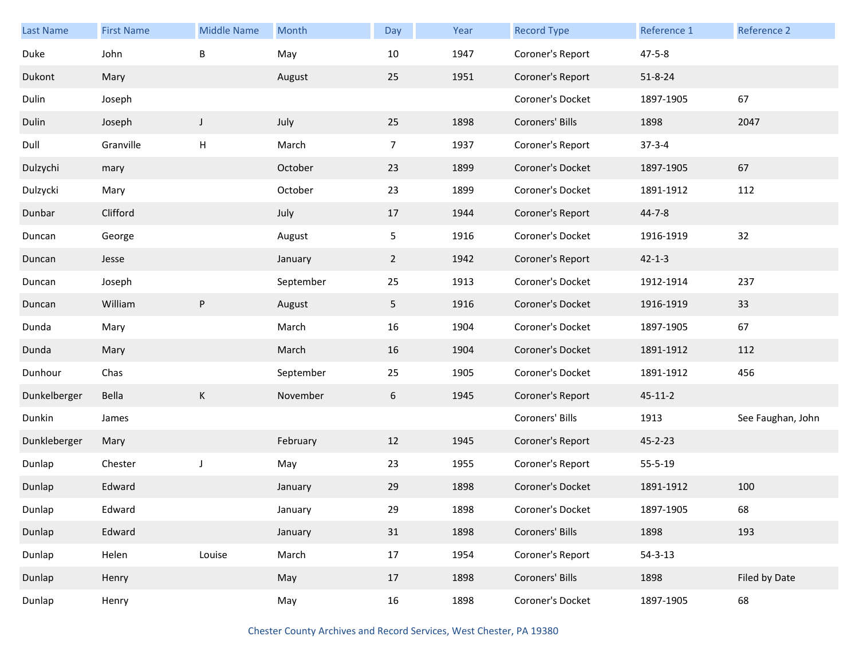| <b>Last Name</b> | <b>First Name</b> | <b>Middle Name</b> | Month     | Day            | Year | <b>Record Type</b> | Reference 1   | <b>Reference 2</b> |
|------------------|-------------------|--------------------|-----------|----------------|------|--------------------|---------------|--------------------|
| Duke             | John              | $\sf B$            | May       | 10             | 1947 | Coroner's Report   | $47 - 5 - 8$  |                    |
| Dukont           | Mary              |                    | August    | 25             | 1951 | Coroner's Report   | $51 - 8 - 24$ |                    |
| Dulin            | Joseph            |                    |           |                |      | Coroner's Docket   | 1897-1905     | 67                 |
| Dulin            | Joseph            | J                  | July      | 25             | 1898 | Coroners' Bills    | 1898          | 2047               |
| Dull             | Granville         | н                  | March     | $\overline{7}$ | 1937 | Coroner's Report   | $37 - 3 - 4$  |                    |
| Dulzychi         | mary              |                    | October   | 23             | 1899 | Coroner's Docket   | 1897-1905     | 67                 |
| Dulzycki         | Mary              |                    | October   | 23             | 1899 | Coroner's Docket   | 1891-1912     | 112                |
| Dunbar           | Clifford          |                    | July      | 17             | 1944 | Coroner's Report   | $44 - 7 - 8$  |                    |
| Duncan           | George            |                    | August    | 5              | 1916 | Coroner's Docket   | 1916-1919     | 32                 |
| Duncan           | Jesse             |                    | January   | $\overline{2}$ | 1942 | Coroner's Report   | $42 - 1 - 3$  |                    |
| Duncan           | Joseph            |                    | September | 25             | 1913 | Coroner's Docket   | 1912-1914     | 237                |
| Duncan           | William           | P                  | August    | 5 <sub>1</sub> | 1916 | Coroner's Docket   | 1916-1919     | 33                 |
| Dunda            | Mary              |                    | March     | 16             | 1904 | Coroner's Docket   | 1897-1905     | 67                 |
| Dunda            | Mary              |                    | March     | 16             | 1904 | Coroner's Docket   | 1891-1912     | 112                |
| Dunhour          | Chas              |                    | September | 25             | 1905 | Coroner's Docket   | 1891-1912     | 456                |
| Dunkelberger     | Bella             | К                  | November  | 6              | 1945 | Coroner's Report   | $45 - 11 - 2$ |                    |
| Dunkin           | James             |                    |           |                |      | Coroners' Bills    | 1913          | See Faughan, John  |
| Dunkleberger     | Mary              |                    | February  | 12             | 1945 | Coroner's Report   | $45 - 2 - 23$ |                    |
| Dunlap           | Chester           | J                  | May       | 23             | 1955 | Coroner's Report   | 55-5-19       |                    |
| Dunlap           | Edward            |                    | January   | 29             | 1898 | Coroner's Docket   | 1891-1912     | 100                |
| Dunlap           | Edward            |                    | January   | 29             | 1898 | Coroner's Docket   | 1897-1905     | 68                 |
| Dunlap           | Edward            |                    | January   | 31             | 1898 | Coroners' Bills    | 1898          | 193                |
| Dunlap           | Helen             | Louise             | March     | 17             | 1954 | Coroner's Report   | $54 - 3 - 13$ |                    |
| Dunlap           | Henry             |                    | May       | 17             | 1898 | Coroners' Bills    | 1898          | Filed by Date      |
| Dunlap           | Henry             |                    | May       | 16             | 1898 | Coroner's Docket   | 1897-1905     | 68                 |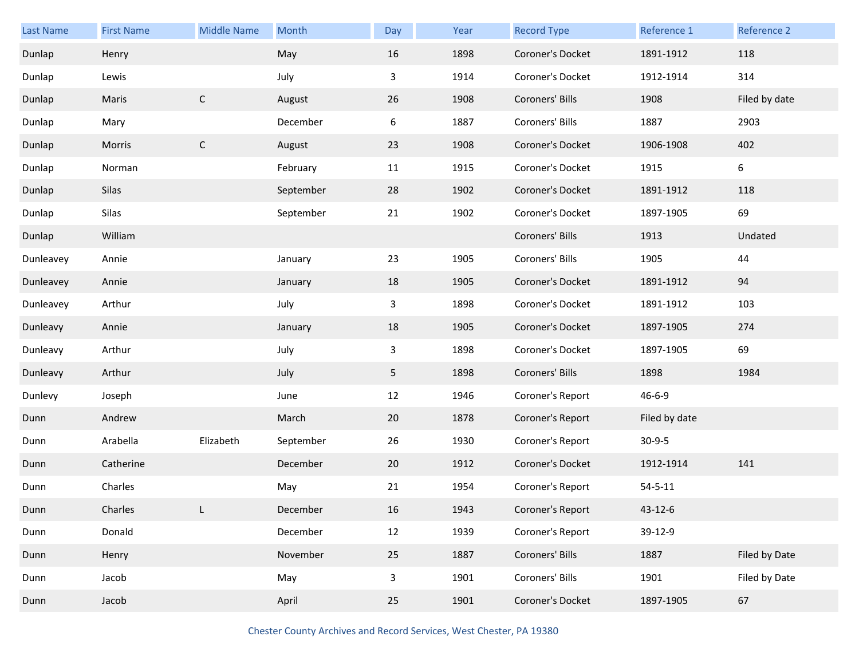| <b>Last Name</b> | <b>First Name</b> | <b>Middle Name</b> | Month     | Day | Year | <b>Record Type</b> | Reference 1   | Reference 2   |
|------------------|-------------------|--------------------|-----------|-----|------|--------------------|---------------|---------------|
| Dunlap           | Henry             |                    | May       | 16  | 1898 | Coroner's Docket   | 1891-1912     | 118           |
| Dunlap           | Lewis             |                    | July      | 3   | 1914 | Coroner's Docket   | 1912-1914     | 314           |
| Dunlap           | Maris             | $\mathsf{C}$       | August    | 26  | 1908 | Coroners' Bills    | 1908          | Filed by date |
| Dunlap           | Mary              |                    | December  | 6   | 1887 | Coroners' Bills    | 1887          | 2903          |
| Dunlap           | Morris            | $\mathsf{C}$       | August    | 23  | 1908 | Coroner's Docket   | 1906-1908     | 402           |
| Dunlap           | Norman            |                    | February  | 11  | 1915 | Coroner's Docket   | 1915          | 6             |
| Dunlap           | Silas             |                    | September | 28  | 1902 | Coroner's Docket   | 1891-1912     | 118           |
| Dunlap           | Silas             |                    | September | 21  | 1902 | Coroner's Docket   | 1897-1905     | 69            |
| Dunlap           | William           |                    |           |     |      | Coroners' Bills    | 1913          | Undated       |
| Dunleavey        | Annie             |                    | January   | 23  | 1905 | Coroners' Bills    | 1905          | 44            |
| Dunleavey        | Annie             |                    | January   | 18  | 1905 | Coroner's Docket   | 1891-1912     | 94            |
| Dunleavey        | Arthur            |                    | July      | 3   | 1898 | Coroner's Docket   | 1891-1912     | 103           |
| Dunleavy         | Annie             |                    | January   | 18  | 1905 | Coroner's Docket   | 1897-1905     | 274           |
| Dunleavy         | Arthur            |                    | July      | 3   | 1898 | Coroner's Docket   | 1897-1905     | 69            |
| Dunleavy         | Arthur            |                    | July      | 5   | 1898 | Coroners' Bills    | 1898          | 1984          |
| Dunlevy          | Joseph            |                    | June      | 12  | 1946 | Coroner's Report   | $46 - 6 - 9$  |               |
| Dunn             | Andrew            |                    | March     | 20  | 1878 | Coroner's Report   | Filed by date |               |
| Dunn             | Arabella          | Elizabeth          | September | 26  | 1930 | Coroner's Report   | $30-9-5$      |               |
| Dunn             | Catherine         |                    | December  | 20  | 1912 | Coroner's Docket   | 1912-1914     | 141           |
| Dunn             | Charles           |                    | May       | 21  | 1954 | Coroner's Report   | $54 - 5 - 11$ |               |
| Dunn             | Charles           | L                  | December  | 16  | 1943 | Coroner's Report   | 43-12-6       |               |
| Dunn             | Donald            |                    | December  | 12  | 1939 | Coroner's Report   | 39-12-9       |               |
| Dunn             | Henry             |                    | November  | 25  | 1887 | Coroners' Bills    | 1887          | Filed by Date |
| Dunn             | Jacob             |                    | May       | 3   | 1901 | Coroners' Bills    | 1901          | Filed by Date |
| Dunn             | Jacob             |                    | April     | 25  | 1901 | Coroner's Docket   | 1897-1905     | 67            |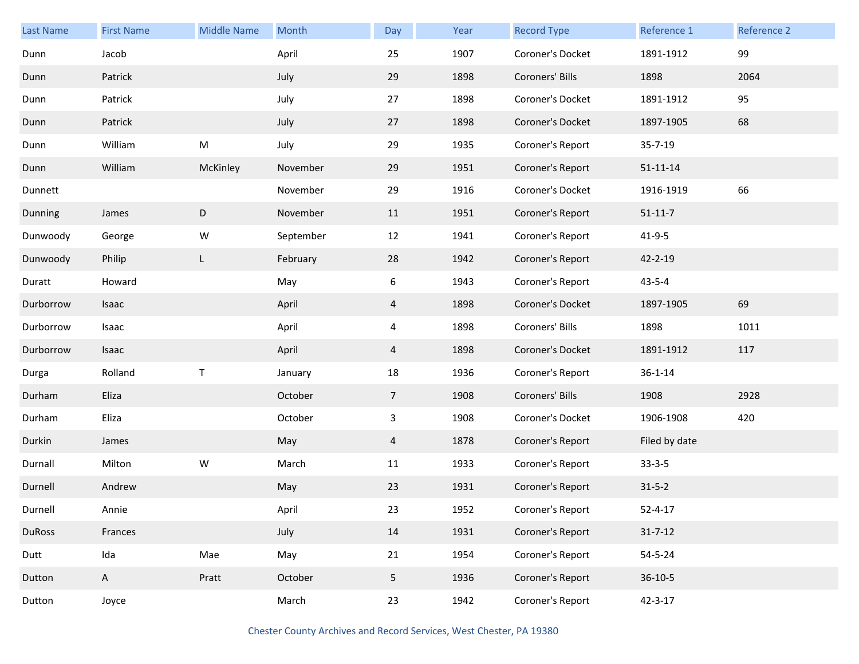| <b>Last Name</b> | <b>First Name</b> | <b>Middle Name</b> | Month     | Day             | Year | <b>Record Type</b> | Reference 1    | Reference 2 |
|------------------|-------------------|--------------------|-----------|-----------------|------|--------------------|----------------|-------------|
| Dunn             | Jacob             |                    | April     | 25              | 1907 | Coroner's Docket   | 1891-1912      | 99          |
| Dunn             | Patrick           |                    | July      | 29              | 1898 | Coroners' Bills    | 1898           | 2064        |
| Dunn             | Patrick           |                    | July      | 27              | 1898 | Coroner's Docket   | 1891-1912      | 95          |
| Dunn             | Patrick           |                    | July      | 27              | 1898 | Coroner's Docket   | 1897-1905      | 68          |
| Dunn             | William           | ${\sf M}$          | July      | 29              | 1935 | Coroner's Report   | 35-7-19        |             |
| Dunn             | William           | McKinley           | November  | 29              | 1951 | Coroner's Report   | $51 - 11 - 14$ |             |
| Dunnett          |                   |                    | November  | 29              | 1916 | Coroner's Docket   | 1916-1919      | 66          |
| Dunning          | James             | D                  | November  | 11              | 1951 | Coroner's Report   | $51 - 11 - 7$  |             |
| Dunwoody         | George            | W                  | September | 12              | 1941 | Coroner's Report   | $41 - 9 - 5$   |             |
| Dunwoody         | Philip            | L                  | February  | 28              | 1942 | Coroner's Report   | 42-2-19        |             |
| Duratt           | Howard            |                    | May       | 6               | 1943 | Coroner's Report   | $43 - 5 - 4$   |             |
| Durborrow        | Isaac             |                    | April     | 4               | 1898 | Coroner's Docket   | 1897-1905      | 69          |
| Durborrow        | Isaac             |                    | April     | 4               | 1898 | Coroners' Bills    | 1898           | 1011        |
| Durborrow        | Isaac             |                    | April     | 4               | 1898 | Coroner's Docket   | 1891-1912      | 117         |
| Durga            | Rolland           | $\sf T$            | January   | 18              | 1936 | Coroner's Report   | $36 - 1 - 14$  |             |
| Durham           | Eliza             |                    | October   | $\overline{7}$  | 1908 | Coroners' Bills    | 1908           | 2928        |
| Durham           | Eliza             |                    | October   | 3               | 1908 | Coroner's Docket   | 1906-1908      | 420         |
| Durkin           | James             |                    | May       | $\overline{4}$  | 1878 | Coroner's Report   | Filed by date  |             |
| Durnall          | Milton            | W                  | March     | 11              | 1933 | Coroner's Report   | $33 - 3 - 5$   |             |
| Durnell          | Andrew            |                    | May       | 23              | 1931 | Coroner's Report   | $31 - 5 - 2$   |             |
| Durnell          | Annie             |                    | April     | 23              | 1952 | Coroner's Report   | $52 - 4 - 17$  |             |
| <b>DuRoss</b>    | Frances           |                    | July      | 14              | 1931 | Coroner's Report   | $31 - 7 - 12$  |             |
| Dutt             | Ida               | Mae                | May       | 21              | 1954 | Coroner's Report   | $54 - 5 - 24$  |             |
| Dutton           | $\mathsf{A}$      | Pratt              | October   | $5\phantom{.0}$ | 1936 | Coroner's Report   | $36 - 10 - 5$  |             |
| Dutton           | Joyce             |                    | March     | 23              | 1942 | Coroner's Report   | $42 - 3 - 17$  |             |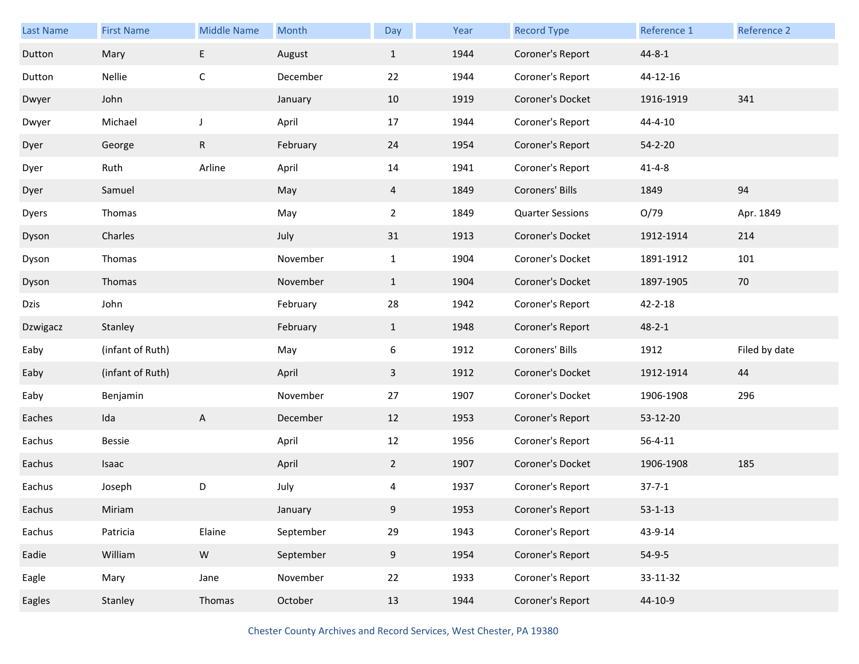| <b>Last Name</b> | <b>First Name</b> | <b>Middle Name</b> | Month     | Day            | Year | <b>Record Type</b>      | Reference 1   | Reference 2   |
|------------------|-------------------|--------------------|-----------|----------------|------|-------------------------|---------------|---------------|
| Dutton           | Mary              | E                  | August    | $\mathbf{1}$   | 1944 | Coroner's Report        | $44 - 8 - 1$  |               |
| Dutton           | Nellie            | С                  | December  | 22             | 1944 | Coroner's Report        | 44-12-16      |               |
| Dwyer            | John              |                    | January   | 10             | 1919 | Coroner's Docket        | 1916-1919     | 341           |
| Dwyer            | Michael           | $\mathsf J$        | April     | 17             | 1944 | Coroner's Report        | 44-4-10       |               |
| Dyer             | George            | $\mathsf R$        | February  | 24             | 1954 | Coroner's Report        | $54 - 2 - 20$ |               |
| Dyer             | Ruth              | Arline             | April     | 14             | 1941 | Coroner's Report        | $41 - 4 - 8$  |               |
| Dyer             | Samuel            |                    | May       | $\overline{4}$ | 1849 | Coroners' Bills         | 1849          | 94            |
| Dyers            | Thomas            |                    | May       | $\overline{a}$ | 1849 | <b>Quarter Sessions</b> | O/79          | Apr. 1849     |
| Dyson            | Charles           |                    | July      | 31             | 1913 | Coroner's Docket        | 1912-1914     | 214           |
| Dyson            | Thomas            |                    | November  | $\mathbf{1}$   | 1904 | Coroner's Docket        | 1891-1912     | 101           |
| Dyson            | Thomas            |                    | November  | $\mathbf{1}$   | 1904 | Coroner's Docket        | 1897-1905     | 70            |
| Dzis             | John              |                    | February  | 28             | 1942 | Coroner's Report        | 42-2-18       |               |
| Dzwigacz         | Stanley           |                    | February  | $\mathbf{1}$   | 1948 | Coroner's Report        | $48 - 2 - 1$  |               |
| Eaby             | (infant of Ruth)  |                    | May       | 6              | 1912 | Coroners' Bills         | 1912          | Filed by date |
| Eaby             | (infant of Ruth)  |                    | April     | $\mathbf{3}$   | 1912 | Coroner's Docket        | 1912-1914     | 44            |
| Eaby             | Benjamin          |                    | November  | 27             | 1907 | Coroner's Docket        | 1906-1908     | 296           |
| Eaches           | Ida               | A                  | December  | 12             | 1953 | Coroner's Report        | 53-12-20      |               |
| Eachus           | <b>Bessie</b>     |                    | April     | 12             | 1956 | Coroner's Report        | $56 - 4 - 11$ |               |
| Eachus           | Isaac             |                    | April     | $\overline{2}$ | 1907 | Coroner's Docket        | 1906-1908     | 185           |
| Eachus           | Joseph            | D                  | July      | 4              | 1937 | Coroner's Report        | $37 - 7 - 1$  |               |
| Eachus           | Miriam            |                    | January   | 9              | 1953 | Coroner's Report        | $53 - 1 - 13$ |               |
| Eachus           | Patricia          | Elaine             | September | 29             | 1943 | Coroner's Report        | 43-9-14       |               |
| Eadie            | William           | ${\sf W}$          | September | 9              | 1954 | Coroner's Report        | $54-9-5$      |               |
| Eagle            | Mary              | Jane               | November  | 22             | 1933 | Coroner's Report        | 33-11-32      |               |
| Eagles           | Stanley           | Thomas             | October   | 13             | 1944 | Coroner's Report        | 44-10-9       |               |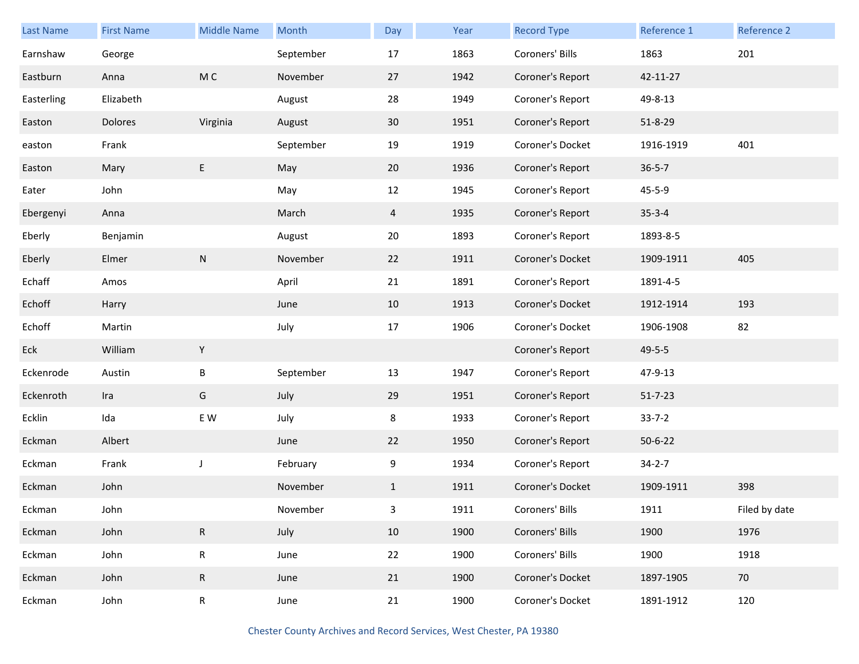| <b>Last Name</b> | <b>First Name</b> | <b>Middle Name</b> | Month     | Day             | Year | <b>Record Type</b> | Reference 1   | Reference 2   |
|------------------|-------------------|--------------------|-----------|-----------------|------|--------------------|---------------|---------------|
| Earnshaw         | George            |                    | September | 17              | 1863 | Coroners' Bills    | 1863          | 201           |
| Eastburn         | Anna              | M C                | November  | 27              | 1942 | Coroner's Report   | 42-11-27      |               |
| Easterling       | Elizabeth         |                    | August    | 28              | 1949 | Coroner's Report   | 49-8-13       |               |
| Easton           | Dolores           | Virginia           | August    | 30 <sup>°</sup> | 1951 | Coroner's Report   | $51 - 8 - 29$ |               |
| easton           | Frank             |                    | September | 19              | 1919 | Coroner's Docket   | 1916-1919     | 401           |
| Easton           | Mary              | E                  | May       | 20              | 1936 | Coroner's Report   | $36 - 5 - 7$  |               |
| Eater            | John              |                    | May       | 12              | 1945 | Coroner's Report   | $45 - 5 - 9$  |               |
| Ebergenyi        | Anna              |                    | March     | 4               | 1935 | Coroner's Report   | $35 - 3 - 4$  |               |
| Eberly           | Benjamin          |                    | August    | 20              | 1893 | Coroner's Report   | 1893-8-5      |               |
| Eberly           | Elmer             | N                  | November  | 22              | 1911 | Coroner's Docket   | 1909-1911     | 405           |
| Echaff           | Amos              |                    | April     | 21              | 1891 | Coroner's Report   | 1891-4-5      |               |
| Echoff           | Harry             |                    | June      | 10              | 1913 | Coroner's Docket   | 1912-1914     | 193           |
| Echoff           | Martin            |                    | July      | 17              | 1906 | Coroner's Docket   | 1906-1908     | 82            |
| Eck              | William           | Y                  |           |                 |      | Coroner's Report   | $49 - 5 - 5$  |               |
| Eckenrode        | Austin            | B                  | September | 13              | 1947 | Coroner's Report   | 47-9-13       |               |
| Eckenroth        | Ira               | G                  | July      | 29              | 1951 | Coroner's Report   | $51 - 7 - 23$ |               |
| Ecklin           | Ida               | E W                | July      | 8               | 1933 | Coroner's Report   | $33 - 7 - 2$  |               |
| Eckman           | Albert            |                    | June      | 22              | 1950 | Coroner's Report   | $50 - 6 - 22$ |               |
| Eckman           | Frank             | $\mathsf J$        | February  | 9               | 1934 | Coroner's Report   | $34 - 2 - 7$  |               |
| Eckman           | John              |                    | November  | $\mathbf{1}$    | 1911 | Coroner's Docket   | 1909-1911     | 398           |
| Eckman           | John              |                    | November  | 3               | 1911 | Coroners' Bills    | 1911          | Filed by date |
| Eckman           | John              | $\mathsf R$        | July      | 10              | 1900 | Coroners' Bills    | 1900          | 1976          |
| Eckman           | John              | R                  | June      | 22              | 1900 | Coroners' Bills    | 1900          | 1918          |
| Eckman           | John              | $\mathsf{R}$       | June      | 21              | 1900 | Coroner's Docket   | 1897-1905     | 70            |
| Eckman           | John              | R                  | June      | 21              | 1900 | Coroner's Docket   | 1891-1912     | 120           |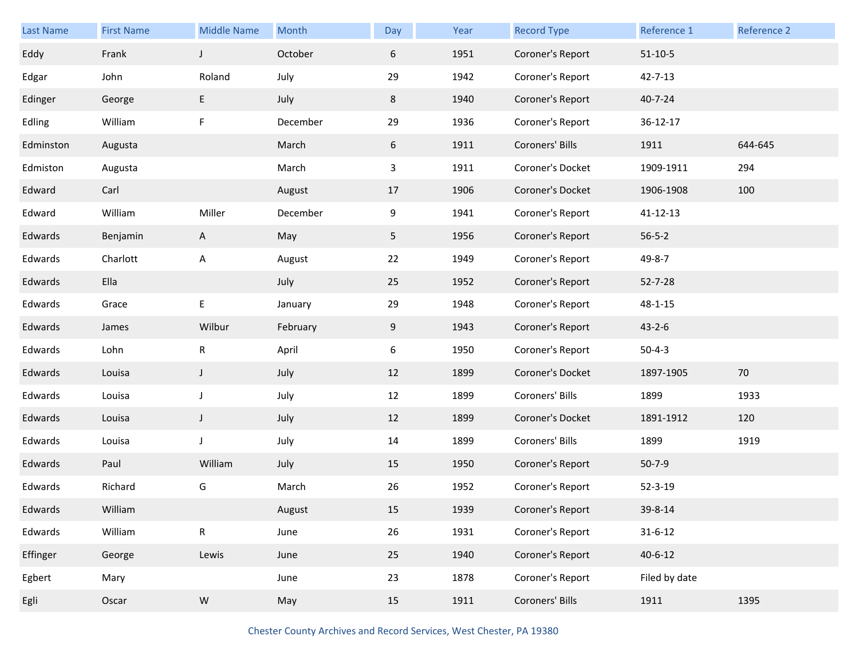| Last Name | <b>First Name</b> | <b>Middle Name</b> | Month    | Day | Year | <b>Record Type</b> | Reference 1   | Reference 2 |
|-----------|-------------------|--------------------|----------|-----|------|--------------------|---------------|-------------|
| Eddy      | Frank             | $\mathsf J$        | October  | 6   | 1951 | Coroner's Report   | $51 - 10 - 5$ |             |
| Edgar     | John              | Roland             | July     | 29  | 1942 | Coroner's Report   | $42 - 7 - 13$ |             |
| Edinger   | George            | E                  | July     | 8   | 1940 | Coroner's Report   | $40 - 7 - 24$ |             |
| Edling    | William           | F                  | December | 29  | 1936 | Coroner's Report   | 36-12-17      |             |
| Edminston | Augusta           |                    | March    | 6   | 1911 | Coroners' Bills    | 1911          | 644-645     |
| Edmiston  | Augusta           |                    | March    | 3   | 1911 | Coroner's Docket   | 1909-1911     | 294         |
| Edward    | Carl              |                    | August   | 17  | 1906 | Coroner's Docket   | 1906-1908     | 100         |
| Edward    | William           | Miller             | December | 9   | 1941 | Coroner's Report   | 41-12-13      |             |
| Edwards   | Benjamin          | A                  | May      | 5   | 1956 | Coroner's Report   | $56 - 5 - 2$  |             |
| Edwards   | Charlott          | Α                  | August   | 22  | 1949 | Coroner's Report   | 49-8-7        |             |
| Edwards   | Ella              |                    | July     | 25  | 1952 | Coroner's Report   | $52 - 7 - 28$ |             |
| Edwards   | Grace             | E                  | January  | 29  | 1948 | Coroner's Report   | $48 - 1 - 15$ |             |
| Edwards   | James             | Wilbur             | February | 9   | 1943 | Coroner's Report   | $43 - 2 - 6$  |             |
| Edwards   | Lohn              | R                  | April    | 6   | 1950 | Coroner's Report   | $50 - 4 - 3$  |             |
| Edwards   | Louisa            | $\mathsf J$        | July     | 12  | 1899 | Coroner's Docket   | 1897-1905     | 70          |
| Edwards   | Louisa            | J                  | July     | 12  | 1899 | Coroners' Bills    | 1899          | 1933        |
| Edwards   | Louisa            | $\mathsf J$        | July     | 12  | 1899 | Coroner's Docket   | 1891-1912     | 120         |
| Edwards   | Louisa            | J                  | July     | 14  | 1899 | Coroners' Bills    | 1899          | 1919        |
| Edwards   | Paul              | William            | July     | 15  | 1950 | Coroner's Report   | $50 - 7 - 9$  |             |
| Edwards   | Richard           | G                  | March    | 26  | 1952 | Coroner's Report   | $52 - 3 - 19$ |             |
| Edwards   | William           |                    | August   | 15  | 1939 | Coroner's Report   | 39-8-14       |             |
| Edwards   | William           | ${\sf R}$          | June     | 26  | 1931 | Coroner's Report   | $31 - 6 - 12$ |             |
| Effinger  | George            | Lewis              | June     | 25  | 1940 | Coroner's Report   | $40 - 6 - 12$ |             |
| Egbert    | Mary              |                    | June     | 23  | 1878 | Coroner's Report   | Filed by date |             |
| Egli      | Oscar             | ${\sf W}$          | May      | 15  | 1911 | Coroners' Bills    | 1911          | 1395        |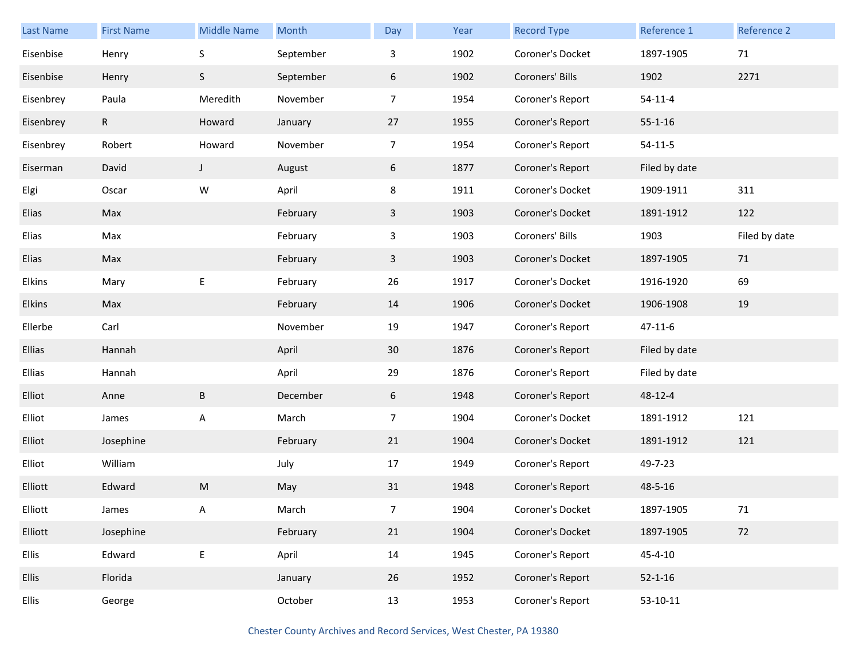| <b>Last Name</b> | <b>First Name</b> | <b>Middle Name</b> | Month     | Day            | Year | <b>Record Type</b> | Reference 1   | Reference 2   |
|------------------|-------------------|--------------------|-----------|----------------|------|--------------------|---------------|---------------|
| Eisenbise        | Henry             | $\sf S$            | September | 3              | 1902 | Coroner's Docket   | 1897-1905     | 71            |
| Eisenbise        | Henry             | S                  | September | 6              | 1902 | Coroners' Bills    | 1902          | 2271          |
| Eisenbrey        | Paula             | Meredith           | November  | $\overline{7}$ | 1954 | Coroner's Report   | $54 - 11 - 4$ |               |
| Eisenbrey        | $\mathsf{R}$      | Howard             | January   | 27             | 1955 | Coroner's Report   | $55 - 1 - 16$ |               |
| Eisenbrey        | Robert            | Howard             | November  | $\overline{7}$ | 1954 | Coroner's Report   | $54-11-5$     |               |
| Eiserman         | David             | J                  | August    | 6              | 1877 | Coroner's Report   | Filed by date |               |
| Elgi             | Oscar             | W                  | April     | 8              | 1911 | Coroner's Docket   | 1909-1911     | 311           |
| Elias            | Max               |                    | February  | 3              | 1903 | Coroner's Docket   | 1891-1912     | 122           |
| Elias            | Max               |                    | February  | $\mathbf{3}$   | 1903 | Coroners' Bills    | 1903          | Filed by date |
| Elias            | Max               |                    | February  | $\mathbf{3}$   | 1903 | Coroner's Docket   | 1897-1905     | 71            |
| Elkins           | Mary              | E                  | February  | 26             | 1917 | Coroner's Docket   | 1916-1920     | 69            |
| Elkins           | Max               |                    | February  | 14             | 1906 | Coroner's Docket   | 1906-1908     | 19            |
| Ellerbe          | Carl              |                    | November  | 19             | 1947 | Coroner's Report   | $47 - 11 - 6$ |               |
| Ellias           | Hannah            |                    | April     | 30             | 1876 | Coroner's Report   | Filed by date |               |
| Ellias           | Hannah            |                    | April     | 29             | 1876 | Coroner's Report   | Filed by date |               |
| Elliot           | Anne              | B                  | December  | 6              | 1948 | Coroner's Report   | 48-12-4       |               |
| Elliot           | James             | Α                  | March     | $\overline{7}$ | 1904 | Coroner's Docket   | 1891-1912     | 121           |
| Elliot           | Josephine         |                    | February  | 21             | 1904 | Coroner's Docket   | 1891-1912     | 121           |
| Elliot           | William           |                    | July      | 17             | 1949 | Coroner's Report   | 49-7-23       |               |
| Elliott          | Edward            | M                  | May       | 31             | 1948 | Coroner's Report   | 48-5-16       |               |
| Elliott          | James             | Α                  | March     | $\overline{7}$ | 1904 | Coroner's Docket   | 1897-1905     | 71            |
| Elliott          | Josephine         |                    | February  | 21             | 1904 | Coroner's Docket   | 1897-1905     | 72            |
| Ellis            | Edward            | E                  | April     | 14             | 1945 | Coroner's Report   | $45 - 4 - 10$ |               |
| Ellis            | Florida           |                    | January   | 26             | 1952 | Coroner's Report   | $52 - 1 - 16$ |               |
| Ellis            | George            |                    | October   | 13             | 1953 | Coroner's Report   | 53-10-11      |               |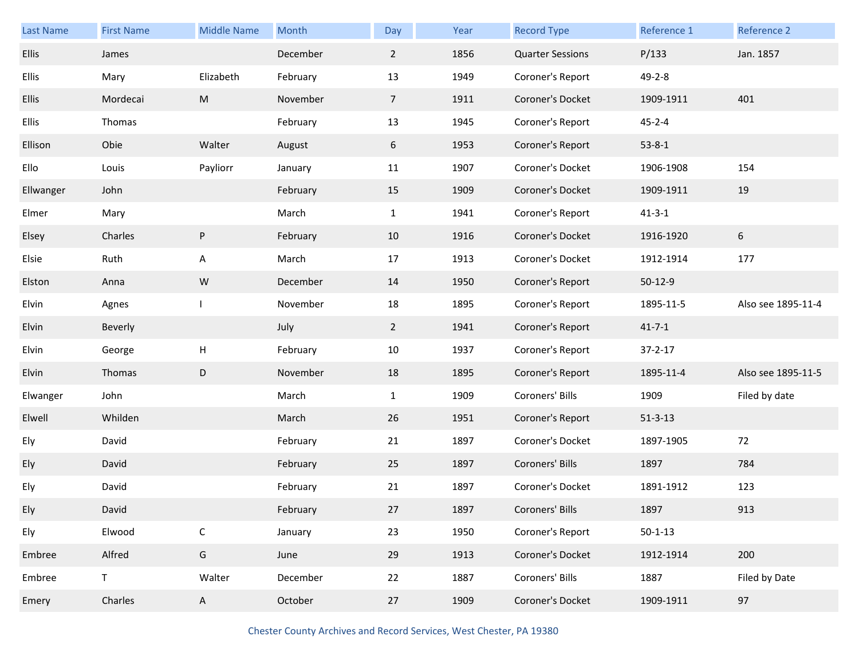| Last Name    | <b>First Name</b> | <b>Middle Name</b> | Month    | Day            | Year | <b>Record Type</b>      | Reference 1   | Reference 2        |
|--------------|-------------------|--------------------|----------|----------------|------|-------------------------|---------------|--------------------|
| <b>Ellis</b> | James             |                    | December | $\overline{2}$ | 1856 | <b>Quarter Sessions</b> | P/133         | Jan. 1857          |
| <b>Ellis</b> | Mary              | Elizabeth          | February | 13             | 1949 | Coroner's Report        | $49 - 2 - 8$  |                    |
| <b>Ellis</b> | Mordecai          | ${\sf M}$          | November | $\overline{7}$ | 1911 | Coroner's Docket        | 1909-1911     | 401                |
| <b>Ellis</b> | Thomas            |                    | February | 13             | 1945 | Coroner's Report        | $45 - 2 - 4$  |                    |
| Ellison      | Obie              | Walter             | August   | 6              | 1953 | Coroner's Report        | $53 - 8 - 1$  |                    |
| Ello         | Louis             | Payliorr           | January  | 11             | 1907 | Coroner's Docket        | 1906-1908     | 154                |
| Ellwanger    | John              |                    | February | 15             | 1909 | Coroner's Docket        | 1909-1911     | 19                 |
| Elmer        | Mary              |                    | March    | $\mathbf{1}$   | 1941 | Coroner's Report        | $41 - 3 - 1$  |                    |
| Elsey        | Charles           | $\sf P$            | February | 10             | 1916 | Coroner's Docket        | 1916-1920     | 6                  |
| Elsie        | Ruth              | A                  | March    | 17             | 1913 | Coroner's Docket        | 1912-1914     | 177                |
| Elston       | Anna              | ${\sf W}$          | December | 14             | 1950 | Coroner's Report        | $50-12-9$     |                    |
| Elvin        | Agnes             |                    | November | 18             | 1895 | Coroner's Report        | 1895-11-5     | Also see 1895-11-4 |
| Elvin        | Beverly           |                    | July     | $\overline{2}$ | 1941 | Coroner's Report        | $41 - 7 - 1$  |                    |
| Elvin        | George            | H                  | February | 10             | 1937 | Coroner's Report        | $37 - 2 - 17$ |                    |
| Elvin        | Thomas            | $\mathsf D$        | November | 18             | 1895 | Coroner's Report        | 1895-11-4     | Also see 1895-11-5 |
| Elwanger     | John              |                    | March    | $\mathbf{1}$   | 1909 | Coroners' Bills         | 1909          | Filed by date      |
| Elwell       | Whilden           |                    | March    | 26             | 1951 | Coroner's Report        | $51 - 3 - 13$ |                    |
| Ely          | David             |                    | February | 21             | 1897 | Coroner's Docket        | 1897-1905     | 72                 |
| Ely          | David             |                    | February | 25             | 1897 | Coroners' Bills         | 1897          | 784                |
| Ely          | David             |                    | February | 21             | 1897 | Coroner's Docket        | 1891-1912     | 123                |
| Ely          | David             |                    | February | 27             | 1897 | Coroners' Bills         | 1897          | 913                |
| Ely          | Elwood            | $\mathsf C$        | January  | 23             | 1950 | Coroner's Report        | $50 - 1 - 13$ |                    |
| Embree       | Alfred            | ${\mathsf G}$      | June     | 29             | 1913 | Coroner's Docket        | 1912-1914     | 200                |
| Embree       | $\mathsf T$       | Walter             | December | 22             | 1887 | Coroners' Bills         | 1887          | Filed by Date      |
| Emery        | Charles           | $\mathsf{A}$       | October  | 27             | 1909 | Coroner's Docket        | 1909-1911     | 97                 |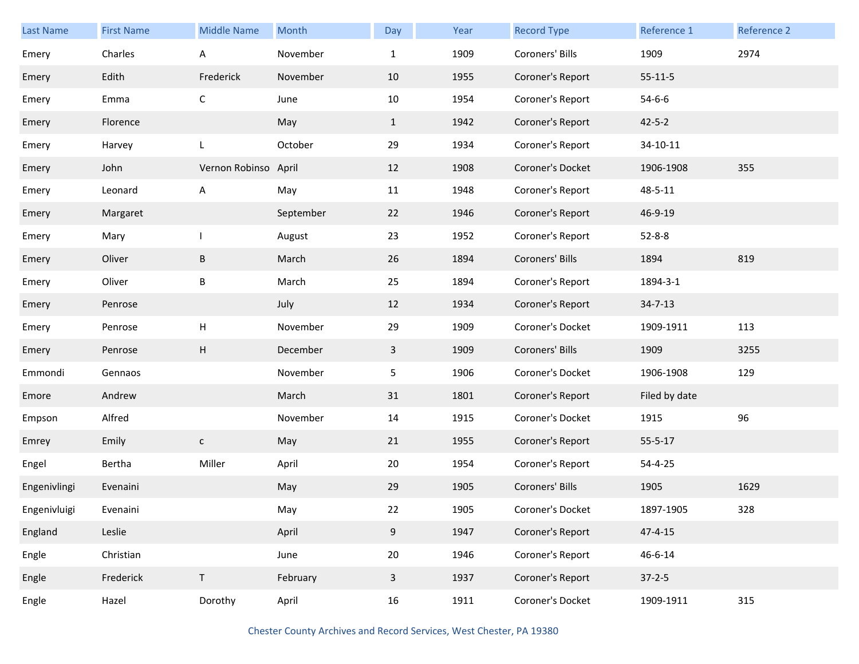| <b>Last Name</b> | <b>First Name</b> | <b>Middle Name</b>        | Month     | Day          | Year | <b>Record Type</b> | Reference 1   | Reference 2 |
|------------------|-------------------|---------------------------|-----------|--------------|------|--------------------|---------------|-------------|
| Emery            | Charles           | Α                         | November  | $\mathbf{1}$ | 1909 | Coroners' Bills    | 1909          | 2974        |
| Emery            | Edith             | Frederick                 | November  | 10           | 1955 | Coroner's Report   | $55 - 11 - 5$ |             |
| Emery            | Emma              | $\mathsf{C}$              | June      | 10           | 1954 | Coroner's Report   | $54 - 6 - 6$  |             |
| Emery            | Florence          |                           | May       | $\mathbf{1}$ | 1942 | Coroner's Report   | $42 - 5 - 2$  |             |
| Emery            | Harvey            | L                         | October   | 29           | 1934 | Coroner's Report   | 34-10-11      |             |
| Emery            | John              | Vernon Robinso            | April     | 12           | 1908 | Coroner's Docket   | 1906-1908     | 355         |
| Emery            | Leonard           | Α                         | May       | 11           | 1948 | Coroner's Report   | 48-5-11       |             |
| Emery            | Margaret          |                           | September | 22           | 1946 | Coroner's Report   | 46-9-19       |             |
| Emery            | Mary              |                           | August    | 23           | 1952 | Coroner's Report   | $52 - 8 - 8$  |             |
| Emery            | Oliver            | $\sf B$                   | March     | 26           | 1894 | Coroners' Bills    | 1894          | 819         |
| Emery            | Oliver            | $\sf B$                   | March     | 25           | 1894 | Coroner's Report   | 1894-3-1      |             |
| Emery            | Penrose           |                           | July      | 12           | 1934 | Coroner's Report   | $34 - 7 - 13$ |             |
| Emery            | Penrose           | $\boldsymbol{\mathsf{H}}$ | November  | 29           | 1909 | Coroner's Docket   | 1909-1911     | 113         |
| Emery            | Penrose           | $\boldsymbol{\mathsf{H}}$ | December  | 3            | 1909 | Coroners' Bills    | 1909          | 3255        |
| Emmondi          | Gennaos           |                           | November  | 5            | 1906 | Coroner's Docket   | 1906-1908     | 129         |
| Emore            | Andrew            |                           | March     | 31           | 1801 | Coroner's Report   | Filed by date |             |
| Empson           | Alfred            |                           | November  | 14           | 1915 | Coroner's Docket   | 1915          | 96          |
| Emrey            | Emily             | $\mathsf{C}$              | May       | 21           | 1955 | Coroner's Report   | $55 - 5 - 17$ |             |
| Engel            | Bertha            | Miller                    | April     | 20           | 1954 | Coroner's Report   | 54-4-25       |             |
| Engenivlingi     | Evenaini          |                           | May       | 29           | 1905 | Coroners' Bills    | 1905          | 1629        |
| Engenivluigi     | Evenaini          |                           | May       | 22           | 1905 | Coroner's Docket   | 1897-1905     | 328         |
| England          | Leslie            |                           | April     | 9            | 1947 | Coroner's Report   | $47 - 4 - 15$ |             |
| Engle            | Christian         |                           | June      | 20           | 1946 | Coroner's Report   | $46 - 6 - 14$ |             |
| Engle            | Frederick         | $\mathsf T$               | February  | $\mathbf{3}$ | 1937 | Coroner's Report   | $37 - 2 - 5$  |             |
| Engle            | Hazel             | Dorothy                   | April     | 16           | 1911 | Coroner's Docket   | 1909-1911     | 315         |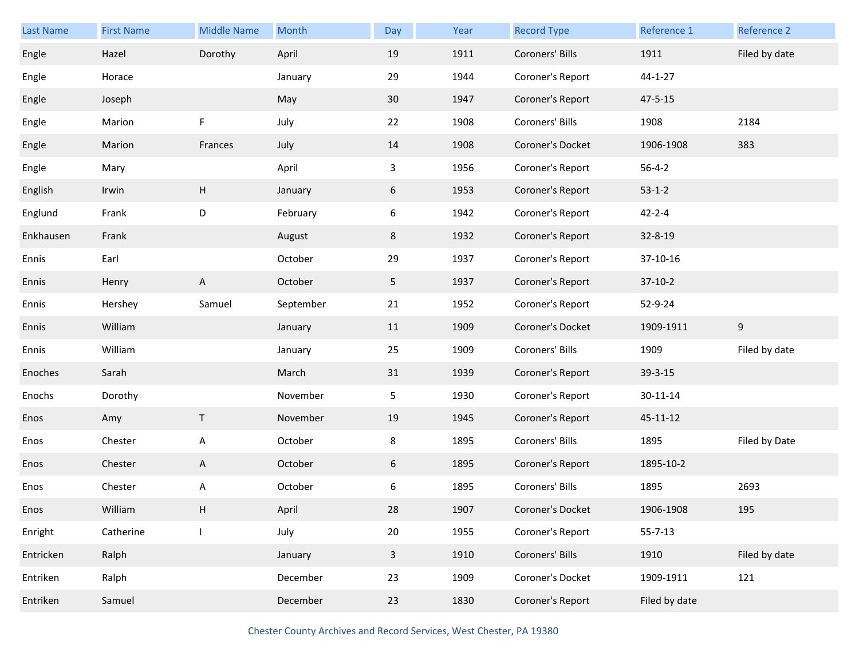| Last Name | <b>First Name</b> | <b>Middle Name</b>        | Month     | Day            | Year | <b>Record Type</b> | Reference 1    | Reference 2   |
|-----------|-------------------|---------------------------|-----------|----------------|------|--------------------|----------------|---------------|
| Engle     | Hazel             | Dorothy                   | April     | 19             | 1911 | Coroners' Bills    | 1911           | Filed by date |
| Engle     | Horace            |                           | January   | 29             | 1944 | Coroner's Report   | $44 - 1 - 27$  |               |
| Engle     | Joseph            |                           | May       | 30             | 1947 | Coroner's Report   | $47 - 5 - 15$  |               |
| Engle     | Marion            | $\mathsf F$               | July      | 22             | 1908 | Coroners' Bills    | 1908           | 2184          |
| Engle     | Marion            | Frances                   | July      | 14             | 1908 | Coroner's Docket   | 1906-1908      | 383           |
| Engle     | Mary              |                           | April     | 3              | 1956 | Coroner's Report   | $56 - 4 - 2$   |               |
| English   | Irwin             | $\boldsymbol{\mathsf{H}}$ | January   | 6              | 1953 | Coroner's Report   | $53 - 1 - 2$   |               |
| Englund   | Frank             | D                         | February  | 6              | 1942 | Coroner's Report   | $42 - 2 - 4$   |               |
| Enkhausen | Frank             |                           | August    | 8              | 1932 | Coroner's Report   | 32-8-19        |               |
| Ennis     | Earl              |                           | October   | 29             | 1937 | Coroner's Report   | 37-10-16       |               |
| Ennis     | Henry             | $\boldsymbol{\mathsf{A}}$ | October   | 5 <sub>1</sub> | 1937 | Coroner's Report   | $37-10-2$      |               |
| Ennis     | Hershey           | Samuel                    | September | 21             | 1952 | Coroner's Report   | 52-9-24        |               |
|           |                   |                           |           |                |      |                    |                |               |
| Ennis     | William           |                           | January   | 11             | 1909 | Coroner's Docket   | 1909-1911      | 9             |
| Ennis     | William           |                           | January   | 25             | 1909 | Coroners' Bills    | 1909           | Filed by date |
| Enoches   | Sarah             |                           | March     | 31             | 1939 | Coroner's Report   | 39-3-15        |               |
| Enochs    | Dorothy           |                           | November  | 5              | 1930 | Coroner's Report   | $30 - 11 - 14$ |               |
| Enos      | Amy               | T                         | November  | 19             | 1945 | Coroner's Report   | 45-11-12       |               |
| Enos      | Chester           | Α                         | October   | 8              | 1895 | Coroners' Bills    | 1895           | Filed by Date |
| Enos      | Chester           | A                         | October   | 6              | 1895 | Coroner's Report   | 1895-10-2      |               |
| Enos      | Chester           | Α                         | October   | 6              | 1895 | Coroners' Bills    | 1895           | 2693          |
| Enos      | William           | Н                         | April     | 28             | 1907 | Coroner's Docket   | 1906-1908      | 195           |
| Enright   | Catherine         | $\mathbf{I}$              | July      | $20\,$         | 1955 | Coroner's Report   | $55 - 7 - 13$  |               |
| Entricken | Ralph             |                           | January   | $\mathbf{3}$   | 1910 | Coroners' Bills    | 1910           | Filed by date |
| Entriken  | Ralph             |                           | December  | 23             | 1909 | Coroner's Docket   | 1909-1911      | 121           |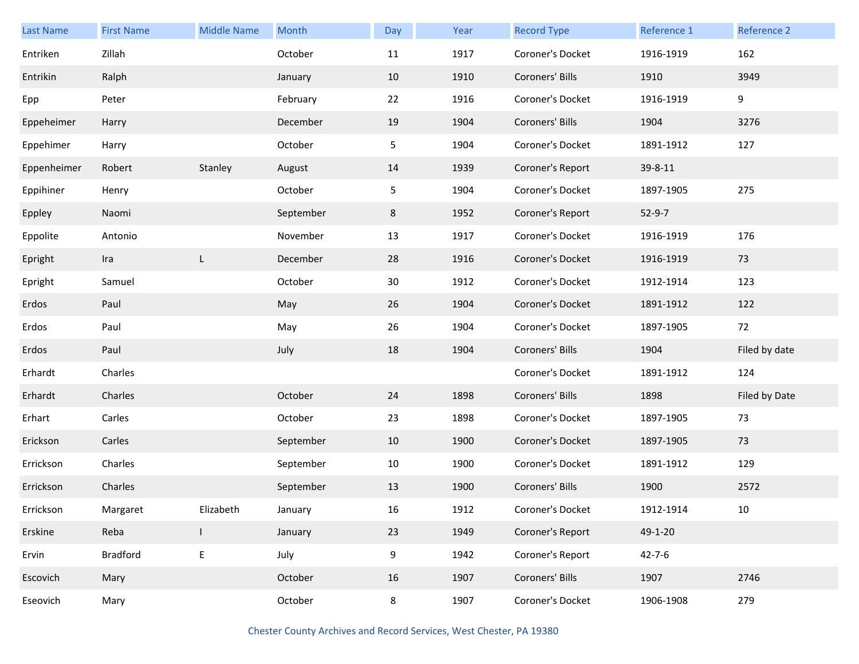| <b>Last Name</b> | <b>First Name</b> | <b>Middle Name</b> | Month     | Day    | Year | <b>Record Type</b> | Reference 1  | Reference 2   |
|------------------|-------------------|--------------------|-----------|--------|------|--------------------|--------------|---------------|
| Entriken         | Zillah            |                    | October   | 11     | 1917 | Coroner's Docket   | 1916-1919    | 162           |
| Entrikin         | Ralph             |                    | January   | 10     | 1910 | Coroners' Bills    | 1910         | 3949          |
| Epp              | Peter             |                    | February  | 22     | 1916 | Coroner's Docket   | 1916-1919    | 9             |
| Eppeheimer       | Harry             |                    | December  | 19     | 1904 | Coroners' Bills    | 1904         | 3276          |
| Eppehimer        | Harry             |                    | October   | 5      | 1904 | Coroner's Docket   | 1891-1912    | 127           |
| Eppenheimer      | Robert            | Stanley            | August    | 14     | 1939 | Coroner's Report   | 39-8-11      |               |
| Eppihiner        | Henry             |                    | October   | 5      | 1904 | Coroner's Docket   | 1897-1905    | 275           |
| Eppley           | Naomi             |                    | September | 8      | 1952 | Coroner's Report   | $52-9-7$     |               |
| Eppolite         | Antonio           |                    | November  | 13     | 1917 | Coroner's Docket   | 1916-1919    | 176           |
| Epright          | Ira               | L                  | December  | 28     | 1916 | Coroner's Docket   | 1916-1919    | 73            |
| Epright          | Samuel            |                    | October   | 30     | 1912 | Coroner's Docket   | 1912-1914    | 123           |
| Erdos            | Paul              |                    | May       | 26     | 1904 | Coroner's Docket   | 1891-1912    | 122           |
| Erdos            | Paul              |                    | May       | 26     | 1904 | Coroner's Docket   | 1897-1905    | 72            |
| Erdos            | Paul              |                    | July      | 18     | 1904 | Coroners' Bills    | 1904         | Filed by date |
| Erhardt          | Charles           |                    |           |        |      | Coroner's Docket   | 1891-1912    | 124           |
| Erhardt          | Charles           |                    | October   | 24     | 1898 | Coroners' Bills    | 1898         | Filed by Date |
| Erhart           | Carles            |                    | October   | 23     | 1898 | Coroner's Docket   | 1897-1905    | 73            |
| Erickson         | Carles            |                    | September | 10     | 1900 | Coroner's Docket   | 1897-1905    | 73            |
| Errickson        | Charles           |                    | September | $10\,$ | 1900 | Coroner's Docket   | 1891-1912    | 129           |
| Errickson        | Charles           |                    | September | 13     | 1900 | Coroners' Bills    | 1900         | 2572          |
| Errickson        | Margaret          | Elizabeth          | January   | $16\,$ | 1912 | Coroner's Docket   | 1912-1914    | 10            |
| Erskine          | Reba              | L                  | January   | 23     | 1949 | Coroner's Report   | 49-1-20      |               |
| Ervin            | Bradford          | E                  | July      | 9      | 1942 | Coroner's Report   | $42 - 7 - 6$ |               |
| Escovich         | Mary              |                    | October   | 16     | 1907 | Coroners' Bills    | 1907         | 2746          |
| Eseovich         | Mary              |                    | October   | 8      | 1907 | Coroner's Docket   | 1906-1908    | 279           |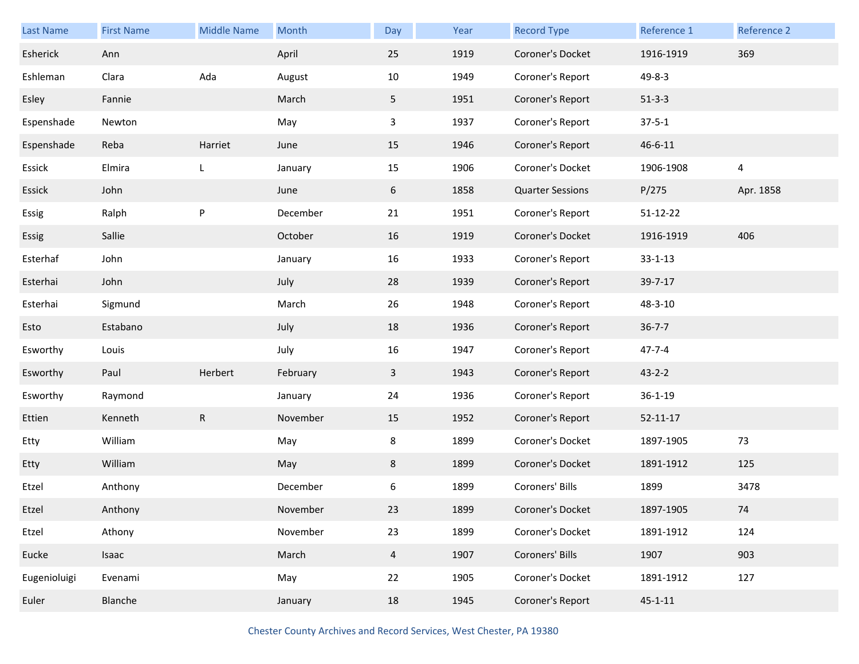| <b>Last Name</b> | <b>First Name</b> | <b>Middle Name</b> | Month    | Day            | Year | <b>Record Type</b>      | Reference 1    | Reference 2    |
|------------------|-------------------|--------------------|----------|----------------|------|-------------------------|----------------|----------------|
| Esherick         | Ann               |                    | April    | 25             | 1919 | Coroner's Docket        | 1916-1919      | 369            |
| Eshleman         | Clara             | Ada                | August   | 10             | 1949 | Coroner's Report        | $49 - 8 - 3$   |                |
| Esley            | Fannie            |                    | March    | 5 <sub>1</sub> | 1951 | Coroner's Report        | $51 - 3 - 3$   |                |
| Espenshade       | Newton            |                    | May      | $\mathbf{3}$   | 1937 | Coroner's Report        | $37 - 5 - 1$   |                |
| Espenshade       | Reba              | Harriet            | June     | 15             | 1946 | Coroner's Report        | 46-6-11        |                |
| Essick           | Elmira            | L                  | January  | 15             | 1906 | Coroner's Docket        | 1906-1908      | $\overline{4}$ |
| Essick           | John              |                    | June     | 6              | 1858 | <b>Quarter Sessions</b> | P/275          | Apr. 1858      |
| Essig            | Ralph             | P                  | December | 21             | 1951 | Coroner's Report        | 51-12-22       |                |
| Essig            | Sallie            |                    | October  | 16             | 1919 | Coroner's Docket        | 1916-1919      | 406            |
| Esterhaf         | John              |                    | January  | 16             | 1933 | Coroner's Report        | $33 - 1 - 13$  |                |
| Esterhai         | John              |                    | July     | 28             | 1939 | Coroner's Report        | 39-7-17        |                |
| Esterhai         | Sigmund           |                    | March    | 26             | 1948 | Coroner's Report        | 48-3-10        |                |
| Esto             | Estabano          |                    | July     | 18             | 1936 | Coroner's Report        | $36 - 7 - 7$   |                |
| Esworthy         | Louis             |                    | July     | 16             | 1947 | Coroner's Report        | $47 - 7 - 4$   |                |
| Esworthy         | Paul              | Herbert            | February | $\mathbf{3}$   | 1943 | Coroner's Report        | $43 - 2 - 2$   |                |
| Esworthy         | Raymond           |                    | January  | 24             | 1936 | Coroner's Report        | $36 - 1 - 19$  |                |
| Ettien           | Kenneth           | $\mathsf{R}$       | November | 15             | 1952 | Coroner's Report        | $52 - 11 - 17$ |                |
| Etty             | William           |                    | May      | 8              | 1899 | Coroner's Docket        | 1897-1905      | 73             |
| Etty             | William           |                    | May      | 8              | 1899 | Coroner's Docket        | 1891-1912      | 125            |
| Etzel            | Anthony           |                    | December | 6              | 1899 | Coroners' Bills         | 1899           | 3478           |
| Etzel            | Anthony           |                    | November | 23             | 1899 | Coroner's Docket        | 1897-1905      | 74             |
| Etzel            | Athony            |                    | November | 23             | 1899 | Coroner's Docket        | 1891-1912      | 124            |
| Eucke            | Isaac             |                    | March    | $\overline{4}$ | 1907 | Coroners' Bills         | 1907           | 903            |
| Eugenioluigi     | Evenami           |                    | May      | 22             | 1905 | Coroner's Docket        | 1891-1912      | 127            |
| Euler            | Blanche           |                    | January  | 18             | 1945 | Coroner's Report        | $45 - 1 - 11$  |                |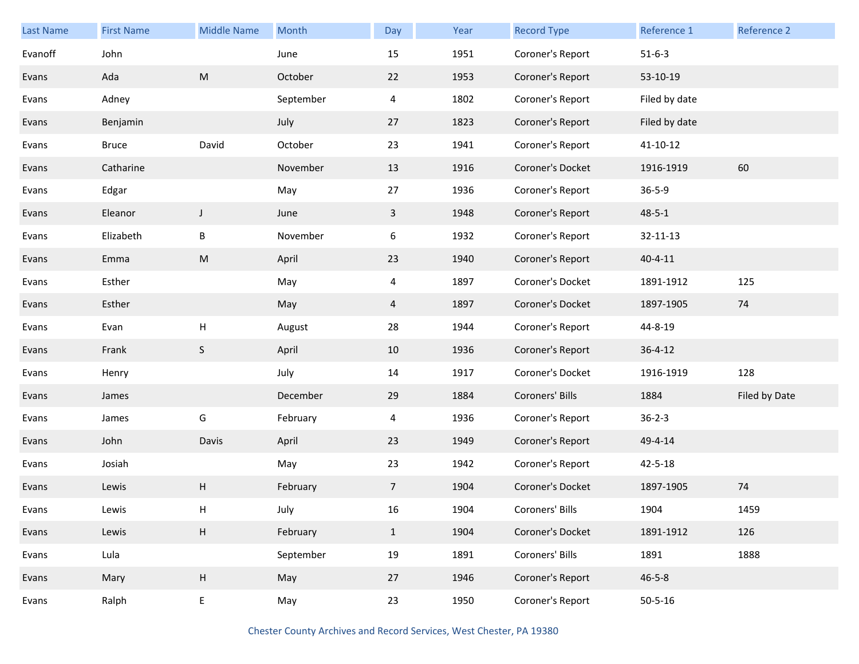| <b>Last Name</b> | <b>First Name</b> | <b>Middle Name</b>        | Month     | Day            | Year | <b>Record Type</b> | Reference 1   | Reference 2   |
|------------------|-------------------|---------------------------|-----------|----------------|------|--------------------|---------------|---------------|
| Evanoff          | John              |                           | June      | 15             | 1951 | Coroner's Report   | $51 - 6 - 3$  |               |
| Evans            | Ada               | ${\sf M}$                 | October   | 22             | 1953 | Coroner's Report   | 53-10-19      |               |
| Evans            | Adney             |                           | September | 4              | 1802 | Coroner's Report   | Filed by date |               |
| Evans            | Benjamin          |                           | July      | 27             | 1823 | Coroner's Report   | Filed by date |               |
| Evans            | <b>Bruce</b>      | David                     | October   | 23             | 1941 | Coroner's Report   | 41-10-12      |               |
| Evans            | Catharine         |                           | November  | 13             | 1916 | Coroner's Docket   | 1916-1919     | 60            |
| Evans            | Edgar             |                           | May       | 27             | 1936 | Coroner's Report   | $36 - 5 - 9$  |               |
| Evans            | Eleanor           | J                         | June      | $\mathbf{3}$   | 1948 | Coroner's Report   | $48 - 5 - 1$  |               |
| Evans            | Elizabeth         | $\sf B$                   | November  | 6              | 1932 | Coroner's Report   | 32-11-13      |               |
| Evans            | Emma              | ${\sf M}$                 | April     | 23             | 1940 | Coroner's Report   | $40 - 4 - 11$ |               |
| Evans            | Esther            |                           | May       | 4              | 1897 | Coroner's Docket   | 1891-1912     | 125           |
| Evans            | Esther            |                           | May       | 4              | 1897 | Coroner's Docket   | 1897-1905     | 74            |
| Evans            | Evan              | $\boldsymbol{\mathsf{H}}$ | August    | 28             | 1944 | Coroner's Report   | 44-8-19       |               |
| Evans            | Frank             | $\mathsf S$               | April     | 10             | 1936 | Coroner's Report   | $36 - 4 - 12$ |               |
| Evans            | Henry             |                           | July      | 14             | 1917 | Coroner's Docket   | 1916-1919     | 128           |
| Evans            | James             |                           | December  | 29             | 1884 | Coroners' Bills    | 1884          | Filed by Date |
| Evans            | James             | G                         | February  | 4              | 1936 | Coroner's Report   | $36 - 2 - 3$  |               |
| Evans            | John              | Davis                     | April     | 23             | 1949 | Coroner's Report   | 49-4-14       |               |
| Evans            | Josiah            |                           | May       | 23             | 1942 | Coroner's Report   | $42 - 5 - 18$ |               |
| Evans            | Lewis             | Н                         | February  | 7 <sup>1</sup> | 1904 | Coroner's Docket   | 1897-1905     | 74            |
| Evans            | Lewis             | H                         | July      | 16             | 1904 | Coroners' Bills    | 1904          | 1459          |
| Evans            | Lewis             | $\mathsf H$               | February  | $\mathbf{1}$   | 1904 | Coroner's Docket   | 1891-1912     | 126           |
| Evans            | Lula              |                           | September | 19             | 1891 | Coroners' Bills    | 1891          | 1888          |
| Evans            | Mary              | $\boldsymbol{\mathsf{H}}$ | May       | 27             | 1946 | Coroner's Report   | $46 - 5 - 8$  |               |
| Evans            | Ralph             | E                         | May       | 23             | 1950 | Coroner's Report   | $50 - 5 - 16$ |               |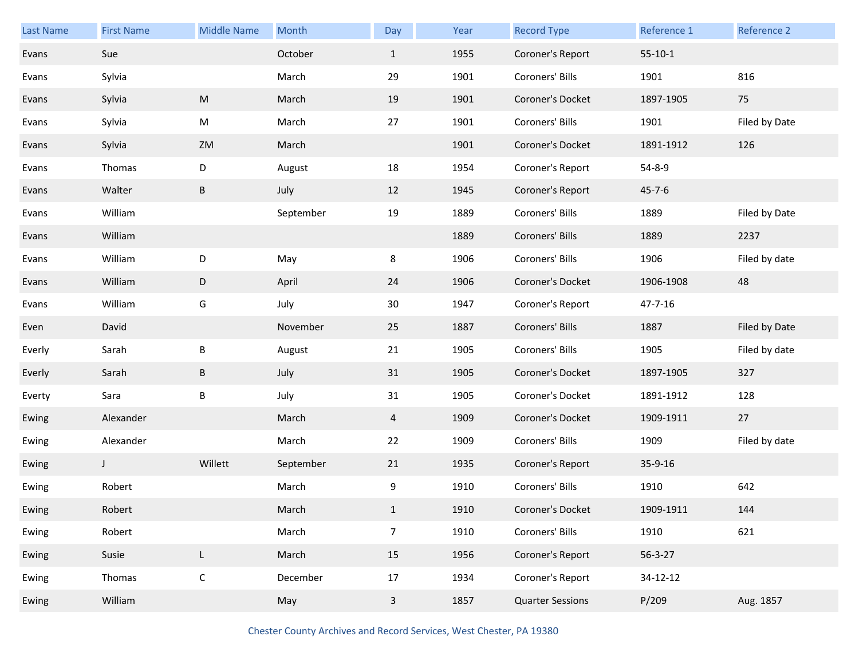| <b>Last Name</b> | <b>First Name</b> | <b>Middle Name</b> | Month     | Day            | Year | <b>Record Type</b> | Reference 1   | Reference 2   |
|------------------|-------------------|--------------------|-----------|----------------|------|--------------------|---------------|---------------|
| Evans            | Sue               |                    | October   | $\mathbf{1}$   | 1955 | Coroner's Report   | $55-10-1$     |               |
| Evans            | Sylvia            |                    | March     | 29             | 1901 | Coroners' Bills    | 1901          | 816           |
| Evans            | Sylvia            | M                  | March     | 19             | 1901 | Coroner's Docket   | 1897-1905     | 75            |
| Evans            | Sylvia            | M                  | March     | 27             | 1901 | Coroners' Bills    | 1901          | Filed by Date |
| Evans            | Sylvia            | ZM                 | March     |                | 1901 | Coroner's Docket   | 1891-1912     | 126           |
| Evans            | Thomas            | D                  | August    | 18             | 1954 | Coroner's Report   | 54-8-9        |               |
| Evans            | Walter            | $\sf B$            | July      | 12             | 1945 | Coroner's Report   | $45 - 7 - 6$  |               |
| Evans            | William           |                    | September | 19             | 1889 | Coroners' Bills    | 1889          | Filed by Date |
| Evans            | William           |                    |           |                | 1889 | Coroners' Bills    | 1889          | 2237          |
| Evans            | William           | D                  | May       | 8              | 1906 | Coroners' Bills    | 1906          | Filed by date |
| Evans            | William           | D                  | April     | 24             | 1906 | Coroner's Docket   | 1906-1908     | 48            |
| Evans            | William           | G                  | July      | 30             | 1947 | Coroner's Report   | 47-7-16       |               |
|                  |                   |                    |           |                |      |                    |               |               |
| Even             | David             |                    | November  | 25             | 1887 | Coroners' Bills    | 1887          | Filed by Date |
| Everly           | Sarah             | $\sf B$            | August    | 21             | 1905 | Coroners' Bills    | 1905          | Filed by date |
| Everly           | Sarah             | B                  | July      | 31             | 1905 | Coroner's Docket   | 1897-1905     | 327           |
| Everty           | Sara              | B                  | July      | 31             | 1905 | Coroner's Docket   | 1891-1912     | 128           |
| Ewing            | Alexander         |                    | March     | 4              | 1909 | Coroner's Docket   | 1909-1911     | 27            |
| Ewing            | Alexander         |                    | March     | 22             | 1909 | Coroners' Bills    | 1909          | Filed by date |
| Ewing            | $\mathsf{J}$      | Willett            | September | 21             | 1935 | Coroner's Report   | 35-9-16       |               |
| Ewing            | Robert            |                    | March     | 9              | 1910 | Coroners' Bills    | 1910          | 642           |
| Ewing            | Robert            |                    | March     | $\mathbf{1}$   | 1910 | Coroner's Docket   | 1909-1911     | 144           |
| Ewing            | Robert            |                    | March     | $\overline{7}$ | 1910 | Coroners' Bills    | 1910          | 621           |
| Ewing            | Susie             | $\mathsf L$        | March     | 15             | 1956 | Coroner's Report   | $56 - 3 - 27$ |               |
| Ewing            | Thomas            | $\mathsf C$        | December  | $17\,$         | 1934 | Coroner's Report   | 34-12-12      |               |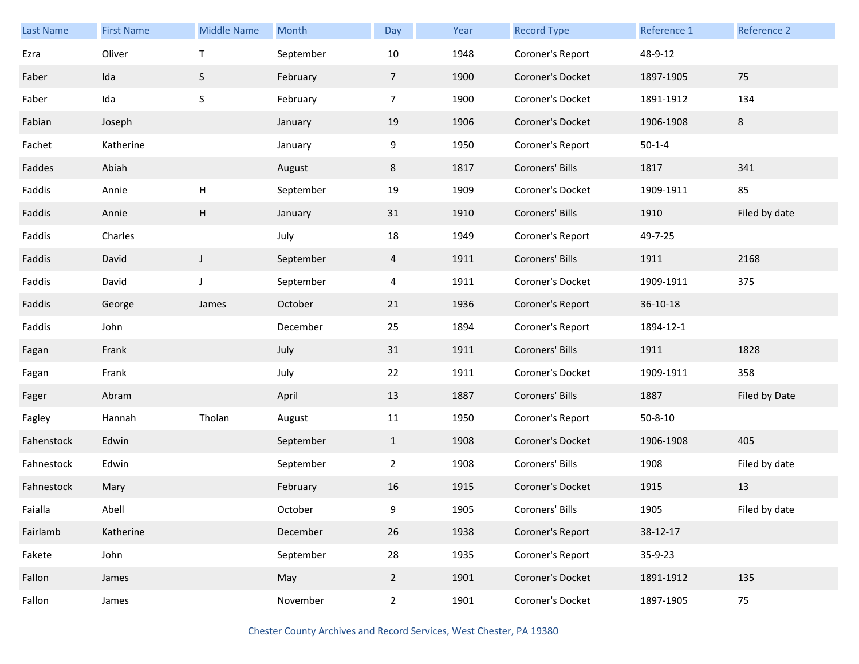| <b>Last Name</b> | <b>First Name</b> | <b>Middle Name</b> | Month     | Day             | Year | <b>Record Type</b> | Reference 1   | Reference 2   |
|------------------|-------------------|--------------------|-----------|-----------------|------|--------------------|---------------|---------------|
| Ezra             | Oliver            | $\mathsf T$        | September | 10              | 1948 | Coroner's Report   | 48-9-12       |               |
| Faber            | Ida               | S                  | February  | $7\overline{ }$ | 1900 | Coroner's Docket   | 1897-1905     | 75            |
| Faber            | Ida               | $\mathsf S$        | February  | $\overline{7}$  | 1900 | Coroner's Docket   | 1891-1912     | 134           |
| Fabian           | Joseph            |                    | January   | 19              | 1906 | Coroner's Docket   | 1906-1908     | 8             |
| Fachet           | Katherine         |                    | January   | 9               | 1950 | Coroner's Report   | $50 - 1 - 4$  |               |
| Faddes           | Abiah             |                    | August    | 8               | 1817 | Coroners' Bills    | 1817          | 341           |
| Faddis           | Annie             | H                  | September | 19              | 1909 | Coroner's Docket   | 1909-1911     | 85            |
| Faddis           | Annie             | Н                  | January   | 31              | 1910 | Coroners' Bills    | 1910          | Filed by date |
| Faddis           | Charles           |                    | July      | 18              | 1949 | Coroner's Report   | 49-7-25       |               |
| Faddis           | David             | $\mathsf{J}$       | September | $\overline{4}$  | 1911 | Coroners' Bills    | 1911          | 2168          |
| Faddis           | David             | J                  | September | 4               | 1911 | Coroner's Docket   | 1909-1911     | 375           |
| Faddis           | George            | James              | October   | 21              | 1936 | Coroner's Report   | 36-10-18      |               |
| Faddis           | John              |                    | December  | 25              | 1894 | Coroner's Report   | 1894-12-1     |               |
| Fagan            | Frank             |                    | July      | 31              | 1911 | Coroners' Bills    | 1911          | 1828          |
| Fagan            | Frank             |                    | July      | 22              | 1911 | Coroner's Docket   | 1909-1911     | 358           |
| Fager            | Abram             |                    | April     | 13              | 1887 | Coroners' Bills    | 1887          | Filed by Date |
| Fagley           | Hannah            | Tholan             | August    | 11              | 1950 | Coroner's Report   | $50 - 8 - 10$ |               |
| Fahenstock       | Edwin             |                    | September | $\mathbf{1}$    | 1908 | Coroner's Docket   | 1906-1908     | 405           |
| Fahnestock       | Edwin             |                    | September | $\overline{2}$  | 1908 | Coroners' Bills    | 1908          | Filed by date |
| Fahnestock       | Mary              |                    | February  | 16              | 1915 | Coroner's Docket   | 1915          | 13            |
| Faialla          | Abell             |                    | October   | 9               | 1905 | Coroners' Bills    | 1905          | Filed by date |
| Fairlamb         | Katherine         |                    | December  | 26              | 1938 | Coroner's Report   | 38-12-17      |               |
| Fakete           | John              |                    | September | 28              | 1935 | Coroner's Report   | 35-9-23       |               |
| Fallon           | James             |                    | May       | $2^{\circ}$     | 1901 | Coroner's Docket   | 1891-1912     | 135           |
| Fallon           | James             |                    | November  | $\overline{2}$  | 1901 | Coroner's Docket   | 1897-1905     | 75            |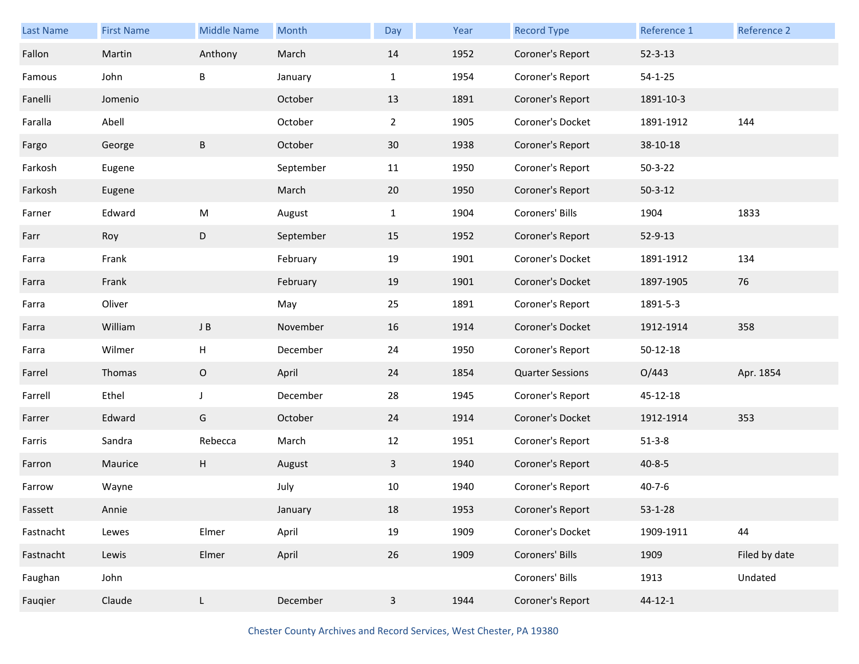| Last Name | <b>First Name</b> | <b>Middle Name</b> | Month     | Day            | Year | <b>Record Type</b>      | Reference 1    | Reference 2   |
|-----------|-------------------|--------------------|-----------|----------------|------|-------------------------|----------------|---------------|
| Fallon    | Martin            | Anthony            | March     | 14             | 1952 | Coroner's Report        | $52 - 3 - 13$  |               |
| Famous    | John              | B                  | January   | $\mathbf{1}$   | 1954 | Coroner's Report        | $54 - 1 - 25$  |               |
| Fanelli   | Jomenio           |                    | October   | 13             | 1891 | Coroner's Report        | 1891-10-3      |               |
| Faralla   | Abell             |                    | October   | $\overline{2}$ | 1905 | Coroner's Docket        | 1891-1912      | 144           |
| Fargo     | George            | B                  | October   | 30             | 1938 | Coroner's Report        | 38-10-18       |               |
| Farkosh   | Eugene            |                    | September | 11             | 1950 | Coroner's Report        | $50 - 3 - 22$  |               |
| Farkosh   | Eugene            |                    | March     | 20             | 1950 | Coroner's Report        | $50 - 3 - 12$  |               |
| Farner    | Edward            | ${\sf M}$          | August    | $\mathbf{1}$   | 1904 | Coroners' Bills         | 1904           | 1833          |
| Farr      | Roy               | D                  | September | 15             | 1952 | Coroner's Report        | 52-9-13        |               |
| Farra     | Frank             |                    | February  | 19             | 1901 | Coroner's Docket        | 1891-1912      | 134           |
| Farra     | Frank             |                    | February  | 19             | 1901 | Coroner's Docket        | 1897-1905      | 76            |
| Farra     | Oliver            |                    | May       | 25             | 1891 | Coroner's Report        | 1891-5-3       |               |
| Farra     | William           | J B                | November  | 16             | 1914 | Coroner's Docket        | 1912-1914      | 358           |
| Farra     | Wilmer            | н                  | December  | 24             | 1950 | Coroner's Report        | $50 - 12 - 18$ |               |
| Farrel    | Thomas            | $\mathsf O$        | April     | 24             | 1854 | <b>Quarter Sessions</b> | O/443          | Apr. 1854     |
| Farrell   | Ethel             | J                  | December  | 28             | 1945 | Coroner's Report        | 45-12-18       |               |
| Farrer    | Edward            | G                  | October   | 24             | 1914 | Coroner's Docket        | 1912-1914      | 353           |
| Farris    | Sandra            | Rebecca            | March     | 12             | 1951 | Coroner's Report        | $51 - 3 - 8$   |               |
| Farron    | Maurice           | H                  | August    | 3              | 1940 | Coroner's Report        | $40 - 8 - 5$   |               |
| Farrow    | Wayne             |                    | July      | 10             | 1940 | Coroner's Report        | $40 - 7 - 6$   |               |
| Fassett   | Annie             |                    | January   | 18             | 1953 | Coroner's Report        | $53 - 1 - 28$  |               |
| Fastnacht | Lewes             | Elmer              | April     | $19\,$         | 1909 | Coroner's Docket        | 1909-1911      | 44            |
| Fastnacht | Lewis             | Elmer              | April     | 26             | 1909 | Coroners' Bills         | 1909           | Filed by date |
| Faughan   | John              |                    |           |                |      | Coroners' Bills         | 1913           | Undated       |
| Fauqier   | Claude            | L                  | December  | $\mathbf{3}$   | 1944 | Coroner's Report        | $44 - 12 - 1$  |               |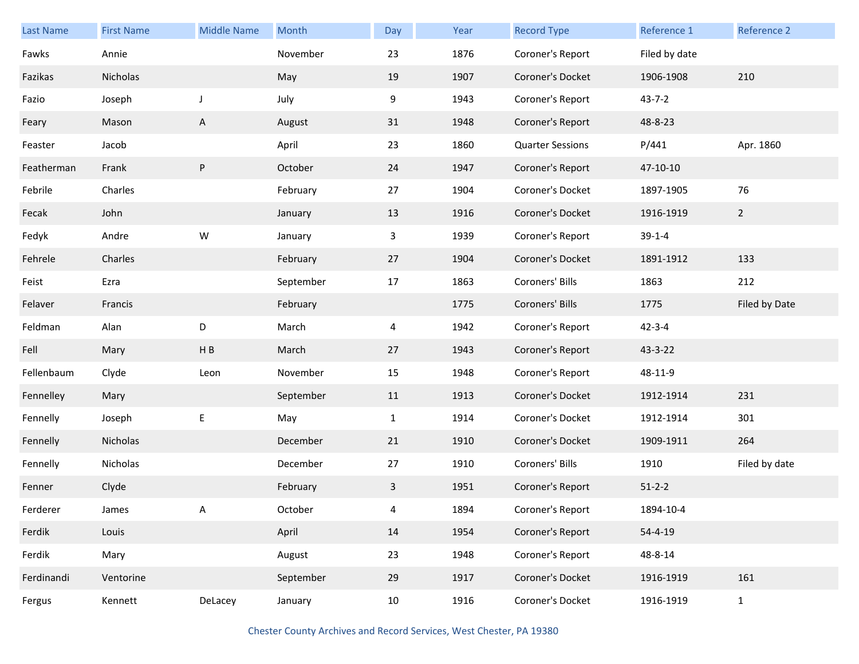| <b>Last Name</b> | <b>First Name</b> | <b>Middle Name</b> | Month     | Day          | Year | <b>Record Type</b>      | Reference 1   | Reference 2   |
|------------------|-------------------|--------------------|-----------|--------------|------|-------------------------|---------------|---------------|
| Fawks            | Annie             |                    | November  | 23           | 1876 | Coroner's Report        | Filed by date |               |
| Fazikas          | Nicholas          |                    | May       | 19           | 1907 | Coroner's Docket        | 1906-1908     | 210           |
| Fazio            | Joseph            | J                  | July      | 9            | 1943 | Coroner's Report        | $43 - 7 - 2$  |               |
| Feary            | Mason             | $\mathsf{A}$       | August    | 31           | 1948 | Coroner's Report        | 48-8-23       |               |
| Feaster          | Jacob             |                    | April     | 23           | 1860 | <b>Quarter Sessions</b> | P/441         | Apr. 1860     |
| Featherman       | Frank             | P                  | October   | 24           | 1947 | Coroner's Report        | 47-10-10      |               |
| Febrile          | Charles           |                    | February  | 27           | 1904 | Coroner's Docket        | 1897-1905     | 76            |
| Fecak            | John              |                    | January   | 13           | 1916 | Coroner's Docket        | 1916-1919     | $2^{\circ}$   |
| Fedyk            | Andre             | ${\sf W}$          | January   | $\mathbf{3}$ | 1939 | Coroner's Report        | $39-1-4$      |               |
| Fehrele          | Charles           |                    | February  | 27           | 1904 | Coroner's Docket        | 1891-1912     | 133           |
| Feist            | Ezra              |                    | September | 17           | 1863 | Coroners' Bills         | 1863          | 212           |
| Felaver          | Francis           |                    | February  |              | 1775 | Coroners' Bills         | 1775          | Filed by Date |
| Feldman          | Alan              | D                  | March     | 4            | 1942 | Coroner's Report        | $42 - 3 - 4$  |               |
| Fell             | Mary              | HB                 | March     | 27           | 1943 | Coroner's Report        | 43-3-22       |               |
| Fellenbaum       | Clyde             | Leon               | November  | 15           | 1948 | Coroner's Report        | 48-11-9       |               |
| Fennelley        | Mary              |                    | September | 11           | 1913 | Coroner's Docket        | 1912-1914     | 231           |
| Fennelly         | Joseph            | E                  | May       | $\mathbf{1}$ | 1914 | Coroner's Docket        | 1912-1914     | 301           |
| Fennelly         | Nicholas          |                    | December  | 21           | 1910 | Coroner's Docket        | 1909-1911     | 264           |
| Fennelly         | Nicholas          |                    | December  | 27           | 1910 | Coroners' Bills         | 1910          | Filed by date |
| Fenner           | Clyde             |                    | February  | 3            | 1951 | Coroner's Report        | $51 - 2 - 2$  |               |
| Ferderer         | James             | Α                  | October   | 4            | 1894 | Coroner's Report        | 1894-10-4     |               |
| Ferdik           | Louis             |                    | April     | 14           | 1954 | Coroner's Report        | $54 - 4 - 19$ |               |
| Ferdik           | Mary              |                    | August    | 23           | 1948 | Coroner's Report        | 48-8-14       |               |
| Ferdinandi       | Ventorine         |                    | September | 29           | 1917 | Coroner's Docket        | 1916-1919     | 161           |
| Fergus           | Kennett           | DeLacey            | January   | 10           | 1916 | Coroner's Docket        | 1916-1919     | $\mathbf{1}$  |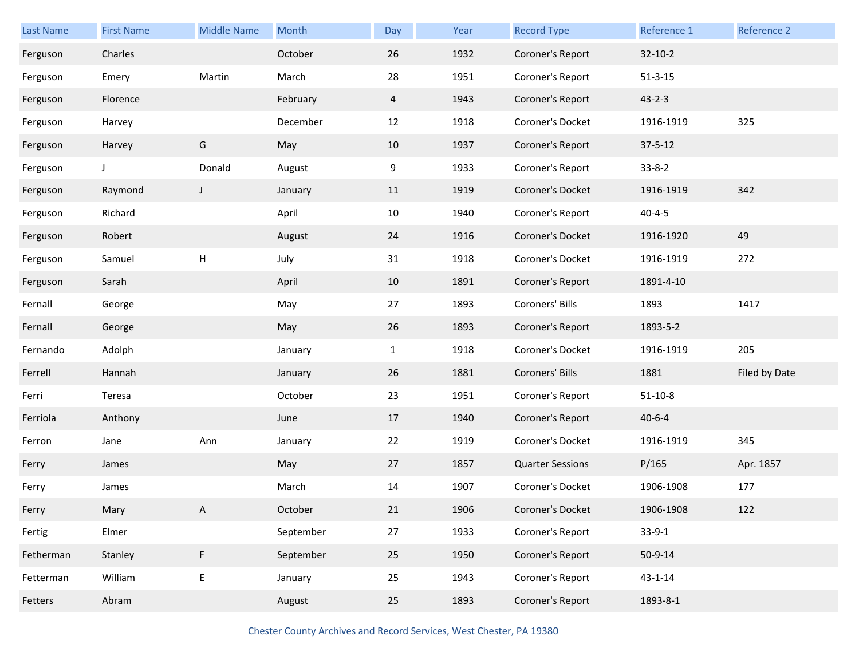| <b>Last Name</b> | <b>First Name</b> | <b>Middle Name</b> | Month     | Day            | Year | <b>Record Type</b>      | Reference 1   | Reference 2   |
|------------------|-------------------|--------------------|-----------|----------------|------|-------------------------|---------------|---------------|
| Ferguson         | Charles           |                    | October   | 26             | 1932 | Coroner's Report        | $32 - 10 - 2$ |               |
| Ferguson         | Emery             | Martin             | March     | 28             | 1951 | Coroner's Report        | $51 - 3 - 15$ |               |
| Ferguson         | Florence          |                    | February  | $\overline{4}$ | 1943 | Coroner's Report        | $43 - 2 - 3$  |               |
| Ferguson         | Harvey            |                    | December  | 12             | 1918 | Coroner's Docket        | 1916-1919     | 325           |
| Ferguson         | Harvey            | G                  | May       | 10             | 1937 | Coroner's Report        | $37 - 5 - 12$ |               |
| Ferguson         | J                 | Donald             | August    | 9              | 1933 | Coroner's Report        | $33 - 8 - 2$  |               |
| Ferguson         | Raymond           | J                  | January   | 11             | 1919 | Coroner's Docket        | 1916-1919     | 342           |
| Ferguson         | Richard           |                    | April     | 10             | 1940 | Coroner's Report        | $40 - 4 - 5$  |               |
| Ferguson         | Robert            |                    | August    | 24             | 1916 | Coroner's Docket        | 1916-1920     | 49            |
| Ferguson         | Samuel            | Н                  | July      | 31             | 1918 | Coroner's Docket        | 1916-1919     | 272           |
| Ferguson         | Sarah             |                    | April     | 10             | 1891 | Coroner's Report        | 1891-4-10     |               |
| Fernall          | George            |                    | May       | 27             | 1893 | Coroners' Bills         | 1893          | 1417          |
| Fernall          | George            |                    | May       | 26             | 1893 | Coroner's Report        | 1893-5-2      |               |
| Fernando         | Adolph            |                    | January   | $\mathbf{1}$   | 1918 | Coroner's Docket        | 1916-1919     | 205           |
| Ferrell          | Hannah            |                    | January   | 26             | 1881 | Coroners' Bills         | 1881          | Filed by Date |
| Ferri            | Teresa            |                    | October   | 23             | 1951 | Coroner's Report        | $51 - 10 - 8$ |               |
| Ferriola         | Anthony           |                    | June      | 17             | 1940 | Coroner's Report        | $40 - 6 - 4$  |               |
| Ferron           | Jane              | Ann                | January   | 22             | 1919 | Coroner's Docket        | 1916-1919     | 345           |
| Ferry            | James             |                    | May       | 27             | 1857 | <b>Quarter Sessions</b> | P/165         | Apr. 1857     |
| Ferry            | James             |                    | March     | 14             | 1907 | Coroner's Docket        | 1906-1908     | 177           |
| Ferry            | Mary              | A                  | October   | 21             | 1906 | Coroner's Docket        | 1906-1908     | 122           |
| Fertig           | Elmer             |                    | September | 27             | 1933 | Coroner's Report        | $33-9-1$      |               |
| Fetherman        | Stanley           | F                  | September | 25             | 1950 | Coroner's Report        | $50 - 9 - 14$ |               |
| Fetterman        | William           | E                  | January   | 25             | 1943 | Coroner's Report        | $43 - 1 - 14$ |               |
| Fetters          | Abram             |                    | August    | 25             | 1893 | Coroner's Report        | 1893-8-1      |               |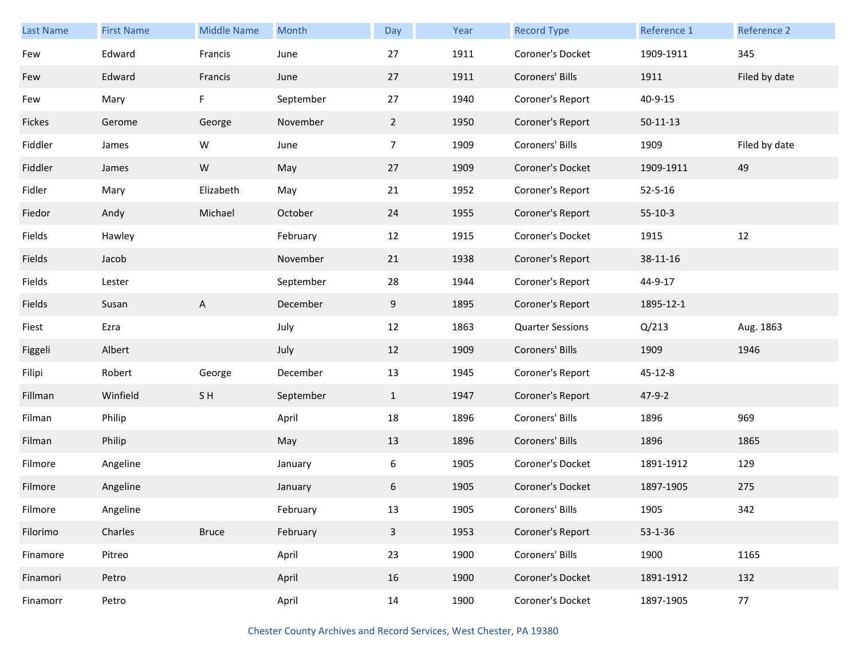| <b>Last Name</b> | <b>First Name</b> | <b>Middle Name</b> | Month     | Day            | Year | <b>Record Type</b>      | Reference 1   | Reference 2   |
|------------------|-------------------|--------------------|-----------|----------------|------|-------------------------|---------------|---------------|
| Few              | Edward            | Francis            | June      | 27             | 1911 | Coroner's Docket        | 1909-1911     | 345           |
| Few              | Edward            | Francis            | June      | 27             | 1911 | Coroners' Bills         | 1911          | Filed by date |
| Few              | Mary              | F                  | September | 27             | 1940 | Coroner's Report        | 40-9-15       |               |
| Fickes           | Gerome            | George             | November  | $\mathbf{2}$   | 1950 | Coroner's Report        | $50-11-13$    |               |
| Fiddler          | James             | W                  | June      | $\overline{7}$ | 1909 | Coroners' Bills         | 1909          | Filed by date |
| Fiddler          | James             | ${\sf W}$          | May       | 27             | 1909 | Coroner's Docket        | 1909-1911     | 49            |
| Fidler           | Mary              | Elizabeth          | May       | 21             | 1952 | Coroner's Report        | $52 - 5 - 16$ |               |
| Fiedor           | Andy              | Michael            | October   | 24             | 1955 | Coroner's Report        | $55-10-3$     |               |
| Fields           | Hawley            |                    | February  | 12             | 1915 | Coroner's Docket        | 1915          | 12            |
| Fields           | Jacob             |                    | November  | 21             | 1938 | Coroner's Report        | 38-11-16      |               |
| Fields           | Lester            |                    | September | 28             | 1944 | Coroner's Report        | 44-9-17       |               |
| Fields           | Susan             | A                  | December  | 9              | 1895 | Coroner's Report        | 1895-12-1     |               |
| Fiest            | Ezra              |                    | July      | 12             | 1863 | <b>Quarter Sessions</b> | Q/213         | Aug. 1863     |
| Figgeli          | Albert            |                    | July      | 12             | 1909 | Coroners' Bills         | 1909          | 1946          |
| Filipi           | Robert            | George             | December  | 13             | 1945 | Coroner's Report        | 45-12-8       |               |
| Fillman          | Winfield          | SH                 | September | $\mathbf{1}$   | 1947 | Coroner's Report        | $47 - 9 - 2$  |               |
| Filman           | Philip            |                    | April     | 18             | 1896 | Coroners' Bills         | 1896          | 969           |
| Filman           | Philip            |                    | May       | 13             | 1896 | Coroners' Bills         | 1896          | 1865          |
| Filmore          | Angeline          |                    | January   | 6              | 1905 | Coroner's Docket        | 1891-1912     | 129           |
| Filmore          | Angeline          |                    | January   | 6              | 1905 | Coroner's Docket        | 1897-1905     | 275           |
| Filmore          | Angeline          |                    | February  | 13             | 1905 | Coroners' Bills         | 1905          | 342           |
| Filorimo         | Charles           | <b>Bruce</b>       | February  | $\overline{3}$ | 1953 | Coroner's Report        | 53-1-36       |               |
| Finamore         | Pitreo            |                    | April     | 23             | 1900 | Coroners' Bills         | 1900          | 1165          |
| Finamori         | Petro             |                    | April     | 16             | 1900 | Coroner's Docket        | 1891-1912     | 132           |
| Finamorr         | Petro             |                    | April     | 14             | 1900 | Coroner's Docket        | 1897-1905     | 77            |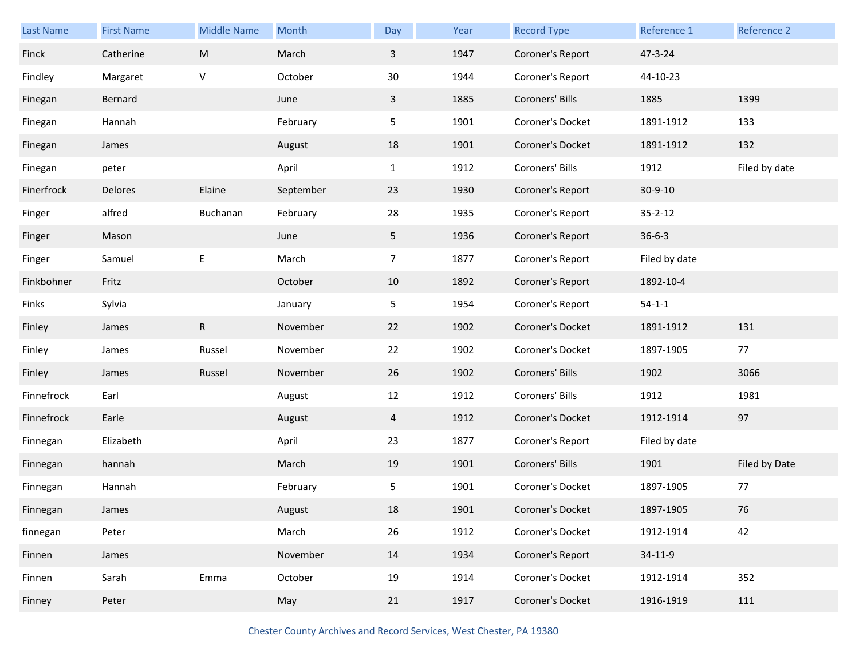| Last Name  | <b>First Name</b> | <b>Middle Name</b> | Month     | Day            | Year | <b>Record Type</b> | Reference 1   | Reference 2   |
|------------|-------------------|--------------------|-----------|----------------|------|--------------------|---------------|---------------|
| Finck      | Catherine         | M                  | March     | $\mathbf{3}$   | 1947 | Coroner's Report   | 47-3-24       |               |
| Findley    | Margaret          | V                  | October   | 30             | 1944 | Coroner's Report   | 44-10-23      |               |
| Finegan    | Bernard           |                    | June      | $\mathbf{3}$   | 1885 | Coroners' Bills    | 1885          | 1399          |
| Finegan    | Hannah            |                    | February  | 5              | 1901 | Coroner's Docket   | 1891-1912     | 133           |
| Finegan    | James             |                    | August    | 18             | 1901 | Coroner's Docket   | 1891-1912     | 132           |
| Finegan    | peter             |                    | April     | $\mathbf{1}$   | 1912 | Coroners' Bills    | 1912          | Filed by date |
| Finerfrock | Delores           | Elaine             | September | 23             | 1930 | Coroner's Report   | $30 - 9 - 10$ |               |
| Finger     | alfred            | Buchanan           | February  | 28             | 1935 | Coroner's Report   | $35 - 2 - 12$ |               |
| Finger     | Mason             |                    | June      | 5 <sub>1</sub> | 1936 | Coroner's Report   | $36 - 6 - 3$  |               |
| Finger     | Samuel            | E                  | March     | $\overline{7}$ | 1877 | Coroner's Report   | Filed by date |               |
| Finkbohner | Fritz             |                    | October   | 10             | 1892 | Coroner's Report   | 1892-10-4     |               |
| Finks      | Sylvia            |                    | January   | 5              | 1954 | Coroner's Report   | $54 - 1 - 1$  |               |
| Finley     | James             | $\mathsf{R}$       | November  | 22             | 1902 | Coroner's Docket   | 1891-1912     | 131           |
| Finley     | James             | Russel             | November  | 22             | 1902 | Coroner's Docket   | 1897-1905     | 77            |
| Finley     | James             | Russel             | November  | 26             | 1902 | Coroners' Bills    | 1902          | 3066          |
| Finnefrock | Earl              |                    | August    | 12             | 1912 | Coroners' Bills    | 1912          | 1981          |
| Finnefrock | Earle             |                    | August    | 4              | 1912 | Coroner's Docket   | 1912-1914     | 97            |
| Finnegan   | Elizabeth         |                    | April     | 23             | 1877 | Coroner's Report   | Filed by date |               |
| Finnegan   | hannah            |                    | March     | 19             | 1901 | Coroners' Bills    | 1901          | Filed by Date |
| Finnegan   | Hannah            |                    | February  | 5              | 1901 | Coroner's Docket   | 1897-1905     | 77            |
| Finnegan   | James             |                    | August    | 18             | 1901 | Coroner's Docket   | 1897-1905     | 76            |
| finnegan   | Peter             |                    | March     | 26             | 1912 | Coroner's Docket   | 1912-1914     | 42            |
| Finnen     | James             |                    | November  | 14             | 1934 | Coroner's Report   | 34-11-9       |               |
| Finnen     | Sarah             | Emma               | October   | 19             | 1914 | Coroner's Docket   | 1912-1914     | 352           |
| Finney     | Peter             |                    | May       | 21             | 1917 | Coroner's Docket   | 1916-1919     | 111           |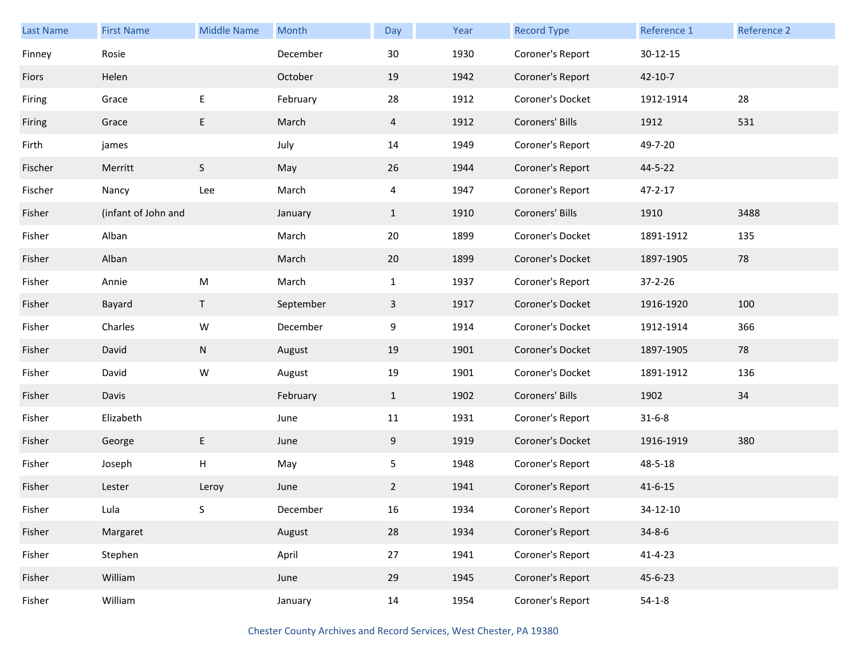| <b>Last Name</b> | <b>First Name</b>   | <b>Middle Name</b> | Month     | Day          | Year | <b>Record Type</b> | Reference 1    | <b>Reference 2</b> |
|------------------|---------------------|--------------------|-----------|--------------|------|--------------------|----------------|--------------------|
| Finney           | Rosie               |                    | December  | 30           | 1930 | Coroner's Report   | $30 - 12 - 15$ |                    |
| Fiors            | Helen               |                    | October   | 19           | 1942 | Coroner's Report   | $42 - 10 - 7$  |                    |
| Firing           | Grace               | E                  | February  | 28           | 1912 | Coroner's Docket   | 1912-1914      | 28                 |
| Firing           | Grace               | E                  | March     | 4            | 1912 | Coroners' Bills    | 1912           | 531                |
| Firth            | james               |                    | July      | 14           | 1949 | Coroner's Report   | 49-7-20        |                    |
| Fischer          | Merritt             | $\mathsf S$        | May       | 26           | 1944 | Coroner's Report   | 44-5-22        |                    |
| Fischer          | Nancy               | Lee                | March     | 4            | 1947 | Coroner's Report   | $47 - 2 - 17$  |                    |
| Fisher           | (infant of John and |                    | January   | $\mathbf{1}$ | 1910 | Coroners' Bills    | 1910           | 3488               |
| Fisher           | Alban               |                    | March     | 20           | 1899 | Coroner's Docket   | 1891-1912      | 135                |
| Fisher           | Alban               |                    | March     | 20           | 1899 | Coroner's Docket   | 1897-1905      | 78                 |
| Fisher           | Annie               | ${\sf M}$          | March     | $\mathbf{1}$ | 1937 | Coroner's Report   | $37 - 2 - 26$  |                    |
| Fisher           | Bayard              | $\mathsf{T}$       | September | 3            | 1917 | Coroner's Docket   | 1916-1920      | 100                |
| Fisher           | Charles             | W                  | December  | 9            | 1914 | Coroner's Docket   | 1912-1914      | 366                |
| Fisher           | David               | ${\sf N}$          | August    | 19           | 1901 | Coroner's Docket   | 1897-1905      | 78                 |
| Fisher           | David               | W                  | August    | 19           | 1901 | Coroner's Docket   | 1891-1912      | 136                |
| Fisher           | Davis               |                    | February  | $\mathbf{1}$ | 1902 | Coroners' Bills    | 1902           | 34                 |
| Fisher           | Elizabeth           |                    | June      | 11           | 1931 | Coroner's Report   | $31 - 6 - 8$   |                    |
| Fisher           | George              | E                  | June      | 9            | 1919 | Coroner's Docket   | 1916-1919      | 380                |
| Fisher           | Joseph              | Н                  | May       | 5            | 1948 | Coroner's Report   | 48-5-18        |                    |
| Fisher           | Lester              | Leroy              | June      | $\mathbf{2}$ | 1941 | Coroner's Report   | $41 - 6 - 15$  |                    |
| Fisher           | Lula                | S                  | December  | $16\,$       | 1934 | Coroner's Report   | 34-12-10       |                    |
| Fisher           | Margaret            |                    | August    | 28           | 1934 | Coroner's Report   | $34 - 8 - 6$   |                    |
| Fisher           | Stephen             |                    | April     | 27           | 1941 | Coroner's Report   | $41 - 4 - 23$  |                    |
| Fisher           | William             |                    | June      | 29           | 1945 | Coroner's Report   | 45-6-23        |                    |
| Fisher           | William             |                    | January   | 14           | 1954 | Coroner's Report   | $54-1-8$       |                    |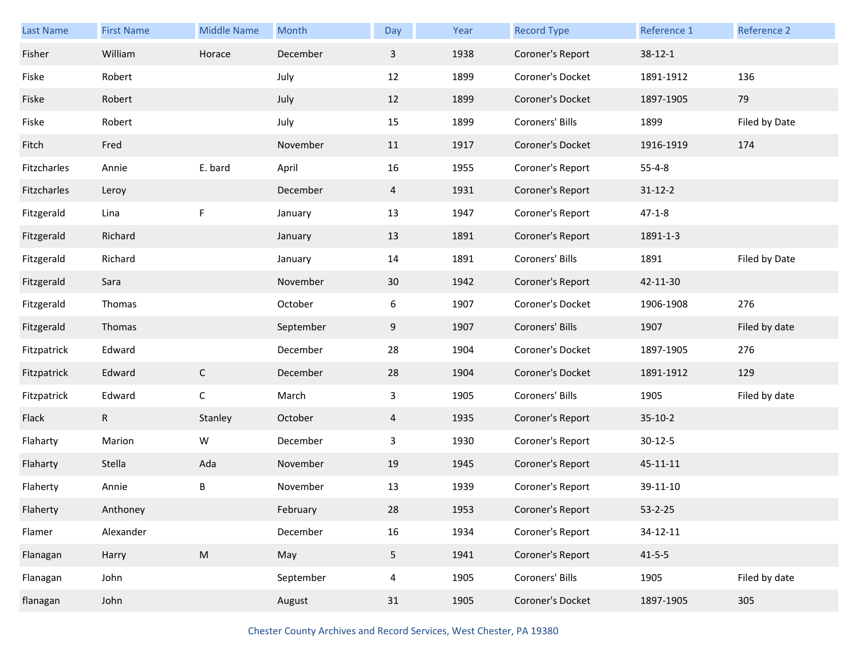| Last Name   | <b>First Name</b> | <b>Middle Name</b>                                                                                         | Month     | Day            | Year | <b>Record Type</b> | Reference 1    | Reference 2   |
|-------------|-------------------|------------------------------------------------------------------------------------------------------------|-----------|----------------|------|--------------------|----------------|---------------|
| Fisher      | William           | Horace                                                                                                     | December  | 3              | 1938 | Coroner's Report   | $38-12-1$      |               |
| Fiske       | Robert            |                                                                                                            | July      | 12             | 1899 | Coroner's Docket   | 1891-1912      | 136           |
| Fiske       | Robert            |                                                                                                            | July      | 12             | 1899 | Coroner's Docket   | 1897-1905      | 79            |
| Fiske       | Robert            |                                                                                                            | July      | 15             | 1899 | Coroners' Bills    | 1899           | Filed by Date |
| Fitch       | Fred              |                                                                                                            | November  | 11             | 1917 | Coroner's Docket   | 1916-1919      | 174           |
| Fitzcharles | Annie             | E. bard                                                                                                    | April     | 16             | 1955 | Coroner's Report   | $55 - 4 - 8$   |               |
| Fitzcharles | Leroy             |                                                                                                            | December  | $\overline{4}$ | 1931 | Coroner's Report   | $31 - 12 - 2$  |               |
| Fitzgerald  | Lina              | F                                                                                                          | January   | 13             | 1947 | Coroner's Report   | $47 - 1 - 8$   |               |
| Fitzgerald  | Richard           |                                                                                                            | January   | 13             | 1891 | Coroner's Report   | 1891-1-3       |               |
| Fitzgerald  | Richard           |                                                                                                            | January   | 14             | 1891 | Coroners' Bills    | 1891           | Filed by Date |
| Fitzgerald  | Sara              |                                                                                                            | November  | 30             | 1942 | Coroner's Report   | 42-11-30       |               |
| Fitzgerald  | Thomas            |                                                                                                            | October   | 6              | 1907 | Coroner's Docket   | 1906-1908      | 276           |
| Fitzgerald  | Thomas            |                                                                                                            | September | 9              | 1907 | Coroners' Bills    | 1907           | Filed by date |
| Fitzpatrick | Edward            |                                                                                                            | December  | 28             | 1904 | Coroner's Docket   | 1897-1905      | 276           |
| Fitzpatrick | Edward            | $\mathsf{C}$                                                                                               | December  | 28             | 1904 | Coroner's Docket   | 1891-1912      | 129           |
| Fitzpatrick | Edward            | $\mathsf C$                                                                                                | March     | 3              | 1905 | Coroners' Bills    | 1905           | Filed by date |
| Flack       | R.                | Stanley                                                                                                    | October   | $\overline{4}$ | 1935 | Coroner's Report   | $35-10-2$      |               |
| Flaharty    | Marion            | W                                                                                                          | December  | 3              | 1930 | Coroner's Report   | $30 - 12 - 5$  |               |
| Flaharty    | Stella            | Ada                                                                                                        | November  | 19             | 1945 | Coroner's Report   | $45 - 11 - 11$ |               |
| Flaherty    | Annie             | В                                                                                                          | November  | 13             | 1939 | Coroner's Report   | 39-11-10       |               |
| Flaherty    | Anthoney          |                                                                                                            | February  | 28             | 1953 | Coroner's Report   | $53 - 2 - 25$  |               |
| Flamer      | Alexander         |                                                                                                            | December  | 16             | 1934 | Coroner's Report   | 34-12-11       |               |
| Flanagan    | Harry             | $\mathsf{M}% _{T}=\mathsf{M}_{T}\!\left( a,b\right) ,\ \mathsf{M}_{T}=\mathsf{M}_{T}\!\left( a,b\right) ,$ | May       | 5 <sub>1</sub> | 1941 | Coroner's Report   | $41 - 5 - 5$   |               |
| Flanagan    | John              |                                                                                                            | September | $\overline{4}$ | 1905 | Coroners' Bills    | 1905           | Filed by date |
| flanagan    | John              |                                                                                                            | August    | 31             | 1905 | Coroner's Docket   | 1897-1905      | 305           |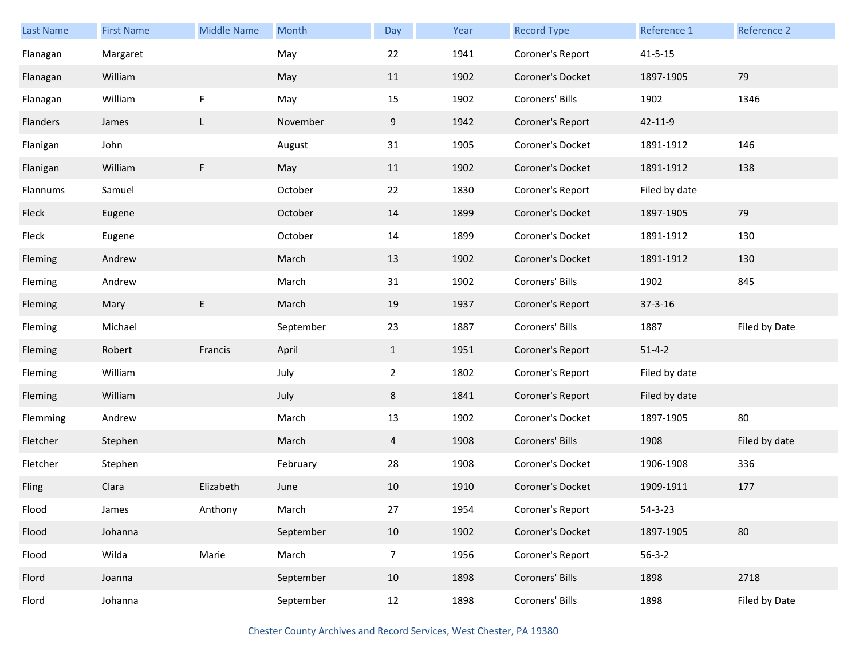| Last Name | <b>First Name</b> | <b>Middle Name</b> | Month     | Day            | Year | <b>Record Type</b> | Reference 1   | Reference 2   |
|-----------|-------------------|--------------------|-----------|----------------|------|--------------------|---------------|---------------|
| Flanagan  | Margaret          |                    | May       | 22             | 1941 | Coroner's Report   | $41 - 5 - 15$ |               |
| Flanagan  | William           |                    | May       | 11             | 1902 | Coroner's Docket   | 1897-1905     | 79            |
| Flanagan  | William           | F                  | May       | 15             | 1902 | Coroners' Bills    | 1902          | 1346          |
| Flanders  | James             | L                  | November  | 9              | 1942 | Coroner's Report   | 42-11-9       |               |
| Flanigan  | John              |                    | August    | 31             | 1905 | Coroner's Docket   | 1891-1912     | 146           |
| Flanigan  | William           | F                  | May       | 11             | 1902 | Coroner's Docket   | 1891-1912     | 138           |
| Flannums  | Samuel            |                    | October   | 22             | 1830 | Coroner's Report   | Filed by date |               |
| Fleck     | Eugene            |                    | October   | 14             | 1899 | Coroner's Docket   | 1897-1905     | 79            |
| Fleck     | Eugene            |                    | October   | 14             | 1899 | Coroner's Docket   | 1891-1912     | 130           |
| Fleming   | Andrew            |                    | March     | 13             | 1902 | Coroner's Docket   | 1891-1912     | 130           |
| Fleming   | Andrew            |                    | March     | 31             | 1902 | Coroners' Bills    | 1902          | 845           |
| Fleming   | Mary              | Е                  | March     | 19             | 1937 | Coroner's Report   | $37 - 3 - 16$ |               |
| Fleming   | Michael           |                    | September | 23             | 1887 | Coroners' Bills    | 1887          | Filed by Date |
| Fleming   | Robert            | Francis            | April     | $\mathbf{1}$   | 1951 | Coroner's Report   | $51 - 4 - 2$  |               |
| Fleming   | William           |                    | July      | $\overline{2}$ | 1802 | Coroner's Report   | Filed by date |               |
| Fleming   | William           |                    | July      | 8              | 1841 | Coroner's Report   | Filed by date |               |
| Flemming  | Andrew            |                    | March     | 13             | 1902 | Coroner's Docket   | 1897-1905     | 80            |
| Fletcher  | Stephen           |                    | March     | 4              | 1908 | Coroners' Bills    | 1908          | Filed by date |
| Fletcher  | Stephen           |                    | February  | 28             | 1908 | Coroner's Docket   | 1906-1908     | 336           |
| Fling     | Clara             | Elizabeth          | June      | 10             | 1910 | Coroner's Docket   | 1909-1911     | 177           |
| Flood     | James             | Anthony            | March     | 27             | 1954 | Coroner's Report   | $54 - 3 - 23$ |               |
| Flood     | Johanna           |                    | September | 10             | 1902 | Coroner's Docket   | 1897-1905     | 80            |
| Flood     | Wilda             | Marie              | March     | $\overline{7}$ | 1956 | Coroner's Report   | $56 - 3 - 2$  |               |
| Flord     | Joanna            |                    | September | 10             | 1898 | Coroners' Bills    | 1898          | 2718          |
| Flord     | Johanna           |                    | September | 12             | 1898 | Coroners' Bills    | 1898          | Filed by Date |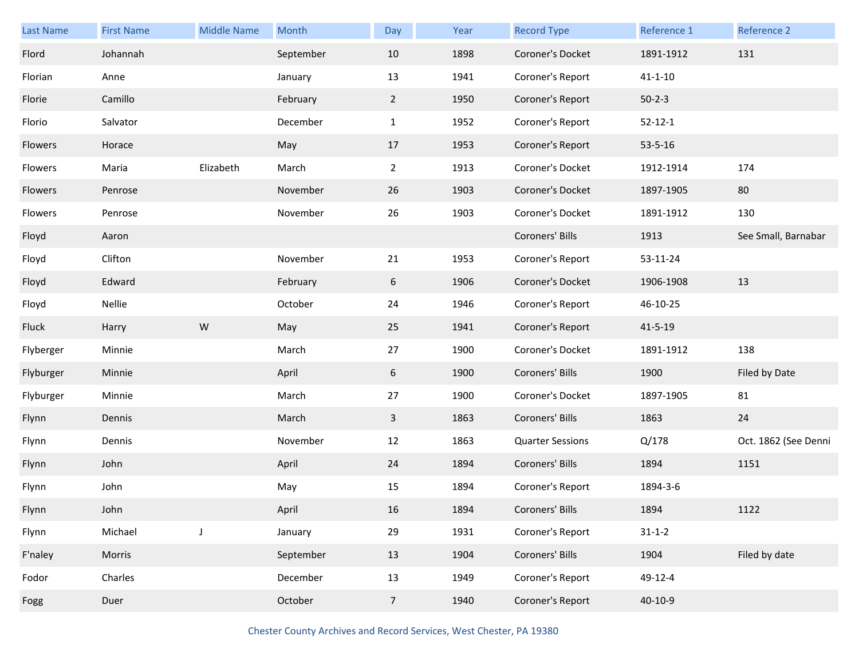| Last Name | <b>First Name</b> | <b>Middle Name</b> | Month     | Day            | Year | <b>Record Type</b>      | Reference 1   | Reference 2          |
|-----------|-------------------|--------------------|-----------|----------------|------|-------------------------|---------------|----------------------|
| Flord     | Johannah          |                    | September | 10             | 1898 | Coroner's Docket        | 1891-1912     | 131                  |
| Florian   | Anne              |                    | January   | 13             | 1941 | Coroner's Report        | $41 - 1 - 10$ |                      |
| Florie    | Camillo           |                    | February  | $\overline{2}$ | 1950 | Coroner's Report        | $50 - 2 - 3$  |                      |
| Florio    | Salvator          |                    | December  | $\mathbf{1}$   | 1952 | Coroner's Report        | $52 - 12 - 1$ |                      |
| Flowers   | Horace            |                    | May       | 17             | 1953 | Coroner's Report        | $53 - 5 - 16$ |                      |
| Flowers   | Maria             | Elizabeth          | March     | $\overline{2}$ | 1913 | Coroner's Docket        | 1912-1914     | 174                  |
| Flowers   | Penrose           |                    | November  | 26             | 1903 | Coroner's Docket        | 1897-1905     | 80                   |
| Flowers   | Penrose           |                    | November  | 26             | 1903 | Coroner's Docket        | 1891-1912     | 130                  |
| Floyd     | Aaron             |                    |           |                |      | Coroners' Bills         | 1913          | See Small, Barnabar  |
| Floyd     | Clifton           |                    | November  | 21             | 1953 | Coroner's Report        | 53-11-24      |                      |
| Floyd     | Edward            |                    | February  | 6              | 1906 | Coroner's Docket        | 1906-1908     | 13                   |
| Floyd     | Nellie            |                    | October   | 24             | 1946 | Coroner's Report        | 46-10-25      |                      |
| Fluck     | Harry             | W                  | May       | 25             | 1941 | Coroner's Report        | $41 - 5 - 19$ |                      |
| Flyberger | Minnie            |                    | March     | 27             | 1900 | Coroner's Docket        | 1891-1912     | 138                  |
| Flyburger | Minnie            |                    | April     | 6              | 1900 | Coroners' Bills         | 1900          | Filed by Date        |
| Flyburger | Minnie            |                    | March     | 27             | 1900 | Coroner's Docket        | 1897-1905     | 81                   |
| Flynn     | Dennis            |                    | March     | $\mathbf{3}$   | 1863 | Coroners' Bills         | 1863          | 24                   |
| Flynn     | Dennis            |                    | November  | 12             | 1863 | <b>Quarter Sessions</b> | Q/178         | Oct. 1862 (See Denni |
| Flynn     | John              |                    | April     | 24             | 1894 | Coroners' Bills         | 1894          | 1151                 |
| Flynn     | John              |                    | May       | 15             | 1894 | Coroner's Report        | 1894-3-6      |                      |
| Flynn     | John              |                    | April     | 16             | 1894 | Coroners' Bills         | 1894          | 1122                 |
| Flynn     | Michael           | J                  | January   | 29             | 1931 | Coroner's Report        | $31 - 1 - 2$  |                      |
| F'naley   | Morris            |                    | September | 13             | 1904 | Coroners' Bills         | 1904          | Filed by date        |
| Fodor     | Charles           |                    | December  | 13             | 1949 | Coroner's Report        | 49-12-4       |                      |
| Fogg      |                   |                    |           |                |      |                         |               |                      |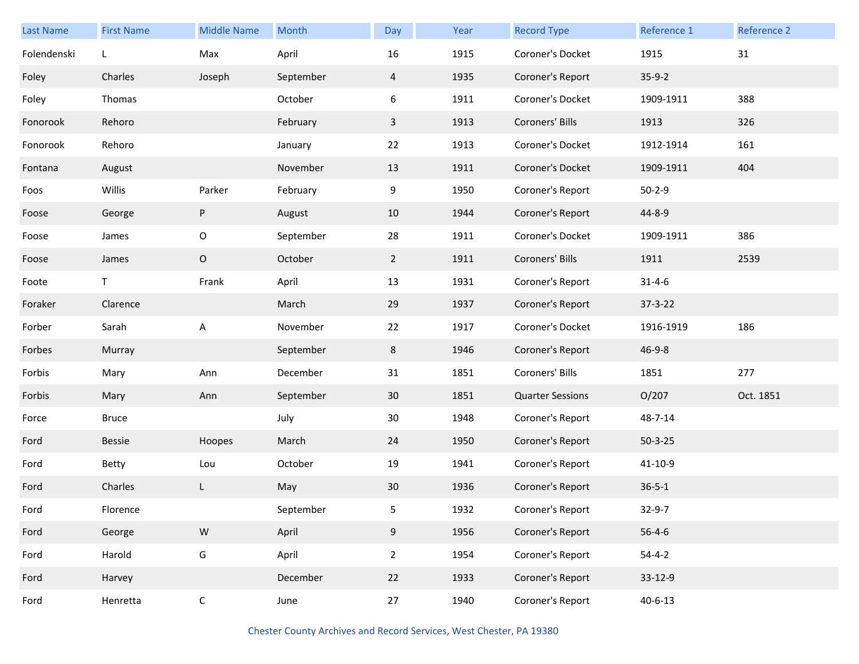| <b>Last Name</b> | <b>First Name</b> | <b>Middle Name</b> | Month     | Day            | Year | <b>Record Type</b>      | Reference 1   | <b>Reference 2</b> |
|------------------|-------------------|--------------------|-----------|----------------|------|-------------------------|---------------|--------------------|
| Folendenski      | L                 | Max                | April     | 16             | 1915 | Coroner's Docket        | 1915          | 31                 |
| Foley            | Charles           | Joseph             | September | $\overline{4}$ | 1935 | Coroner's Report        | $35-9-2$      |                    |
| Foley            | Thomas            |                    | October   | 6              | 1911 | Coroner's Docket        | 1909-1911     | 388                |
| Fonorook         | Rehoro            |                    | February  | 3              | 1913 | Coroners' Bills         | 1913          | 326                |
| Fonorook         | Rehoro            |                    | January   | 22             | 1913 | Coroner's Docket        | 1912-1914     | 161                |
| Fontana          | August            |                    | November  | 13             | 1911 | Coroner's Docket        | 1909-1911     | 404                |
| Foos             | Willis            | Parker             | February  | 9              | 1950 | Coroner's Report        | $50 - 2 - 9$  |                    |
| Foose            | George            | P                  | August    | 10             | 1944 | Coroner's Report        | 44-8-9        |                    |
| Foose            | James             | $\mathsf O$        | September | 28             | 1911 | Coroner's Docket        | 1909-1911     | 386                |
| Foose            | James             | $\mathsf O$        | October   | $\overline{2}$ | 1911 | Coroners' Bills         | 1911          | 2539               |
| Foote            | Τ                 | Frank              | April     | 13             | 1931 | Coroner's Report        | $31 - 4 - 6$  |                    |
| Foraker          | Clarence          |                    | March     | 29             | 1937 | Coroner's Report        | $37 - 3 - 22$ |                    |
| Forber           | Sarah             | A                  | November  | 22             | 1917 | Coroner's Docket        | 1916-1919     | 186                |
| Forbes           | Murray            |                    | September | 8              | 1946 | Coroner's Report        | $46 - 9 - 8$  |                    |
| Forbis           | Mary              | Ann                | December  | 31             | 1851 | Coroners' Bills         | 1851          | 277                |
| Forbis           | Mary              | Ann                | September | 30             | 1851 | <b>Quarter Sessions</b> | O/207         | Oct. 1851          |
| Force            | <b>Bruce</b>      |                    | July      | 30             | 1948 | Coroner's Report        | 48-7-14       |                    |
| Ford             | <b>Bessie</b>     | Hoopes             | March     | 24             | 1950 | Coroner's Report        | $50 - 3 - 25$ |                    |
| Ford             | Betty             | Lou                | October   | 19             | 1941 | Coroner's Report        | 41-10-9       |                    |
| Ford             | Charles           | L                  | May       | 30             | 1936 | Coroner's Report        | $36 - 5 - 1$  |                    |
| Ford             | Florence          |                    | September | 5              | 1932 | Coroner's Report        | 32-9-7        |                    |
| Ford             | George            | ${\sf W}$          | April     | 9              | 1956 | Coroner's Report        | $56 - 4 - 6$  |                    |
| Ford             | Harold            | G                  | April     | $\overline{2}$ | 1954 | Coroner's Report        | $54 - 4 - 2$  |                    |
| Ford             | Harvey            |                    | December  | 22             | 1933 | Coroner's Report        | 33-12-9       |                    |
| Ford             | Henretta          | $\mathsf C$        | June      | 27             | 1940 | Coroner's Report        | $40 - 6 - 13$ |                    |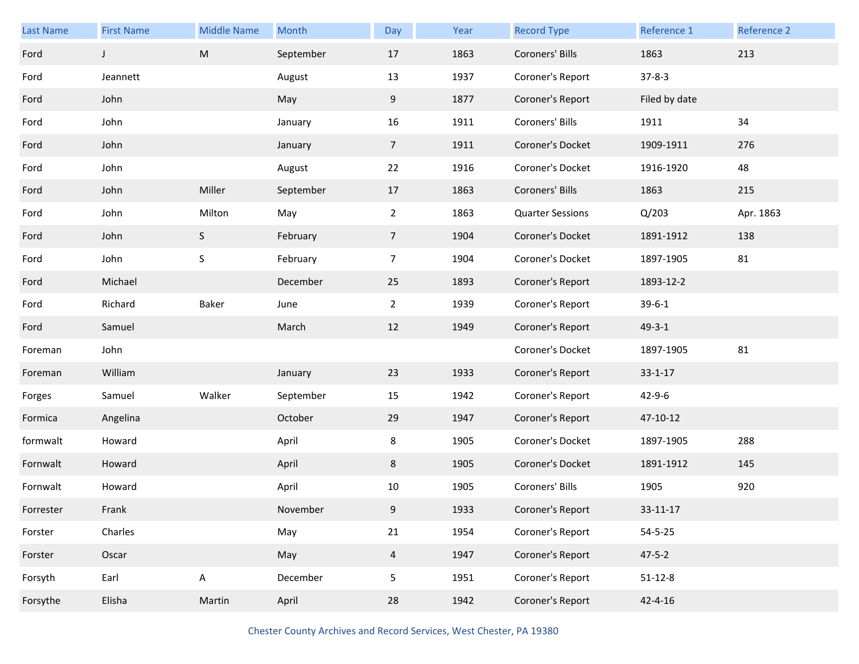| Last Name | <b>First Name</b> | <b>Middle Name</b> | Month     | Day            | Year | <b>Record Type</b>      | Reference 1   | Reference 2 |
|-----------|-------------------|--------------------|-----------|----------------|------|-------------------------|---------------|-------------|
| Ford      | J                 | ${\sf M}$          | September | 17             | 1863 | Coroners' Bills         | 1863          | 213         |
| Ford      | Jeannett          |                    | August    | 13             | 1937 | Coroner's Report        | $37 - 8 - 3$  |             |
| Ford      | John              |                    | May       | 9              | 1877 | Coroner's Report        | Filed by date |             |
| Ford      | John              |                    | January   | 16             | 1911 | Coroners' Bills         | 1911          | 34          |
| Ford      | John              |                    | January   | 7 <sup>7</sup> | 1911 | Coroner's Docket        | 1909-1911     | 276         |
| Ford      | John              |                    | August    | 22             | 1916 | Coroner's Docket        | 1916-1920     | 48          |
| Ford      | John              | Miller             | September | 17             | 1863 | Coroners' Bills         | 1863          | 215         |
| Ford      | John              | Milton             | May       | $\overline{2}$ | 1863 | <b>Quarter Sessions</b> | Q/203         | Apr. 1863   |
| Ford      | John              | S                  | February  | 7 <sup>7</sup> | 1904 | Coroner's Docket        | 1891-1912     | 138         |
| Ford      | John              | S                  | February  | $\overline{7}$ | 1904 | Coroner's Docket        | 1897-1905     | 81          |
| Ford      | Michael           |                    | December  | 25             | 1893 | Coroner's Report        | 1893-12-2     |             |
| Ford      | Richard           | Baker              | June      | $\overline{2}$ | 1939 | Coroner's Report        | $39 - 6 - 1$  |             |
| Ford      | Samuel            |                    | March     | 12             | 1949 | Coroner's Report        | $49 - 3 - 1$  |             |
| Foreman   | John              |                    |           |                |      | Coroner's Docket        | 1897-1905     | 81          |
| Foreman   | William           |                    | January   | 23             | 1933 | Coroner's Report        | $33 - 1 - 17$ |             |
| Forges    | Samuel            | Walker             | September | 15             | 1942 | Coroner's Report        | $42 - 9 - 6$  |             |
| Formica   | Angelina          |                    | October   | 29             | 1947 | Coroner's Report        | 47-10-12      |             |
| formwalt  | Howard            |                    | April     | 8              | 1905 | Coroner's Docket        | 1897-1905     | 288         |
| Fornwalt  | Howard            |                    | April     | 8              | 1905 | Coroner's Docket        | 1891-1912     | 145         |
| Fornwalt  | Howard            |                    | April     | 10             | 1905 | Coroners' Bills         | 1905          | 920         |
| Forrester | Frank             |                    | November  | 9              | 1933 | Coroner's Report        | 33-11-17      |             |
| Forster   | Charles           |                    | May       | 21             | 1954 | Coroner's Report        | $54 - 5 - 25$ |             |
| Forster   | Oscar             |                    | May       | $\overline{4}$ | 1947 | Coroner's Report        | $47 - 5 - 2$  |             |
| Forsyth   | Earl              | A                  | December  | 5              | 1951 | Coroner's Report        | $51 - 12 - 8$ |             |
| Forsythe  | Elisha            | Martin             | April     | 28             | 1942 | Coroner's Report        | $42 - 4 - 16$ |             |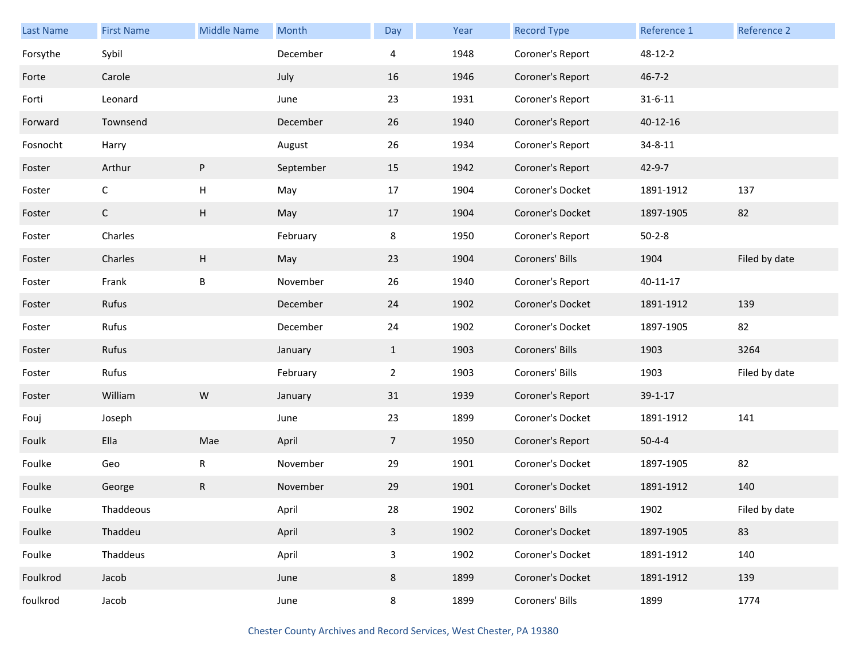| Last Name | <b>First Name</b> | <b>Middle Name</b> | Month     | Day                     | Year | <b>Record Type</b> | Reference 1    | Reference 2   |
|-----------|-------------------|--------------------|-----------|-------------------------|------|--------------------|----------------|---------------|
| Forsythe  | Sybil             |                    | December  | 4                       | 1948 | Coroner's Report   | 48-12-2        |               |
| Forte     | Carole            |                    | July      | 16                      | 1946 | Coroner's Report   | $46 - 7 - 2$   |               |
| Forti     | Leonard           |                    | June      | 23                      | 1931 | Coroner's Report   | $31 - 6 - 11$  |               |
| Forward   | Townsend          |                    | December  | 26                      | 1940 | Coroner's Report   | $40 - 12 - 16$ |               |
| Fosnocht  | Harry             |                    | August    | 26                      | 1934 | Coroner's Report   | $34 - 8 - 11$  |               |
| Foster    | Arthur            | P                  | September | 15                      | 1942 | Coroner's Report   | 42-9-7         |               |
| Foster    | $\mathsf{C}$      | н                  | May       | 17                      | 1904 | Coroner's Docket   | 1891-1912      | 137           |
| Foster    | $\mathsf{C}$      | H                  | May       | 17                      | 1904 | Coroner's Docket   | 1897-1905      | 82            |
| Foster    | Charles           |                    | February  | 8                       | 1950 | Coroner's Report   | $50 - 2 - 8$   |               |
| Foster    | Charles           | H                  | May       | 23                      | 1904 | Coroners' Bills    | 1904           | Filed by date |
| Foster    | Frank             | B                  | November  | 26                      | 1940 | Coroner's Report   | $40 - 11 - 17$ |               |
| Foster    | Rufus             |                    | December  | 24                      | 1902 | Coroner's Docket   | 1891-1912      | 139           |
| Foster    | Rufus             |                    | December  | 24                      | 1902 | Coroner's Docket   | 1897-1905      | 82            |
| Foster    | Rufus             |                    | January   | $\mathbf{1}$            | 1903 | Coroners' Bills    | 1903           | 3264          |
| Foster    | Rufus             |                    | February  | $\overline{2}$          | 1903 | Coroners' Bills    | 1903           | Filed by date |
| Foster    | William           | W                  | January   | 31                      | 1939 | Coroner's Report   | $39 - 1 - 17$  |               |
| Fouj      | Joseph            |                    | June      | 23                      | 1899 | Coroner's Docket   | 1891-1912      | 141           |
| Foulk     | Ella              | Mae                | April     | $\overline{7}$          | 1950 | Coroner's Report   | $50 - 4 - 4$   |               |
| Foulke    | Geo               | R                  | November  | 29                      | 1901 | Coroner's Docket   | 1897-1905      | 82            |
| Foulke    | George            | R                  | November  | 29                      | 1901 | Coroner's Docket   | 1891-1912      | 140           |
| Foulke    | Thaddeous         |                    | April     | 28                      | 1902 | Coroners' Bills    | 1902           | Filed by date |
| Foulke    | Thaddeu           |                    | April     | $\overline{\mathbf{3}}$ | 1902 | Coroner's Docket   | 1897-1905      | 83            |
| Foulke    | Thaddeus          |                    | April     | 3                       | 1902 | Coroner's Docket   | 1891-1912      | 140           |
| Foulkrod  | Jacob             |                    | June      | 8                       | 1899 | Coroner's Docket   | 1891-1912      | 139           |
| foulkrod  | Jacob             |                    | June      | 8                       | 1899 | Coroners' Bills    | 1899           | 1774          |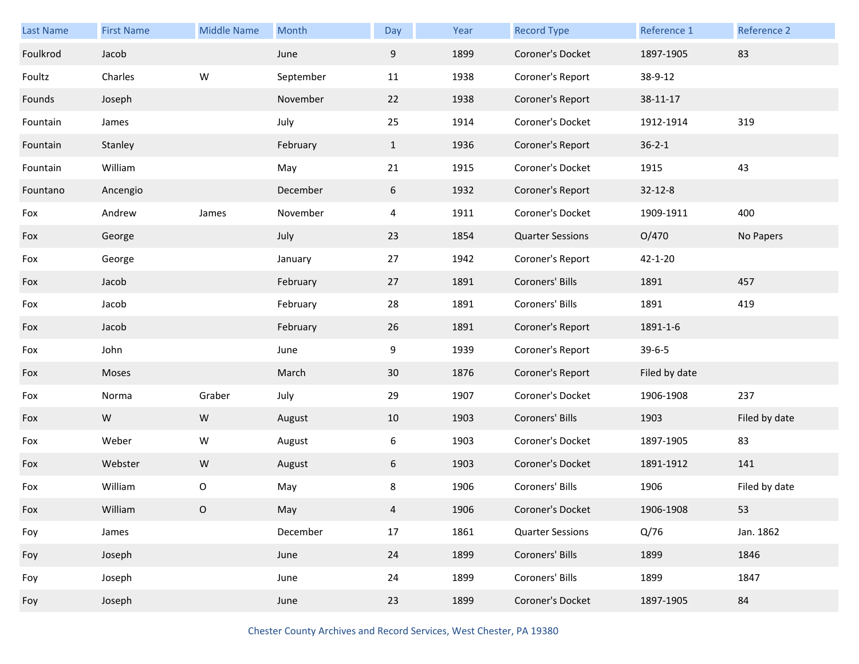| <b>Last Name</b> | <b>First Name</b> | <b>Middle Name</b> | Month     | Day             | Year | <b>Record Type</b>      | Reference 1   | Reference 2   |
|------------------|-------------------|--------------------|-----------|-----------------|------|-------------------------|---------------|---------------|
| Foulkrod         | Jacob             |                    | June      | 9               | 1899 | Coroner's Docket        | 1897-1905     | 83            |
| Foultz           | Charles           | W                  | September | 11              | 1938 | Coroner's Report        | 38-9-12       |               |
| Founds           | Joseph            |                    | November  | 22              | 1938 | Coroner's Report        | 38-11-17      |               |
| Fountain         | James             |                    | July      | 25              | 1914 | Coroner's Docket        | 1912-1914     | 319           |
| Fountain         | Stanley           |                    | February  | $\mathbf{1}$    | 1936 | Coroner's Report        | $36 - 2 - 1$  |               |
| Fountain         | William           |                    | May       | 21              | 1915 | Coroner's Docket        | 1915          | 43            |
| Fountano         | Ancengio          |                    | December  | 6               | 1932 | Coroner's Report        | $32 - 12 - 8$ |               |
| Fox              | Andrew            | James              | November  | 4               | 1911 | Coroner's Docket        | 1909-1911     | 400           |
| Fox              | George            |                    | July      | 23              | 1854 | <b>Quarter Sessions</b> | O/470         | No Papers     |
| Fox              | George            |                    | January   | 27              | 1942 | Coroner's Report        | $42 - 1 - 20$ |               |
| Fox              | Jacob             |                    | February  | 27              | 1891 | Coroners' Bills         | 1891          | 457           |
| Fox              | Jacob             |                    | February  | 28              | 1891 | Coroners' Bills         | 1891          | 419           |
| Fox              | Jacob             |                    | February  | 26              | 1891 | Coroner's Report        | 1891-1-6      |               |
| Fox              | John              |                    | June      | 9               | 1939 | Coroner's Report        | $39 - 6 - 5$  |               |
| Fox              | Moses             |                    | March     | 30 <sup>°</sup> | 1876 | Coroner's Report        | Filed by date |               |
| Fox              | Norma             | Graber             | July      | 29              | 1907 | Coroner's Docket        | 1906-1908     | 237           |
| Fox              | W                 | ${\sf W}$          | August    | 10              | 1903 | Coroners' Bills         | 1903          | Filed by date |
| Fox              | Weber             | W                  | August    | 6               | 1903 | Coroner's Docket        | 1897-1905     | 83            |
| Fox              | Webster           | ${\sf W}$          | August    | 6               | 1903 | Coroner's Docket        | 1891-1912     | 141           |
| Fox              | William           | O                  | May       | 8               | 1906 | Coroners' Bills         | 1906          | Filed by date |
| Fox              | William           | O                  | May       | 4               | 1906 | Coroner's Docket        | 1906-1908     | 53            |
| Foy              | James             |                    | December  | $17\,$          | 1861 | <b>Quarter Sessions</b> | Q/76          | Jan. 1862     |
| Foy              | Joseph            |                    | June      | 24              | 1899 | Coroners' Bills         | 1899          | 1846          |
| Foy              | Joseph            |                    | June      | 24              | 1899 | Coroners' Bills         | 1899          | 1847          |
| Foy              | Joseph            |                    | June      | 23              | 1899 | Coroner's Docket        | 1897-1905     | 84            |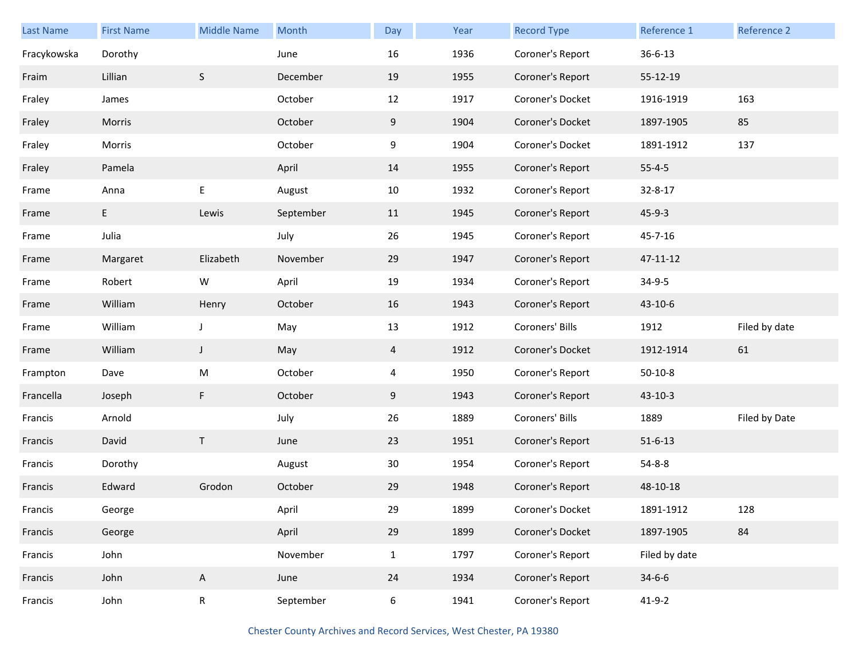| Last Name   | <b>First Name</b> | <b>Middle Name</b> | Month     | Day            | Year | <b>Record Type</b> | Reference 1   | Reference 2   |
|-------------|-------------------|--------------------|-----------|----------------|------|--------------------|---------------|---------------|
| Fracykowska | Dorothy           |                    | June      | 16             | 1936 | Coroner's Report   | $36 - 6 - 13$ |               |
| Fraim       | Lillian           | $\sf S$            | December  | 19             | 1955 | Coroner's Report   | 55-12-19      |               |
| Fraley      | James             |                    | October   | 12             | 1917 | Coroner's Docket   | 1916-1919     | 163           |
| Fraley      | Morris            |                    | October   | 9              | 1904 | Coroner's Docket   | 1897-1905     | 85            |
| Fraley      | Morris            |                    | October   | 9              | 1904 | Coroner's Docket   | 1891-1912     | 137           |
| Fraley      | Pamela            |                    | April     | 14             | 1955 | Coroner's Report   | $55 - 4 - 5$  |               |
| Frame       | Anna              | E                  | August    | 10             | 1932 | Coroner's Report   | 32-8-17       |               |
| Frame       | $E_{\perp}$       | Lewis              | September | 11             | 1945 | Coroner's Report   | $45 - 9 - 3$  |               |
| Frame       | Julia             |                    | July      | 26             | 1945 | Coroner's Report   | 45-7-16       |               |
| Frame       | Margaret          | Elizabeth          | November  | 29             | 1947 | Coroner's Report   | 47-11-12      |               |
| Frame       | Robert            | W                  | April     | 19             | 1934 | Coroner's Report   | 34-9-5        |               |
| Frame       | William           | Henry              | October   | 16             | 1943 | Coroner's Report   | 43-10-6       |               |
| Frame       | William           | J                  | May       | 13             | 1912 | Coroners' Bills    | 1912          | Filed by date |
| Frame       | William           | J                  | May       | $\overline{4}$ | 1912 | Coroner's Docket   | 1912-1914     | 61            |
| Frampton    | Dave              | M                  | October   | 4              | 1950 | Coroner's Report   | $50-10-8$     |               |
| Francella   | Joseph            | F                  | October   | 9              | 1943 | Coroner's Report   | $43 - 10 - 3$ |               |
| Francis     | Arnold            |                    | July      | 26             | 1889 | Coroners' Bills    | 1889          | Filed by Date |
| Francis     | David             | Τ                  | June      | 23             | 1951 | Coroner's Report   | $51 - 6 - 13$ |               |
| Francis     | Dorothy           |                    | August    | 30             | 1954 | Coroner's Report   | $54 - 8 - 8$  |               |
| Francis     | Edward            | Grodon             | October   | 29             | 1948 | Coroner's Report   | 48-10-18      |               |
| Francis     | George            |                    | April     | 29             | 1899 | Coroner's Docket   | 1891-1912     | 128           |
| Francis     | George            |                    | April     | 29             | 1899 | Coroner's Docket   | 1897-1905     | 84            |
| Francis     | John              |                    | November  | $\mathbf{1}$   | 1797 | Coroner's Report   | Filed by date |               |
| Francis     | John              | $\mathsf{A}$       | June      | 24             | 1934 | Coroner's Report   | $34 - 6 - 6$  |               |
| Francis     | John              | $\mathsf R$        | September | 6              | 1941 | Coroner's Report   | $41 - 9 - 2$  |               |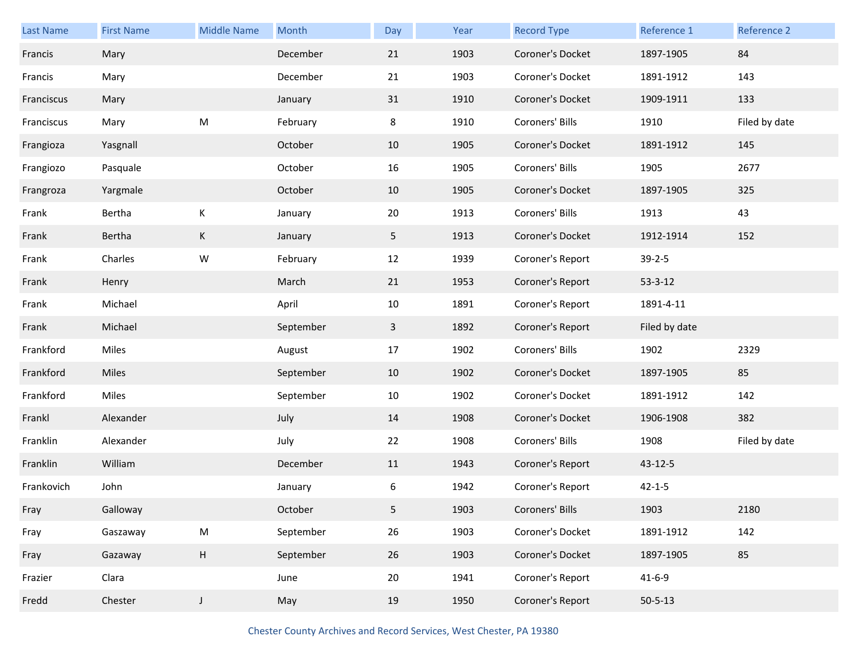| Last Name  | <b>First Name</b> | <b>Middle Name</b> | Month     | Day            | Year | <b>Record Type</b> | Reference 1   | Reference 2   |
|------------|-------------------|--------------------|-----------|----------------|------|--------------------|---------------|---------------|
| Francis    | Mary              |                    | December  | 21             | 1903 | Coroner's Docket   | 1897-1905     | 84            |
| Francis    | Mary              |                    | December  | 21             | 1903 | Coroner's Docket   | 1891-1912     | 143           |
| Franciscus | Mary              |                    | January   | 31             | 1910 | Coroner's Docket   | 1909-1911     | 133           |
| Franciscus | Mary              | Μ                  | February  | 8              | 1910 | Coroners' Bills    | 1910          | Filed by date |
| Frangioza  | Yasgnall          |                    | October   | 10             | 1905 | Coroner's Docket   | 1891-1912     | 145           |
| Frangiozo  | Pasquale          |                    | October   | 16             | 1905 | Coroners' Bills    | 1905          | 2677          |
| Frangroza  | Yargmale          |                    | October   | 10             | 1905 | Coroner's Docket   | 1897-1905     | 325           |
| Frank      | Bertha            | К                  | January   | 20             | 1913 | Coroners' Bills    | 1913          | 43            |
| Frank      | Bertha            | K                  | January   | 5 <sub>1</sub> | 1913 | Coroner's Docket   | 1912-1914     | 152           |
| Frank      | Charles           | W                  | February  | 12             | 1939 | Coroner's Report   | $39 - 2 - 5$  |               |
| Frank      | Henry             |                    | March     | 21             | 1953 | Coroner's Report   | $53 - 3 - 12$ |               |
| Frank      | Michael           |                    | April     | 10             | 1891 | Coroner's Report   | 1891-4-11     |               |
| Frank      | Michael           |                    | September | $\mathbf{3}$   | 1892 | Coroner's Report   | Filed by date |               |
| Frankford  | Miles             |                    | August    | 17             | 1902 | Coroners' Bills    | 1902          | 2329          |
| Frankford  | Miles             |                    | September | 10             | 1902 | Coroner's Docket   | 1897-1905     | 85            |
| Frankford  | Miles             |                    | September | 10             | 1902 | Coroner's Docket   | 1891-1912     | 142           |
| Frankl     | Alexander         |                    | July      | 14             | 1908 | Coroner's Docket   | 1906-1908     | 382           |
| Franklin   | Alexander         |                    | July      | 22             | 1908 | Coroners' Bills    | 1908          | Filed by date |
| Franklin   | William           |                    | December  | 11             | 1943 | Coroner's Report   | 43-12-5       |               |
| Frankovich | John              |                    | January   | 6              | 1942 | Coroner's Report   | $42 - 1 - 5$  |               |
| Fray       | Galloway          |                    | October   | 5              | 1903 | Coroners' Bills    | 1903          | 2180          |
| Fray       | Gaszaway          | ${\sf M}$          | September | 26             | 1903 | Coroner's Docket   | 1891-1912     | 142           |
| Fray       | Gazaway           | H                  | September | 26             | 1903 | Coroner's Docket   | 1897-1905     | 85            |
| Frazier    | Clara             |                    | June      | 20             | 1941 | Coroner's Report   | $41 - 6 - 9$  |               |
| Fredd      | Chester           | $\mathsf J$        | May       | 19             | 1950 | Coroner's Report   | $50 - 5 - 13$ |               |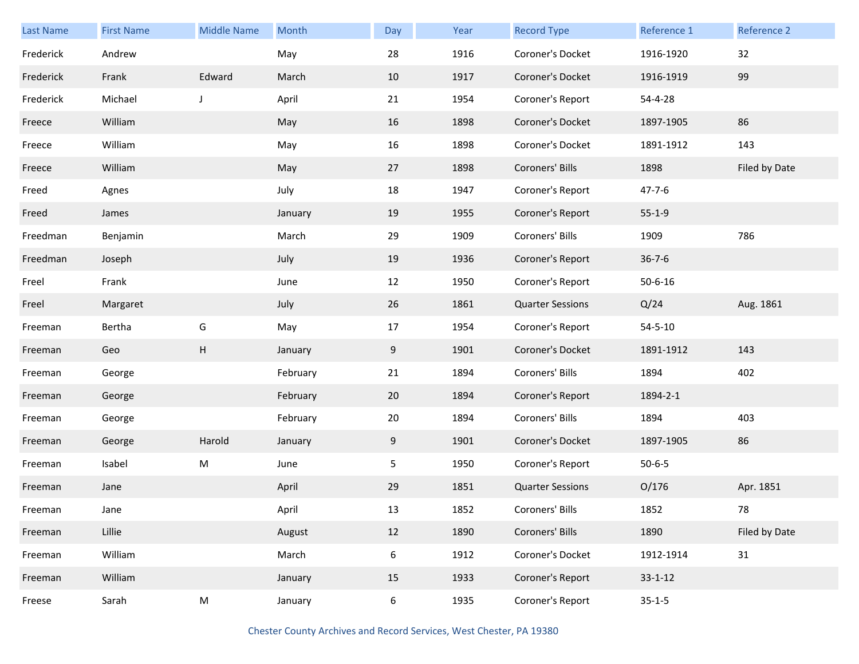| Last Name | <b>First Name</b> | <b>Middle Name</b>        | Month    | Day | Year | <b>Record Type</b>      | Reference 1   | Reference 2   |
|-----------|-------------------|---------------------------|----------|-----|------|-------------------------|---------------|---------------|
| Frederick | Andrew            |                           | May      | 28  | 1916 | Coroner's Docket        | 1916-1920     | 32            |
| Frederick | Frank             | Edward                    | March    | 10  | 1917 | Coroner's Docket        | 1916-1919     | 99            |
| Frederick | Michael           | $\mathsf{J}$              | April    | 21  | 1954 | Coroner's Report        | 54-4-28       |               |
| Freece    | William           |                           | May      | 16  | 1898 | Coroner's Docket        | 1897-1905     | 86            |
| Freece    | William           |                           | May      | 16  | 1898 | Coroner's Docket        | 1891-1912     | 143           |
| Freece    | William           |                           | May      | 27  | 1898 | Coroners' Bills         | 1898          | Filed by Date |
| Freed     | Agnes             |                           | July     | 18  | 1947 | Coroner's Report        | $47 - 7 - 6$  |               |
| Freed     | James             |                           | January  | 19  | 1955 | Coroner's Report        | $55 - 1 - 9$  |               |
| Freedman  | Benjamin          |                           | March    | 29  | 1909 | Coroners' Bills         | 1909          | 786           |
| Freedman  | Joseph            |                           | July     | 19  | 1936 | Coroner's Report        | $36 - 7 - 6$  |               |
| Freel     | Frank             |                           | June     | 12  | 1950 | Coroner's Report        | $50 - 6 - 16$ |               |
| Freel     | Margaret          |                           | July     | 26  | 1861 | <b>Quarter Sessions</b> | Q/24          | Aug. 1861     |
| Freeman   | Bertha            | G                         | May      | 17  | 1954 | Coroner's Report        | $54 - 5 - 10$ |               |
| Freeman   | Geo               | $\boldsymbol{\mathsf{H}}$ | January  | 9   | 1901 | Coroner's Docket        | 1891-1912     | 143           |
| Freeman   | George            |                           | February | 21  | 1894 | Coroners' Bills         | 1894          | 402           |
| Freeman   | George            |                           | February | 20  | 1894 | Coroner's Report        | 1894-2-1      |               |
| Freeman   | George            |                           | February | 20  | 1894 | Coroners' Bills         | 1894          | 403           |
| Freeman   | George            | Harold                    | January  | 9   | 1901 | Coroner's Docket        | 1897-1905     | 86            |
| Freeman   | Isabel            | ${\sf M}$                 | June     | 5   | 1950 | Coroner's Report        | $50 - 6 - 5$  |               |
| Freeman   | Jane              |                           | April    | 29  | 1851 | <b>Quarter Sessions</b> | O/176         | Apr. 1851     |
| Freeman   | Jane              |                           | April    | 13  | 1852 | Coroners' Bills         | 1852          | 78            |
| Freeman   | Lillie            |                           | August   | 12  | 1890 | Coroners' Bills         | 1890          | Filed by Date |
| Freeman   | William           |                           | March    | 6   | 1912 | Coroner's Docket        | 1912-1914     | 31            |
| Freeman   | William           |                           | January  | 15  | 1933 | Coroner's Report        | $33 - 1 - 12$ |               |
| Freese    | Sarah             | ${\sf M}$                 | January  | 6   | 1935 | Coroner's Report        | $35 - 1 - 5$  |               |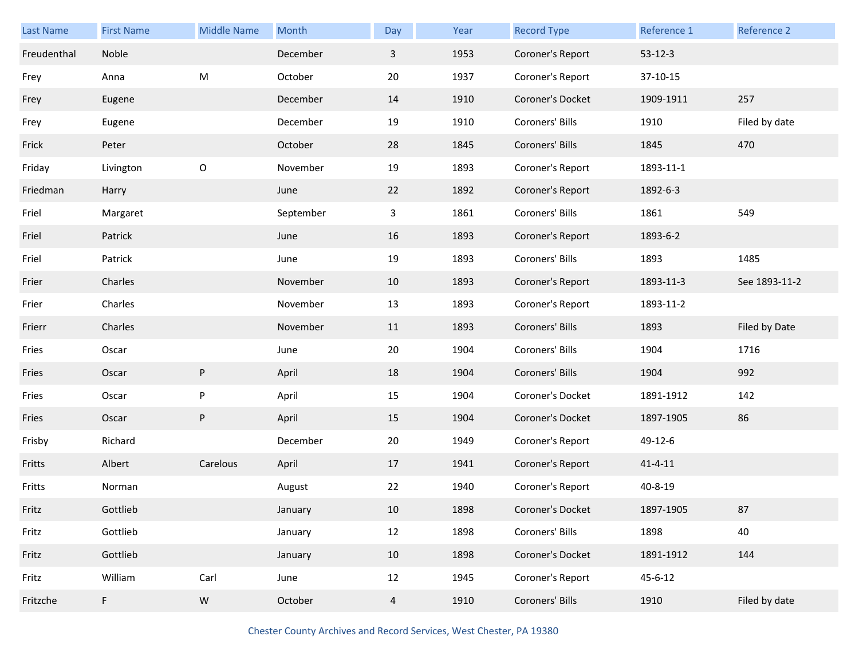| <b>Last Name</b> | <b>First Name</b> | <b>Middle Name</b> | Month     | Day | Year | <b>Record Type</b> | Reference 1   | Reference 2   |
|------------------|-------------------|--------------------|-----------|-----|------|--------------------|---------------|---------------|
| Freudenthal      | Noble             |                    | December  | 3   | 1953 | Coroner's Report   | $53 - 12 - 3$ |               |
| Frey             | Anna              | M                  | October   | 20  | 1937 | Coroner's Report   | 37-10-15      |               |
| Frey             | Eugene            |                    | December  | 14  | 1910 | Coroner's Docket   | 1909-1911     | 257           |
| Frey             | Eugene            |                    | December  | 19  | 1910 | Coroners' Bills    | 1910          | Filed by date |
| Frick            | Peter             |                    | October   | 28  | 1845 | Coroners' Bills    | 1845          | 470           |
| Friday           | Livington         | $\circ$            | November  | 19  | 1893 | Coroner's Report   | 1893-11-1     |               |
| Friedman         | Harry             |                    | June      | 22  | 1892 | Coroner's Report   | 1892-6-3      |               |
| Friel            | Margaret          |                    | September | 3   | 1861 | Coroners' Bills    | 1861          | 549           |
| Friel            | Patrick           |                    | June      | 16  | 1893 | Coroner's Report   | 1893-6-2      |               |
| Friel            | Patrick           |                    | June      | 19  | 1893 | Coroners' Bills    | 1893          | 1485          |
| Frier            | Charles           |                    | November  | 10  | 1893 | Coroner's Report   | 1893-11-3     | See 1893-11-2 |
| Frier            | Charles           |                    | November  | 13  | 1893 | Coroner's Report   | 1893-11-2     |               |
|                  |                   |                    |           |     |      |                    |               |               |
| Frierr           | Charles           |                    | November  | 11  | 1893 | Coroners' Bills    | 1893          | Filed by Date |
| Fries            | Oscar             |                    | June      | 20  | 1904 | Coroners' Bills    | 1904          | 1716          |
| Fries            | Oscar             | ${\sf P}$          | April     | 18  | 1904 | Coroners' Bills    | 1904          | 992           |
| Fries            | Oscar             | P                  | April     | 15  | 1904 | Coroner's Docket   | 1891-1912     | 142           |
| Fries            | Oscar             | $\sf P$            | April     | 15  | 1904 | Coroner's Docket   | 1897-1905     | 86            |
| Frisby           | Richard           |                    | December  | 20  | 1949 | Coroner's Report   | 49-12-6       |               |
| Fritts           | Albert            | Carelous           | April     | 17  | 1941 | Coroner's Report   | $41 - 4 - 11$ |               |
| Fritts           | Norman            |                    | August    | 22  | 1940 | Coroner's Report   | 40-8-19       |               |
| Fritz            | Gottlieb          |                    | January   | 10  | 1898 | Coroner's Docket   | 1897-1905     | 87            |
| Fritz            | Gottlieb          |                    | January   | 12  | 1898 | Coroners' Bills    | 1898          | 40            |
| Fritz            | Gottlieb          |                    | January   | 10  | 1898 | Coroner's Docket   | 1891-1912     | 144           |
| Fritz            | William           | Carl               | June      | 12  | 1945 | Coroner's Report   | $45 - 6 - 12$ |               |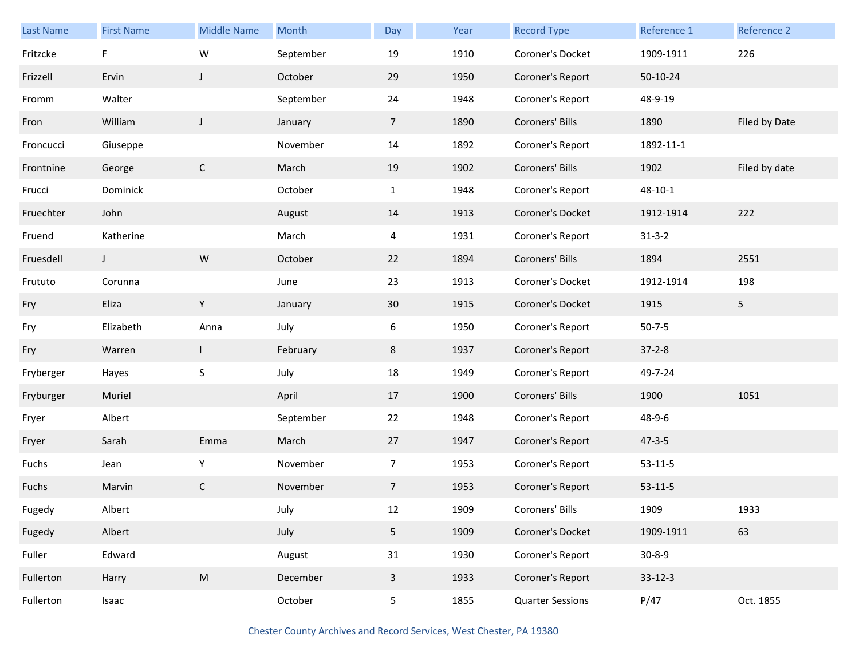| Last Name | <b>First Name</b> | <b>Middle Name</b>                                                                                         | Month     | Day            | Year | <b>Record Type</b>      | Reference 1   | Reference 2    |
|-----------|-------------------|------------------------------------------------------------------------------------------------------------|-----------|----------------|------|-------------------------|---------------|----------------|
| Fritzcke  | F                 | W                                                                                                          | September | 19             | 1910 | Coroner's Docket        | 1909-1911     | 226            |
| Frizzell  | Ervin             | $\mathsf{J}$                                                                                               | October   | 29             | 1950 | Coroner's Report        | 50-10-24      |                |
| Fromm     | Walter            |                                                                                                            | September | 24             | 1948 | Coroner's Report        | 48-9-19       |                |
| Fron      | William           | J                                                                                                          | January   | $\overline{7}$ | 1890 | Coroners' Bills         | 1890          | Filed by Date  |
| Froncucci | Giuseppe          |                                                                                                            | November  | 14             | 1892 | Coroner's Report        | 1892-11-1     |                |
| Frontnine | George            | $\mathsf{C}$                                                                                               | March     | 19             | 1902 | Coroners' Bills         | 1902          | Filed by date  |
| Frucci    | Dominick          |                                                                                                            | October   | $\mathbf{1}$   | 1948 | Coroner's Report        | 48-10-1       |                |
| Fruechter | John              |                                                                                                            | August    | 14             | 1913 | Coroner's Docket        | 1912-1914     | 222            |
| Fruend    | Katherine         |                                                                                                            | March     | 4              | 1931 | Coroner's Report        | $31 - 3 - 2$  |                |
| Fruesdell | J                 | ${\sf W}$                                                                                                  | October   | 22             | 1894 | Coroners' Bills         | 1894          | 2551           |
| Frututo   | Corunna           |                                                                                                            | June      | 23             | 1913 | Coroner's Docket        | 1912-1914     | 198            |
| Fry       | Eliza             | Y                                                                                                          | January   | 30             | 1915 | Coroner's Docket        | 1915          | 5 <sub>1</sub> |
| Fry       | Elizabeth         | Anna                                                                                                       | July      | 6              | 1950 | Coroner's Report        | $50 - 7 - 5$  |                |
| Fry       | Warren            | $\mathbf{I}$                                                                                               | February  | $8\phantom{1}$ | 1937 | Coroner's Report        | $37 - 2 - 8$  |                |
| Fryberger | Hayes             | $\mathsf S$                                                                                                | July      | 18             | 1949 | Coroner's Report        | 49-7-24       |                |
| Fryburger | Muriel            |                                                                                                            | April     | 17             | 1900 | Coroners' Bills         | 1900          | 1051           |
| Fryer     | Albert            |                                                                                                            | September | 22             | 1948 | Coroner's Report        | 48-9-6        |                |
| Fryer     | Sarah             | Emma                                                                                                       | March     | 27             | 1947 | Coroner's Report        | $47 - 3 - 5$  |                |
| Fuchs     | Jean              | Υ                                                                                                          | November  | $\overline{7}$ | 1953 | Coroner's Report        | $53 - 11 - 5$ |                |
| Fuchs     | Marvin            | $\mathsf{C}$                                                                                               | November  | 7 <sup>1</sup> | 1953 | Coroner's Report        | $53 - 11 - 5$ |                |
| Fugedy    | Albert            |                                                                                                            | July      | 12             | 1909 | Coroners' Bills         | 1909          | 1933           |
| Fugedy    | Albert            |                                                                                                            | July      | 5 <sub>1</sub> | 1909 | Coroner's Docket        | 1909-1911     | 63             |
| Fuller    | Edward            |                                                                                                            | August    | 31             | 1930 | Coroner's Report        | $30 - 8 - 9$  |                |
| Fullerton | Harry             | $\mathsf{M}% _{T}=\mathsf{M}_{T}\!\left( a,b\right) ,\ \mathsf{M}_{T}=\mathsf{M}_{T}\!\left( a,b\right) ,$ | December  | $\mathbf{3}$   | 1933 | Coroner's Report        | $33 - 12 - 3$ |                |
| Fullerton | Isaac             |                                                                                                            | October   | 5 <sub>5</sub> | 1855 | <b>Quarter Sessions</b> | P/47          | Oct. 1855      |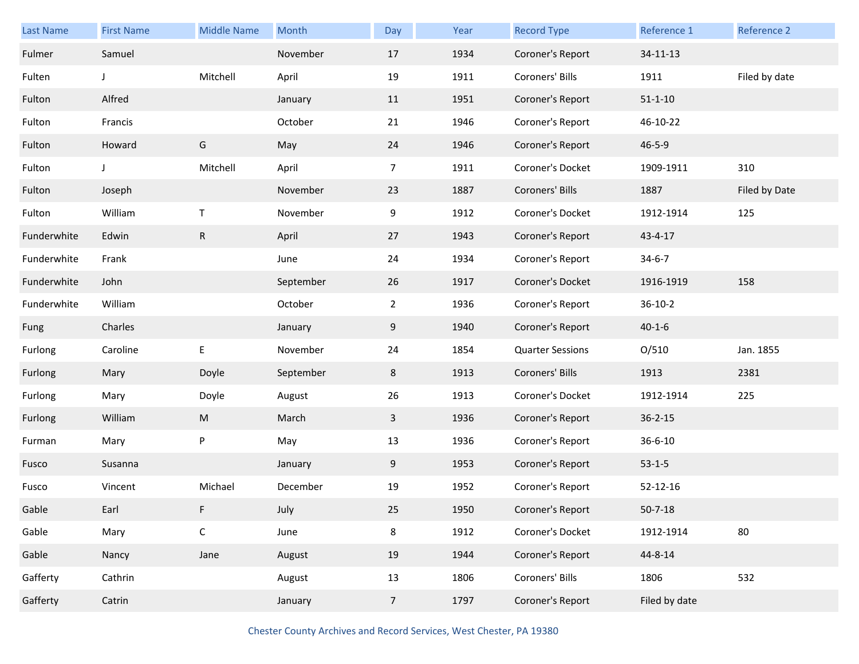| Last Name   | <b>First Name</b> | <b>Middle Name</b>                                                                                         | Month     | Day             | Year | <b>Record Type</b>      | Reference 1   | Reference 2   |
|-------------|-------------------|------------------------------------------------------------------------------------------------------------|-----------|-----------------|------|-------------------------|---------------|---------------|
| Fulmer      | Samuel            |                                                                                                            | November  | 17              | 1934 | Coroner's Report        | 34-11-13      |               |
| Fulten      | J                 | Mitchell                                                                                                   | April     | 19              | 1911 | Coroners' Bills         | 1911          | Filed by date |
| Fulton      | Alfred            |                                                                                                            | January   | 11              | 1951 | Coroner's Report        | $51 - 1 - 10$ |               |
| Fulton      | Francis           |                                                                                                            | October   | 21              | 1946 | Coroner's Report        | 46-10-22      |               |
| Fulton      | Howard            | G                                                                                                          | May       | 24              | 1946 | Coroner's Report        | $46 - 5 - 9$  |               |
| Fulton      | J                 | Mitchell                                                                                                   | April     | $\overline{7}$  | 1911 | Coroner's Docket        | 1909-1911     | 310           |
| Fulton      | Joseph            |                                                                                                            | November  | 23              | 1887 | Coroners' Bills         | 1887          | Filed by Date |
| Fulton      | William           | T                                                                                                          | November  | 9               | 1912 | Coroner's Docket        | 1912-1914     | 125           |
| Funderwhite | Edwin             | $\mathsf R$                                                                                                | April     | 27              | 1943 | Coroner's Report        | 43-4-17       |               |
| Funderwhite | Frank             |                                                                                                            | June      | 24              | 1934 | Coroner's Report        | $34 - 6 - 7$  |               |
| Funderwhite | John              |                                                                                                            | September | 26              | 1917 | Coroner's Docket        | 1916-1919     | 158           |
| Funderwhite | William           |                                                                                                            | October   | $\overline{2}$  | 1936 | Coroner's Report        | $36 - 10 - 2$ |               |
| Fung        | Charles           |                                                                                                            | January   | 9               | 1940 | Coroner's Report        | $40 - 1 - 6$  |               |
| Furlong     | Caroline          | E                                                                                                          | November  | 24              | 1854 | <b>Quarter Sessions</b> | O/510         | Jan. 1855     |
| Furlong     | Mary              | Doyle                                                                                                      | September | 8               | 1913 | Coroners' Bills         | 1913          | 2381          |
| Furlong     | Mary              | Doyle                                                                                                      | August    | 26              | 1913 | Coroner's Docket        | 1912-1914     | 225           |
| Furlong     | William           | $\mathsf{M}% _{T}=\mathsf{M}_{T}\!\left( a,b\right) ,\ \mathsf{M}_{T}=\mathsf{M}_{T}\!\left( a,b\right) ,$ | March     | $\mathbf{3}$    | 1936 | Coroner's Report        | $36 - 2 - 15$ |               |
| Furman      | Mary              | $\sf P$                                                                                                    | May       | 13              | 1936 | Coroner's Report        | $36 - 6 - 10$ |               |
| Fusco       | Susanna           |                                                                                                            | January   | 9               | 1953 | Coroner's Report        | $53 - 1 - 5$  |               |
| Fusco       | Vincent           | Michael                                                                                                    | December  | 19              | 1952 | Coroner's Report        | 52-12-16      |               |
| Gable       | Earl              | F.                                                                                                         | July      | 25              | 1950 | Coroner's Report        | $50 - 7 - 18$ |               |
| Gable       | Mary              | $\mathsf C$                                                                                                | June      | $\bf 8$         | 1912 | Coroner's Docket        | 1912-1914     | $80\,$        |
| Gable       | Nancy             | Jane                                                                                                       | August    | 19              | 1944 | Coroner's Report        | 44-8-14       |               |
| Gafferty    | Cathrin           |                                                                                                            | August    | 13              | 1806 | Coroners' Bills         | 1806          | 532           |
| Gafferty    | Catrin            |                                                                                                            | January   | $7\overline{ }$ | 1797 | Coroner's Report        | Filed by date |               |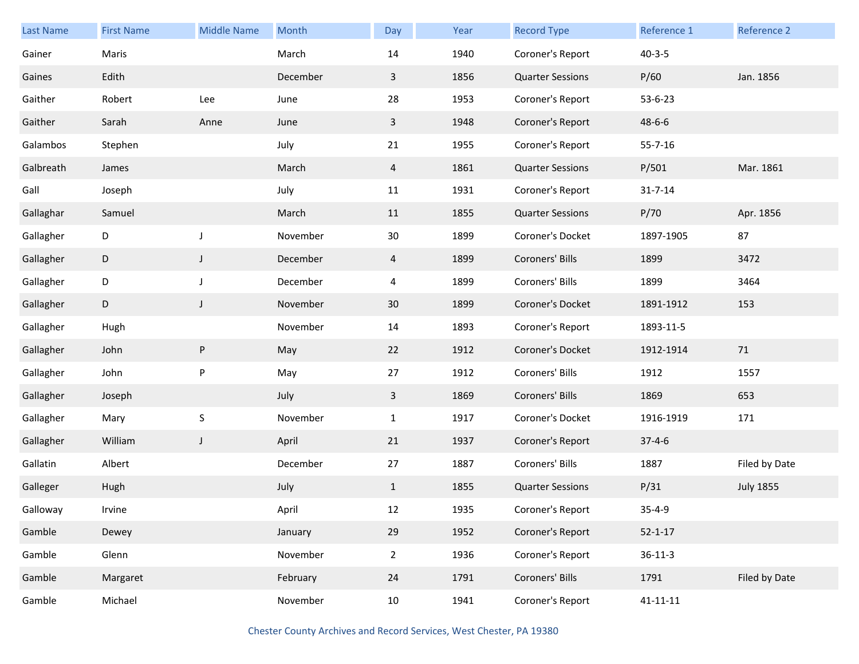| <b>Last Name</b> | <b>First Name</b> | <b>Middle Name</b> | Month    | Day             | Year | <b>Record Type</b>      | Reference 1    | Reference 2      |
|------------------|-------------------|--------------------|----------|-----------------|------|-------------------------|----------------|------------------|
| Gainer           | Maris             |                    | March    | 14              | 1940 | Coroner's Report        | $40 - 3 - 5$   |                  |
| Gaines           | Edith             |                    | December | $\mathbf{3}$    | 1856 | <b>Quarter Sessions</b> | P/60           | Jan. 1856        |
| Gaither          | Robert            | Lee                | June     | 28              | 1953 | Coroner's Report        | 53-6-23        |                  |
| Gaither          | Sarah             | Anne               | June     | $\mathbf{3}$    | 1948 | Coroner's Report        | $48 - 6 - 6$   |                  |
| Galambos         | Stephen           |                    | July     | 21              | 1955 | Coroner's Report        | $55 - 7 - 16$  |                  |
| Galbreath        | James             |                    | March    | $\overline{4}$  | 1861 | <b>Quarter Sessions</b> | P/501          | Mar. 1861        |
| Gall             | Joseph            |                    | July     | 11              | 1931 | Coroner's Report        | $31 - 7 - 14$  |                  |
| Gallaghar        | Samuel            |                    | March    | 11              | 1855 | <b>Quarter Sessions</b> | P/70           | Apr. 1856        |
| Gallagher        | D                 | $\mathsf J$        | November | 30 <sub>o</sub> | 1899 | Coroner's Docket        | 1897-1905      | 87               |
| Gallagher        | D                 | $\mathsf{J}$       | December | $\overline{4}$  | 1899 | Coroners' Bills         | 1899           | 3472             |
| Gallagher        | D                 | $\mathsf J$        | December | 4               | 1899 | Coroners' Bills         | 1899           | 3464             |
| Gallagher        | D                 | $\mathsf{J}$       | November | 30              | 1899 | Coroner's Docket        | 1891-1912      | 153              |
| Gallagher        | Hugh              |                    | November | 14              | 1893 | Coroner's Report        | 1893-11-5      |                  |
| Gallagher        | John              | ${\sf P}$          | May      | 22              | 1912 | Coroner's Docket        | 1912-1914      | 71               |
| Gallagher        | John              | $\sf P$            | May      | 27              | 1912 | Coroners' Bills         | 1912           | 1557             |
| Gallagher        | Joseph            |                    | July     | $\mathbf{3}$    | 1869 | Coroners' Bills         | 1869           | 653              |
| Gallagher        | Mary              | $\mathsf S$        | November | $\mathbf{1}$    | 1917 | Coroner's Docket        | 1916-1919      | 171              |
| Gallagher        | William           | $\mathsf J$        | April    | 21              | 1937 | Coroner's Report        | $37 - 4 - 6$   |                  |
| Gallatin         | Albert            |                    | December | 27              | 1887 | Coroners' Bills         | 1887           | Filed by Date    |
| Galleger         | Hugh              |                    | July     | $\mathbf{1}$    | 1855 | <b>Quarter Sessions</b> | P/31           | <b>July 1855</b> |
| Galloway         | Irvine            |                    | April    | 12              | 1935 | Coroner's Report        | $35 - 4 - 9$   |                  |
| Gamble           | Dewey             |                    | January  | 29              | 1952 | Coroner's Report        | $52 - 1 - 17$  |                  |
| Gamble           | Glenn             |                    | November | $2^{\circ}$     | 1936 | Coroner's Report        | $36 - 11 - 3$  |                  |
| Gamble           | Margaret          |                    | February | 24              | 1791 | Coroners' Bills         | 1791           | Filed by Date    |
| Gamble           | Michael           |                    | November | 10              | 1941 | Coroner's Report        | $41 - 11 - 11$ |                  |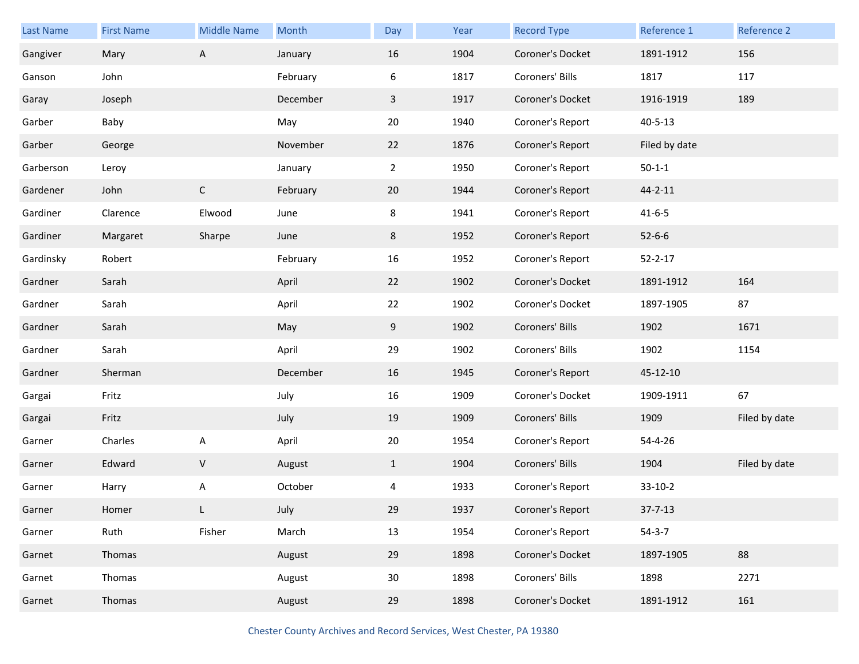| <b>Last Name</b> | <b>First Name</b> | <b>Middle Name</b> | Month    | Day             | Year | <b>Record Type</b> | Reference 1   | Reference 2   |
|------------------|-------------------|--------------------|----------|-----------------|------|--------------------|---------------|---------------|
| Gangiver         | Mary              | $\mathsf{A}$       | January  | 16              | 1904 | Coroner's Docket   | 1891-1912     | 156           |
| Ganson           | John              |                    | February | 6               | 1817 | Coroners' Bills    | 1817          | 117           |
| Garay            | Joseph            |                    | December | $\mathbf{3}$    | 1917 | Coroner's Docket   | 1916-1919     | 189           |
| Garber           | Baby              |                    | May      | 20              | 1940 | Coroner's Report   | $40 - 5 - 13$ |               |
| Garber           | George            |                    | November | 22              | 1876 | Coroner's Report   | Filed by date |               |
| Garberson        | Leroy             |                    | January  | $\overline{2}$  | 1950 | Coroner's Report   | $50 - 1 - 1$  |               |
| Gardener         | John              | $\mathsf C$        | February | 20              | 1944 | Coroner's Report   | 44-2-11       |               |
| Gardiner         | Clarence          | Elwood             | June     | 8               | 1941 | Coroner's Report   | $41 - 6 - 5$  |               |
| Gardiner         | Margaret          | Sharpe             | June     | 8               | 1952 | Coroner's Report   | $52 - 6 - 6$  |               |
| Gardinsky        | Robert            |                    | February | 16              | 1952 | Coroner's Report   | $52 - 2 - 17$ |               |
| Gardner          | Sarah             |                    | April    | 22              | 1902 | Coroner's Docket   | 1891-1912     | 164           |
| Gardner          | Sarah             |                    | April    | 22              | 1902 | Coroner's Docket   | 1897-1905     | 87            |
| Gardner          | Sarah             |                    | May      | 9               | 1902 | Coroners' Bills    | 1902          | 1671          |
| Gardner          | Sarah             |                    | April    | 29              | 1902 | Coroners' Bills    | 1902          | 1154          |
| Gardner          | Sherman           |                    | December | 16              | 1945 | Coroner's Report   | 45-12-10      |               |
| Gargai           | Fritz             |                    | July     | 16              | 1909 | Coroner's Docket   | 1909-1911     | 67            |
| Gargai           | Fritz             |                    | July     | 19              | 1909 | Coroners' Bills    | 1909          | Filed by date |
| Garner           | Charles           | A                  | April    | 20              | 1954 | Coroner's Report   | 54-4-26       |               |
| Garner           | Edward            | $\sf V$            | August   | $\mathbf{1}$    | 1904 | Coroners' Bills    | 1904          | Filed by date |
| Garner           | Harry             | Α                  | October  | 4               | 1933 | Coroner's Report   | $33-10-2$     |               |
| Garner           | Homer             | L                  | July     | 29              | 1937 | Coroner's Report   | $37 - 7 - 13$ |               |
| Garner           | Ruth              | Fisher             | March    | 13              | 1954 | Coroner's Report   | $54-3-7$      |               |
| Garnet           | Thomas            |                    | August   | 29              | 1898 | Coroner's Docket   | 1897-1905     | 88            |
| Garnet           | Thomas            |                    | August   | 30 <sup>°</sup> | 1898 | Coroners' Bills    | 1898          | 2271          |
| Garnet           | Thomas            |                    | August   | 29              | 1898 | Coroner's Docket   | 1891-1912     | 161           |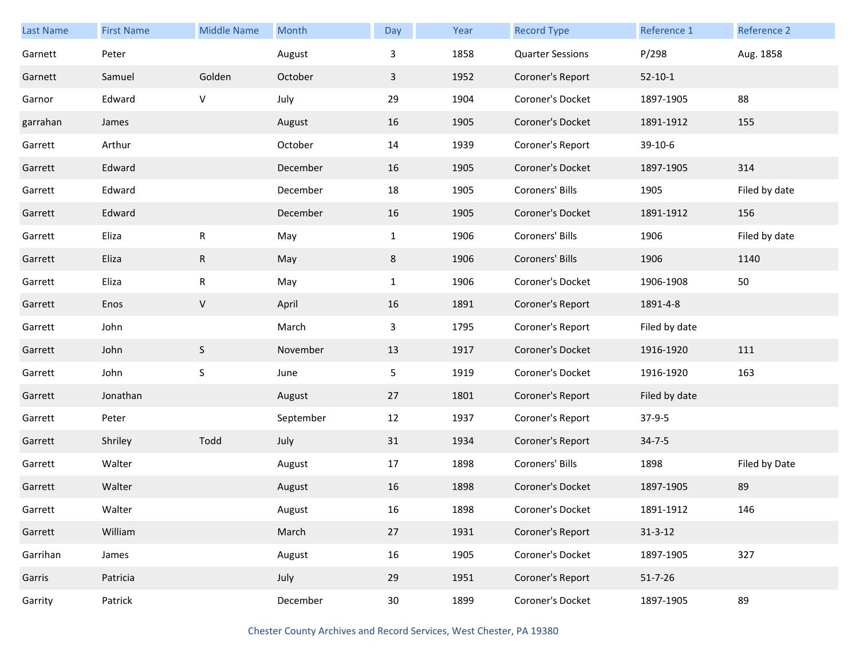| <b>Last Name</b> | <b>First Name</b> | <b>Middle Name</b> | Month     | Day             | Year | <b>Record Type</b>      | Reference 1   | Reference 2   |
|------------------|-------------------|--------------------|-----------|-----------------|------|-------------------------|---------------|---------------|
| Garnett          | Peter             |                    | August    | 3               | 1858 | <b>Quarter Sessions</b> | P/298         | Aug. 1858     |
| Garnett          | Samuel            | Golden             | October   | 3               | 1952 | Coroner's Report        | $52 - 10 - 1$ |               |
| Garnor           | Edward            | V                  | July      | 29              | 1904 | Coroner's Docket        | 1897-1905     | 88            |
| garrahan         | James             |                    | August    | 16              | 1905 | Coroner's Docket        | 1891-1912     | 155           |
| Garrett          | Arthur            |                    | October   | 14              | 1939 | Coroner's Report        | 39-10-6       |               |
| Garrett          | Edward            |                    | December  | 16              | 1905 | Coroner's Docket        | 1897-1905     | 314           |
| Garrett          | Edward            |                    | December  | 18              | 1905 | Coroners' Bills         | 1905          | Filed by date |
| Garrett          | Edward            |                    | December  | 16              | 1905 | Coroner's Docket        | 1891-1912     | 156           |
| Garrett          | Eliza             | ${\sf R}$          | May       | $\mathbf{1}$    | 1906 | Coroners' Bills         | 1906          | Filed by date |
| Garrett          | Eliza             | $\mathsf{R}$       | May       | 8               | 1906 | Coroners' Bills         | 1906          | 1140          |
| Garrett          | Eliza             | ${\sf R}$          | May       | $\mathbf{1}$    | 1906 | Coroner's Docket        | 1906-1908     | 50            |
| Garrett          | Enos              | V                  | April     | 16              | 1891 | Coroner's Report        | 1891-4-8      |               |
| Garrett          | John              |                    | March     | $\mathbf{3}$    | 1795 | Coroner's Report        | Filed by date |               |
| Garrett          | John              | $\mathsf S$        | November  | 13              | 1917 | Coroner's Docket        | 1916-1920     | 111           |
| Garrett          | John              | $\mathsf S$        | June      | 5               | 1919 | Coroner's Docket        | 1916-1920     | 163           |
| Garrett          | Jonathan          |                    | August    | 27              | 1801 | Coroner's Report        | Filed by date |               |
| Garrett          | Peter             |                    | September | 12              | 1937 | Coroner's Report        | $37-9-5$      |               |
| Garrett          | Shriley           | Todd               | July      | 31              | 1934 | Coroner's Report        | $34 - 7 - 5$  |               |
| Garrett          | Walter            |                    | August    | 17              | 1898 | Coroners' Bills         | 1898          | Filed by Date |
| Garrett          | Walter            |                    | August    | 16              | 1898 | Coroner's Docket        | 1897-1905     | 89            |
| Garrett          | Walter            |                    | August    | 16              | 1898 | Coroner's Docket        | 1891-1912     | 146           |
| Garrett          | William           |                    | March     | 27              | 1931 | Coroner's Report        | $31 - 3 - 12$ |               |
| Garrihan         | James             |                    | August    | 16              | 1905 | Coroner's Docket        | 1897-1905     | 327           |
| Garris           | Patricia          |                    | July      | 29              | 1951 | Coroner's Report        | $51 - 7 - 26$ |               |
| Garrity          | Patrick           |                    | December  | 30 <sub>o</sub> | 1899 | Coroner's Docket        | 1897-1905     | 89            |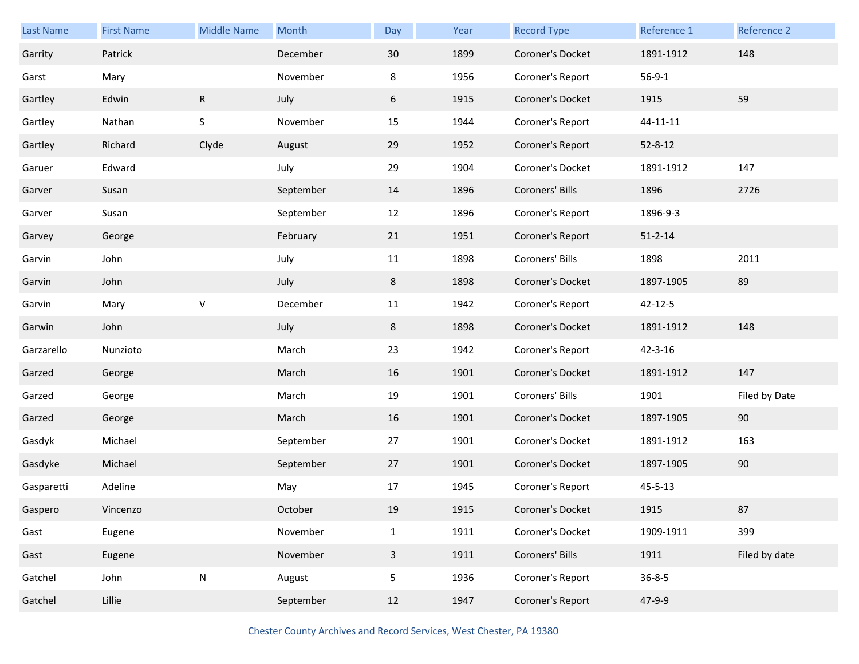| <b>Last Name</b> | <b>First Name</b> | <b>Middle Name</b> | Month     | Day          | Year | <b>Record Type</b> | Reference 1   | Reference 2   |
|------------------|-------------------|--------------------|-----------|--------------|------|--------------------|---------------|---------------|
| Garrity          | Patrick           |                    | December  | 30           | 1899 | Coroner's Docket   | 1891-1912     | 148           |
| Garst            | Mary              |                    | November  | 8            | 1956 | Coroner's Report   | $56 - 9 - 1$  |               |
| Gartley          | Edwin             | ${\sf R}$          | July      | 6            | 1915 | Coroner's Docket   | 1915          | 59            |
| Gartley          | Nathan            | S                  | November  | 15           | 1944 | Coroner's Report   | 44-11-11      |               |
| Gartley          | Richard           | Clyde              | August    | 29           | 1952 | Coroner's Report   | $52 - 8 - 12$ |               |
| Garuer           | Edward            |                    | July      | 29           | 1904 | Coroner's Docket   | 1891-1912     | 147           |
| Garver           | Susan             |                    | September | 14           | 1896 | Coroners' Bills    | 1896          | 2726          |
| Garver           | Susan             |                    | September | 12           | 1896 | Coroner's Report   | 1896-9-3      |               |
| Garvey           | George            |                    | February  | 21           | 1951 | Coroner's Report   | $51 - 2 - 14$ |               |
| Garvin           | John              |                    | July      | 11           | 1898 | Coroners' Bills    | 1898          | 2011          |
| Garvin           | John              |                    | July      | 8            | 1898 | Coroner's Docket   | 1897-1905     | 89            |
| Garvin           | Mary              | V                  | December  | 11           | 1942 | Coroner's Report   | 42-12-5       |               |
| Garwin           | John              |                    | July      | 8            | 1898 | Coroner's Docket   | 1891-1912     | 148           |
| Garzarello       | Nunzioto          |                    | March     | 23           | 1942 | Coroner's Report   | $42 - 3 - 16$ |               |
| Garzed           | George            |                    | March     | 16           | 1901 | Coroner's Docket   | 1891-1912     | 147           |
| Garzed           | George            |                    | March     | 19           | 1901 | Coroners' Bills    | 1901          | Filed by Date |
| Garzed           | George            |                    | March     | 16           | 1901 | Coroner's Docket   | 1897-1905     | 90            |
| Gasdyk           | Michael           |                    | September | 27           | 1901 | Coroner's Docket   | 1891-1912     | 163           |
| Gasdyke          | Michael           |                    | September | 27           | 1901 | Coroner's Docket   | 1897-1905     | 90            |
| Gasparetti       | Adeline           |                    | May       | 17           | 1945 | Coroner's Report   | $45 - 5 - 13$ |               |
| Gaspero          | Vincenzo          |                    | October   | 19           | 1915 | Coroner's Docket   | 1915          | 87            |
| Gast             | Eugene            |                    | November  | $\mathbf{1}$ | 1911 | Coroner's Docket   | 1909-1911     | 399           |
| Gast             | Eugene            |                    | November  | $\mathbf{3}$ | 1911 | Coroners' Bills    | 1911          | Filed by date |
| Gatchel          | John              | ${\sf N}$          | August    | 5            | 1936 | Coroner's Report   | $36 - 8 - 5$  |               |
| Gatchel          | Lillie            |                    | September | 12           | 1947 | Coroner's Report   | 47-9-9        |               |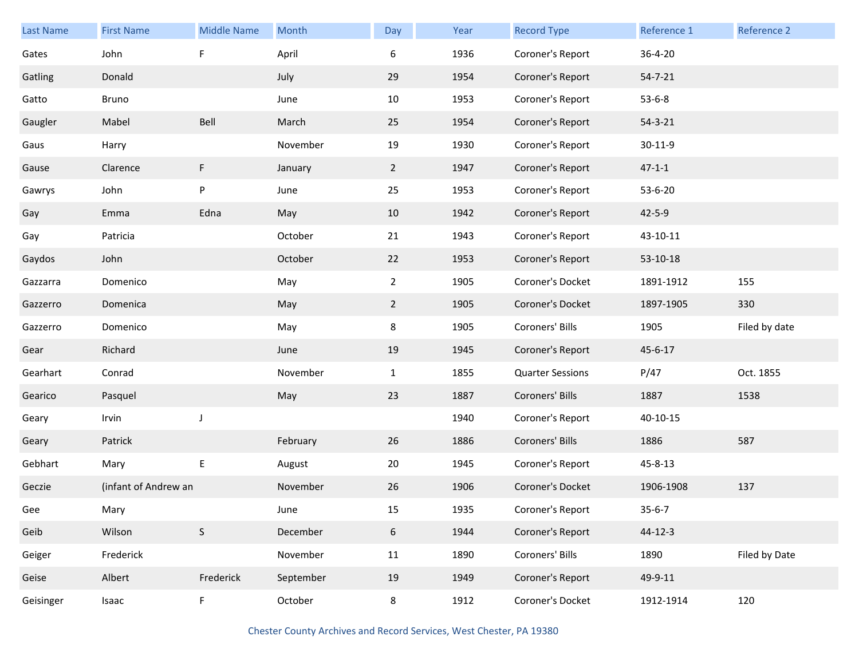| Last Name | <b>First Name</b>    | <b>Middle Name</b> | Month     | Day            | Year | <b>Record Type</b>      | Reference 1   | <b>Reference 2</b> |
|-----------|----------------------|--------------------|-----------|----------------|------|-------------------------|---------------|--------------------|
| Gates     | John                 | F                  | April     | 6              | 1936 | Coroner's Report        | 36-4-20       |                    |
| Gatling   | Donald               |                    | July      | 29             | 1954 | Coroner's Report        | $54 - 7 - 21$ |                    |
| Gatto     | Bruno                |                    | June      | 10             | 1953 | Coroner's Report        | $53 - 6 - 8$  |                    |
| Gaugler   | Mabel                | Bell               | March     | 25             | 1954 | Coroner's Report        | $54 - 3 - 21$ |                    |
| Gaus      | Harry                |                    | November  | 19             | 1930 | Coroner's Report        | $30 - 11 - 9$ |                    |
| Gause     | Clarence             | F                  | January   | $\overline{2}$ | 1947 | Coroner's Report        | $47 - 1 - 1$  |                    |
| Gawrys    | John                 | P                  | June      | 25             | 1953 | Coroner's Report        | 53-6-20       |                    |
| Gay       | Emma                 | Edna               | May       | 10             | 1942 | Coroner's Report        | $42 - 5 - 9$  |                    |
| Gay       | Patricia             |                    | October   | 21             | 1943 | Coroner's Report        | 43-10-11      |                    |
| Gaydos    | John                 |                    | October   | 22             | 1953 | Coroner's Report        | 53-10-18      |                    |
| Gazzarra  | Domenico             |                    | May       | $2^{\circ}$    | 1905 | Coroner's Docket        | 1891-1912     | 155                |
| Gazzerro  | Domenica             |                    | May       | $\overline{2}$ | 1905 | Coroner's Docket        | 1897-1905     | 330                |
| Gazzerro  | Domenico             |                    | May       | 8              | 1905 | Coroners' Bills         | 1905          | Filed by date      |
| Gear      | Richard              |                    | June      | 19             | 1945 | Coroner's Report        | 45-6-17       |                    |
| Gearhart  | Conrad               |                    | November  | $\mathbf{1}$   | 1855 | <b>Quarter Sessions</b> | P/47          | Oct. 1855          |
| Gearico   | Pasquel              |                    | May       | 23             | 1887 | Coroners' Bills         | 1887          | 1538               |
| Geary     | Irvin                | J                  |           |                | 1940 | Coroner's Report        | 40-10-15      |                    |
| Geary     | Patrick              |                    | February  | 26             | 1886 | Coroners' Bills         | 1886          | 587                |
| Gebhart   | Mary                 | E                  | August    | 20             | 1945 | Coroner's Report        | 45-8-13       |                    |
| Geczie    | (infant of Andrew an |                    | November  | 26             | 1906 | Coroner's Docket        | 1906-1908     | 137                |
| Gee       | Mary                 |                    | June      | 15             | 1935 | Coroner's Report        | $35 - 6 - 7$  |                    |
| Geib      | Wilson               | $\mathsf S$        | December  | $6\phantom{.}$ | 1944 | Coroner's Report        | $44 - 12 - 3$ |                    |
| Geiger    | Frederick            |                    | November  | 11             | 1890 | Coroners' Bills         | 1890          | Filed by Date      |
| Geise     | Albert               | Frederick          | September | 19             | 1949 | Coroner's Report        | 49-9-11       |                    |
| Geisinger | Isaac                | F                  | October   | $8\phantom{1}$ | 1912 | Coroner's Docket        | 1912-1914     | 120                |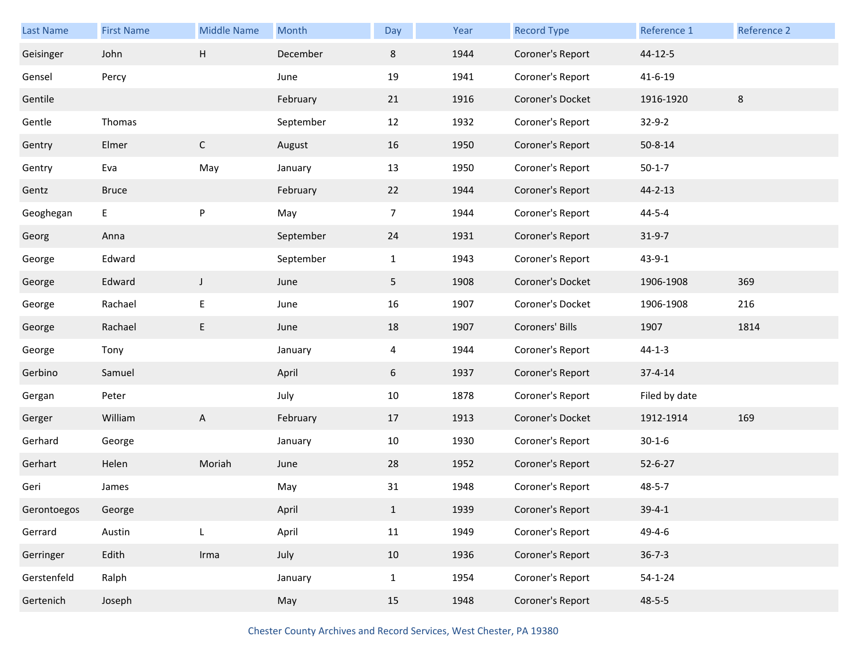| Last Name   | <b>First Name</b> | <b>Middle Name</b> | Month     | Day          | Year | <b>Record Type</b> | Reference 1   | <b>Reference 2</b> |
|-------------|-------------------|--------------------|-----------|--------------|------|--------------------|---------------|--------------------|
| Geisinger   | John              | H                  | December  | 8            | 1944 | Coroner's Report   | 44-12-5       |                    |
| Gensel      | Percy             |                    | June      | 19           | 1941 | Coroner's Report   | $41 - 6 - 19$ |                    |
| Gentile     |                   |                    | February  | 21           | 1916 | Coroner's Docket   | 1916-1920     | 8                  |
| Gentle      | Thomas            |                    | September | 12           | 1932 | Coroner's Report   | $32 - 9 - 2$  |                    |
| Gentry      | Elmer             | $\mathsf C$        | August    | 16           | 1950 | Coroner's Report   | $50 - 8 - 14$ |                    |
| Gentry      | Eva               | May                | January   | 13           | 1950 | Coroner's Report   | $50 - 1 - 7$  |                    |
| Gentz       | <b>Bruce</b>      |                    | February  | 22           | 1944 | Coroner's Report   | $44 - 2 - 13$ |                    |
| Geoghegan   | E,                | P                  | May       | 7            | 1944 | Coroner's Report   | $44 - 5 - 4$  |                    |
| Georg       | Anna              |                    | September | 24           | 1931 | Coroner's Report   | $31 - 9 - 7$  |                    |
| George      | Edward            |                    | September | $\mathbf{1}$ | 1943 | Coroner's Report   | $43 - 9 - 1$  |                    |
| George      | Edward            | $\mathsf J$        | June      | 5            | 1908 | Coroner's Docket   | 1906-1908     | 369                |
| George      | Rachael           | E                  | June      | 16           | 1907 | Coroner's Docket   | 1906-1908     | 216                |
| George      | Rachael           | E                  | June      | 18           | 1907 | Coroners' Bills    | 1907          | 1814               |
| George      | Tony              |                    | January   | 4            | 1944 | Coroner's Report   | $44 - 1 - 3$  |                    |
| Gerbino     | Samuel            |                    | April     | 6            | 1937 | Coroner's Report   | $37 - 4 - 14$ |                    |
| Gergan      | Peter             |                    | July      | 10           | 1878 | Coroner's Report   | Filed by date |                    |
| Gerger      | William           | A                  | February  | 17           | 1913 | Coroner's Docket   | 1912-1914     | 169                |
| Gerhard     | George            |                    | January   | 10           | 1930 | Coroner's Report   | $30 - 1 - 6$  |                    |
| Gerhart     | Helen             | Moriah             | June      | 28           | 1952 | Coroner's Report   | $52 - 6 - 27$ |                    |
| Geri        | James             |                    | May       | 31           | 1948 | Coroner's Report   | $48 - 5 - 7$  |                    |
| Gerontoegos | George            |                    | April     | $\mathbf{1}$ | 1939 | Coroner's Report   | $39 - 4 - 1$  |                    |
| Gerrard     | Austin            | L                  | April     | 11           | 1949 | Coroner's Report   | 49-4-6        |                    |
| Gerringer   | Edith             | Irma               | July      | 10           | 1936 | Coroner's Report   | $36 - 7 - 3$  |                    |
| Gerstenfeld | Ralph             |                    | January   | $\mathbf{1}$ | 1954 | Coroner's Report   | $54 - 1 - 24$ |                    |
| Gertenich   | Joseph            |                    | May       | 15           | 1948 | Coroner's Report   | $48 - 5 - 5$  |                    |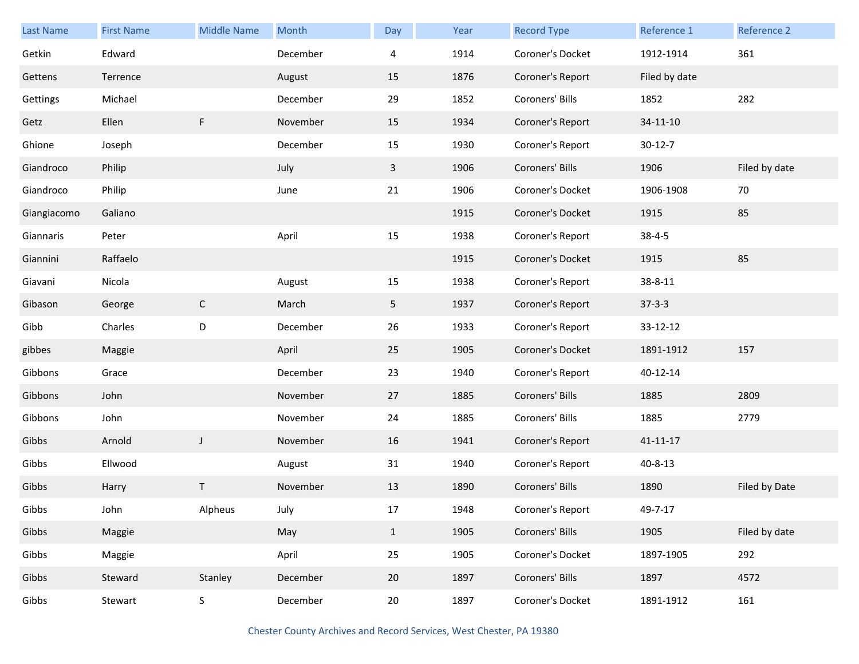| Last Name   | <b>First Name</b> | <b>Middle Name</b> | Month    | Day          | Year | <b>Record Type</b> | Reference 1    | Reference 2   |
|-------------|-------------------|--------------------|----------|--------------|------|--------------------|----------------|---------------|
| Getkin      | Edward            |                    | December | 4            | 1914 | Coroner's Docket   | 1912-1914      | 361           |
| Gettens     | Terrence          |                    | August   | 15           | 1876 | Coroner's Report   | Filed by date  |               |
| Gettings    | Michael           |                    | December | 29           | 1852 | Coroners' Bills    | 1852           | 282           |
| Getz        | Ellen             | F.                 | November | 15           | 1934 | Coroner's Report   | $34 - 11 - 10$ |               |
| Ghione      | Joseph            |                    | December | 15           | 1930 | Coroner's Report   | $30-12-7$      |               |
| Giandroco   | Philip            |                    | July     | $\mathbf{3}$ | 1906 | Coroners' Bills    | 1906           | Filed by date |
| Giandroco   | Philip            |                    | June     | 21           | 1906 | Coroner's Docket   | 1906-1908      | 70            |
| Giangiacomo | Galiano           |                    |          |              | 1915 | Coroner's Docket   | 1915           | 85            |
| Giannaris   | Peter             |                    | April    | 15           | 1938 | Coroner's Report   | $38 - 4 - 5$   |               |
| Giannini    | Raffaelo          |                    |          |              | 1915 | Coroner's Docket   | 1915           | 85            |
| Giavani     | Nicola            |                    | August   | 15           | 1938 | Coroner's Report   | 38-8-11        |               |
| Gibason     | George            | $\mathsf{C}$       | March    | 5            | 1937 | Coroner's Report   | $37 - 3 - 3$   |               |
| Gibb        | Charles           | $\mathsf D$        | December | 26           | 1933 | Coroner's Report   | 33-12-12       |               |
| gibbes      | Maggie            |                    | April    | 25           | 1905 | Coroner's Docket   | 1891-1912      | 157           |
| Gibbons     | Grace             |                    | December | 23           | 1940 | Coroner's Report   | 40-12-14       |               |
| Gibbons     | John              |                    | November | 27           | 1885 | Coroners' Bills    | 1885           | 2809          |
| Gibbons     | John              |                    | November | 24           | 1885 | Coroners' Bills    | 1885           | 2779          |
| Gibbs       | Arnold            | J                  | November | 16           | 1941 | Coroner's Report   | $41 - 11 - 17$ |               |
| Gibbs       | Ellwood           |                    | August   | 31           | 1940 | Coroner's Report   | $40 - 8 - 13$  |               |
| Gibbs       | Harry             | T                  | November | 13           | 1890 | Coroners' Bills    | 1890           | Filed by Date |
| Gibbs       | John              | Alpheus            | July     | 17           | 1948 | Coroner's Report   | 49-7-17        |               |
| Gibbs       | Maggie            |                    | May      | $\mathbf{1}$ | 1905 | Coroners' Bills    | 1905           | Filed by date |
| Gibbs       | Maggie            |                    | April    | 25           | 1905 | Coroner's Docket   | 1897-1905      | 292           |
| Gibbs       | Steward           | Stanley            | December | 20           | 1897 | Coroners' Bills    | 1897           | 4572          |
| Gibbs       | Stewart           | $\sf S$            | December | 20           | 1897 | Coroner's Docket   | 1891-1912      | 161           |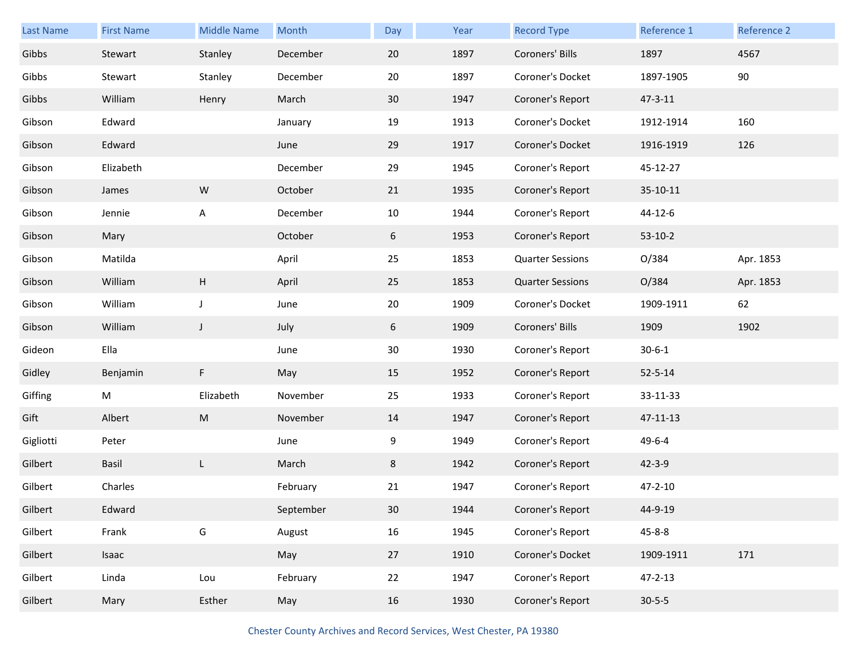| <b>Last Name</b> | <b>First Name</b> | <b>Middle Name</b> | Month     | Day | Year | <b>Record Type</b>      | Reference 1   | Reference 2 |
|------------------|-------------------|--------------------|-----------|-----|------|-------------------------|---------------|-------------|
| Gibbs            | Stewart           | Stanley            | December  | 20  | 1897 | Coroners' Bills         | 1897          | 4567        |
| Gibbs            | Stewart           | Stanley            | December  | 20  | 1897 | Coroner's Docket        | 1897-1905     | 90          |
| Gibbs            | William           | Henry              | March     | 30  | 1947 | Coroner's Report        | $47 - 3 - 11$ |             |
| Gibson           | Edward            |                    | January   | 19  | 1913 | Coroner's Docket        | 1912-1914     | 160         |
| Gibson           | Edward            |                    | June      | 29  | 1917 | Coroner's Docket        | 1916-1919     | 126         |
| Gibson           | Elizabeth         |                    | December  | 29  | 1945 | Coroner's Report        | 45-12-27      |             |
| Gibson           | James             | ${\sf W}$          | October   | 21  | 1935 | Coroner's Report        | 35-10-11      |             |
| Gibson           | Jennie            | A                  | December  | 10  | 1944 | Coroner's Report        | 44-12-6       |             |
| Gibson           | Mary              |                    | October   | 6   | 1953 | Coroner's Report        | $53-10-2$     |             |
| Gibson           | Matilda           |                    | April     | 25  | 1853 | <b>Quarter Sessions</b> | 0/384         | Apr. 1853   |
| Gibson           | William           | H                  | April     | 25  | 1853 | <b>Quarter Sessions</b> | O/384         | Apr. 1853   |
| Gibson           | William           | J                  | June      | 20  | 1909 | Coroner's Docket        | 1909-1911     | 62          |
| Gibson           | William           | $\mathsf J$        | July      | 6   | 1909 | Coroners' Bills         | 1909          | 1902        |
| Gideon           | Ella              |                    | June      | 30  | 1930 | Coroner's Report        | $30 - 6 - 1$  |             |
| Gidley           | Benjamin          | F                  | May       | 15  | 1952 | Coroner's Report        | $52 - 5 - 14$ |             |
| Giffing          | M                 | Elizabeth          | November  | 25  | 1933 | Coroner's Report        | 33-11-33      |             |
| Gift             | Albert            | ${\sf M}$          | November  | 14  | 1947 | Coroner's Report        | 47-11-13      |             |
| Gigliotti        | Peter             |                    | June      | 9   | 1949 | Coroner's Report        | 49-6-4        |             |
| Gilbert          | Basil             | L                  | March     | 8   | 1942 | Coroner's Report        | $42 - 3 - 9$  |             |
| Gilbert          | Charles           |                    | February  | 21  | 1947 | Coroner's Report        | $47 - 2 - 10$ |             |
| Gilbert          | Edward            |                    | September | 30  | 1944 | Coroner's Report        | 44-9-19       |             |
| Gilbert          | Frank             | G                  | August    | 16  | 1945 | Coroner's Report        | $45 - 8 - 8$  |             |
| Gilbert          | Isaac             |                    | May       | 27  | 1910 | Coroner's Docket        | 1909-1911     | 171         |
| Gilbert          | Linda             | Lou                | February  | 22  | 1947 | Coroner's Report        | $47 - 2 - 13$ |             |
| Gilbert          | Mary              | Esther             | May       | 16  | 1930 | Coroner's Report        | $30 - 5 - 5$  |             |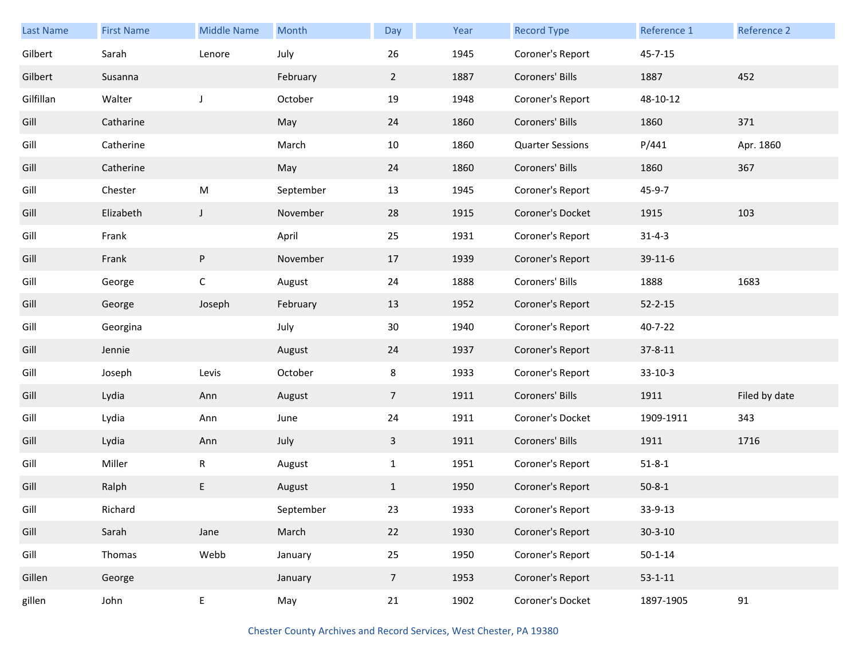| <b>Last Name</b> | <b>First Name</b> | <b>Middle Name</b> | Month     | Day            | Year | <b>Record Type</b>      | Reference 1   | Reference 2   |
|------------------|-------------------|--------------------|-----------|----------------|------|-------------------------|---------------|---------------|
| Gilbert          | Sarah             | Lenore             | July      | 26             | 1945 | Coroner's Report        | $45 - 7 - 15$ |               |
| Gilbert          | Susanna           |                    | February  | $\overline{2}$ | 1887 | Coroners' Bills         | 1887          | 452           |
| Gilfillan        | Walter            | J                  | October   | 19             | 1948 | Coroner's Report        | 48-10-12      |               |
| Gill             | Catharine         |                    | May       | 24             | 1860 | Coroners' Bills         | 1860          | 371           |
| Gill             | Catherine         |                    | March     | 10             | 1860 | <b>Quarter Sessions</b> | P/441         | Apr. 1860     |
| Gill             | Catherine         |                    | May       | 24             | 1860 | Coroners' Bills         | 1860          | 367           |
| Gill             | Chester           | M                  | September | 13             | 1945 | Coroner's Report        | 45-9-7        |               |
| Gill             | Elizabeth         | $\mathsf{J}$       | November  | 28             | 1915 | Coroner's Docket        | 1915          | 103           |
| Gill             | Frank             |                    | April     | 25             | 1931 | Coroner's Report        | $31 - 4 - 3$  |               |
| Gill             | Frank             | P                  | November  | 17             | 1939 | Coroner's Report        | 39-11-6       |               |
| Gill             | George            | $\mathsf C$        | August    | 24             | 1888 | Coroners' Bills         | 1888          | 1683          |
| Gill             | George            | Joseph             | February  | 13             | 1952 | Coroner's Report        | $52 - 2 - 15$ |               |
| Gill             | Georgina          |                    | July      | 30             | 1940 | Coroner's Report        | $40 - 7 - 22$ |               |
| Gill             | Jennie            |                    | August    | 24             | 1937 | Coroner's Report        | $37 - 8 - 11$ |               |
| Gill             | Joseph            | Levis              | October   | 8              | 1933 | Coroner's Report        | $33-10-3$     |               |
| Gill             | Lydia             | Ann                | August    | 7 <sup>1</sup> | 1911 | Coroners' Bills         | 1911          | Filed by date |
| Gill             | Lydia             | Ann                | June      | 24             | 1911 | Coroner's Docket        | 1909-1911     | 343           |
| Gill             | Lydia             | Ann                | July      | $\mathbf{3}$   | 1911 | Coroners' Bills         | 1911          | 1716          |
| Gill             | Miller            | R                  | August    | $\mathbf{1}$   | 1951 | Coroner's Report        | $51 - 8 - 1$  |               |
| Gill             | Ralph             | E                  | August    | $\mathbf{1}$   | 1950 | Coroner's Report        | $50 - 8 - 1$  |               |
| Gill             | Richard           |                    | September | 23             | 1933 | Coroner's Report        | 33-9-13       |               |
| Gill             | Sarah             | Jane               | March     | 22             | 1930 | Coroner's Report        | $30 - 3 - 10$ |               |
| Gill             | Thomas            | Webb               | January   | 25             | 1950 | Coroner's Report        | $50 - 1 - 14$ |               |
| Gillen           | George            |                    | January   | $\overline{7}$ | 1953 | Coroner's Report        | $53 - 1 - 11$ |               |
| gillen           | John              | E                  | May       | 21             | 1902 | Coroner's Docket        | 1897-1905     | 91            |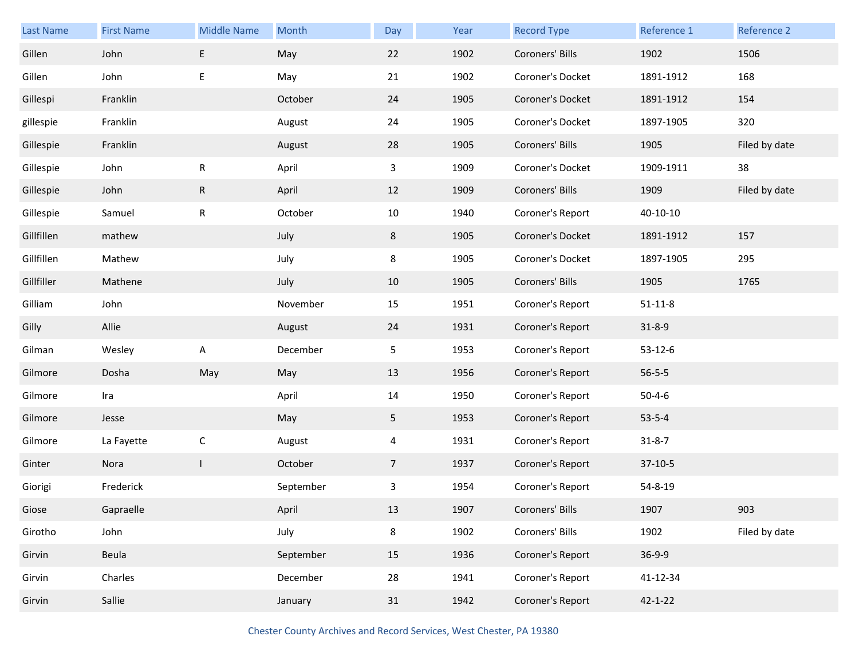| Last Name  | <b>First Name</b> | <b>Middle Name</b> | Month     | Day            | Year | <b>Record Type</b> | Reference 1   | Reference 2   |
|------------|-------------------|--------------------|-----------|----------------|------|--------------------|---------------|---------------|
| Gillen     | John              | E                  | May       | 22             | 1902 | Coroners' Bills    | 1902          | 1506          |
| Gillen     | John              | E                  | May       | 21             | 1902 | Coroner's Docket   | 1891-1912     | 168           |
| Gillespi   | Franklin          |                    | October   | 24             | 1905 | Coroner's Docket   | 1891-1912     | 154           |
| gillespie  | Franklin          |                    | August    | 24             | 1905 | Coroner's Docket   | 1897-1905     | 320           |
| Gillespie  | Franklin          |                    | August    | 28             | 1905 | Coroners' Bills    | 1905          | Filed by date |
| Gillespie  | John              | $\mathsf R$        | April     | 3              | 1909 | Coroner's Docket   | 1909-1911     | 38            |
| Gillespie  | John              | $\mathsf{R}$       | April     | 12             | 1909 | Coroners' Bills    | 1909          | Filed by date |
| Gillespie  | Samuel            | $\mathsf R$        | October   | 10             | 1940 | Coroner's Report   | 40-10-10      |               |
| Gillfillen | mathew            |                    | July      | 8              | 1905 | Coroner's Docket   | 1891-1912     | 157           |
| Gillfillen | Mathew            |                    | July      | 8              | 1905 | Coroner's Docket   | 1897-1905     | 295           |
| Gillfiller | Mathene           |                    | July      | 10             | 1905 | Coroners' Bills    | 1905          | 1765          |
| Gilliam    | John              |                    | November  | 15             | 1951 | Coroner's Report   | $51 - 11 - 8$ |               |
| Gilly      | Allie             |                    | August    | 24             | 1931 | Coroner's Report   | $31 - 8 - 9$  |               |
|            |                   |                    |           |                |      |                    |               |               |
| Gilman     | Wesley            | Α                  | December  | 5              | 1953 | Coroner's Report   | $53 - 12 - 6$ |               |
| Gilmore    | Dosha             | May                | May       | 13             | 1956 | Coroner's Report   | $56 - 5 - 5$  |               |
| Gilmore    | Ira               |                    | April     | 14             | 1950 | Coroner's Report   | $50 - 4 - 6$  |               |
| Gilmore    | Jesse             |                    | May       | 5 <sub>1</sub> | 1953 | Coroner's Report   | $53 - 5 - 4$  |               |
| Gilmore    | La Fayette        | $\mathsf C$        | August    | 4              | 1931 | Coroner's Report   | $31 - 8 - 7$  |               |
| Ginter     | Nora              | $\mathbf{I}$       | October   | $\overline{7}$ | 1937 | Coroner's Report   | $37-10-5$     |               |
| Giorigi    | Frederick         |                    | September | 3              | 1954 | Coroner's Report   | 54-8-19       |               |
| Giose      | Gapraelle         |                    | April     | 13             | 1907 | Coroners' Bills    | 1907          | 903           |
| Girotho    | John              |                    | July      | 8              | 1902 | Coroners' Bills    | 1902          | Filed by date |
| Girvin     | Beula             |                    | September | 15             | 1936 | Coroner's Report   | $36-9-9$      |               |
| Girvin     | Charles           |                    | December  | 28             | 1941 | Coroner's Report   | 41-12-34      |               |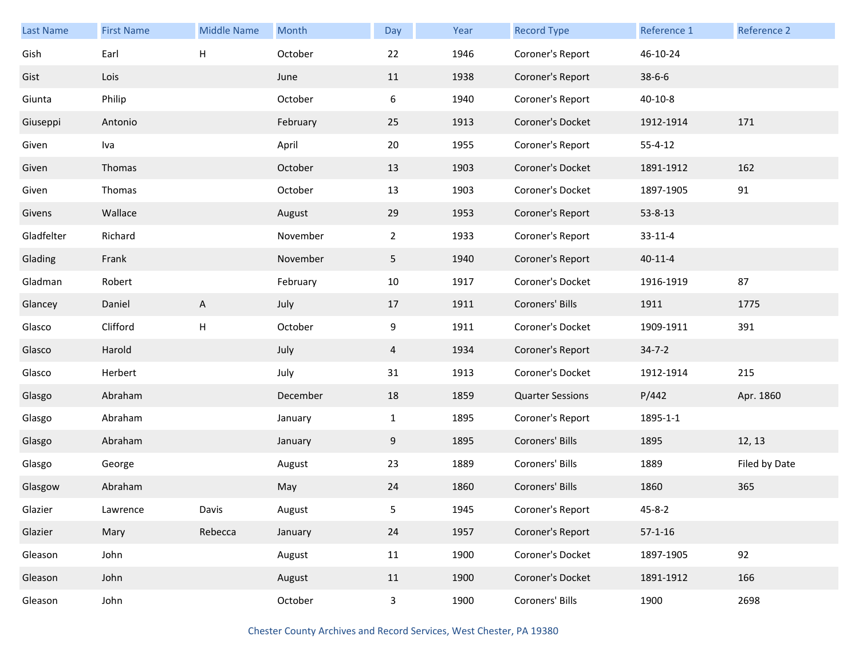| <b>Last Name</b> | <b>First Name</b> | <b>Middle Name</b> | Month    | Day          | Year | <b>Record Type</b>      | Reference 1   | Reference 2   |
|------------------|-------------------|--------------------|----------|--------------|------|-------------------------|---------------|---------------|
| Gish             | Earl              | $\mathsf{H}$       | October  | 22           | 1946 | Coroner's Report        | 46-10-24      |               |
| Gist             | Lois              |                    | June     | 11           | 1938 | Coroner's Report        | $38 - 6 - 6$  |               |
| Giunta           | Philip            |                    | October  | 6            | 1940 | Coroner's Report        | $40 - 10 - 8$ |               |
| Giuseppi         | Antonio           |                    | February | 25           | 1913 | Coroner's Docket        | 1912-1914     | 171           |
| Given            | Iva               |                    | April    | 20           | 1955 | Coroner's Report        | $55 - 4 - 12$ |               |
| Given            | Thomas            |                    | October  | 13           | 1903 | Coroner's Docket        | 1891-1912     | 162           |
| Given            | Thomas            |                    | October  | 13           | 1903 | Coroner's Docket        | 1897-1905     | 91            |
| Givens           | Wallace           |                    | August   | 29           | 1953 | Coroner's Report        | 53-8-13       |               |
| Gladfelter       | Richard           |                    | November | $2^{\circ}$  | 1933 | Coroner's Report        | $33 - 11 - 4$ |               |
| Glading          | Frank             |                    | November | 5            | 1940 | Coroner's Report        | $40 - 11 - 4$ |               |
| Gladman          | Robert            |                    | February | 10           | 1917 | Coroner's Docket        | 1916-1919     | 87            |
| Glancey          | Daniel            | A                  | July     | 17           | 1911 | Coroners' Bills         | 1911          | 1775          |
| Glasco           | Clifford          | Н                  | October  | 9            | 1911 | Coroner's Docket        | 1909-1911     | 391           |
| Glasco           | Harold            |                    | July     | 4            | 1934 | Coroner's Report        | $34 - 7 - 2$  |               |
| Glasco           | Herbert           |                    | July     | 31           | 1913 | Coroner's Docket        | 1912-1914     | 215           |
| Glasgo           | Abraham           |                    | December | 18           | 1859 | <b>Quarter Sessions</b> | P/442         | Apr. 1860     |
| Glasgo           | Abraham           |                    | January  | $\mathbf{1}$ | 1895 | Coroner's Report        | 1895-1-1      |               |
| Glasgo           | Abraham           |                    | January  | 9            | 1895 | Coroners' Bills         | 1895          | 12, 13        |
| Glasgo           | George            |                    | August   | 23           | 1889 | Coroners' Bills         | 1889          | Filed by Date |
| Glasgow          | Abraham           |                    | May      | 24           | 1860 | Coroners' Bills         | 1860          | 365           |
| Glazier          | Lawrence          | Davis              | August   | 5            | 1945 | Coroner's Report        | $45 - 8 - 2$  |               |
| Glazier          | Mary              | Rebecca            | January  | 24           | 1957 | Coroner's Report        | $57 - 1 - 16$ |               |
| Gleason          | John              |                    | August   | 11           | 1900 | Coroner's Docket        | 1897-1905     | 92            |
| Gleason          | John              |                    | August   | 11           | 1900 | Coroner's Docket        | 1891-1912     | 166           |
| Gleason          | John              |                    | October  | $\mathbf{3}$ | 1900 | Coroners' Bills         | 1900          | 2698          |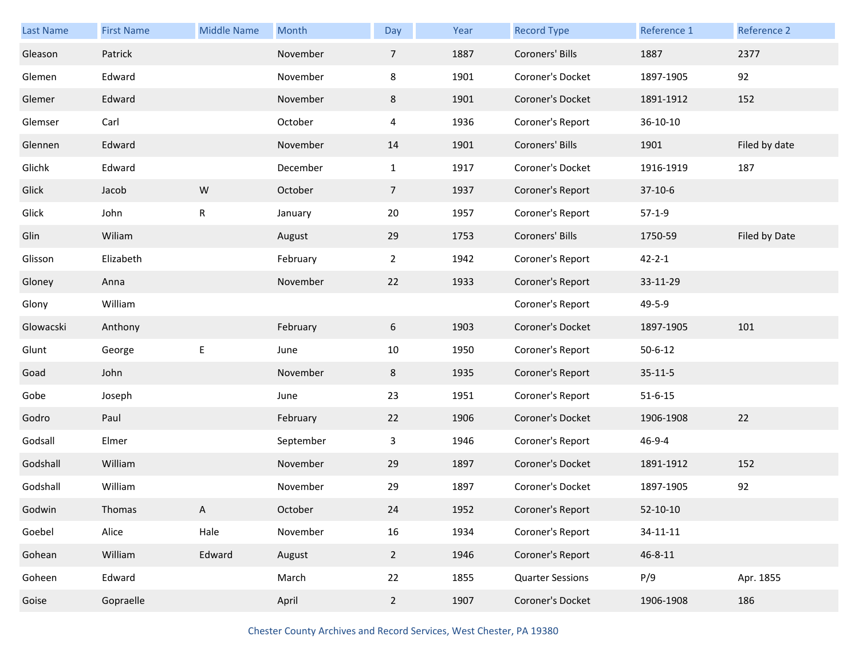| <b>Last Name</b> | <b>First Name</b> | <b>Middle Name</b> | Month     | Day             | Year | <b>Record Type</b>      | Reference 1    | Reference 2   |
|------------------|-------------------|--------------------|-----------|-----------------|------|-------------------------|----------------|---------------|
| Gleason          | Patrick           |                    | November  | $\overline{7}$  | 1887 | Coroners' Bills         | 1887           | 2377          |
| Glemen           | Edward            |                    | November  | 8               | 1901 | Coroner's Docket        | 1897-1905      | 92            |
| Glemer           | Edward            |                    | November  | 8               | 1901 | Coroner's Docket        | 1891-1912      | 152           |
| Glemser          | Carl              |                    | October   | 4               | 1936 | Coroner's Report        | 36-10-10       |               |
| Glennen          | Edward            |                    | November  | 14              | 1901 | Coroners' Bills         | 1901           | Filed by date |
| Glichk           | Edward            |                    | December  | $\mathbf{1}$    | 1917 | Coroner's Docket        | 1916-1919      | 187           |
| Glick            | Jacob             | ${\sf W}$          | October   | $7\overline{ }$ | 1937 | Coroner's Report        | $37-10-6$      |               |
| Glick            | John              | $\mathsf R$        | January   | 20              | 1957 | Coroner's Report        | $57-1-9$       |               |
| Glin             | Wiliam            |                    | August    | 29              | 1753 | Coroners' Bills         | 1750-59        | Filed by Date |
| Glisson          | Elizabeth         |                    | February  | $\overline{2}$  | 1942 | Coroner's Report        | $42 - 2 - 1$   |               |
| Gloney           | Anna              |                    | November  | 22              | 1933 | Coroner's Report        | 33-11-29       |               |
| Glony            | William           |                    |           |                 |      | Coroner's Report        | 49-5-9         |               |
| Glowacski        | Anthony           |                    | February  | 6               | 1903 | Coroner's Docket        | 1897-1905      | 101           |
| Glunt            | George            | E                  | June      | 10              | 1950 | Coroner's Report        | $50 - 6 - 12$  |               |
| Goad             | John              |                    | November  | 8               | 1935 | Coroner's Report        | $35 - 11 - 5$  |               |
| Gobe             | Joseph            |                    | June      | 23              | 1951 | Coroner's Report        | $51 - 6 - 15$  |               |
| Godro            | Paul              |                    | February  | 22              | 1906 | Coroner's Docket        | 1906-1908      | 22            |
| Godsall          | Elmer             |                    | September | 3               | 1946 | Coroner's Report        | 46-9-4         |               |
| Godshall         | William           |                    | November  | 29              | 1897 | Coroner's Docket        | 1891-1912      | 152           |
| Godshall         | William           |                    | November  | 29              | 1897 | Coroner's Docket        | 1897-1905      | 92            |
| Godwin           | Thomas            | A                  | October   | 24              | 1952 | Coroner's Report        | $52-10-10$     |               |
| Goebel           | Alice             | Hale               | November  | 16              | 1934 | Coroner's Report        | $34 - 11 - 11$ |               |
| Gohean           | William           | Edward             | August    | $2^{\circ}$     | 1946 | Coroner's Report        | $46 - 8 - 11$  |               |
| Goheen           | Edward            |                    | March     | 22              | 1855 | <b>Quarter Sessions</b> | P/9            | Apr. 1855     |
| Goise            | Gopraelle         |                    | April     | $2^{\circ}$     | 1907 | Coroner's Docket        | 1906-1908      | 186           |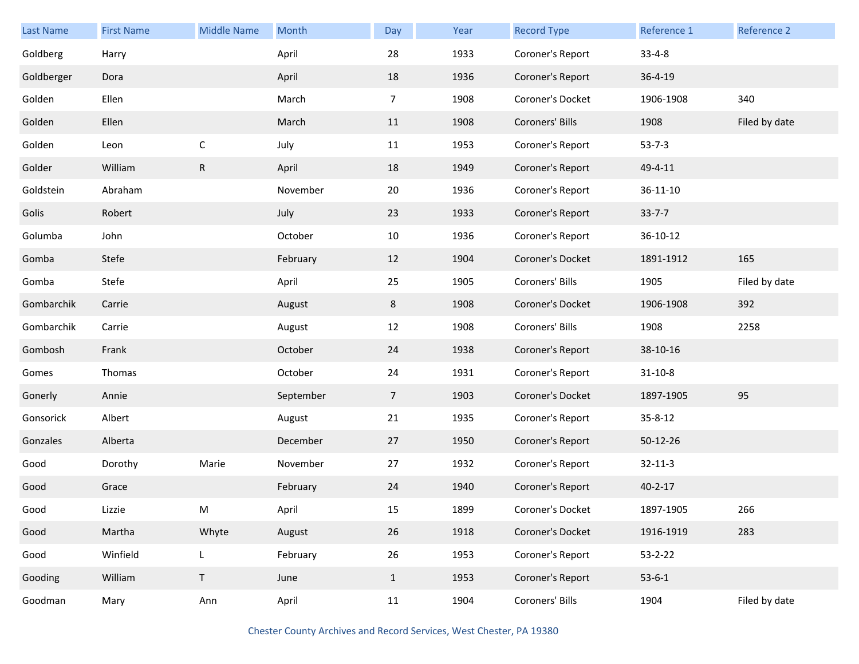| <b>Last Name</b> | <b>First Name</b> | <b>Middle Name</b> | Month     | Day            | Year | <b>Record Type</b> | Reference 1   | Reference 2   |
|------------------|-------------------|--------------------|-----------|----------------|------|--------------------|---------------|---------------|
| Goldberg         | Harry             |                    | April     | 28             | 1933 | Coroner's Report   | $33 - 4 - 8$  |               |
| Goldberger       | Dora              |                    | April     | 18             | 1936 | Coroner's Report   | $36 - 4 - 19$ |               |
| Golden           | Ellen             |                    | March     | $\overline{7}$ | 1908 | Coroner's Docket   | 1906-1908     | 340           |
| Golden           | Ellen             |                    | March     | 11             | 1908 | Coroners' Bills    | 1908          | Filed by date |
| Golden           | Leon              | $\mathsf C$        | July      | 11             | 1953 | Coroner's Report   | $53 - 7 - 3$  |               |
| Golder           | William           | $\mathsf{R}$       | April     | 18             | 1949 | Coroner's Report   | 49-4-11       |               |
| Goldstein        | Abraham           |                    | November  | 20             | 1936 | Coroner's Report   | 36-11-10      |               |
| Golis            | Robert            |                    | July      | 23             | 1933 | Coroner's Report   | $33 - 7 - 7$  |               |
| Golumba          | John              |                    | October   | 10             | 1936 | Coroner's Report   | 36-10-12      |               |
| Gomba            | Stefe             |                    | February  | 12             | 1904 | Coroner's Docket   | 1891-1912     | 165           |
| Gomba            | Stefe             |                    | April     | 25             | 1905 | Coroners' Bills    | 1905          | Filed by date |
| Gombarchik       | Carrie            |                    | August    | 8              | 1908 | Coroner's Docket   | 1906-1908     | 392           |
| Gombarchik       | Carrie            |                    | August    | 12             | 1908 | Coroners' Bills    | 1908          | 2258          |
| Gombosh          | Frank             |                    | October   | 24             | 1938 | Coroner's Report   | 38-10-16      |               |
| Gomes            | Thomas            |                    | October   | 24             | 1931 | Coroner's Report   | $31 - 10 - 8$ |               |
| Gonerly          | Annie             |                    | September | $\overline{7}$ | 1903 | Coroner's Docket   | 1897-1905     | 95            |
| Gonsorick        | Albert            |                    | August    | 21             | 1935 | Coroner's Report   | $35 - 8 - 12$ |               |
| Gonzales         | Alberta           |                    | December  | 27             | 1950 | Coroner's Report   | 50-12-26      |               |
| Good             | Dorothy           | Marie              | November  | 27             | 1932 | Coroner's Report   | $32 - 11 - 3$ |               |
| Good             | Grace             |                    | February  | 24             | 1940 | Coroner's Report   | $40 - 2 - 17$ |               |
| Good             | Lizzie            | M                  | April     | 15             | 1899 | Coroner's Docket   | 1897-1905     | 266           |
| Good             | Martha            | Whyte              | August    | 26             | 1918 | Coroner's Docket   | 1916-1919     | 283           |
| Good             | Winfield          | L                  | February  | 26             | 1953 | Coroner's Report   | $53 - 2 - 22$ |               |
| Gooding          | William           | $\mathsf T$        | June      | $\mathbf{1}$   | 1953 | Coroner's Report   | $53 - 6 - 1$  |               |
| Goodman          | Mary              | Ann                | April     | 11             | 1904 | Coroners' Bills    | 1904          | Filed by date |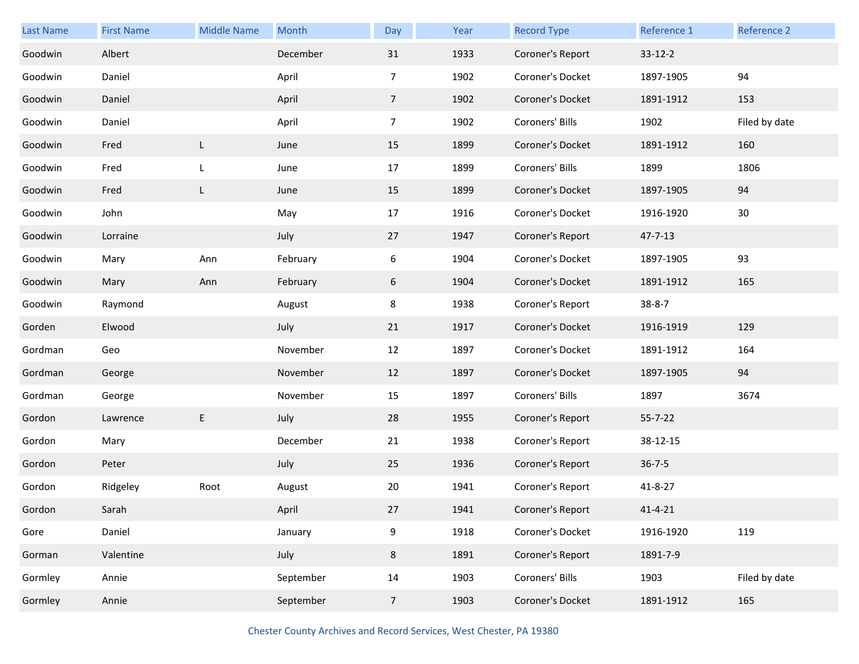| Last Name | <b>First Name</b> | <b>Middle Name</b> | Month     | Day             | Year | <b>Record Type</b> | Reference 1   | Reference 2   |
|-----------|-------------------|--------------------|-----------|-----------------|------|--------------------|---------------|---------------|
| Goodwin   | Albert            |                    | December  | 31              | 1933 | Coroner's Report   | $33 - 12 - 2$ |               |
| Goodwin   | Daniel            |                    | April     | $\overline{7}$  | 1902 | Coroner's Docket   | 1897-1905     | 94            |
| Goodwin   | Daniel            |                    | April     | $7\overline{ }$ | 1902 | Coroner's Docket   | 1891-1912     | 153           |
| Goodwin   | Daniel            |                    | April     | $\overline{7}$  | 1902 | Coroners' Bills    | 1902          | Filed by date |
| Goodwin   | Fred              | L                  | June      | 15              | 1899 | Coroner's Docket   | 1891-1912     | 160           |
| Goodwin   | Fred              | L                  | June      | 17              | 1899 | Coroners' Bills    | 1899          | 1806          |
| Goodwin   | Fred              | L                  | June      | 15              | 1899 | Coroner's Docket   | 1897-1905     | 94            |
| Goodwin   | John              |                    | May       | 17              | 1916 | Coroner's Docket   | 1916-1920     | 30            |
| Goodwin   | Lorraine          |                    | July      | 27              | 1947 | Coroner's Report   | 47-7-13       |               |
| Goodwin   | Mary              | Ann                | February  | 6               | 1904 | Coroner's Docket   | 1897-1905     | 93            |
| Goodwin   | Mary              | Ann                | February  | 6               | 1904 | Coroner's Docket   | 1891-1912     | 165           |
| Goodwin   | Raymond           |                    | August    | 8               | 1938 | Coroner's Report   | $38 - 8 - 7$  |               |
| Gorden    | Elwood            |                    | July      | 21              | 1917 | Coroner's Docket   | 1916-1919     | 129           |
| Gordman   | Geo               |                    | November  | 12              | 1897 | Coroner's Docket   | 1891-1912     | 164           |
| Gordman   | George            |                    | November  | 12              | 1897 | Coroner's Docket   | 1897-1905     | 94            |
| Gordman   | George            |                    | November  | 15              | 1897 | Coroners' Bills    | 1897          | 3674          |
| Gordon    | Lawrence          | E                  | July      | 28              | 1955 | Coroner's Report   | $55 - 7 - 22$ |               |
| Gordon    | Mary              |                    | December  | 21              | 1938 | Coroner's Report   | 38-12-15      |               |
| Gordon    | Peter             |                    | July      | 25              | 1936 | Coroner's Report   | $36 - 7 - 5$  |               |
| Gordon    | Ridgeley          | Root               | August    | 20              | 1941 | Coroner's Report   | 41-8-27       |               |
| Gordon    | Sarah             |                    | April     | 27              | 1941 | Coroner's Report   | $41 - 4 - 21$ |               |
| Gore      | Daniel            |                    | January   | 9               | 1918 | Coroner's Docket   | 1916-1920     | 119           |
| Gorman    | Valentine         |                    | July      | 8               | 1891 | Coroner's Report   | 1891-7-9      |               |
| Gormley   | Annie             |                    | September | 14              | 1903 | Coroners' Bills    | 1903          | Filed by date |
| Gormley   | Annie             |                    | September | $\overline{7}$  | 1903 | Coroner's Docket   | 1891-1912     | 165           |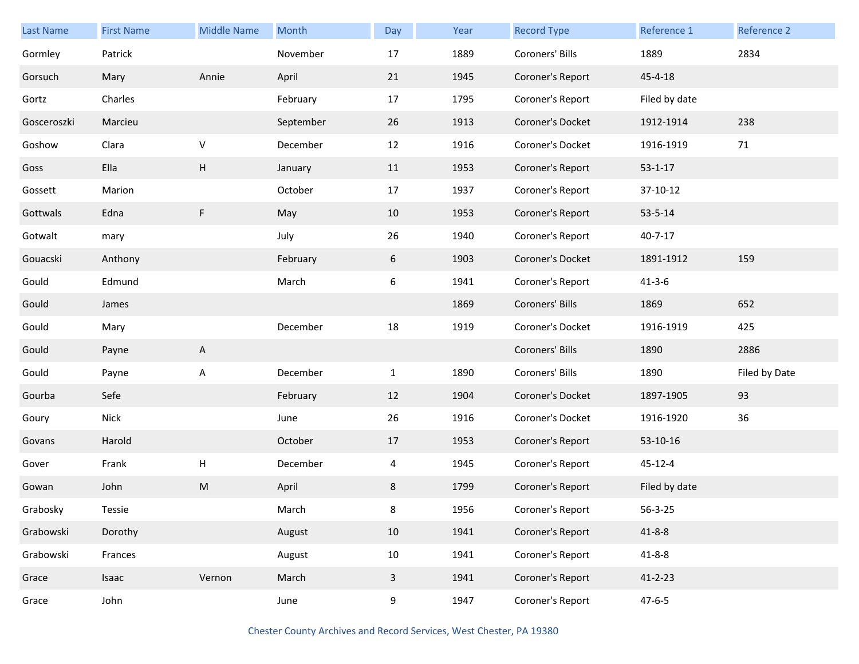| <b>Last Name</b> | <b>First Name</b> | <b>Middle Name</b> | Month     | Day          | Year | <b>Record Type</b> | Reference 1   | Reference 2   |
|------------------|-------------------|--------------------|-----------|--------------|------|--------------------|---------------|---------------|
| Gormley          | Patrick           |                    | November  | 17           | 1889 | Coroners' Bills    | 1889          | 2834          |
| Gorsuch          | Mary              | Annie              | April     | 21           | 1945 | Coroner's Report   | $45 - 4 - 18$ |               |
| Gortz            | Charles           |                    | February  | 17           | 1795 | Coroner's Report   | Filed by date |               |
| Gosceroszki      | Marcieu           |                    | September | 26           | 1913 | Coroner's Docket   | 1912-1914     | 238           |
| Goshow           | Clara             | $\sf V$            | December  | 12           | 1916 | Coroner's Docket   | 1916-1919     | 71            |
| Goss             | Ella              | Н                  | January   | 11           | 1953 | Coroner's Report   | $53 - 1 - 17$ |               |
| Gossett          | Marion            |                    | October   | 17           | 1937 | Coroner's Report   | 37-10-12      |               |
| Gottwals         | Edna              | F                  | May       | 10           | 1953 | Coroner's Report   | $53 - 5 - 14$ |               |
| Gotwalt          | mary              |                    | July      | 26           | 1940 | Coroner's Report   | $40 - 7 - 17$ |               |
| Gouacski         | Anthony           |                    | February  | 6            | 1903 | Coroner's Docket   | 1891-1912     | 159           |
| Gould            | Edmund            |                    | March     | 6            | 1941 | Coroner's Report   | $41 - 3 - 6$  |               |
| Gould            | James             |                    |           |              | 1869 | Coroners' Bills    | 1869          | 652           |
| Gould            | Mary              |                    | December  | 18           | 1919 | Coroner's Docket   | 1916-1919     | 425           |
| Gould            | Payne             | A                  |           |              |      | Coroners' Bills    | 1890          | 2886          |
| Gould            | Payne             | A                  | December  | $\mathbf{1}$ | 1890 | Coroners' Bills    | 1890          | Filed by Date |
| Gourba           | Sefe              |                    | February  | 12           | 1904 | Coroner's Docket   | 1897-1905     | 93            |
| Goury            | <b>Nick</b>       |                    | June      | 26           | 1916 | Coroner's Docket   | 1916-1920     | 36            |
| Govans           | Harold            |                    | October   | 17           | 1953 | Coroner's Report   | 53-10-16      |               |
| Gover            | Frank             | Н                  | December  | 4            | 1945 | Coroner's Report   | $45 - 12 - 4$ |               |
| Gowan            | John              | M                  | April     | 8            | 1799 | Coroner's Report   | Filed by date |               |
| Grabosky         | Tessie            |                    | March     | 8            | 1956 | Coroner's Report   | $56 - 3 - 25$ |               |
| Grabowski        | Dorothy           |                    | August    | 10           | 1941 | Coroner's Report   | $41 - 8 - 8$  |               |
| Grabowski        | Frances           |                    | August    | $10\,$       | 1941 | Coroner's Report   | $41 - 8 - 8$  |               |
| Grace            | Isaac             | Vernon             | March     | $\mathbf{3}$ | 1941 | Coroner's Report   | $41 - 2 - 23$ |               |
| Grace            | John              |                    | June      | 9            | 1947 | Coroner's Report   | $47 - 6 - 5$  |               |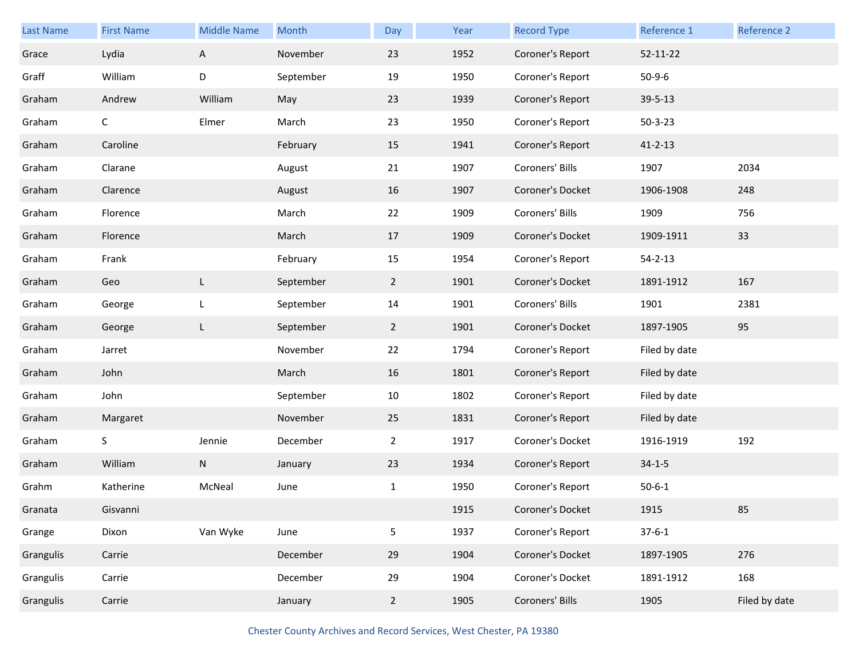| <b>Last Name</b> | <b>First Name</b> | <b>Middle Name</b> | Month     | Day            | Year | <b>Record Type</b> | Reference 1    | Reference 2   |
|------------------|-------------------|--------------------|-----------|----------------|------|--------------------|----------------|---------------|
| Grace            | Lydia             | A                  | November  | 23             | 1952 | Coroner's Report   | $52 - 11 - 22$ |               |
| Graff            | William           | D                  | September | 19             | 1950 | Coroner's Report   | $50-9-6$       |               |
| Graham           | Andrew            | William            | May       | 23             | 1939 | Coroner's Report   | 39-5-13        |               |
| Graham           | $\mathsf{C}$      | Elmer              | March     | 23             | 1950 | Coroner's Report   | $50 - 3 - 23$  |               |
| Graham           | Caroline          |                    | February  | 15             | 1941 | Coroner's Report   | $41 - 2 - 13$  |               |
| Graham           | Clarane           |                    | August    | 21             | 1907 | Coroners' Bills    | 1907           | 2034          |
| Graham           | Clarence          |                    | August    | 16             | 1907 | Coroner's Docket   | 1906-1908      | 248           |
| Graham           | Florence          |                    | March     | 22             | 1909 | Coroners' Bills    | 1909           | 756           |
| Graham           | Florence          |                    | March     | 17             | 1909 | Coroner's Docket   | 1909-1911      | 33            |
| Graham           | Frank             |                    | February  | 15             | 1954 | Coroner's Report   | $54 - 2 - 13$  |               |
| Graham           | Geo               | L                  | September | $2^{\circ}$    | 1901 | Coroner's Docket   | 1891-1912      | 167           |
| Graham           | George            | L                  | September | 14             | 1901 | Coroners' Bills    | 1901           | 2381          |
| Graham           | George            | L                  | September | $2^{\circ}$    | 1901 | Coroner's Docket   | 1897-1905      | 95            |
| Graham           | Jarret            |                    | November  | 22             | 1794 | Coroner's Report   | Filed by date  |               |
| Graham           | John              |                    | March     | 16             | 1801 | Coroner's Report   | Filed by date  |               |
| Graham           | John              |                    | September | 10             | 1802 | Coroner's Report   | Filed by date  |               |
| Graham           | Margaret          |                    | November  | 25             | 1831 | Coroner's Report   | Filed by date  |               |
| Graham           | S                 | Jennie             | December  | $\overline{2}$ | 1917 | Coroner's Docket   | 1916-1919      | 192           |
| Graham           | William           | N                  | January   | 23             | 1934 | Coroner's Report   | $34 - 1 - 5$   |               |
| Grahm            | Katherine         | McNeal             | June      | $\mathbf{1}$   | 1950 | Coroner's Report   | $50 - 6 - 1$   |               |
| Granata          | Gisvanni          |                    |           |                | 1915 | Coroner's Docket   | 1915           | 85            |
| Grange           | Dixon             | Van Wyke           | June      | 5              | 1937 | Coroner's Report   | $37 - 6 - 1$   |               |
| Grangulis        | Carrie            |                    | December  | 29             | 1904 | Coroner's Docket   | 1897-1905      | 276           |
| Grangulis        | Carrie            |                    | December  | 29             | 1904 | Coroner's Docket   | 1891-1912      | 168           |
| Grangulis        | Carrie            |                    | January   | $\overline{2}$ | 1905 | Coroners' Bills    | 1905           | Filed by date |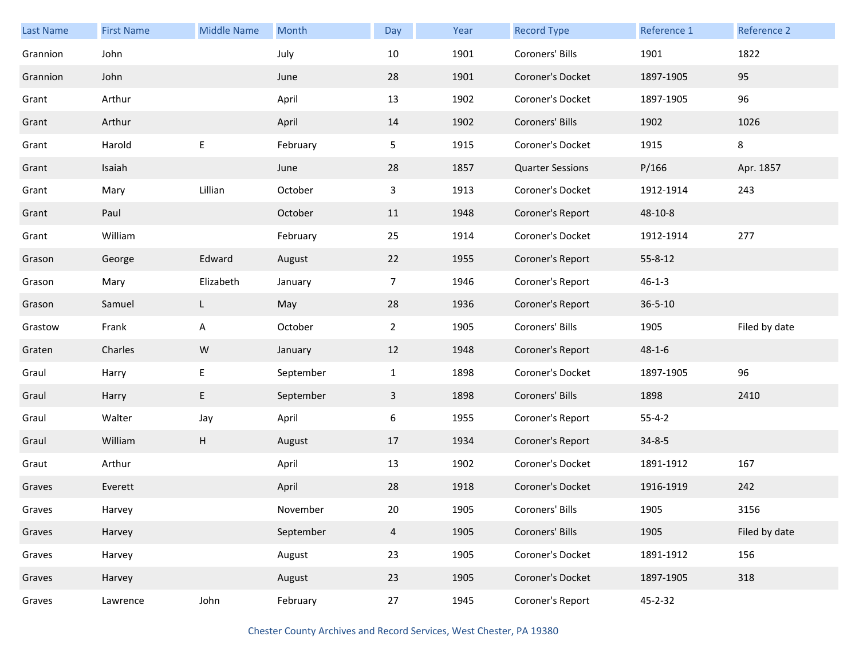| <b>Last Name</b> | <b>First Name</b> | <b>Middle Name</b> | Month     | Day            | Year | <b>Record Type</b>      | Reference 1   | Reference 2   |
|------------------|-------------------|--------------------|-----------|----------------|------|-------------------------|---------------|---------------|
| Grannion         | John              |                    | July      | 10             | 1901 | Coroners' Bills         | 1901          | 1822          |
| Grannion         | John              |                    | June      | 28             | 1901 | Coroner's Docket        | 1897-1905     | 95            |
| Grant            | Arthur            |                    | April     | 13             | 1902 | Coroner's Docket        | 1897-1905     | 96            |
| Grant            | Arthur            |                    | April     | 14             | 1902 | Coroners' Bills         | 1902          | 1026          |
| Grant            | Harold            | E                  | February  | 5 <sub>1</sub> | 1915 | Coroner's Docket        | 1915          | $\bf 8$       |
| Grant            | Isaiah            |                    | June      | 28             | 1857 | <b>Quarter Sessions</b> | P/166         | Apr. 1857     |
| Grant            | Mary              | Lillian            | October   | $\mathbf{3}$   | 1913 | Coroner's Docket        | 1912-1914     | 243           |
| Grant            | Paul              |                    | October   | 11             | 1948 | Coroner's Report        | 48-10-8       |               |
| Grant            | William           |                    | February  | 25             | 1914 | Coroner's Docket        | 1912-1914     | 277           |
| Grason           | George            | Edward             | August    | 22             | 1955 | Coroner's Report        | $55 - 8 - 12$ |               |
| Grason           | Mary              | Elizabeth          | January   | $\overline{7}$ | 1946 | Coroner's Report        | $46 - 1 - 3$  |               |
| Grason           | Samuel            | L.                 | May       | 28             | 1936 | Coroner's Report        | $36 - 5 - 10$ |               |
| Grastow          | Frank             | A                  | October   | $\overline{2}$ | 1905 | Coroners' Bills         | 1905          | Filed by date |
| Graten           | Charles           | ${\sf W}$          | January   | 12             | 1948 | Coroner's Report        | $48 - 1 - 6$  |               |
| Graul            | Harry             | E                  | September | $\mathbf{1}$   | 1898 | Coroner's Docket        | 1897-1905     | 96            |
| Graul            | Harry             | E                  | September | $\mathbf{3}$   | 1898 | Coroners' Bills         | 1898          | 2410          |
| Graul            | Walter            | Jay                | April     | 6              | 1955 | Coroner's Report        | $55 - 4 - 2$  |               |
| Graul            | William           | H                  | August    | 17             | 1934 | Coroner's Report        | $34 - 8 - 5$  |               |
| Graut            | Arthur            |                    | April     | 13             | 1902 | Coroner's Docket        | 1891-1912     | 167           |
| Graves           | Everett           |                    | April     | 28             | 1918 | Coroner's Docket        | 1916-1919     | 242           |
| Graves           | Harvey            |                    | November  | 20             | 1905 | Coroners' Bills         | 1905          | 3156          |
| Graves           | Harvey            |                    | September | $\overline{4}$ | 1905 | Coroners' Bills         | 1905          | Filed by date |
| Graves           | Harvey            |                    | August    | 23             | 1905 | Coroner's Docket        | 1891-1912     | 156           |
| Graves           | Harvey            |                    | August    | 23             | 1905 | Coroner's Docket        | 1897-1905     | 318           |
| Graves           | Lawrence          | John               | February  | 27             | 1945 | Coroner's Report        | 45-2-32       |               |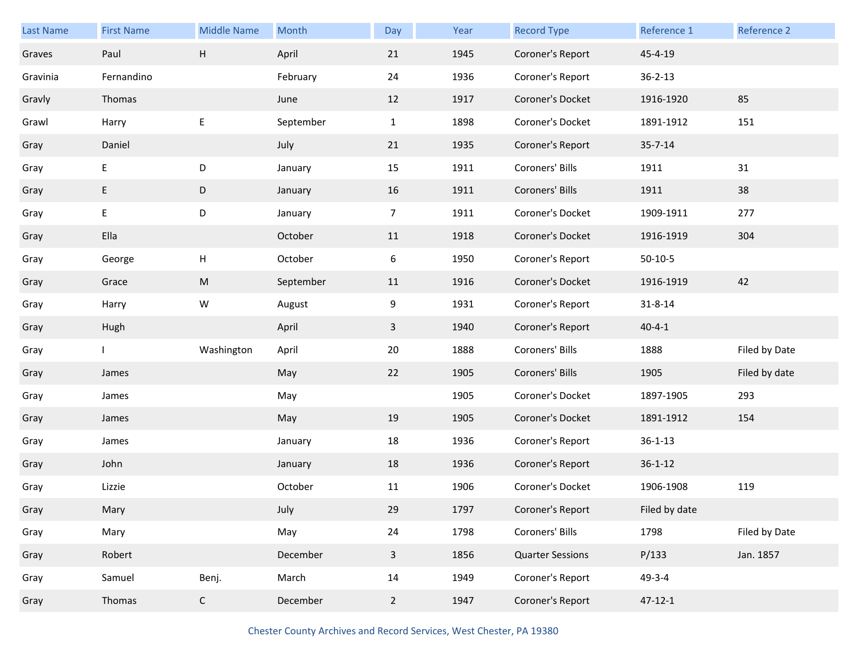| Last Name | <b>First Name</b> | <b>Middle Name</b> | Month     | Day            | Year | <b>Record Type</b>      | Reference 1   | <b>Reference 2</b> |
|-----------|-------------------|--------------------|-----------|----------------|------|-------------------------|---------------|--------------------|
| Graves    | Paul              | Н                  | April     | 21             | 1945 | Coroner's Report        | 45-4-19       |                    |
| Gravinia  | Fernandino        |                    | February  | 24             | 1936 | Coroner's Report        | $36 - 2 - 13$ |                    |
| Gravly    | Thomas            |                    | June      | 12             | 1917 | Coroner's Docket        | 1916-1920     | 85                 |
| Grawl     | Harry             | Е                  | September | $\mathbf{1}$   | 1898 | Coroner's Docket        | 1891-1912     | 151                |
| Gray      | Daniel            |                    | July      | 21             | 1935 | Coroner's Report        | $35 - 7 - 14$ |                    |
| Gray      | E                 | D                  | January   | 15             | 1911 | Coroners' Bills         | 1911          | 31                 |
| Gray      | E                 | D                  | January   | 16             | 1911 | Coroners' Bills         | 1911          | 38                 |
| Gray      | E                 | D                  | January   | $\overline{7}$ | 1911 | Coroner's Docket        | 1909-1911     | 277                |
| Gray      | Ella              |                    | October   | 11             | 1918 | Coroner's Docket        | 1916-1919     | 304                |
| Gray      | George            | Н                  | October   | 6              | 1950 | Coroner's Report        | $50-10-5$     |                    |
| Gray      | Grace             | ${\sf M}$          | September | 11             | 1916 | Coroner's Docket        | 1916-1919     | 42                 |
| Gray      | Harry             | W                  | August    | 9              | 1931 | Coroner's Report        | $31 - 8 - 14$ |                    |
| Gray      | Hugh              |                    | April     | $\mathbf{3}$   | 1940 | Coroner's Report        | $40 - 4 - 1$  |                    |
| Gray      |                   | Washington         | April     | 20             | 1888 | Coroners' Bills         | 1888          | Filed by Date      |
| Gray      | James             |                    | May       | 22             | 1905 | Coroners' Bills         | 1905          | Filed by date      |
| Gray      | James             |                    | May       |                | 1905 | Coroner's Docket        | 1897-1905     | 293                |
| Gray      | James             |                    | May       | 19             | 1905 | Coroner's Docket        | 1891-1912     | 154                |
| Gray      | James             |                    | January   | 18             | 1936 | Coroner's Report        | $36 - 1 - 13$ |                    |
| Gray      | John              |                    | January   | 18             | 1936 | Coroner's Report        | $36 - 1 - 12$ |                    |
| Gray      | Lizzie            |                    | October   | 11             | 1906 | Coroner's Docket        | 1906-1908     | 119                |
| Gray      | Mary              |                    | July      | 29             | 1797 | Coroner's Report        | Filed by date |                    |
| Gray      |                   |                    | May       | 24             | 1798 | Coroners' Bills         | 1798          | Filed by Date      |
|           | Mary              |                    |           |                |      |                         |               |                    |
| Gray      | Robert            |                    | December  | $\mathbf{3}$   | 1856 | <b>Quarter Sessions</b> | P/133         | Jan. 1857          |
| Gray      | Samuel            | Benj.              | March     | 14             | 1949 | Coroner's Report        | $49 - 3 - 4$  |                    |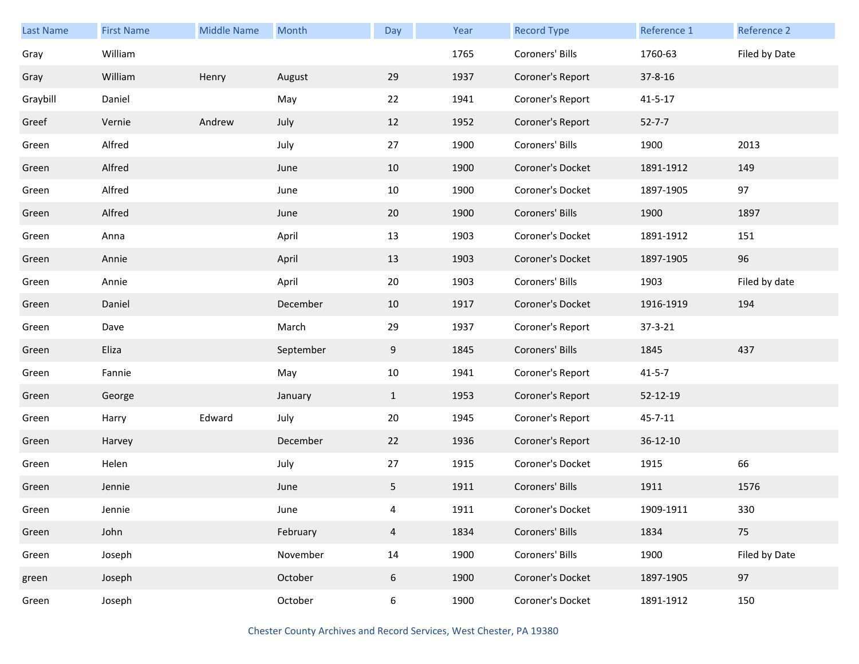| Last Name | <b>First Name</b> | <b>Middle Name</b> | Month     | Day            | Year | <b>Record Type</b> | Reference 1    | Reference 2   |
|-----------|-------------------|--------------------|-----------|----------------|------|--------------------|----------------|---------------|
| Gray      | William           |                    |           |                | 1765 | Coroners' Bills    | 1760-63        | Filed by Date |
| Gray      | William           | Henry              | August    | 29             | 1937 | Coroner's Report   | $37 - 8 - 16$  |               |
| Graybill  | Daniel            |                    | May       | 22             | 1941 | Coroner's Report   | $41 - 5 - 17$  |               |
| Greef     | Vernie            | Andrew             | July      | 12             | 1952 | Coroner's Report   | $52 - 7 - 7$   |               |
| Green     | Alfred            |                    | July      | 27             | 1900 | Coroners' Bills    | 1900           | 2013          |
| Green     | Alfred            |                    | June      | 10             | 1900 | Coroner's Docket   | 1891-1912      | 149           |
| Green     | Alfred            |                    | June      | 10             | 1900 | Coroner's Docket   | 1897-1905      | 97            |
| Green     | Alfred            |                    | June      | 20             | 1900 | Coroners' Bills    | 1900           | 1897          |
| Green     | Anna              |                    | April     | 13             | 1903 | Coroner's Docket   | 1891-1912      | 151           |
| Green     | Annie             |                    | April     | 13             | 1903 | Coroner's Docket   | 1897-1905      | 96            |
| Green     | Annie             |                    | April     | 20             | 1903 | Coroners' Bills    | 1903           | Filed by date |
| Green     | Daniel            |                    | December  | 10             | 1917 | Coroner's Docket   | 1916-1919      | 194           |
| Green     | Dave              |                    | March     | 29             | 1937 | Coroner's Report   | 37-3-21        |               |
| Green     | Eliza             |                    | September | 9              | 1845 | Coroners' Bills    | 1845           | 437           |
| Green     | Fannie            |                    | May       | 10             | 1941 | Coroner's Report   | $41 - 5 - 7$   |               |
| Green     | George            |                    | January   | $\mathbf{1}$   | 1953 | Coroner's Report   | 52-12-19       |               |
| Green     | Harry             | Edward             | July      | 20             | 1945 | Coroner's Report   | $45 - 7 - 11$  |               |
| Green     | Harvey            |                    | December  | 22             | 1936 | Coroner's Report   | $36 - 12 - 10$ |               |
| Green     | Helen             |                    | July      | 27             | 1915 | Coroner's Docket   | 1915           | 66            |
| Green     | Jennie            |                    | June      | 5              | 1911 | Coroners' Bills    | 1911           | 1576          |
| Green     | Jennie            |                    | June      | 4              | 1911 | Coroner's Docket   | 1909-1911      | 330           |
| Green     | John              |                    | February  | $\overline{4}$ | 1834 | Coroners' Bills    | 1834           | 75            |
| Green     | Joseph            |                    | November  | 14             | 1900 | Coroners' Bills    | 1900           | Filed by Date |
| green     | Joseph            |                    | October   | 6              | 1900 | Coroner's Docket   | 1897-1905      | 97            |
| Green     | Joseph            |                    | October   | 6              | 1900 | Coroner's Docket   | 1891-1912      | 150           |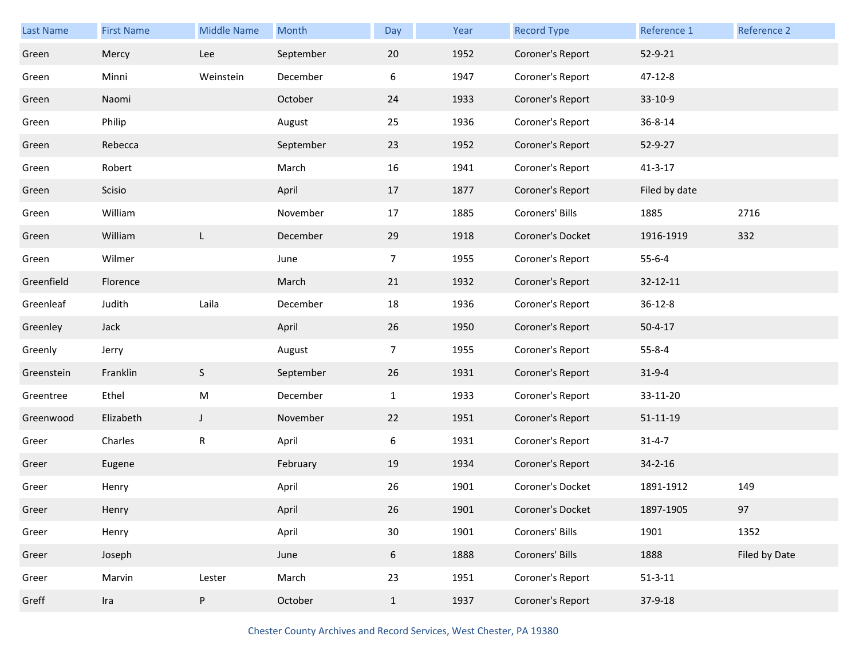| Last Name  | <b>First Name</b> | <b>Middle Name</b> | Month     | Day            | Year | <b>Record Type</b> | Reference 1    | Reference 2   |
|------------|-------------------|--------------------|-----------|----------------|------|--------------------|----------------|---------------|
| Green      | Mercy             | Lee                | September | 20             | 1952 | Coroner's Report   | 52-9-21        |               |
| Green      | Minni             | Weinstein          | December  | 6              | 1947 | Coroner's Report   | 47-12-8        |               |
| Green      | Naomi             |                    | October   | 24             | 1933 | Coroner's Report   | 33-10-9        |               |
| Green      | Philip            |                    | August    | 25             | 1936 | Coroner's Report   | 36-8-14        |               |
| Green      | Rebecca           |                    | September | 23             | 1952 | Coroner's Report   | 52-9-27        |               |
| Green      | Robert            |                    | March     | 16             | 1941 | Coroner's Report   | $41 - 3 - 17$  |               |
| Green      | Scisio            |                    | April     | 17             | 1877 | Coroner's Report   | Filed by date  |               |
| Green      | William           |                    | November  | 17             | 1885 | Coroners' Bills    | 1885           | 2716          |
| Green      | William           | L                  | December  | 29             | 1918 | Coroner's Docket   | 1916-1919      | 332           |
| Green      | Wilmer            |                    | June      | $\overline{7}$ | 1955 | Coroner's Report   | $55 - 6 - 4$   |               |
| Greenfield | Florence          |                    | March     | 21             | 1932 | Coroner's Report   | 32-12-11       |               |
| Greenleaf  | Judith            | Laila              | December  | 18             | 1936 | Coroner's Report   | $36 - 12 - 8$  |               |
| Greenley   | Jack              |                    | April     | 26             | 1950 | Coroner's Report   | $50 - 4 - 17$  |               |
| Greenly    | Jerry             |                    | August    | 7              | 1955 | Coroner's Report   | $55 - 8 - 4$   |               |
| Greenstein | Franklin          | S                  | September | 26             | 1931 | Coroner's Report   | $31 - 9 - 4$   |               |
| Greentree  | Ethel             | M                  | December  | $\mathbf{1}$   | 1933 | Coroner's Report   | 33-11-20       |               |
| Greenwood  | Elizabeth         | $\mathsf{J}$       | November  | 22             | 1951 | Coroner's Report   | $51 - 11 - 19$ |               |
| Greer      | Charles           | R                  | April     | 6              | 1931 | Coroner's Report   | $31 - 4 - 7$   |               |
| Greer      | Eugene            |                    | February  | 19             | 1934 | Coroner's Report   | $34 - 2 - 16$  |               |
| Greer      | Henry             |                    | April     | 26             | 1901 | Coroner's Docket   | 1891-1912      | 149           |
| Greer      | Henry             |                    | April     | 26             | 1901 | Coroner's Docket   | 1897-1905      | 97            |
| Greer      | Henry             |                    | April     | 30             | 1901 | Coroners' Bills    | 1901           | 1352          |
| Greer      | Joseph            |                    | June      | 6              | 1888 | Coroners' Bills    | 1888           | Filed by Date |
| Greer      | Marvin            | Lester             | March     | 23             | 1951 | Coroner's Report   | $51 - 3 - 11$  |               |
| Greff      | Ira               | P                  | October   | $\mathbf{1}$   | 1937 | Coroner's Report   | 37-9-18        |               |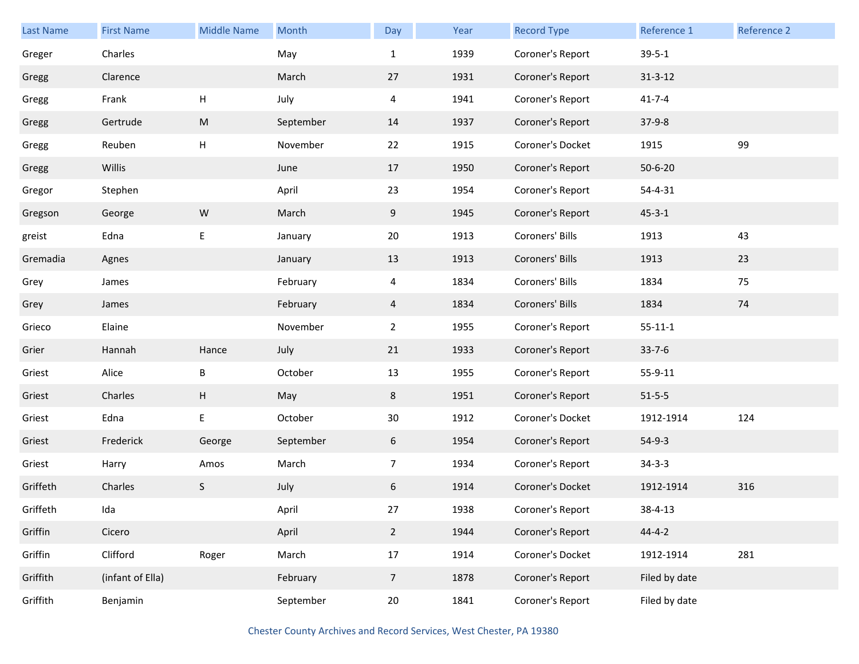| <b>Last Name</b> | <b>First Name</b> | <b>Middle Name</b>        | Month     | Day            | Year | <b>Record Type</b> | Reference 1   | Reference 2 |
|------------------|-------------------|---------------------------|-----------|----------------|------|--------------------|---------------|-------------|
| Greger           | Charles           |                           | May       | $\mathbf{1}$   | 1939 | Coroner's Report   | $39 - 5 - 1$  |             |
| Gregg            | Clarence          |                           | March     | 27             | 1931 | Coroner's Report   | $31 - 3 - 12$ |             |
| Gregg            | Frank             | $\boldsymbol{\mathsf{H}}$ | July      | $\overline{4}$ | 1941 | Coroner's Report   | $41 - 7 - 4$  |             |
| Gregg            | Gertrude          | M                         | September | 14             | 1937 | Coroner's Report   | $37-9-8$      |             |
| Gregg            | Reuben            | H                         | November  | 22             | 1915 | Coroner's Docket   | 1915          | 99          |
| Gregg            | Willis            |                           | June      | 17             | 1950 | Coroner's Report   | $50 - 6 - 20$ |             |
| Gregor           | Stephen           |                           | April     | 23             | 1954 | Coroner's Report   | 54-4-31       |             |
| Gregson          | George            | W                         | March     | 9              | 1945 | Coroner's Report   | $45 - 3 - 1$  |             |
| greist           | Edna              | $\mathsf E$               | January   | 20             | 1913 | Coroners' Bills    | 1913          | 43          |
| Gremadia         | Agnes             |                           | January   | 13             | 1913 | Coroners' Bills    | 1913          | 23          |
| Grey             | James             |                           | February  | 4              | 1834 | Coroners' Bills    | 1834          | 75          |
| Grey             | James             |                           | February  | 4              | 1834 | Coroners' Bills    | 1834          | 74          |
| Grieco           | Elaine            |                           | November  | $\overline{2}$ | 1955 | Coroner's Report   | $55 - 11 - 1$ |             |
| Grier            | Hannah            | Hance                     | July      | 21             | 1933 | Coroner's Report   | $33 - 7 - 6$  |             |
| Griest           | Alice             | B                         | October   | 13             | 1955 | Coroner's Report   | 55-9-11       |             |
| Griest           | Charles           | H                         | May       | 8              | 1951 | Coroner's Report   | $51 - 5 - 5$  |             |
| Griest           | Edna              | $\sf E$                   | October   | 30             | 1912 | Coroner's Docket   | 1912-1914     | 124         |
| Griest           | Frederick         | George                    | September | 6              | 1954 | Coroner's Report   | $54-9-3$      |             |
| Griest           | Harry             | Amos                      | March     | $\overline{7}$ | 1934 | Coroner's Report   | $34 - 3 - 3$  |             |
| Griffeth         | Charles           | S                         | July      | 6              | 1914 | Coroner's Docket   | 1912-1914     | 316         |
| Griffeth         | Ida               |                           | April     | 27             | 1938 | Coroner's Report   | 38-4-13       |             |
| Griffin          | Cicero            |                           | April     | $2^{\circ}$    | 1944 | Coroner's Report   | $44 - 4 - 2$  |             |
| Griffin          | Clifford          | Roger                     | March     | $17\,$         | 1914 | Coroner's Docket   | 1912-1914     | 281         |
| Griffith         | (infant of Ella)  |                           | February  | 7 <sup>7</sup> | 1878 | Coroner's Report   | Filed by date |             |
| Griffith         | Benjamin          |                           | September | 20             | 1841 | Coroner's Report   | Filed by date |             |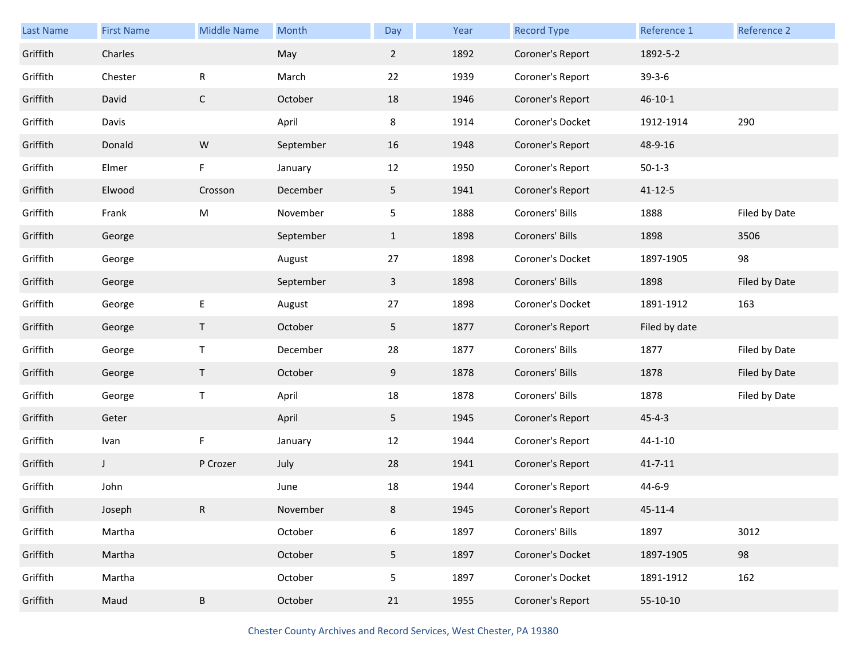| Last Name | <b>First Name</b> | <b>Middle Name</b> | Month     | Day            | Year | <b>Record Type</b> | Reference 1   | Reference 2   |
|-----------|-------------------|--------------------|-----------|----------------|------|--------------------|---------------|---------------|
| Griffith  | Charles           |                    | May       | $\overline{2}$ | 1892 | Coroner's Report   | 1892-5-2      |               |
| Griffith  | Chester           | ${\sf R}$          | March     | 22             | 1939 | Coroner's Report   | $39 - 3 - 6$  |               |
| Griffith  | David             | $\mathsf C$        | October   | 18             | 1946 | Coroner's Report   | $46 - 10 - 1$ |               |
| Griffith  | Davis             |                    | April     | 8              | 1914 | Coroner's Docket   | 1912-1914     | 290           |
| Griffith  | Donald            | ${\sf W}$          | September | 16             | 1948 | Coroner's Report   | 48-9-16       |               |
| Griffith  | Elmer             | F                  | January   | 12             | 1950 | Coroner's Report   | $50-1-3$      |               |
| Griffith  | Elwood            | Crosson            | December  | 5              | 1941 | Coroner's Report   | $41 - 12 - 5$ |               |
| Griffith  | Frank             | M                  | November  | 5              | 1888 | Coroners' Bills    | 1888          | Filed by Date |
| Griffith  | George            |                    | September | $\mathbf{1}$   | 1898 | Coroners' Bills    | 1898          | 3506          |
| Griffith  | George            |                    | August    | 27             | 1898 | Coroner's Docket   | 1897-1905     | 98            |
| Griffith  | George            |                    | September | $\mathbf{3}$   | 1898 | Coroners' Bills    | 1898          | Filed by Date |
| Griffith  | George            | E                  | August    | 27             | 1898 | Coroner's Docket   | 1891-1912     | 163           |
| Griffith  | George            | $\mathsf T$        | October   | 5 <sub>1</sub> | 1877 | Coroner's Report   | Filed by date |               |
| Griffith  | George            | $\mathsf T$        | December  | 28             | 1877 | Coroners' Bills    | 1877          | Filed by Date |
| Griffith  | George            | $\mathsf T$        | October   | 9              | 1878 | Coroners' Bills    | 1878          | Filed by Date |
| Griffith  | George            | $\sf T$            | April     | 18             | 1878 | Coroners' Bills    | 1878          | Filed by Date |
| Griffith  | Geter             |                    | April     | 5 <sub>1</sub> | 1945 | Coroner's Report   | $45 - 4 - 3$  |               |
| Griffith  | Ivan              | F                  | January   | 12             | 1944 | Coroner's Report   | $44 - 1 - 10$ |               |
| Griffith  | $\mathsf J$       | P Crozer           | July      | 28             | 1941 | Coroner's Report   | $41 - 7 - 11$ |               |
| Griffith  | John              |                    | June      | 18             | 1944 | Coroner's Report   | 44-6-9        |               |
| Griffith  | Joseph            | $\mathsf R$        | November  | 8              | 1945 | Coroner's Report   | $45 - 11 - 4$ |               |
| Griffith  | Martha            |                    | October   | 6              | 1897 | Coroners' Bills    | 1897          | 3012          |
| Griffith  | Martha            |                    | October   | 5 <sub>1</sub> | 1897 | Coroner's Docket   | 1897-1905     | 98            |
| Griffith  | Martha            |                    | October   | 5              | 1897 | Coroner's Docket   | 1891-1912     | 162           |
| Griffith  | Maud              | $\sf B$            | October   | 21             | 1955 | Coroner's Report   | 55-10-10      |               |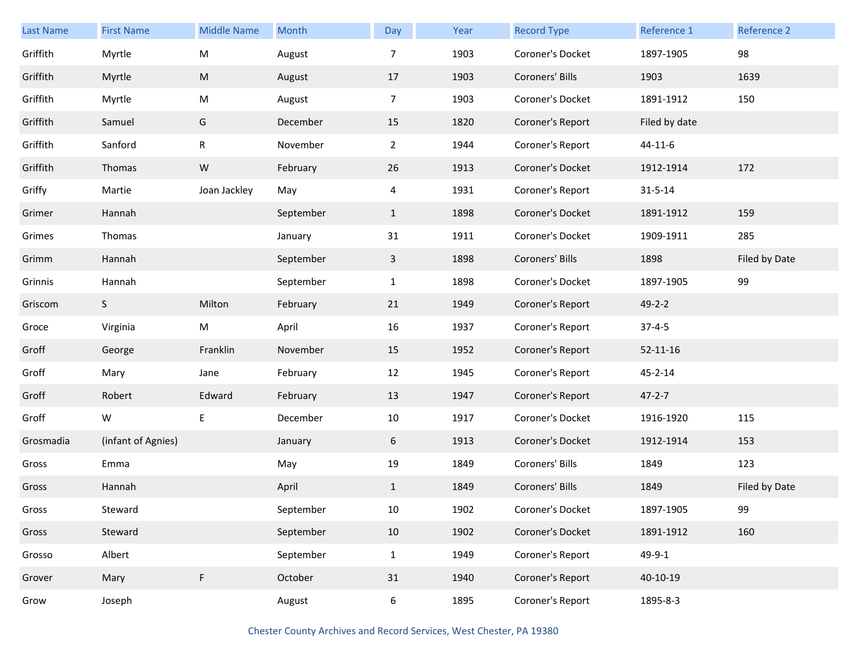| <b>Last Name</b> | <b>First Name</b>  | <b>Middle Name</b> | Month     | Day            | Year | <b>Record Type</b> | Reference 1    | Reference 2   |
|------------------|--------------------|--------------------|-----------|----------------|------|--------------------|----------------|---------------|
| Griffith         | Myrtle             | ${\sf M}$          | August    | 7              | 1903 | Coroner's Docket   | 1897-1905      | 98            |
| Griffith         | Myrtle             | ${\sf M}$          | August    | 17             | 1903 | Coroners' Bills    | 1903           | 1639          |
| Griffith         | Myrtle             | M                  | August    | $\overline{7}$ | 1903 | Coroner's Docket   | 1891-1912      | 150           |
| Griffith         | Samuel             | G                  | December  | 15             | 1820 | Coroner's Report   | Filed by date  |               |
| Griffith         | Sanford            | R                  | November  | $\overline{2}$ | 1944 | Coroner's Report   | 44-11-6        |               |
| Griffith         | Thomas             | ${\sf W}$          | February  | 26             | 1913 | Coroner's Docket   | 1912-1914      | 172           |
| Griffy           | Martie             | Joan Jackley       | May       | 4              | 1931 | Coroner's Report   | $31 - 5 - 14$  |               |
| Grimer           | Hannah             |                    | September | $\mathbf{1}$   | 1898 | Coroner's Docket   | 1891-1912      | 159           |
| Grimes           | Thomas             |                    | January   | 31             | 1911 | Coroner's Docket   | 1909-1911      | 285           |
| Grimm            | Hannah             |                    | September | $\mathbf{3}$   | 1898 | Coroners' Bills    | 1898           | Filed by Date |
| Grinnis          | Hannah             |                    | September | $\mathbf{1}$   | 1898 | Coroner's Docket   | 1897-1905      | 99            |
| Griscom          | S                  | Milton             | February  | 21             | 1949 | Coroner's Report   | $49 - 2 - 2$   |               |
| Groce            | Virginia           | M                  | April     | 16             | 1937 | Coroner's Report   | $37 - 4 - 5$   |               |
| Groff            | George             | Franklin           | November  | 15             | 1952 | Coroner's Report   | $52 - 11 - 16$ |               |
| Groff            | Mary               | Jane               | February  | 12             | 1945 | Coroner's Report   | 45-2-14        |               |
| Groff            | Robert             | Edward             | February  | 13             | 1947 | Coroner's Report   | $47 - 2 - 7$   |               |
| Groff            | W                  | E                  | December  | 10             | 1917 | Coroner's Docket   | 1916-1920      | 115           |
| Grosmadia        | (infant of Agnies) |                    | January   | 6              | 1913 | Coroner's Docket   | 1912-1914      | 153           |
| Gross            | Emma               |                    | May       | 19             | 1849 | Coroners' Bills    | 1849           | 123           |
| Gross            | Hannah             |                    | April     | $\mathbf{1}$   | 1849 | Coroners' Bills    | 1849           | Filed by Date |
| Gross            | Steward            |                    | September | 10             | 1902 | Coroner's Docket   | 1897-1905      | 99            |
| Gross            | Steward            |                    | September | 10             | 1902 | Coroner's Docket   | 1891-1912      | 160           |
| Grosso           | Albert             |                    | September | $\mathbf{1}$   | 1949 | Coroner's Report   | 49-9-1         |               |
| Grover           | Mary               | F                  | October   | 31             | 1940 | Coroner's Report   | 40-10-19       |               |
| Grow             | Joseph             |                    | August    | 6              | 1895 | Coroner's Report   | 1895-8-3       |               |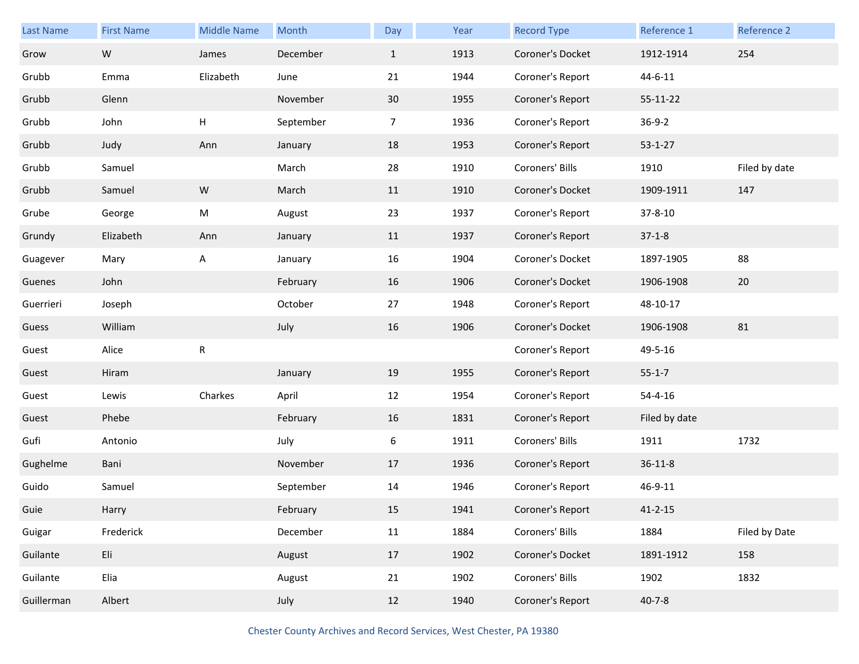| <b>Last Name</b> | <b>First Name</b> | <b>Middle Name</b> | Month     | Day          | Year | <b>Record Type</b> | Reference 1   | Reference 2   |
|------------------|-------------------|--------------------|-----------|--------------|------|--------------------|---------------|---------------|
| Grow             | ${\sf W}$         | James              | December  | $\mathbf{1}$ | 1913 | Coroner's Docket   | 1912-1914     | 254           |
| Grubb            | Emma              | Elizabeth          | June      | 21           | 1944 | Coroner's Report   | $44 - 6 - 11$ |               |
| Grubb            | Glenn             |                    | November  | 30           | 1955 | Coroner's Report   | 55-11-22      |               |
| Grubb            | John              | Н                  | September | 7            | 1936 | Coroner's Report   | $36 - 9 - 2$  |               |
| Grubb            | Judy              | Ann                | January   | 18           | 1953 | Coroner's Report   | $53 - 1 - 27$ |               |
| Grubb            | Samuel            |                    | March     | 28           | 1910 | Coroners' Bills    | 1910          | Filed by date |
| Grubb            | Samuel            | ${\sf W}$          | March     | 11           | 1910 | Coroner's Docket   | 1909-1911     | 147           |
| Grube            | George            | M                  | August    | 23           | 1937 | Coroner's Report   | 37-8-10       |               |
| Grundy           | Elizabeth         | Ann                | January   | 11           | 1937 | Coroner's Report   | $37-1-8$      |               |
| Guagever         | Mary              | A                  | January   | 16           | 1904 | Coroner's Docket   | 1897-1905     | 88            |
| Guenes           | John              |                    | February  | 16           | 1906 | Coroner's Docket   | 1906-1908     | 20            |
| Guerrieri        | Joseph            |                    | October   | 27           | 1948 | Coroner's Report   | 48-10-17      |               |
| Guess            | William           |                    | July      | 16           | 1906 | Coroner's Docket   | 1906-1908     | 81            |
| Guest            | Alice             | ${\sf R}$          |           |              |      | Coroner's Report   | 49-5-16       |               |
| Guest            | Hiram             |                    | January   | 19           | 1955 | Coroner's Report   | $55 - 1 - 7$  |               |
| Guest            | Lewis             | Charkes            | April     | 12           | 1954 | Coroner's Report   | $54 - 4 - 16$ |               |
| Guest            | Phebe             |                    | February  | 16           | 1831 | Coroner's Report   | Filed by date |               |
| Gufi             | Antonio           |                    | July      | 6            | 1911 | Coroners' Bills    | 1911          | 1732          |
| Gughelme         | Bani              |                    | November  | 17           | 1936 | Coroner's Report   | $36 - 11 - 8$ |               |
| Guido            | Samuel            |                    | September | 14           | 1946 | Coroner's Report   | 46-9-11       |               |
| Guie             | Harry             |                    | February  | 15           | 1941 | Coroner's Report   | $41 - 2 - 15$ |               |
| Guigar           | Frederick         |                    | December  | 11           | 1884 | Coroners' Bills    | 1884          | Filed by Date |
| Guilante         | Eli               |                    | August    | 17           | 1902 | Coroner's Docket   | 1891-1912     | 158           |
| Guilante         | Elia              |                    | August    | 21           | 1902 | Coroners' Bills    | 1902          | 1832          |
| Guillerman       | Albert            |                    | July      | 12           | 1940 | Coroner's Report   | $40 - 7 - 8$  |               |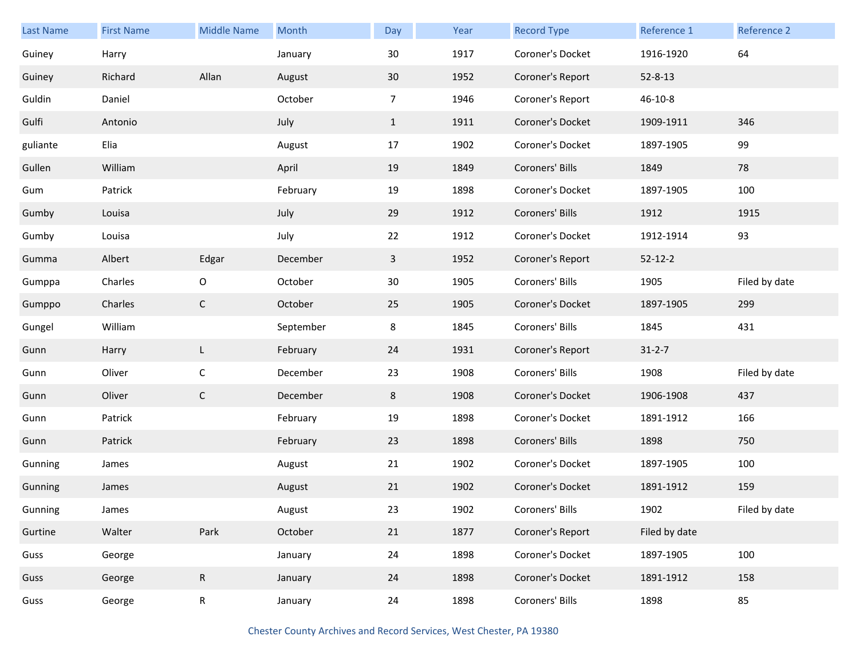| <b>Last Name</b> | <b>First Name</b> | <b>Middle Name</b> | Month     | Day            | Year | <b>Record Type</b> | Reference 1   | Reference 2   |
|------------------|-------------------|--------------------|-----------|----------------|------|--------------------|---------------|---------------|
| Guiney           | Harry             |                    | January   | 30             | 1917 | Coroner's Docket   | 1916-1920     | 64            |
| Guiney           | Richard           | Allan              | August    | 30             | 1952 | Coroner's Report   | $52 - 8 - 13$ |               |
| Guldin           | Daniel            |                    | October   | $\overline{7}$ | 1946 | Coroner's Report   | $46 - 10 - 8$ |               |
| Gulfi            | Antonio           |                    | July      | $\mathbf{1}$   | 1911 | Coroner's Docket   | 1909-1911     | 346           |
| guliante         | Elia              |                    | August    | 17             | 1902 | Coroner's Docket   | 1897-1905     | 99            |
| Gullen           | William           |                    | April     | 19             | 1849 | Coroners' Bills    | 1849          | 78            |
| Gum              | Patrick           |                    | February  | 19             | 1898 | Coroner's Docket   | 1897-1905     | 100           |
| Gumby            | Louisa            |                    | July      | 29             | 1912 | Coroners' Bills    | 1912          | 1915          |
| Gumby            | Louisa            |                    | July      | 22             | 1912 | Coroner's Docket   | 1912-1914     | 93            |
| Gumma            | Albert            | Edgar              | December  | 3              | 1952 | Coroner's Report   | $52 - 12 - 2$ |               |
| Gumppa           | Charles           | $\mathsf O$        | October   | 30             | 1905 | Coroners' Bills    | 1905          | Filed by date |
| Gumppo           | Charles           | $\mathsf{C}$       | October   | 25             | 1905 | Coroner's Docket   | 1897-1905     | 299           |
| Gungel           | William           |                    | September | 8              | 1845 | Coroners' Bills    | 1845          | 431           |
| Gunn             | Harry             | L                  | February  | 24             | 1931 | Coroner's Report   | $31 - 2 - 7$  |               |
| Gunn             | Oliver            | $\mathsf C$        | December  | 23             | 1908 | Coroners' Bills    | 1908          | Filed by date |
| Gunn             | Oliver            | $\mathsf{C}$       | December  | 8              | 1908 | Coroner's Docket   | 1906-1908     | 437           |
| Gunn             | Patrick           |                    | February  | 19             | 1898 | Coroner's Docket   | 1891-1912     | 166           |
| Gunn             | Patrick           |                    | February  | 23             | 1898 | Coroners' Bills    | 1898          | 750           |
| Gunning          | James             |                    | August    | 21             | 1902 | Coroner's Docket   | 1897-1905     | 100           |
| Gunning          | James             |                    | August    | 21             | 1902 | Coroner's Docket   | 1891-1912     | 159           |
| Gunning          | James             |                    | August    | 23             | 1902 | Coroners' Bills    | 1902          | Filed by date |
| Gurtine          | Walter            | Park               | October   | 21             | 1877 | Coroner's Report   | Filed by date |               |
| Guss             | George            |                    | January   | 24             | 1898 | Coroner's Docket   | 1897-1905     | 100           |
| Guss             | George            | $\mathsf{R}$       | January   | 24             | 1898 | Coroner's Docket   | 1891-1912     | 158           |
| Guss             | George            | R                  | January   | 24             | 1898 | Coroners' Bills    | 1898          | 85            |